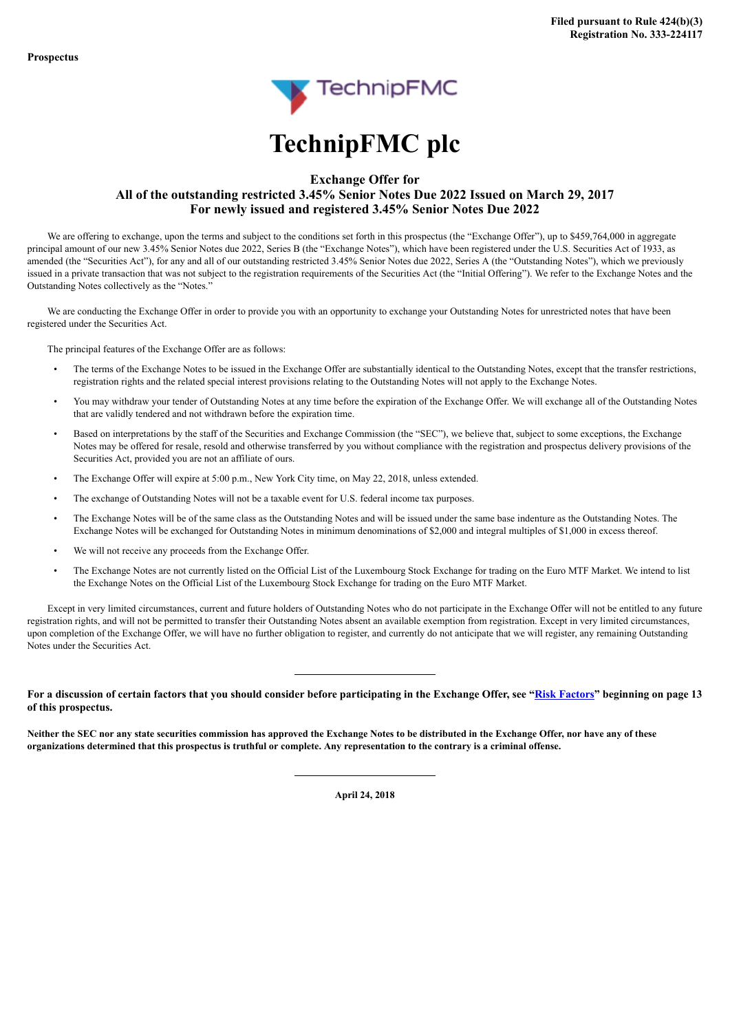

# **Exchange Offer for All of the outstanding restricted 3.45% Senior Notes Due 2022 Issued on March 29, 2017 For newly issued and registered 3.45% Senior Notes Due 2022**

We are offering to exchange, upon the terms and subject to the conditions set forth in this prospectus (the "Exchange Offer"), up to \$459,764,000 in aggregate principal amount of our new 3.45% Senior Notes due 2022, Series B (the "Exchange Notes"), which have been registered under the U.S. Securities Act of 1933, as amended (the "Securities Act"), for any and all of our outstanding restricted 3.45% Senior Notes due 2022, Series A (the "Outstanding Notes"), which we previously issued in a private transaction that was not subject to the registration requirements of the Securities Act (the "Initial Offering"). We refer to the Exchange Notes and the Outstanding Notes collectively as the "Notes."

We are conducting the Exchange Offer in order to provide you with an opportunity to exchange your Outstanding Notes for unrestricted notes that have been registered under the Securities Act.

The principal features of the Exchange Offer are as follows:

- The terms of the Exchange Notes to be issued in the Exchange Offer are substantially identical to the Outstanding Notes, except that the transfer restrictions, registration rights and the related special interest provisions relating to the Outstanding Notes will not apply to the Exchange Notes.
- You may withdraw your tender of Outstanding Notes at any time before the expiration of the Exchange Offer. We will exchange all of the Outstanding Notes that are validly tendered and not withdrawn before the expiration time.
- Based on interpretations by the staff of the Securities and Exchange Commission (the "SEC"), we believe that, subject to some exceptions, the Exchange Notes may be offered for resale, resold and otherwise transferred by you without compliance with the registration and prospectus delivery provisions of the Securities Act, provided you are not an affiliate of ours.
- The Exchange Offer will expire at 5:00 p.m., New York City time, on May 22, 2018, unless extended.
- The exchange of Outstanding Notes will not be a taxable event for U.S. federal income tax purposes.
- The Exchange Notes will be of the same class as the Outstanding Notes and will be issued under the same base indenture as the Outstanding Notes. The Exchange Notes will be exchanged for Outstanding Notes in minimum denominations of \$2,000 and integral multiples of \$1,000 in excess thereof.
- We will not receive any proceeds from the Exchange Offer.
- The Exchange Notes are not currently listed on the Official List of the Luxembourg Stock Exchange for trading on the Euro MTF Market. We intend to list the Exchange Notes on the Official List of the Luxembourg Stock Exchange for trading on the Euro MTF Market.

Except in very limited circumstances, current and future holders of Outstanding Notes who do not participate in the Exchange Offer will not be entitled to any future registration rights, and will not be permitted to transfer their Outstanding Notes absent an available exemption from registration. Except in very limited circumstances, upon completion of the Exchange Offer, we will have no further obligation to register, and currently do not anticipate that we will register, any remaining Outstanding Notes under the Securities Act.

## For a discussion of certain factors that you should consider before participating in the Exchange Offer, see "Risk [Factors"](#page-14-0) beginning on page 13 **of this prospectus.**

**Neither the SEC nor any state securities commission has approved the Exchange Notes to be distributed in the Exchange Offer, nor have any of these organizations determined that this prospectus is truthful or complete. Any representation to the contrary is a criminal offense.**

**April 24, 2018**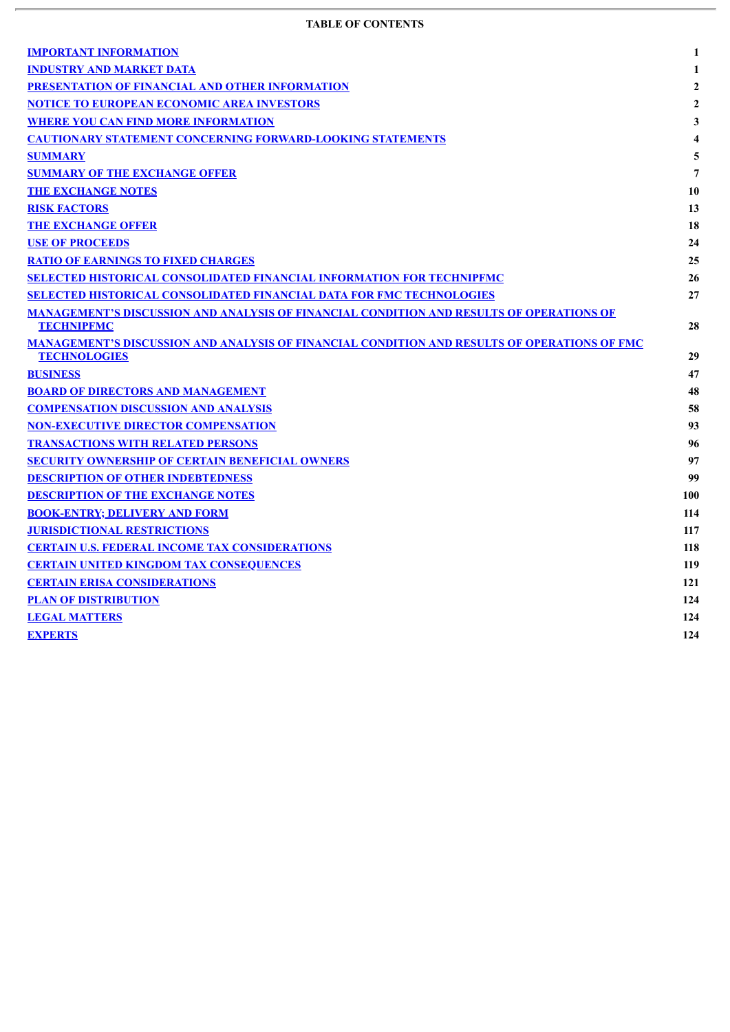# **TABLE OF CONTENTS**

| <b>IMPORTANT INFORMATION</b>                                                                                               | 1              |
|----------------------------------------------------------------------------------------------------------------------------|----------------|
| <b>INDUSTRY AND MARKET DATA</b>                                                                                            | $\mathbf{1}$   |
| PRESENTATION OF FINANCIAL AND OTHER INFORMATION                                                                            | $\overline{2}$ |
| <b>NOTICE TO EUROPEAN ECONOMIC AREA INVESTORS</b>                                                                          | $\mathbf{2}$   |
| <b>WHERE YOU CAN FIND MORE INFORMATION</b>                                                                                 | 3              |
| <b>CAUTIONARY STATEMENT CONCERNING FORWARD-LOOKING STATEMENTS</b>                                                          | 4              |
| <b>SUMMARY</b>                                                                                                             | 5              |
| <b>SUMMARY OF THE EXCHANGE OFFER</b>                                                                                       | 7              |
| <b>THE EXCHANGE NOTES</b>                                                                                                  | 10             |
| <b>RISK FACTORS</b>                                                                                                        | 13             |
| <b>THE EXCHANGE OFFER</b>                                                                                                  | 18             |
| <b>USE OF PROCEEDS</b>                                                                                                     | 24             |
| <b>RATIO OF EARNINGS TO FIXED CHARGES</b>                                                                                  | 25             |
| <b>SELECTED HISTORICAL CONSOLIDATED FINANCIAL INFORMATION FOR TECHNIPFMC</b>                                               | 26             |
| <b>SELECTED HISTORICAL CONSOLIDATED FINANCIAL DATA FOR FMC TECHNOLOGIES</b>                                                | 27             |
| <u>MANAGEMENT'S DISCUSSION AND ANALYSIS OF FINANCIAL CONDITION AND RESULTS OF OPERATIONS OF </u><br><b>TECHNIPFMC</b>      | 28             |
| <u>MANAGEMENT'S DISCUSSION AND ANALYSIS OF FINANCIAL CONDITION AND RESULTS OF OPERATIONS OF FMC</u><br><b>TECHNOLOGIES</b> | 29             |
| <b>BUSINESS</b>                                                                                                            | 47             |
| <b>BOARD OF DIRECTORS AND MANAGEMENT</b>                                                                                   | 48             |
| <b>COMPENSATION DISCUSSION AND ANALYSIS</b>                                                                                | 58             |
| <b>NON-EXECUTIVE DIRECTOR COMPENSATION</b>                                                                                 | 93             |
| <b>TRANSACTIONS WITH RELATED PERSONS</b>                                                                                   | 96             |
| <b>SECURITY OWNERSHIP OF CERTAIN BENEFICIAL OWNERS</b>                                                                     | 97             |
| <b>DESCRIPTION OF OTHER INDEBTEDNESS</b>                                                                                   | 99             |
| <b>DESCRIPTION OF THE EXCHANGE NOTES</b>                                                                                   | 100            |
| <b>BOOK-ENTRY; DELIVERY AND FORM</b>                                                                                       | 114            |
| <b>JURISDICTIONAL RESTRICTIONS</b>                                                                                         | 117            |
| <b>CERTAIN U.S. FEDERAL INCOME TAX CONSIDERATIONS</b>                                                                      | 118            |
| <b>CERTAIN UNITED KINGDOM TAX CONSEQUENCES</b>                                                                             | 119            |
| <b>CERTAIN ERISA CONSIDERATIONS</b>                                                                                        | 121            |
| <b>PLAN OF DISTRIBUTION</b>                                                                                                | 124            |
| <b>LEGAL MATTERS</b>                                                                                                       | 124            |
| <b>EXPERTS</b>                                                                                                             | 124            |
|                                                                                                                            |                |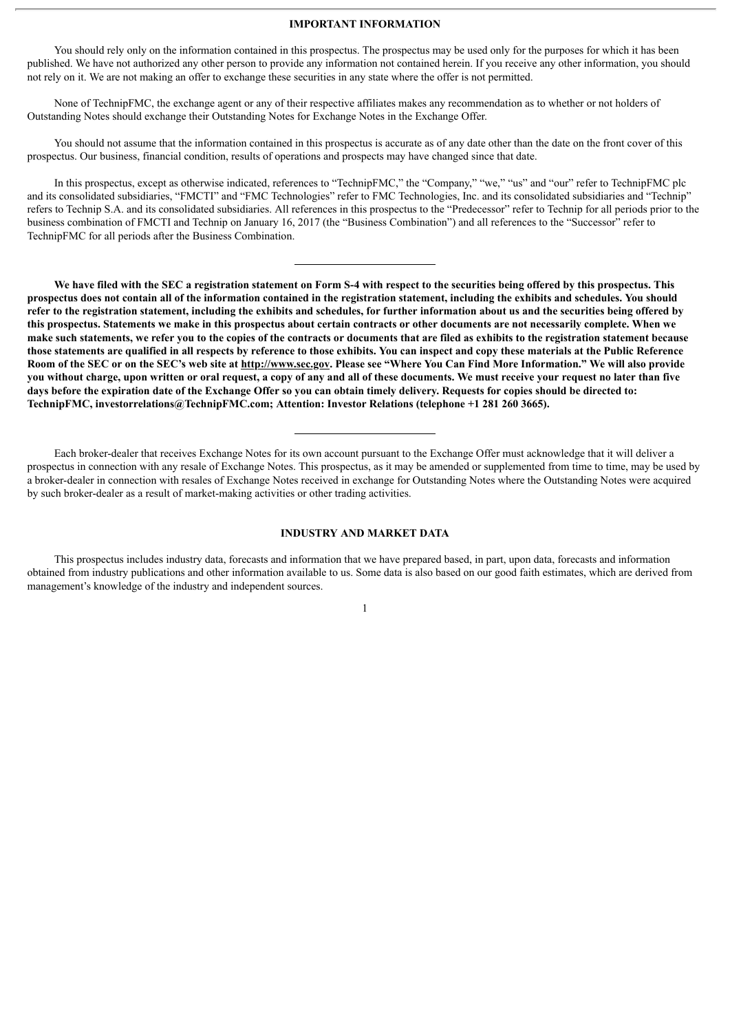### **IMPORTANT INFORMATION**

<span id="page-2-0"></span>You should rely only on the information contained in this prospectus. The prospectus may be used only for the purposes for which it has been published. We have not authorized any other person to provide any information not contained herein. If you receive any other information, you should not rely on it. We are not making an offer to exchange these securities in any state where the offer is not permitted.

None of TechnipFMC, the exchange agent or any of their respective affiliates makes any recommendation as to whether or not holders of Outstanding Notes should exchange their Outstanding Notes for Exchange Notes in the Exchange Offer.

You should not assume that the information contained in this prospectus is accurate as of any date other than the date on the front cover of this prospectus. Our business, financial condition, results of operations and prospects may have changed since that date.

In this prospectus, except as otherwise indicated, references to "TechnipFMC," the "Company," "we," "us" and "our" refer to TechnipFMC plc and its consolidated subsidiaries, "FMCTI" and "FMC Technologies" refer to FMC Technologies, Inc. and its consolidated subsidiaries and "Technip" refers to Technip S.A. and its consolidated subsidiaries. All references in this prospectus to the "Predecessor" refer to Technip for all periods prior to the business combination of FMCTI and Technip on January 16, 2017 (the "Business Combination") and all references to the "Successor" refer to TechnipFMC for all periods after the Business Combination.

We have filed with the SEC a registration statement on Form S-4 with respect to the securities being offered by this prospectus. This prospectus does not contain all of the information contained in the registration statement, including the exhibits and schedules. You should refer to the registration statement, including the exhibits and schedules, for further information about us and the securities being offered by this prospectus. Statements we make in this prospectus about certain contracts or other documents are not necessarily complete. When we make such statements, we refer you to the copies of the contracts or documents that are filed as exhibits to the registration statement because those statements are qualified in all respects by reference to those exhibits. You can inspect and copy these materials at the Public Reference Room of the SEC or on the SEC's web site at http://www.sec.gov. Please see "Where You Can Find More Information." We will also provide you without charge, upon written or oral request, a copy of any and all of these documents. We must receive your request no later than five days before the expiration date of the Exchange Offer so you can obtain timely delivery. Requests for copies should be directed to: **TechnipFMC, investorrelations@TechnipFMC.com; Attention: Investor Relations (telephone +1 281 260 3665).**

Each broker-dealer that receives Exchange Notes for its own account pursuant to the Exchange Offer must acknowledge that it will deliver a prospectus in connection with any resale of Exchange Notes. This prospectus, as it may be amended or supplemented from time to time, may be used by a broker-dealer in connection with resales of Exchange Notes received in exchange for Outstanding Notes where the Outstanding Notes were acquired by such broker-dealer as a result of market-making activities or other trading activities.

## **INDUSTRY AND MARKET DATA**

<span id="page-2-1"></span>This prospectus includes industry data, forecasts and information that we have prepared based, in part, upon data, forecasts and information obtained from industry publications and other information available to us. Some data is also based on our good faith estimates, which are derived from management's knowledge of the industry and independent sources.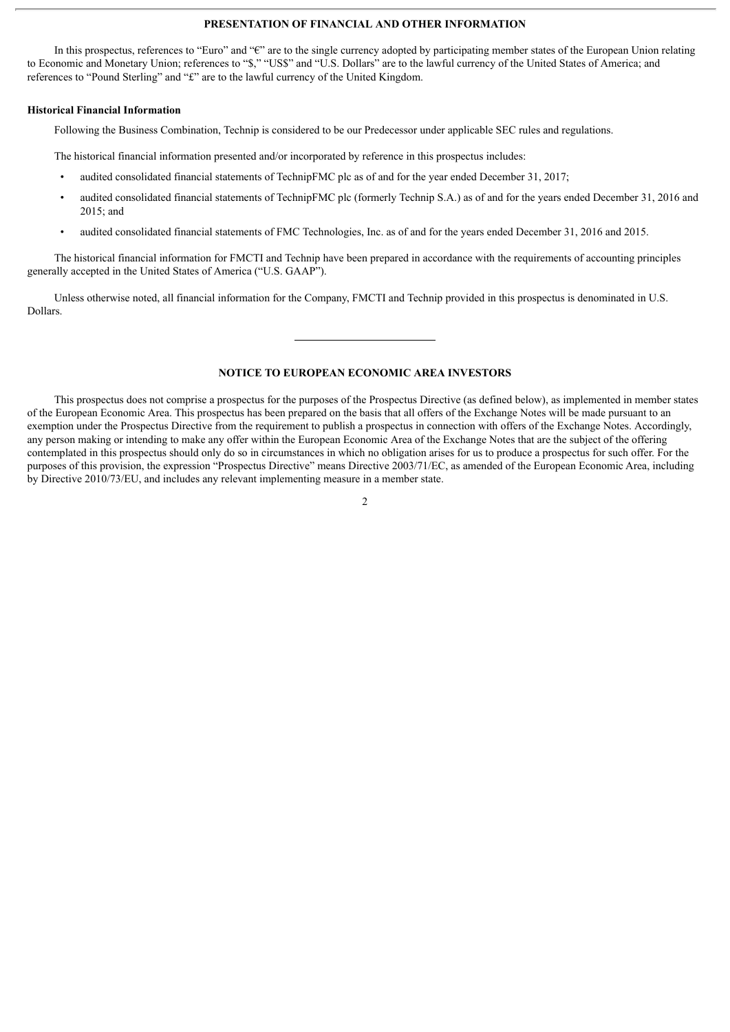## **PRESENTATION OF FINANCIAL AND OTHER INFORMATION**

<span id="page-3-0"></span>In this prospectus, references to "Euro" and "€" are to the single currency adopted by participating member states of the European Union relating to Economic and Monetary Union; references to "\$," "US\$" and "U.S. Dollars" are to the lawful currency of the United States of America; and references to "Pound Sterling" and "£" are to the lawful currency of the United Kingdom.

## **Historical Financial Information**

Following the Business Combination, Technip is considered to be our Predecessor under applicable SEC rules and regulations.

The historical financial information presented and/or incorporated by reference in this prospectus includes:

- audited consolidated financial statements of TechnipFMC plc as of and for the year ended December 31, 2017;
- audited consolidated financial statements of TechnipFMC plc (formerly Technip S.A.) as of and for the years ended December 31, 2016 and 2015; and
- audited consolidated financial statements of FMC Technologies, Inc. as of and for the years ended December 31, 2016 and 2015.

The historical financial information for FMCTI and Technip have been prepared in accordance with the requirements of accounting principles generally accepted in the United States of America ("U.S. GAAP").

Unless otherwise noted, all financial information for the Company, FMCTI and Technip provided in this prospectus is denominated in U.S. Dollars.

## **NOTICE TO EUROPEAN ECONOMIC AREA INVESTORS**

<span id="page-3-1"></span>This prospectus does not comprise a prospectus for the purposes of the Prospectus Directive (as defined below), as implemented in member states of the European Economic Area. This prospectus has been prepared on the basis that all offers of the Exchange Notes will be made pursuant to an exemption under the Prospectus Directive from the requirement to publish a prospectus in connection with offers of the Exchange Notes. Accordingly, any person making or intending to make any offer within the European Economic Area of the Exchange Notes that are the subject of the offering contemplated in this prospectus should only do so in circumstances in which no obligation arises for us to produce a prospectus for such offer. For the purposes of this provision, the expression "Prospectus Directive" means Directive 2003/71/EC, as amended of the European Economic Area, including by Directive 2010/73/EU, and includes any relevant implementing measure in a member state.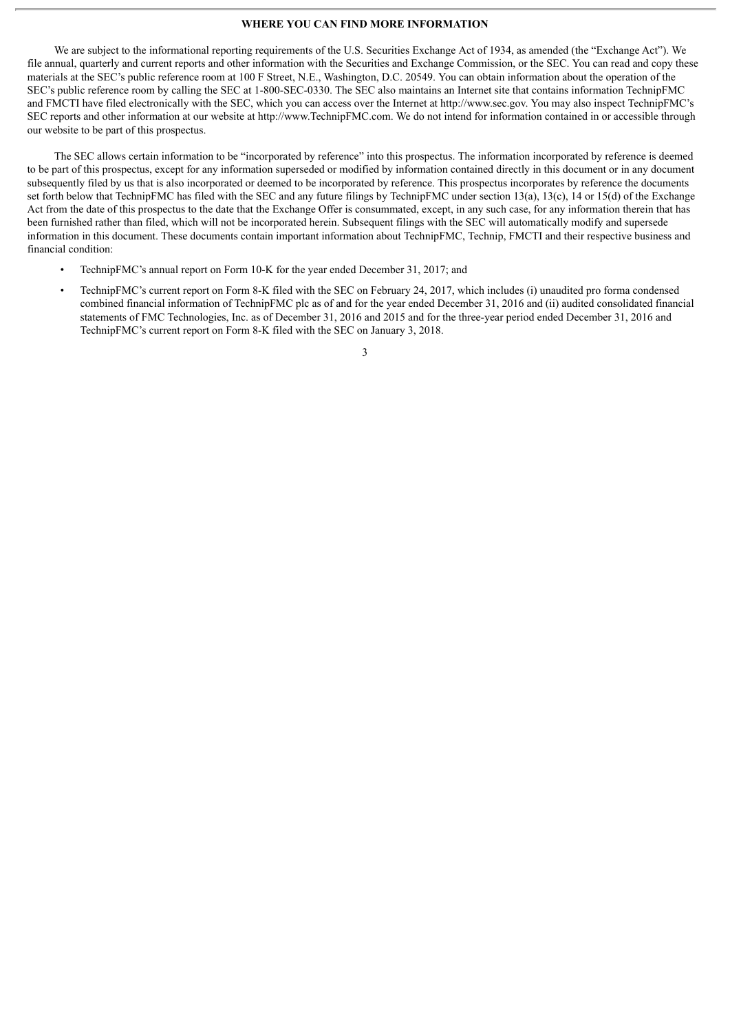## **WHERE YOU CAN FIND MORE INFORMATION**

<span id="page-4-0"></span>We are subject to the informational reporting requirements of the U.S. Securities Exchange Act of 1934, as amended (the "Exchange Act"). We file annual, quarterly and current reports and other information with the Securities and Exchange Commission, or the SEC. You can read and copy these materials at the SEC's public reference room at 100 F Street, N.E., Washington, D.C. 20549. You can obtain information about the operation of the SEC's public reference room by calling the SEC at 1-800-SEC-0330. The SEC also maintains an Internet site that contains information TechnipFMC and FMCTI have filed electronically with the SEC, which you can access over the Internet at http://www.sec.gov. You may also inspect TechnipFMC's SEC reports and other information at our website at http://www.TechnipFMC.com. We do not intend for information contained in or accessible through our website to be part of this prospectus.

The SEC allows certain information to be "incorporated by reference" into this prospectus. The information incorporated by reference is deemed to be part of this prospectus, except for any information superseded or modified by information contained directly in this document or in any document subsequently filed by us that is also incorporated or deemed to be incorporated by reference. This prospectus incorporates by reference the documents set forth below that TechnipFMC has filed with the SEC and any future filings by TechnipFMC under section 13(a), 13(c), 14 or 15(d) of the Exchange Act from the date of this prospectus to the date that the Exchange Offer is consummated, except, in any such case, for any information therein that has been furnished rather than filed, which will not be incorporated herein. Subsequent filings with the SEC will automatically modify and supersede information in this document. These documents contain important information about TechnipFMC, Technip, FMCTI and their respective business and financial condition:

- TechnipFMC's annual report on Form 10-K for the year ended December 31, 2017; and
- TechnipFMC's current report on Form 8-K filed with the SEC on February 24, 2017, which includes (i) unaudited pro forma condensed combined financial information of TechnipFMC plc as of and for the year ended December 31, 2016 and (ii) audited consolidated financial statements of FMC Technologies, Inc. as of December 31, 2016 and 2015 and for the three-year period ended December 31, 2016 and TechnipFMC's current report on Form 8-K filed with the SEC on January 3, 2018.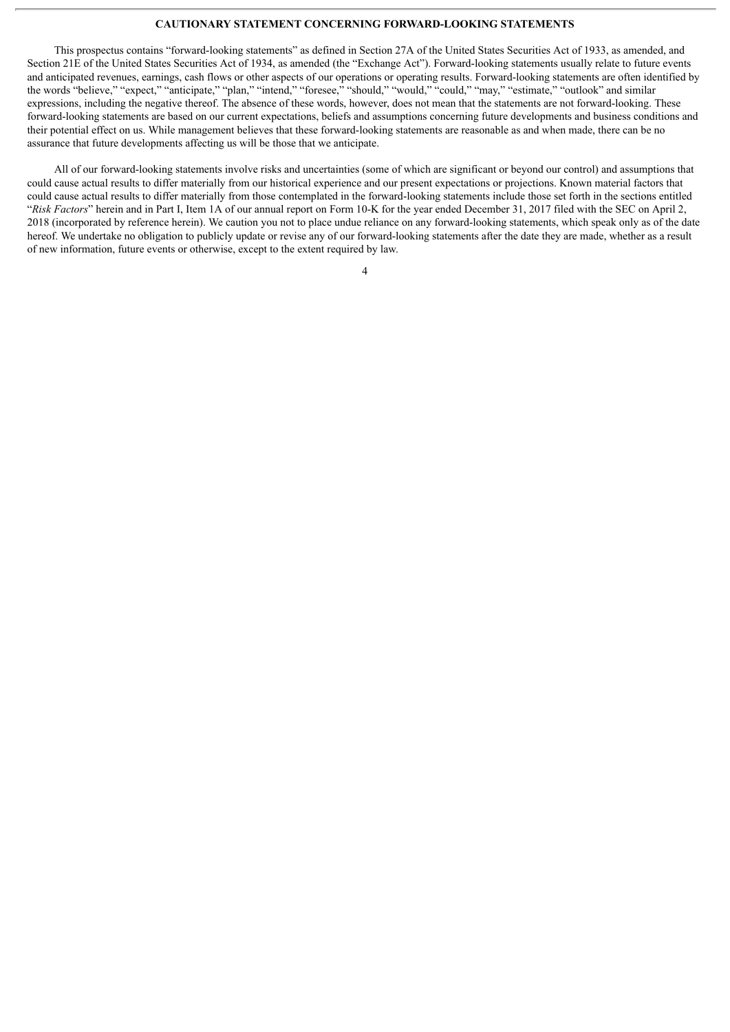## **CAUTIONARY STATEMENT CONCERNING FORWARD-LOOKING STATEMENTS**

<span id="page-5-0"></span>This prospectus contains "forward-looking statements" as defined in Section 27A of the United States Securities Act of 1933, as amended, and Section 21E of the United States Securities Act of 1934, as amended (the "Exchange Act"). Forward-looking statements usually relate to future events and anticipated revenues, earnings, cash flows or other aspects of our operations or operating results. Forward-looking statements are often identified by the words "believe," "expect," "anticipate," "plan," "intend," "foresee," "should," "would," "could," "may," "estimate," "outlook" and similar expressions, including the negative thereof. The absence of these words, however, does not mean that the statements are not forward-looking. These forward-looking statements are based on our current expectations, beliefs and assumptions concerning future developments and business conditions and their potential effect on us. While management believes that these forward-looking statements are reasonable as and when made, there can be no assurance that future developments affecting us will be those that we anticipate.

All of our forward-looking statements involve risks and uncertainties (some of which are significant or beyond our control) and assumptions that could cause actual results to differ materially from our historical experience and our present expectations or projections. Known material factors that could cause actual results to differ materially from those contemplated in the forward-looking statements include those set forth in the sections entitled "*Risk Factors*" herein and in Part I, Item 1A of our annual report on Form 10-K for the year ended December 31, 2017 filed with the SEC on April 2, 2018 (incorporated by reference herein). We caution you not to place undue reliance on any forward-looking statements, which speak only as of the date hereof. We undertake no obligation to publicly update or revise any of our forward-looking statements after the date they are made, whether as a result of new information, future events or otherwise, except to the extent required by law.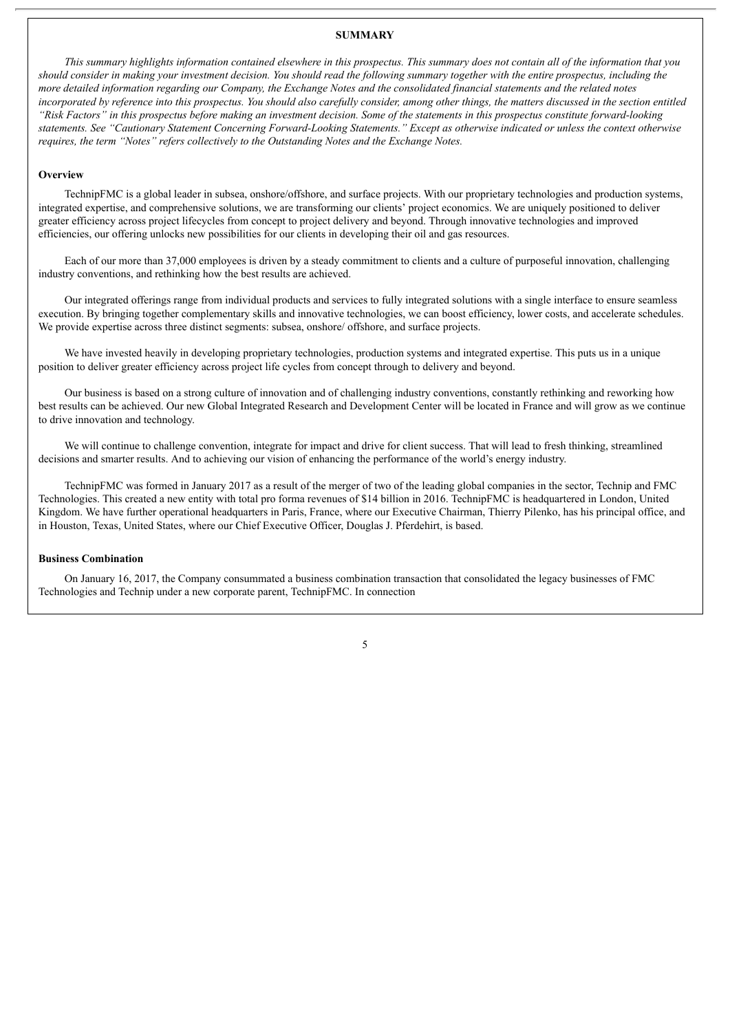## **SUMMARY**

<span id="page-6-0"></span>This summary highlights information contained elsewhere in this prospectus. This summary does not contain all of the information that you should consider in making your investment decision. You should read the following summary together with the entire prospectus, including the more detailed information regarding our Company, the Exchange Notes and the consolidated financial statements and the related notes incorporated by reference into this prospectus. You should also carefully consider, among other things, the matters discussed in the section entitled "Risk Factors" in this prospectus before making an investment decision. Some of the statements in this prospectus constitute forward-looking statements. See "Cautionary Statement Concerning Forward-Looking Statements." Except as otherwise indicated or unless the context otherwise *requires, the term "Notes" refers collectively to the Outstanding Notes and the Exchange Notes.*

### **Overview**

TechnipFMC is a global leader in subsea, onshore/offshore, and surface projects. With our proprietary technologies and production systems, integrated expertise, and comprehensive solutions, we are transforming our clients' project economics. We are uniquely positioned to deliver greater efficiency across project lifecycles from concept to project delivery and beyond. Through innovative technologies and improved efficiencies, our offering unlocks new possibilities for our clients in developing their oil and gas resources.

Each of our more than 37,000 employees is driven by a steady commitment to clients and a culture of purposeful innovation, challenging industry conventions, and rethinking how the best results are achieved.

Our integrated offerings range from individual products and services to fully integrated solutions with a single interface to ensure seamless execution. By bringing together complementary skills and innovative technologies, we can boost efficiency, lower costs, and accelerate schedules. We provide expertise across three distinct segments: subsea, onshore/ offshore, and surface projects.

We have invested heavily in developing proprietary technologies, production systems and integrated expertise. This puts us in a unique position to deliver greater efficiency across project life cycles from concept through to delivery and beyond.

Our business is based on a strong culture of innovation and of challenging industry conventions, constantly rethinking and reworking how best results can be achieved. Our new Global Integrated Research and Development Center will be located in France and will grow as we continue to drive innovation and technology.

We will continue to challenge convention, integrate for impact and drive for client success. That will lead to fresh thinking, streamlined decisions and smarter results. And to achieving our vision of enhancing the performance of the world's energy industry.

TechnipFMC was formed in January 2017 as a result of the merger of two of the leading global companies in the sector, Technip and FMC Technologies. This created a new entity with total pro forma revenues of \$14 billion in 2016. TechnipFMC is headquartered in London, United Kingdom. We have further operational headquarters in Paris, France, where our Executive Chairman, Thierry Pilenko, has his principal office, and in Houston, Texas, United States, where our Chief Executive Officer, Douglas J. Pferdehirt, is based.

## **Business Combination**

On January 16, 2017, the Company consummated a business combination transaction that consolidated the legacy businesses of FMC Technologies and Technip under a new corporate parent, TechnipFMC. In connection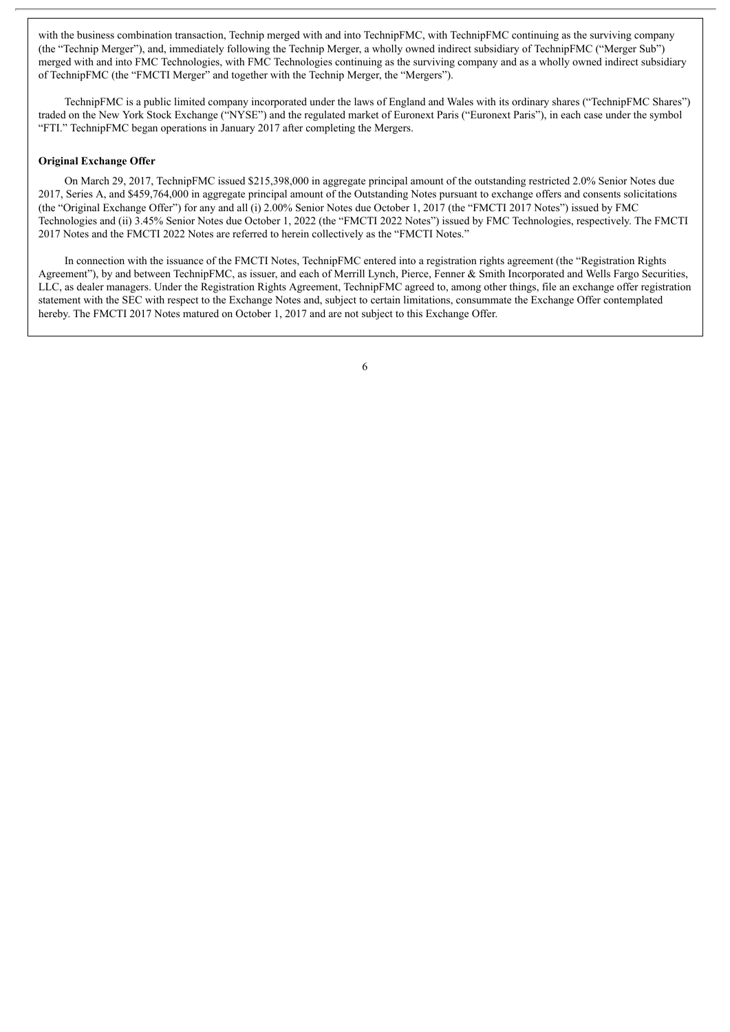with the business combination transaction, Technip merged with and into TechnipFMC, with TechnipFMC continuing as the surviving company (the "Technip Merger"), and, immediately following the Technip Merger, a wholly owned indirect subsidiary of TechnipFMC ("Merger Sub") merged with and into FMC Technologies, with FMC Technologies continuing as the surviving company and as a wholly owned indirect subsidiary of TechnipFMC (the "FMCTI Merger" and together with the Technip Merger, the "Mergers").

TechnipFMC is a public limited company incorporated under the laws of England and Wales with its ordinary shares ("TechnipFMC Shares") traded on the New York Stock Exchange ("NYSE") and the regulated market of Euronext Paris ("Euronext Paris"), in each case under the symbol "FTI." TechnipFMC began operations in January 2017 after completing the Mergers.

## **Original Exchange Offer**

On March 29, 2017, TechnipFMC issued \$215,398,000 in aggregate principal amount of the outstanding restricted 2.0% Senior Notes due 2017, Series A, and \$459,764,000 in aggregate principal amount of the Outstanding Notes pursuant to exchange offers and consents solicitations (the "Original Exchange Offer") for any and all (i) 2.00% Senior Notes due October 1, 2017 (the "FMCTI 2017 Notes") issued by FMC Technologies and (ii) 3.45% Senior Notes due October 1, 2022 (the "FMCTI 2022 Notes") issued by FMC Technologies, respectively. The FMCTI 2017 Notes and the FMCTI 2022 Notes are referred to herein collectively as the "FMCTI Notes."

In connection with the issuance of the FMCTI Notes, TechnipFMC entered into a registration rights agreement (the "Registration Rights Agreement"), by and between TechnipFMC, as issuer, and each of Merrill Lynch, Pierce, Fenner & Smith Incorporated and Wells Fargo Securities, LLC, as dealer managers. Under the Registration Rights Agreement, TechnipFMC agreed to, among other things, file an exchange offer registration statement with the SEC with respect to the Exchange Notes and, subject to certain limitations, consummate the Exchange Offer contemplated hereby. The FMCTI 2017 Notes matured on October 1, 2017 and are not subject to this Exchange Offer.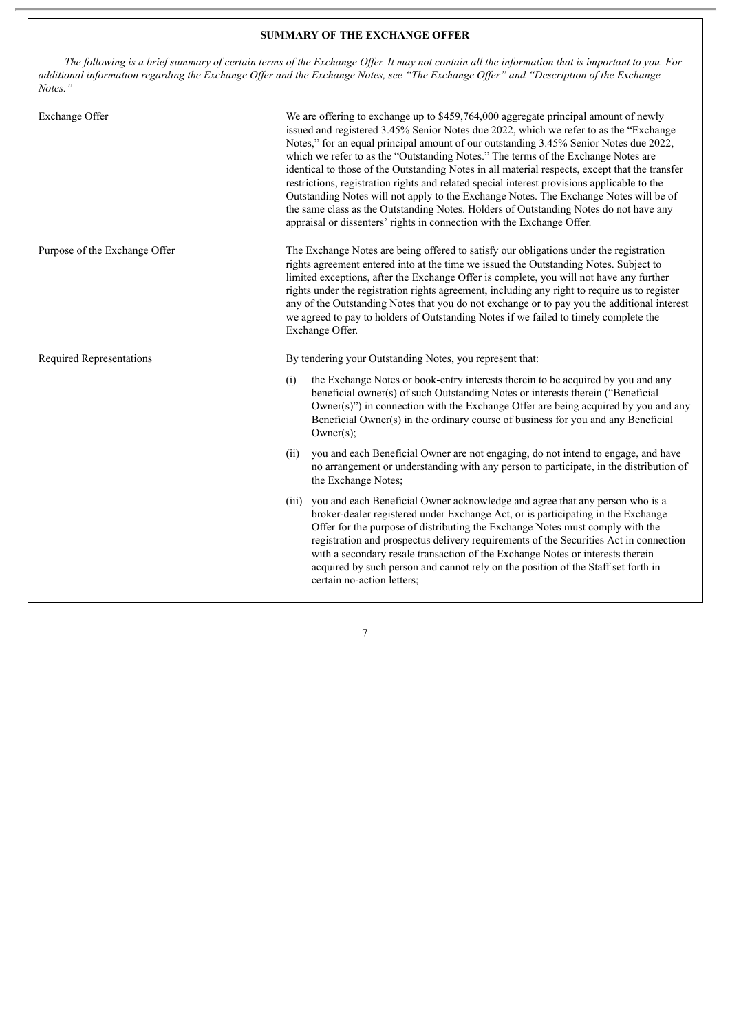## **SUMMARY OF THE EXCHANGE OFFER**

<span id="page-8-0"></span>The following is a brief summary of certain terms of the Exchange Offer. It may not contain all the information that is important to you. For additional information regarding the Exchange Offer and the Exchange Notes, see "The Exchange Offer" and "Description of the Exchange *Notes."*

| Exchange Offer                  |      | We are offering to exchange up to \$459,764,000 aggregate principal amount of newly<br>issued and registered 3.45% Senior Notes due 2022, which we refer to as the "Exchange<br>Notes," for an equal principal amount of our outstanding 3.45% Senior Notes due 2022,<br>which we refer to as the "Outstanding Notes." The terms of the Exchange Notes are<br>identical to those of the Outstanding Notes in all material respects, except that the transfer<br>restrictions, registration rights and related special interest provisions applicable to the<br>Outstanding Notes will not apply to the Exchange Notes. The Exchange Notes will be of<br>the same class as the Outstanding Notes. Holders of Outstanding Notes do not have any<br>appraisal or dissenters' rights in connection with the Exchange Offer. |
|---------------------------------|------|-------------------------------------------------------------------------------------------------------------------------------------------------------------------------------------------------------------------------------------------------------------------------------------------------------------------------------------------------------------------------------------------------------------------------------------------------------------------------------------------------------------------------------------------------------------------------------------------------------------------------------------------------------------------------------------------------------------------------------------------------------------------------------------------------------------------------|
| Purpose of the Exchange Offer   |      | The Exchange Notes are being offered to satisfy our obligations under the registration<br>rights agreement entered into at the time we issued the Outstanding Notes. Subject to<br>limited exceptions, after the Exchange Offer is complete, you will not have any further<br>rights under the registration rights agreement, including any right to require us to register<br>any of the Outstanding Notes that you do not exchange or to pay you the additional interest<br>we agreed to pay to holders of Outstanding Notes if we failed to timely complete the<br>Exchange Offer.                                                                                                                                                                                                                                   |
| <b>Required Representations</b> |      | By tendering your Outstanding Notes, you represent that:                                                                                                                                                                                                                                                                                                                                                                                                                                                                                                                                                                                                                                                                                                                                                                |
|                                 | (i)  | the Exchange Notes or book-entry interests therein to be acquired by you and any<br>beneficial owner(s) of such Outstanding Notes or interests therein ("Beneficial<br>Owner(s)") in connection with the Exchange Offer are being acquired by you and any<br>Beneficial Owner(s) in the ordinary course of business for you and any Beneficial<br>$Owner(s)$ :                                                                                                                                                                                                                                                                                                                                                                                                                                                          |
|                                 | (ii) | you and each Beneficial Owner are not engaging, do not intend to engage, and have<br>no arrangement or understanding with any person to participate, in the distribution of<br>the Exchange Notes;                                                                                                                                                                                                                                                                                                                                                                                                                                                                                                                                                                                                                      |
|                                 |      | (iii) you and each Beneficial Owner acknowledge and agree that any person who is a<br>broker-dealer registered under Exchange Act, or is participating in the Exchange<br>Offer for the purpose of distributing the Exchange Notes must comply with the<br>registration and prospectus delivery requirements of the Securities Act in connection<br>with a secondary resale transaction of the Exchange Notes or interests therein<br>acquired by such person and cannot rely on the position of the Staff set forth in<br>certain no-action letters;                                                                                                                                                                                                                                                                   |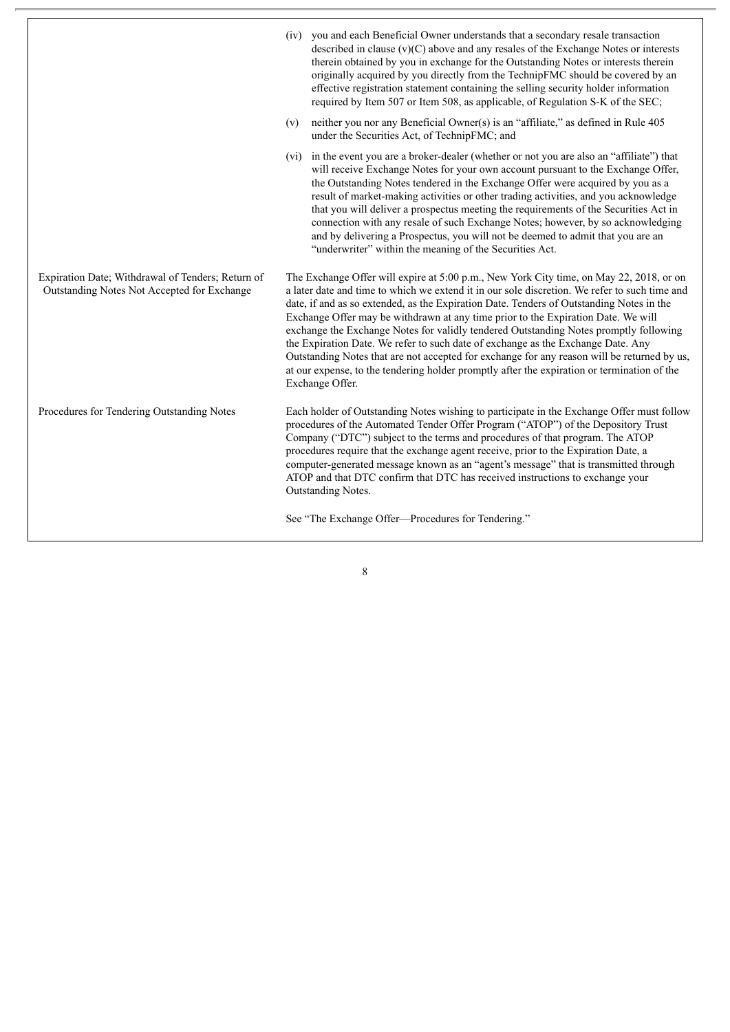|                                                                                                  |     | (iv) you and each Beneficial Owner understands that a secondary resale transaction<br>described in clause $(v)(C)$ above and any resales of the Exchange Notes or interests<br>therein obtained by you in exchange for the Outstanding Notes or interests therein<br>originally acquired by you directly from the TechnipFMC should be covered by an<br>effective registration statement containing the selling security holder information<br>required by Item 507 or Item 508, as applicable, of Regulation S-K of the SEC;                                                                                                                                                                                                                                           |
|--------------------------------------------------------------------------------------------------|-----|-------------------------------------------------------------------------------------------------------------------------------------------------------------------------------------------------------------------------------------------------------------------------------------------------------------------------------------------------------------------------------------------------------------------------------------------------------------------------------------------------------------------------------------------------------------------------------------------------------------------------------------------------------------------------------------------------------------------------------------------------------------------------|
|                                                                                                  | (v) | neither you nor any Beneficial Owner(s) is an "affiliate," as defined in Rule 405<br>under the Securities Act, of TechnipFMC; and                                                                                                                                                                                                                                                                                                                                                                                                                                                                                                                                                                                                                                       |
|                                                                                                  |     | (vi) in the event you are a broker-dealer (whether or not you are also an "affiliate") that<br>will receive Exchange Notes for your own account pursuant to the Exchange Offer,<br>the Outstanding Notes tendered in the Exchange Offer were acquired by you as a<br>result of market-making activities or other trading activities, and you acknowledge<br>that you will deliver a prospectus meeting the requirements of the Securities Act in<br>connection with any resale of such Exchange Notes; however, by so acknowledging<br>and by delivering a Prospectus, you will not be deemed to admit that you are an<br>"underwriter" within the meaning of the Securities Act.                                                                                       |
| Expiration Date; Withdrawal of Tenders; Return of<br>Outstanding Notes Not Accepted for Exchange |     | The Exchange Offer will expire at 5:00 p.m., New York City time, on May 22, 2018, or on<br>a later date and time to which we extend it in our sole discretion. We refer to such time and<br>date, if and as so extended, as the Expiration Date. Tenders of Outstanding Notes in the<br>Exchange Offer may be withdrawn at any time prior to the Expiration Date. We will<br>exchange the Exchange Notes for validly tendered Outstanding Notes promptly following<br>the Expiration Date. We refer to such date of exchange as the Exchange Date. Any<br>Outstanding Notes that are not accepted for exchange for any reason will be returned by us,<br>at our expense, to the tendering holder promptly after the expiration or termination of the<br>Exchange Offer. |
| Procedures for Tendering Outstanding Notes                                                       |     | Each holder of Outstanding Notes wishing to participate in the Exchange Offer must follow<br>procedures of the Automated Tender Offer Program ("ATOP") of the Depository Trust<br>Company ("DTC") subject to the terms and procedures of that program. The ATOP<br>procedures require that the exchange agent receive, prior to the Expiration Date, a<br>computer-generated message known as an "agent's message" that is transmitted through<br>ATOP and that DTC confirm that DTC has received instructions to exchange your<br>Outstanding Notes.                                                                                                                                                                                                                   |
|                                                                                                  |     | See "The Exchange Offer-Procedures for Tendering."                                                                                                                                                                                                                                                                                                                                                                                                                                                                                                                                                                                                                                                                                                                      |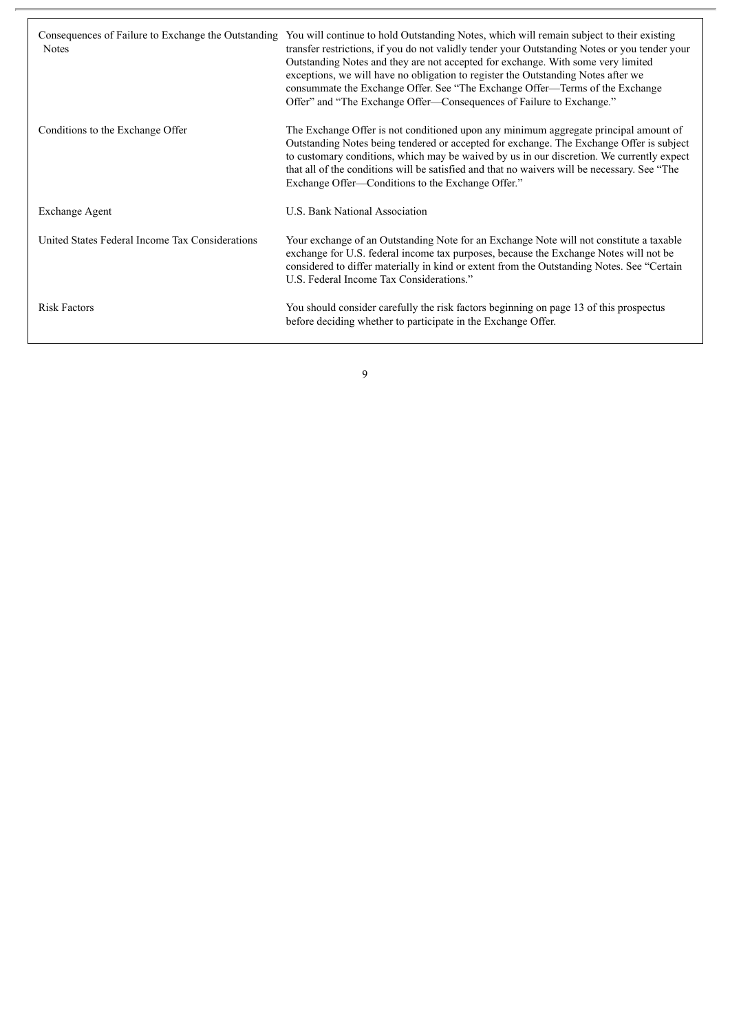| Consequences of Failure to Exchange the Outstanding<br><b>Notes</b> | You will continue to hold Outstanding Notes, which will remain subject to their existing<br>transfer restrictions, if you do not validly tender your Outstanding Notes or you tender your<br>Outstanding Notes and they are not accepted for exchange. With some very limited<br>exceptions, we will have no obligation to register the Outstanding Notes after we<br>consummate the Exchange Offer. See "The Exchange Offer-Terms of the Exchange<br>Offer" and "The Exchange Offer—Consequences of Failure to Exchange." |
|---------------------------------------------------------------------|----------------------------------------------------------------------------------------------------------------------------------------------------------------------------------------------------------------------------------------------------------------------------------------------------------------------------------------------------------------------------------------------------------------------------------------------------------------------------------------------------------------------------|
| Conditions to the Exchange Offer                                    | The Exchange Offer is not conditioned upon any minimum aggregate principal amount of<br>Outstanding Notes being tendered or accepted for exchange. The Exchange Offer is subject<br>to customary conditions, which may be waived by us in our discretion. We currently expect<br>that all of the conditions will be satisfied and that no waivers will be necessary. See "The<br>Exchange Offer—Conditions to the Exchange Offer."                                                                                         |
| <b>Exchange Agent</b>                                               | U.S. Bank National Association                                                                                                                                                                                                                                                                                                                                                                                                                                                                                             |
| United States Federal Income Tax Considerations                     | Your exchange of an Outstanding Note for an Exchange Note will not constitute a taxable<br>exchange for U.S. federal income tax purposes, because the Exchange Notes will not be<br>considered to differ materially in kind or extent from the Outstanding Notes. See "Certain"<br>U.S. Federal Income Tax Considerations."                                                                                                                                                                                                |
| <b>Risk Factors</b>                                                 | You should consider carefully the risk factors beginning on page 13 of this prospectus<br>before deciding whether to participate in the Exchange Offer.                                                                                                                                                                                                                                                                                                                                                                    |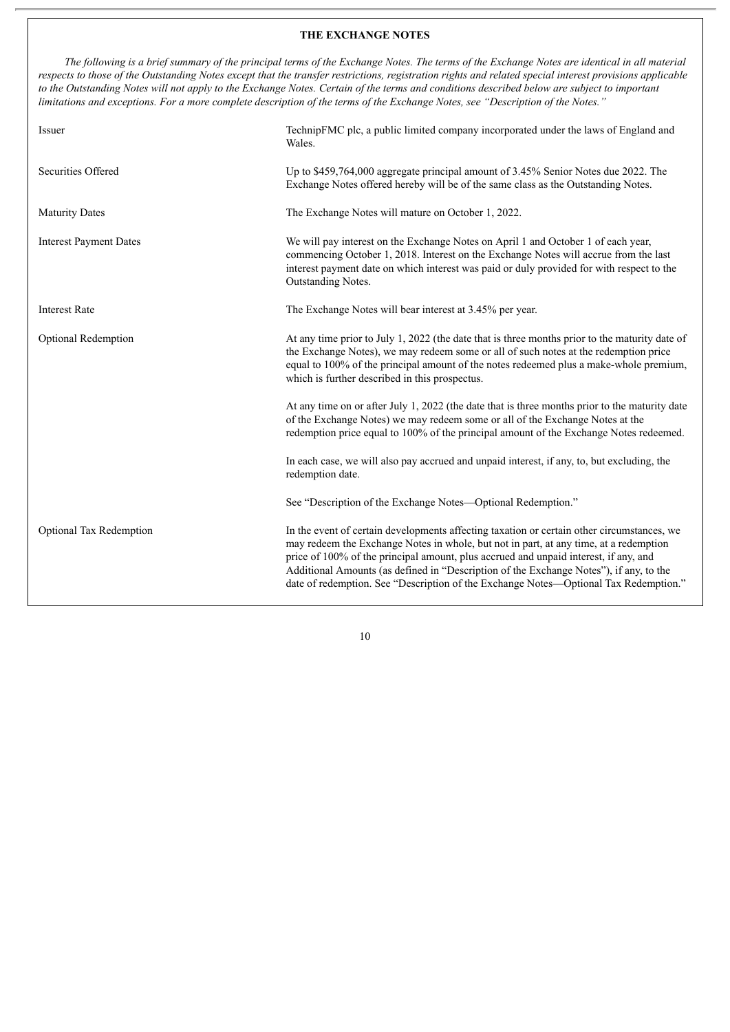## **THE EXCHANGE NOTES**

<span id="page-11-0"></span>The following is a brief summary of the principal terms of the Exchange Notes. The terms of the Exchange Notes are identical in all material respects to those of the Outstanding Notes except that the transfer restrictions, registration rights and related special interest provisions applicable to the Outstanding Notes will not apply to the Exchange Notes. Certain of the terms and conditions described below are subject to important limitations and exceptions. For a more complete description of the terms of the Exchange Notes, see "Description of the Notes."

| Issuer                        | TechnipFMC plc, a public limited company incorporated under the laws of England and<br>Wales.                                                                                                                                                                                                                                                                                                                                                                 |
|-------------------------------|---------------------------------------------------------------------------------------------------------------------------------------------------------------------------------------------------------------------------------------------------------------------------------------------------------------------------------------------------------------------------------------------------------------------------------------------------------------|
| Securities Offered            | Up to \$459,764,000 aggregate principal amount of 3.45% Senior Notes due 2022. The<br>Exchange Notes offered hereby will be of the same class as the Outstanding Notes.                                                                                                                                                                                                                                                                                       |
| <b>Maturity Dates</b>         | The Exchange Notes will mature on October 1, 2022.                                                                                                                                                                                                                                                                                                                                                                                                            |
| <b>Interest Payment Dates</b> | We will pay interest on the Exchange Notes on April 1 and October 1 of each year,<br>commencing October 1, 2018. Interest on the Exchange Notes will accrue from the last<br>interest payment date on which interest was paid or duly provided for with respect to the<br>Outstanding Notes.                                                                                                                                                                  |
| <b>Interest Rate</b>          | The Exchange Notes will bear interest at 3.45% per year.                                                                                                                                                                                                                                                                                                                                                                                                      |
| <b>Optional Redemption</b>    | At any time prior to July 1, 2022 (the date that is three months prior to the maturity date of<br>the Exchange Notes), we may redeem some or all of such notes at the redemption price<br>equal to 100% of the principal amount of the notes redeemed plus a make-whole premium,<br>which is further described in this prospectus.                                                                                                                            |
|                               | At any time on or after July 1, 2022 (the date that is three months prior to the maturity date<br>of the Exchange Notes) we may redeem some or all of the Exchange Notes at the<br>redemption price equal to 100% of the principal amount of the Exchange Notes redeemed.                                                                                                                                                                                     |
|                               | In each case, we will also pay accrued and unpaid interest, if any, to, but excluding, the<br>redemption date.                                                                                                                                                                                                                                                                                                                                                |
|                               | See "Description of the Exchange Notes—Optional Redemption."                                                                                                                                                                                                                                                                                                                                                                                                  |
| Optional Tax Redemption       | In the event of certain developments affecting taxation or certain other circumstances, we<br>may redeem the Exchange Notes in whole, but not in part, at any time, at a redemption<br>price of 100% of the principal amount, plus accrued and unpaid interest, if any, and<br>Additional Amounts (as defined in "Description of the Exchange Notes"), if any, to the<br>date of redemption. See "Description of the Exchange Notes—Optional Tax Redemption." |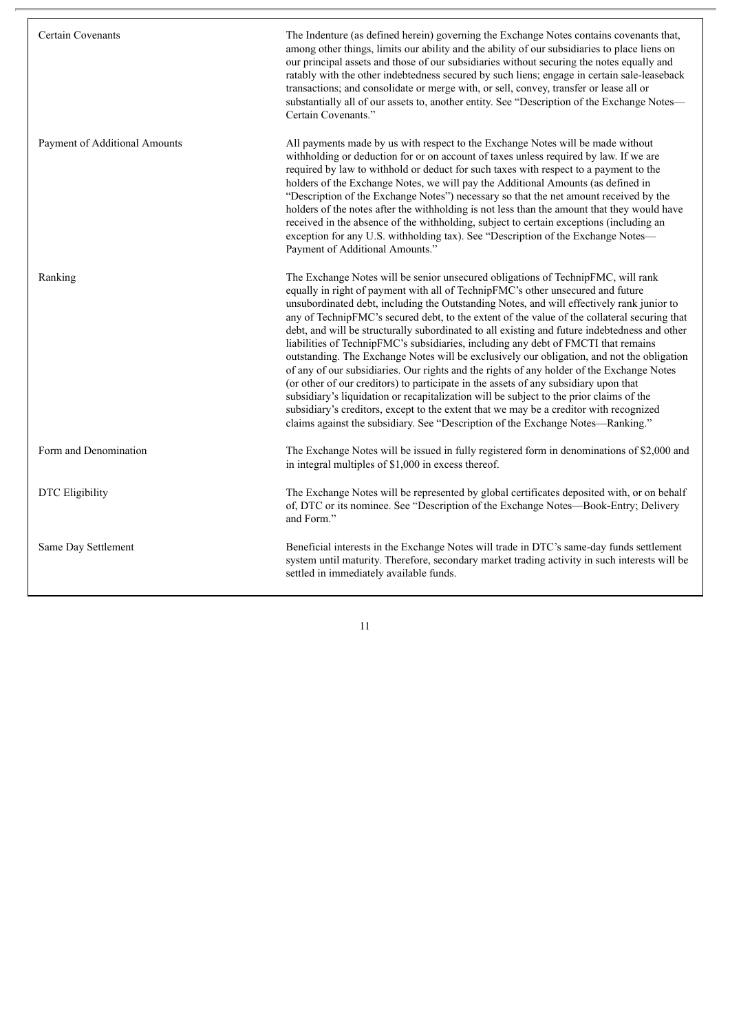| Certain Covenants             | The Indenture (as defined herein) governing the Exchange Notes contains covenants that,<br>among other things, limits our ability and the ability of our subsidiaries to place liens on<br>our principal assets and those of our subsidiaries without securing the notes equally and<br>ratably with the other indebtedness secured by such liens; engage in certain sale-leaseback<br>transactions; and consolidate or merge with, or sell, convey, transfer or lease all or<br>substantially all of our assets to, another entity. See "Description of the Exchange Notes-<br>Certain Covenants."                                                                                                                                                                                                                                                                                                                                                                                                                                                                                                                |
|-------------------------------|--------------------------------------------------------------------------------------------------------------------------------------------------------------------------------------------------------------------------------------------------------------------------------------------------------------------------------------------------------------------------------------------------------------------------------------------------------------------------------------------------------------------------------------------------------------------------------------------------------------------------------------------------------------------------------------------------------------------------------------------------------------------------------------------------------------------------------------------------------------------------------------------------------------------------------------------------------------------------------------------------------------------------------------------------------------------------------------------------------------------|
| Payment of Additional Amounts | All payments made by us with respect to the Exchange Notes will be made without<br>withholding or deduction for or on account of taxes unless required by law. If we are<br>required by law to withhold or deduct for such taxes with respect to a payment to the<br>holders of the Exchange Notes, we will pay the Additional Amounts (as defined in<br>"Description of the Exchange Notes") necessary so that the net amount received by the<br>holders of the notes after the withholding is not less than the amount that they would have<br>received in the absence of the withholding, subject to certain exceptions (including an<br>exception for any U.S. withholding tax). See "Description of the Exchange Notes-<br>Payment of Additional Amounts."                                                                                                                                                                                                                                                                                                                                                    |
| Ranking                       | The Exchange Notes will be senior unsecured obligations of TechnipFMC, will rank<br>equally in right of payment with all of TechnipFMC's other unsecured and future<br>unsubordinated debt, including the Outstanding Notes, and will effectively rank junior to<br>any of TechnipFMC's secured debt, to the extent of the value of the collateral securing that<br>debt, and will be structurally subordinated to all existing and future indebtedness and other<br>liabilities of TechnipFMC's subsidiaries, including any debt of FMCTI that remains<br>outstanding. The Exchange Notes will be exclusively our obligation, and not the obligation<br>of any of our subsidiaries. Our rights and the rights of any holder of the Exchange Notes<br>(or other of our creditors) to participate in the assets of any subsidiary upon that<br>subsidiary's liquidation or recapitalization will be subject to the prior claims of the<br>subsidiary's creditors, except to the extent that we may be a creditor with recognized<br>claims against the subsidiary. See "Description of the Exchange Notes-Ranking." |
| Form and Denomination         | The Exchange Notes will be issued in fully registered form in denominations of \$2,000 and<br>in integral multiples of \$1,000 in excess thereof.                                                                                                                                                                                                                                                                                                                                                                                                                                                                                                                                                                                                                                                                                                                                                                                                                                                                                                                                                                  |
| DTC Eligibility               | The Exchange Notes will be represented by global certificates deposited with, or on behalf<br>of, DTC or its nominee. See "Description of the Exchange Notes—Book-Entry; Delivery<br>and Form."                                                                                                                                                                                                                                                                                                                                                                                                                                                                                                                                                                                                                                                                                                                                                                                                                                                                                                                    |
| Same Day Settlement           | Beneficial interests in the Exchange Notes will trade in DTC's same-day funds settlement<br>system until maturity. Therefore, secondary market trading activity in such interests will be<br>settled in immediately available funds.                                                                                                                                                                                                                                                                                                                                                                                                                                                                                                                                                                                                                                                                                                                                                                                                                                                                               |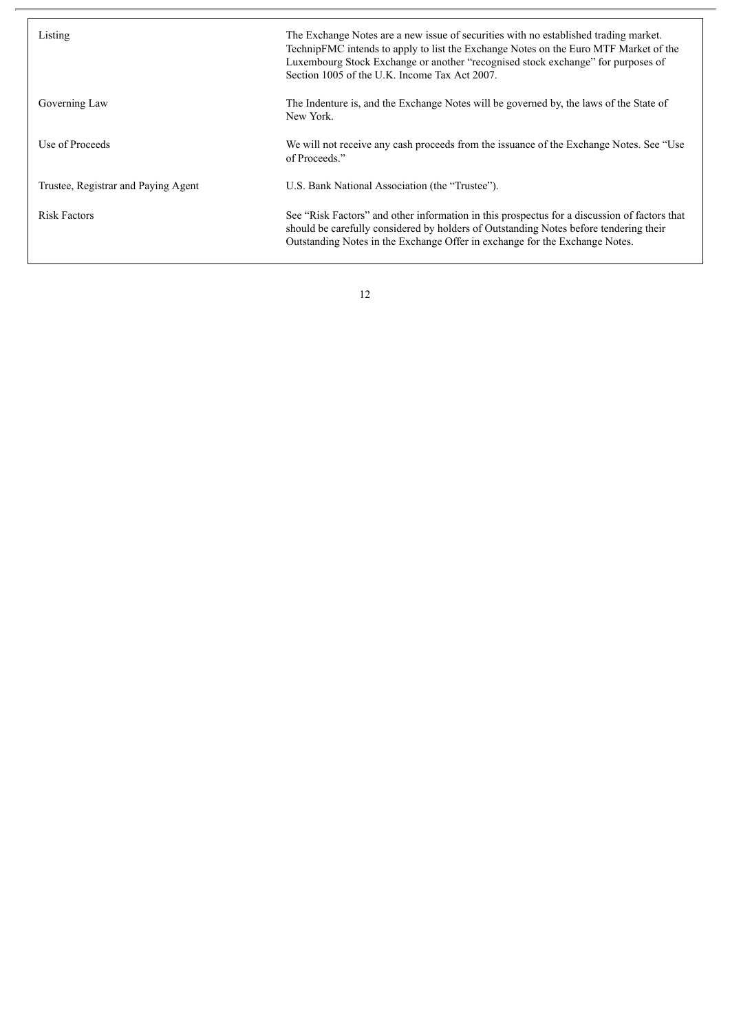| Listing                             | The Exchange Notes are a new issue of securities with no established trading market.<br>TechnipFMC intends to apply to list the Exchange Notes on the Euro MTF Market of the<br>Luxembourg Stock Exchange or another "recognised stock exchange" for purposes of<br>Section 1005 of the U.K. Income Tax Act 2007. |
|-------------------------------------|-------------------------------------------------------------------------------------------------------------------------------------------------------------------------------------------------------------------------------------------------------------------------------------------------------------------|
| Governing Law                       | The Indenture is, and the Exchange Notes will be governed by, the laws of the State of<br>New York.                                                                                                                                                                                                               |
| Use of Proceeds                     | We will not receive any cash proceeds from the issuance of the Exchange Notes. See "Use"<br>of Proceeds."                                                                                                                                                                                                         |
| Trustee, Registrar and Paying Agent | U.S. Bank National Association (the "Trustee").                                                                                                                                                                                                                                                                   |
| <b>Risk Factors</b>                 | See "Risk Factors" and other information in this prospectus for a discussion of factors that<br>should be carefully considered by holders of Outstanding Notes before tendering their<br>Outstanding Notes in the Exchange Offer in exchange for the Exchange Notes.                                              |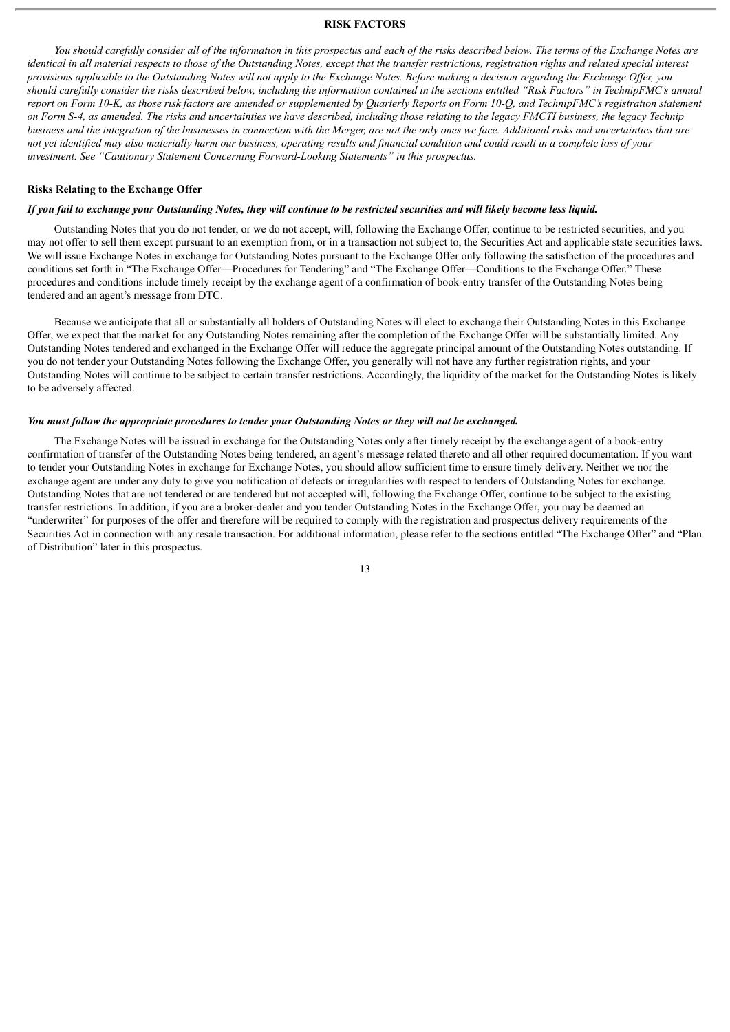## **RISK FACTORS**

<span id="page-14-0"></span>You should carefully consider all of the information in this prospectus and each of the risks described below. The terms of the Exchange Notes are identical in all material respects to those of the Outstanding Notes, except that the transfer restrictions, registration rights and related special interest provisions applicable to the Outstanding Notes will not apply to the Exchange Notes. Before making a decision regarding the Exchange Offer, you should carefully consider the risks described below, including the information contained in the sections entitled "Risk Factors" in TechnipFMC's annual report on Form 10-K, as those risk factors are amended or supplemented by Quarterly Reports on Form 10-Q, and TechnipFMC's registration statement on Form S-4, as amended. The risks and uncertainties we have described, including those relating to the legacy FMCTI business, the legacy Technip business and the integration of the businesses in connection with the Merger, are not the only ones we face. Additional risks and uncertainties that are not vet identified may also materially harm our business, operating results and financial condition and could result in a complete loss of your *investment. See "Cautionary Statement Concerning Forward-Looking Statements" in this prospectus.*

### **Risks Relating to the Exchange Offer**

## If you fail to exchange your Outstanding Notes, they will continue to be restricted securities and will likely become less liquid.

Outstanding Notes that you do not tender, or we do not accept, will, following the Exchange Offer, continue to be restricted securities, and you may not offer to sell them except pursuant to an exemption from, or in a transaction not subject to, the Securities Act and applicable state securities laws. We will issue Exchange Notes in exchange for Outstanding Notes pursuant to the Exchange Offer only following the satisfaction of the procedures and conditions set forth in "The Exchange Offer—Procedures for Tendering" and "The Exchange Offer—Conditions to the Exchange Offer." These procedures and conditions include timely receipt by the exchange agent of a confirmation of book-entry transfer of the Outstanding Notes being tendered and an agent's message from DTC.

Because we anticipate that all or substantially all holders of Outstanding Notes will elect to exchange their Outstanding Notes in this Exchange Offer, we expect that the market for any Outstanding Notes remaining after the completion of the Exchange Offer will be substantially limited. Any Outstanding Notes tendered and exchanged in the Exchange Offer will reduce the aggregate principal amount of the Outstanding Notes outstanding. If you do not tender your Outstanding Notes following the Exchange Offer, you generally will not have any further registration rights, and your Outstanding Notes will continue to be subject to certain transfer restrictions. Accordingly, the liquidity of the market for the Outstanding Notes is likely to be adversely affected.

## You must follow the appropriate procedures to tender your Outstanding Notes or they will not be exchanged.

The Exchange Notes will be issued in exchange for the Outstanding Notes only after timely receipt by the exchange agent of a book-entry confirmation of transfer of the Outstanding Notes being tendered, an agent's message related thereto and all other required documentation. If you want to tender your Outstanding Notes in exchange for Exchange Notes, you should allow sufficient time to ensure timely delivery. Neither we nor the exchange agent are under any duty to give you notification of defects or irregularities with respect to tenders of Outstanding Notes for exchange. Outstanding Notes that are not tendered or are tendered but not accepted will, following the Exchange Offer, continue to be subject to the existing transfer restrictions. In addition, if you are a broker-dealer and you tender Outstanding Notes in the Exchange Offer, you may be deemed an "underwriter" for purposes of the offer and therefore will be required to comply with the registration and prospectus delivery requirements of the Securities Act in connection with any resale transaction. For additional information, please refer to the sections entitled "The Exchange Offer" and "Plan of Distribution" later in this prospectus.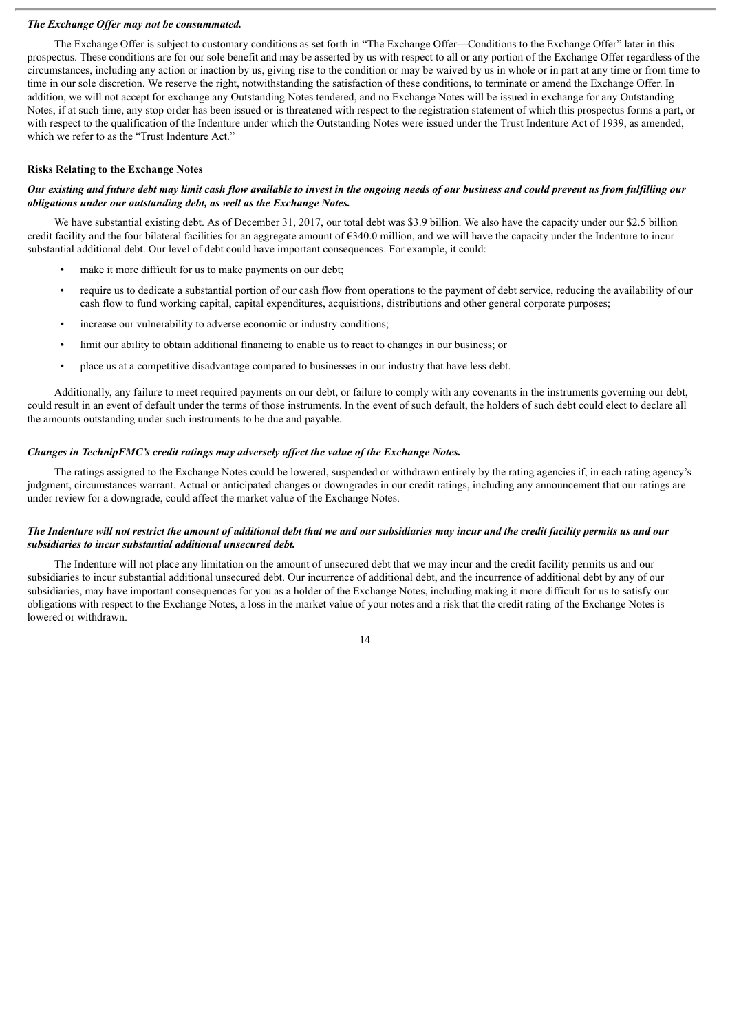## *The Exchange Of er may not be consummated.*

The Exchange Offer is subject to customary conditions as set forth in "The Exchange Offer—Conditions to the Exchange Offer" later in this prospectus. These conditions are for our sole benefit and may be asserted by us with respect to all or any portion of the Exchange Offer regardless of the circumstances, including any action or inaction by us, giving rise to the condition or may be waived by us in whole or in part at any time or from time to time in our sole discretion. We reserve the right, notwithstanding the satisfaction of these conditions, to terminate or amend the Exchange Offer. In addition, we will not accept for exchange any Outstanding Notes tendered, and no Exchange Notes will be issued in exchange for any Outstanding Notes, if at such time, any stop order has been issued or is threatened with respect to the registration statement of which this prospectus forms a part, or with respect to the qualification of the Indenture under which the Outstanding Notes were issued under the Trust Indenture Act of 1939, as amended, which we refer to as the "Trust Indenture Act."

## **Risks Relating to the Exchange Notes**

## Our existing and future debt may limit cash flow available to invest in the ongoing needs of our business and could prevent us from fulfilling our *obligations under our outstanding debt, as well as the Exchange Notes.*

We have substantial existing debt. As of December 31, 2017, our total debt was \$3.9 billion. We also have the capacity under our \$2.5 billion credit facility and the four bilateral facilities for an aggregate amount of €340.0 million, and we will have the capacity under the Indenture to incur substantial additional debt. Our level of debt could have important consequences. For example, it could:

- make it more difficult for us to make payments on our debt;
- require us to dedicate a substantial portion of our cash flow from operations to the payment of debt service, reducing the availability of our cash flow to fund working capital, capital expenditures, acquisitions, distributions and other general corporate purposes;
- increase our vulnerability to adverse economic or industry conditions;
- limit our ability to obtain additional financing to enable us to react to changes in our business; or
- place us at a competitive disadvantage compared to businesses in our industry that have less debt.

Additionally, any failure to meet required payments on our debt, or failure to comply with any covenants in the instruments governing our debt, could result in an event of default under the terms of those instruments. In the event of such default, the holders of such debt could elect to declare all the amounts outstanding under such instruments to be due and payable.

## *Changes in TechnipFMC's credit ratings may adversely af ect the value of the Exchange Notes.*

The ratings assigned to the Exchange Notes could be lowered, suspended or withdrawn entirely by the rating agencies if, in each rating agency's judgment, circumstances warrant. Actual or anticipated changes or downgrades in our credit ratings, including any announcement that our ratings are under review for a downgrade, could affect the market value of the Exchange Notes.

## The Indenture will not restrict the amount of additional debt that we and our subsidiaries may incur and the credit facility permits us and our *subsidiaries to incur substantial additional unsecured debt.*

The Indenture will not place any limitation on the amount of unsecured debt that we may incur and the credit facility permits us and our subsidiaries to incur substantial additional unsecured debt. Our incurrence of additional debt, and the incurrence of additional debt by any of our subsidiaries, may have important consequences for you as a holder of the Exchange Notes, including making it more difficult for us to satisfy our obligations with respect to the Exchange Notes, a loss in the market value of your notes and a risk that the credit rating of the Exchange Notes is lowered or withdrawn.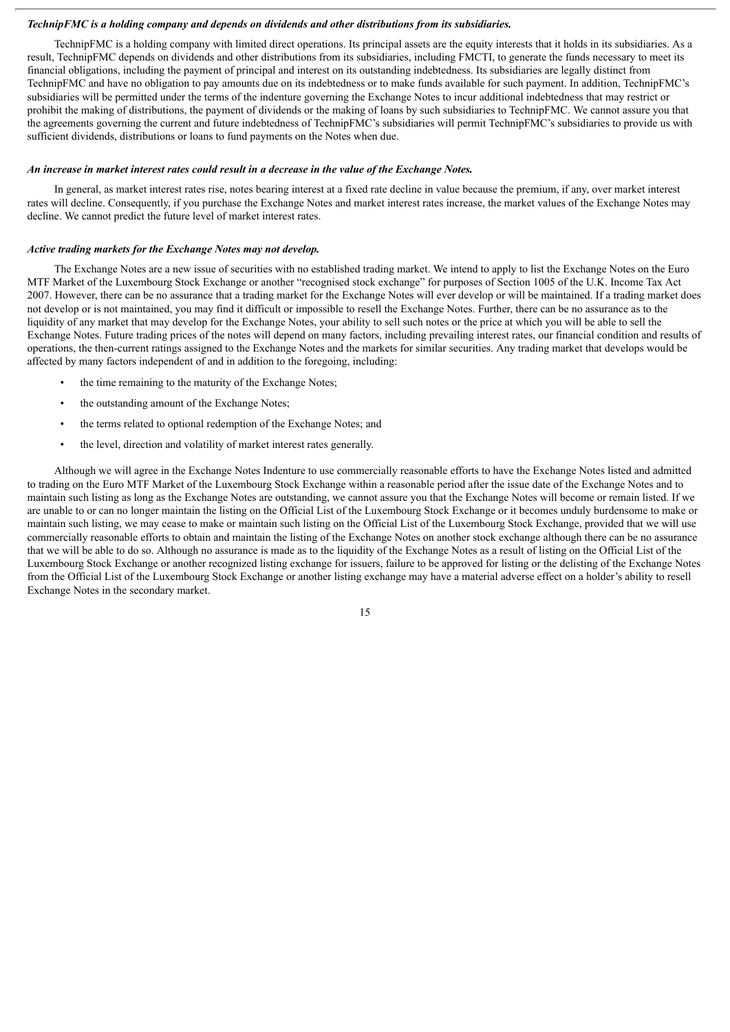## *TechnipFMC is a holding company and depends on dividends and other distributions from its subsidiaries.*

TechnipFMC is a holding company with limited direct operations. Its principal assets are the equity interests that it holds in its subsidiaries. As a result, TechnipFMC depends on dividends and other distributions from its subsidiaries, including FMCTI, to generate the funds necessary to meet its financial obligations, including the payment of principal and interest on its outstanding indebtedness. Its subsidiaries are legally distinct from TechnipFMC and have no obligation to pay amounts due on its indebtedness or to make funds available for such payment. In addition, TechnipFMC's subsidiaries will be permitted under the terms of the indenture governing the Exchange Notes to incur additional indebtedness that may restrict or prohibit the making of distributions, the payment of dividends or the making of loans by such subsidiaries to TechnipFMC. We cannot assure you that the agreements governing the current and future indebtedness of TechnipFMC's subsidiaries will permit TechnipFMC's subsidiaries to provide us with sufficient dividends, distributions or loans to fund payments on the Notes when due.

#### An increase in market interest rates could result in a decrease in the value of the Exchange Notes.

In general, as market interest rates rise, notes bearing interest at a fixed rate decline in value because the premium, if any, over market interest rates will decline. Consequently, if you purchase the Exchange Notes and market interest rates increase, the market values of the Exchange Notes may decline. We cannot predict the future level of market interest rates.

## *Active trading markets for the Exchange Notes may not develop.*

The Exchange Notes are a new issue of securities with no established trading market. We intend to apply to list the Exchange Notes on the Euro MTF Market of the Luxembourg Stock Exchange or another "recognised stock exchange" for purposes of Section 1005 of the U.K. Income Tax Act 2007. However, there can be no assurance that a trading market for the Exchange Notes will ever develop or will be maintained. If a trading market does not develop or is not maintained, you may find it difficult or impossible to resell the Exchange Notes. Further, there can be no assurance as to the liquidity of any market that may develop for the Exchange Notes, your ability to sell such notes or the price at which you will be able to sell the Exchange Notes. Future trading prices of the notes will depend on many factors, including prevailing interest rates, our financial condition and results of operations, the then-current ratings assigned to the Exchange Notes and the markets for similar securities. Any trading market that develops would be affected by many factors independent of and in addition to the foregoing, including:

- the time remaining to the maturity of the Exchange Notes;
- the outstanding amount of the Exchange Notes;
- the terms related to optional redemption of the Exchange Notes; and
- the level, direction and volatility of market interest rates generally.

Although we will agree in the Exchange Notes Indenture to use commercially reasonable efforts to have the Exchange Notes listed and admitted to trading on the Euro MTF Market of the Luxembourg Stock Exchange within a reasonable period after the issue date of the Exchange Notes and to maintain such listing as long as the Exchange Notes are outstanding, we cannot assure you that the Exchange Notes will become or remain listed. If we are unable to or can no longer maintain the listing on the Official List of the Luxembourg Stock Exchange or it becomes unduly burdensome to make or maintain such listing, we may cease to make or maintain such listing on the Official List of the Luxembourg Stock Exchange, provided that we will use commercially reasonable efforts to obtain and maintain the listing of the Exchange Notes on another stock exchange although there can be no assurance that we will be able to do so. Although no assurance is made as to the liquidity of the Exchange Notes as a result of listing on the Official List of the Luxembourg Stock Exchange or another recognized listing exchange for issuers, failure to be approved for listing or the delisting of the Exchange Notes from the Official List of the Luxembourg Stock Exchange or another listing exchange may have a material adverse effect on a holder's ability to resell Exchange Notes in the secondary market.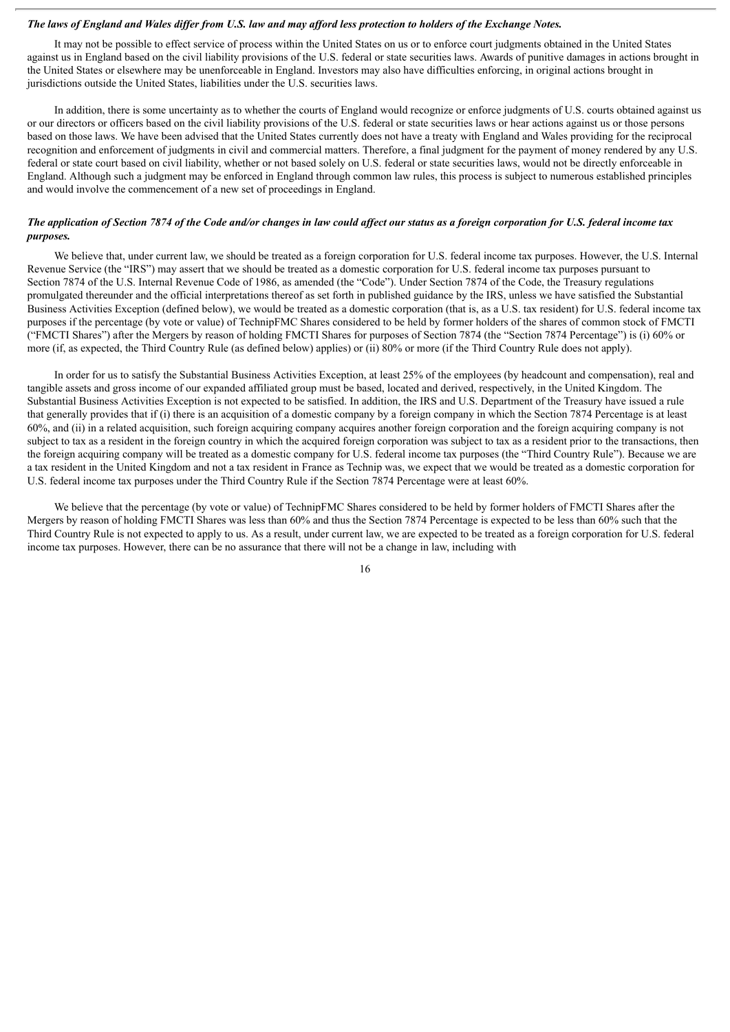## The laws of England and Wales differ from U.S. law and may afford less protection to holders of the Exchange Notes.

It may not be possible to effect service of process within the United States on us or to enforce court judgments obtained in the United States against us in England based on the civil liability provisions of the U.S. federal or state securities laws. Awards of punitive damages in actions brought in the United States or elsewhere may be unenforceable in England. Investors may also have difficulties enforcing, in original actions brought in jurisdictions outside the United States, liabilities under the U.S. securities laws.

In addition, there is some uncertainty as to whether the courts of England would recognize or enforce judgments of U.S. courts obtained against us or our directors or officers based on the civil liability provisions of the U.S. federal or state securities laws or hear actions against us or those persons based on those laws. We have been advised that the United States currently does not have a treaty with England and Wales providing for the reciprocal recognition and enforcement of judgments in civil and commercial matters. Therefore, a final judgment for the payment of money rendered by any U.S. federal or state court based on civil liability, whether or not based solely on U.S. federal or state securities laws, would not be directly enforceable in England. Although such a judgment may be enforced in England through common law rules, this process is subject to numerous established principles and would involve the commencement of a new set of proceedings in England.

## The application of Section 7874 of the Code and/or changes in law could affect our status as a foreign corporation for U.S. federal income tax *purposes.*

We believe that, under current law, we should be treated as a foreign corporation for U.S. federal income tax purposes. However, the U.S. Internal Revenue Service (the "IRS") may assert that we should be treated as a domestic corporation for U.S. federal income tax purposes pursuant to Section 7874 of the U.S. Internal Revenue Code of 1986, as amended (the "Code"). Under Section 7874 of the Code, the Treasury regulations promulgated thereunder and the official interpretations thereof as set forth in published guidance by the IRS, unless we have satisfied the Substantial Business Activities Exception (defined below), we would be treated as a domestic corporation (that is, as a U.S. tax resident) for U.S. federal income tax purposes if the percentage (by vote or value) of TechnipFMC Shares considered to be held by former holders of the shares of common stock of FMCTI ("FMCTI Shares") after the Mergers by reason of holding FMCTI Shares for purposes of Section 7874 (the "Section 7874 Percentage") is (i) 60% or more (if, as expected, the Third Country Rule (as defined below) applies) or (ii) 80% or more (if the Third Country Rule does not apply).

In order for us to satisfy the Substantial Business Activities Exception, at least 25% of the employees (by headcount and compensation), real and tangible assets and gross income of our expanded affiliated group must be based, located and derived, respectively, in the United Kingdom. The Substantial Business Activities Exception is not expected to be satisfied. In addition, the IRS and U.S. Department of the Treasury have issued a rule that generally provides that if (i) there is an acquisition of a domestic company by a foreign company in which the Section 7874 Percentage is at least 60%, and (ii) in a related acquisition, such foreign acquiring company acquires another foreign corporation and the foreign acquiring company is not subject to tax as a resident in the foreign country in which the acquired foreign corporation was subject to tax as a resident prior to the transactions, then the foreign acquiring company will be treated as a domestic company for U.S. federal income tax purposes (the "Third Country Rule"). Because we are a tax resident in the United Kingdom and not a tax resident in France as Technip was, we expect that we would be treated as a domestic corporation for U.S. federal income tax purposes under the Third Country Rule if the Section 7874 Percentage were at least 60%.

We believe that the percentage (by vote or value) of TechnipFMC Shares considered to be held by former holders of FMCTI Shares after the Mergers by reason of holding FMCTI Shares was less than 60% and thus the Section 7874 Percentage is expected to be less than 60% such that the Third Country Rule is not expected to apply to us. As a result, under current law, we are expected to be treated as a foreign corporation for U.S. federal income tax purposes. However, there can be no assurance that there will not be a change in law, including with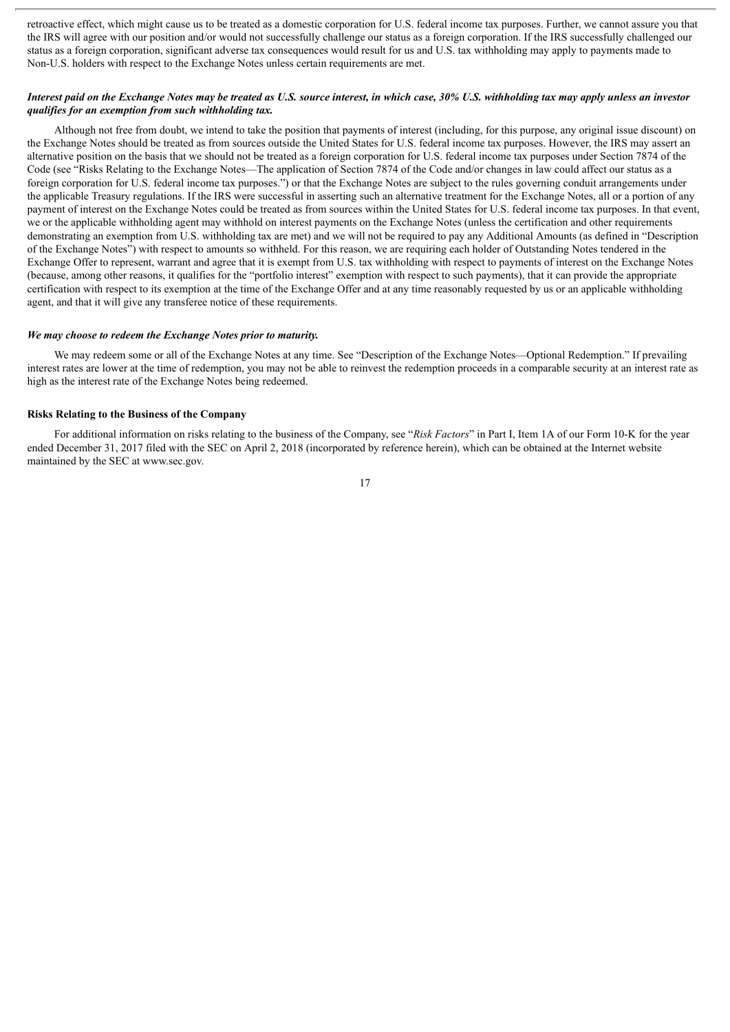retroactive effect, which might cause us to be treated as a domestic corporation for U.S. federal income tax purposes. Further, we cannot assure you that the IRS will agree with our position and/or would not successfully challenge our status as a foreign corporation. If the IRS successfully challenged our status as a foreign corporation, significant adverse tax consequences would result for us and U.S. tax withholding may apply to payments made to Non-U.S. holders with respect to the Exchange Notes unless certain requirements are met.

## Interest paid on the Exchange Notes may be treated as U.S. source interest, in which case, 30% U.S. withholding tax may apply unless an investor *qualifies for an exemption from such withholding tax.*

Although not free from doubt, we intend to take the position that payments of interest (including, for this purpose, any original issue discount) on the Exchange Notes should be treated as from sources outside the United States for U.S. federal income tax purposes. However, the IRS may assert an alternative position on the basis that we should not be treated as a foreign corporation for U.S. federal income tax purposes under Section 7874 of the Code (see "Risks Relating to the Exchange Notes—The application of Section 7874 of the Code and/or changes in law could affect our status as a foreign corporation for U.S. federal income tax purposes.") or that the Exchange Notes are subject to the rules governing conduit arrangements under the applicable Treasury regulations. If the IRS were successful in asserting such an alternative treatment for the Exchange Notes, all or a portion of any payment of interest on the Exchange Notes could be treated as from sources within the United States for U.S. federal income tax purposes. In that event, we or the applicable withholding agent may withhold on interest payments on the Exchange Notes (unless the certification and other requirements demonstrating an exemption from U.S. withholding tax are met) and we will not be required to pay any Additional Amounts (as defined in "Description of the Exchange Notes") with respect to amounts so withheld. For this reason, we are requiring each holder of Outstanding Notes tendered in the Exchange Offer to represent, warrant and agree that it is exempt from U.S. tax withholding with respect to payments of interest on the Exchange Notes (because, among other reasons, it qualifies for the "portfolio interest" exemption with respect to such payments), that it can provide the appropriate certification with respect to its exemption at the time of the Exchange Offer and at any time reasonably requested by us or an applicable withholding agent, and that it will give any transferee notice of these requirements.

#### *We may choose to redeem the Exchange Notes prior to maturity.*

We may redeem some or all of the Exchange Notes at any time. See "Description of the Exchange Notes—Optional Redemption." If prevailing interest rates are lower at the time of redemption, you may not be able to reinvest the redemption proceeds in a comparable security at an interest rate as high as the interest rate of the Exchange Notes being redeemed.

## **Risks Relating to the Business of the Company**

For additional information on risks relating to the business of the Company, see "*Risk Factors*" in Part I, Item 1A of our Form 10-K for the year ended December 31, 2017 filed with the SEC on April 2, 2018 (incorporated by reference herein), which can be obtained at the Internet website maintained by the SEC at www.sec.gov.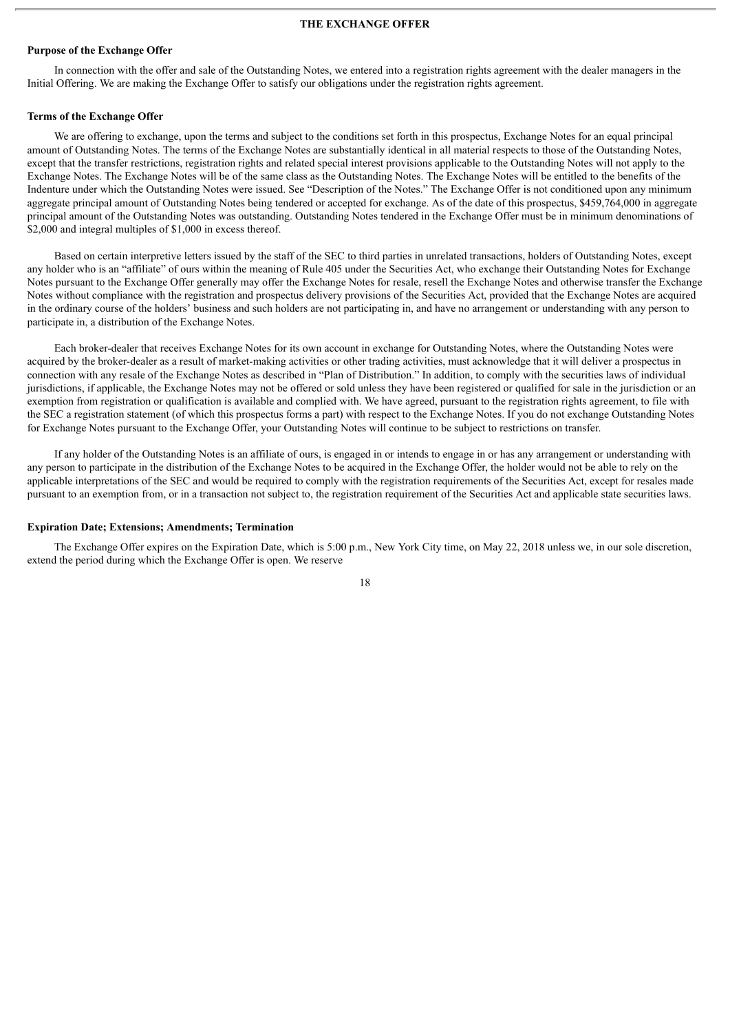## **THE EXCHANGE OFFER**

#### <span id="page-19-0"></span>**Purpose of the Exchange Offer**

In connection with the offer and sale of the Outstanding Notes, we entered into a registration rights agreement with the dealer managers in the Initial Offering. We are making the Exchange Offer to satisfy our obligations under the registration rights agreement.

### **Terms of the Exchange Offer**

We are offering to exchange, upon the terms and subject to the conditions set forth in this prospectus, Exchange Notes for an equal principal amount of Outstanding Notes. The terms of the Exchange Notes are substantially identical in all material respects to those of the Outstanding Notes, except that the transfer restrictions, registration rights and related special interest provisions applicable to the Outstanding Notes will not apply to the Exchange Notes. The Exchange Notes will be of the same class as the Outstanding Notes. The Exchange Notes will be entitled to the benefits of the Indenture under which the Outstanding Notes were issued. See "Description of the Notes." The Exchange Offer is not conditioned upon any minimum aggregate principal amount of Outstanding Notes being tendered or accepted for exchange. As of the date of this prospectus, \$459,764,000 in aggregate principal amount of the Outstanding Notes was outstanding. Outstanding Notes tendered in the Exchange Offer must be in minimum denominations of \$2,000 and integral multiples of \$1,000 in excess thereof.

Based on certain interpretive letters issued by the staff of the SEC to third parties in unrelated transactions, holders of Outstanding Notes, except any holder who is an "affiliate" of ours within the meaning of Rule 405 under the Securities Act, who exchange their Outstanding Notes for Exchange Notes pursuant to the Exchange Offer generally may offer the Exchange Notes for resale, resell the Exchange Notes and otherwise transfer the Exchange Notes without compliance with the registration and prospectus delivery provisions of the Securities Act, provided that the Exchange Notes are acquired in the ordinary course of the holders' business and such holders are not participating in, and have no arrangement or understanding with any person to participate in, a distribution of the Exchange Notes.

Each broker-dealer that receives Exchange Notes for its own account in exchange for Outstanding Notes, where the Outstanding Notes were acquired by the broker-dealer as a result of market-making activities or other trading activities, must acknowledge that it will deliver a prospectus in connection with any resale of the Exchange Notes as described in "Plan of Distribution." In addition, to comply with the securities laws of individual jurisdictions, if applicable, the Exchange Notes may not be offered or sold unless they have been registered or qualified for sale in the jurisdiction or an exemption from registration or qualification is available and complied with. We have agreed, pursuant to the registration rights agreement, to file with the SEC a registration statement (of which this prospectus forms a part) with respect to the Exchange Notes. If you do not exchange Outstanding Notes for Exchange Notes pursuant to the Exchange Offer, your Outstanding Notes will continue to be subject to restrictions on transfer.

If any holder of the Outstanding Notes is an affiliate of ours, is engaged in or intends to engage in or has any arrangement or understanding with any person to participate in the distribution of the Exchange Notes to be acquired in the Exchange Offer, the holder would not be able to rely on the applicable interpretations of the SEC and would be required to comply with the registration requirements of the Securities Act, except for resales made pursuant to an exemption from, or in a transaction not subject to, the registration requirement of the Securities Act and applicable state securities laws.

#### **Expiration Date; Extensions; Amendments; Termination**

The Exchange Offer expires on the Expiration Date, which is 5:00 p.m., New York City time, on May 22, 2018 unless we, in our sole discretion, extend the period during which the Exchange Offer is open. We reserve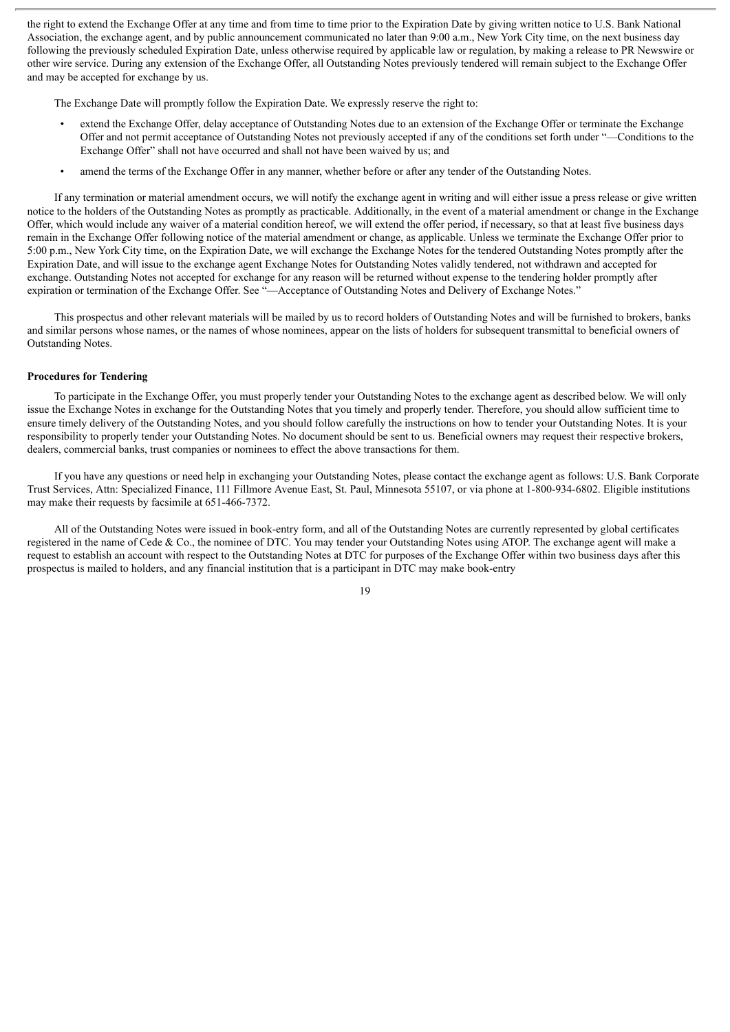the right to extend the Exchange Offer at any time and from time to time prior to the Expiration Date by giving written notice to U.S. Bank National Association, the exchange agent, and by public announcement communicated no later than 9:00 a.m., New York City time, on the next business day following the previously scheduled Expiration Date, unless otherwise required by applicable law or regulation, by making a release to PR Newswire or other wire service. During any extension of the Exchange Offer, all Outstanding Notes previously tendered will remain subject to the Exchange Offer and may be accepted for exchange by us.

The Exchange Date will promptly follow the Expiration Date. We expressly reserve the right to:

- extend the Exchange Offer, delay acceptance of Outstanding Notes due to an extension of the Exchange Offer or terminate the Exchange Offer and not permit acceptance of Outstanding Notes not previously accepted if any of the conditions set forth under "—Conditions to the Exchange Offer" shall not have occurred and shall not have been waived by us; and
- amend the terms of the Exchange Offer in any manner, whether before or after any tender of the Outstanding Notes.

If any termination or material amendment occurs, we will notify the exchange agent in writing and will either issue a press release or give written notice to the holders of the Outstanding Notes as promptly as practicable. Additionally, in the event of a material amendment or change in the Exchange Offer, which would include any waiver of a material condition hereof, we will extend the offer period, if necessary, so that at least five business days remain in the Exchange Offer following notice of the material amendment or change, as applicable. Unless we terminate the Exchange Offer prior to 5:00 p.m., New York City time, on the Expiration Date, we will exchange the Exchange Notes for the tendered Outstanding Notes promptly after the Expiration Date, and will issue to the exchange agent Exchange Notes for Outstanding Notes validly tendered, not withdrawn and accepted for exchange. Outstanding Notes not accepted for exchange for any reason will be returned without expense to the tendering holder promptly after expiration or termination of the Exchange Offer. See "—Acceptance of Outstanding Notes and Delivery of Exchange Notes."

This prospectus and other relevant materials will be mailed by us to record holders of Outstanding Notes and will be furnished to brokers, banks and similar persons whose names, or the names of whose nominees, appear on the lists of holders for subsequent transmittal to beneficial owners of Outstanding Notes.

### **Procedures for Tendering**

To participate in the Exchange Offer, you must properly tender your Outstanding Notes to the exchange agent as described below. We will only issue the Exchange Notes in exchange for the Outstanding Notes that you timely and properly tender. Therefore, you should allow sufficient time to ensure timely delivery of the Outstanding Notes, and you should follow carefully the instructions on how to tender your Outstanding Notes. It is your responsibility to properly tender your Outstanding Notes. No document should be sent to us. Beneficial owners may request their respective brokers, dealers, commercial banks, trust companies or nominees to effect the above transactions for them.

If you have any questions or need help in exchanging your Outstanding Notes, please contact the exchange agent as follows: U.S. Bank Corporate Trust Services, Attn: Specialized Finance, 111 Fillmore Avenue East, St. Paul, Minnesota 55107, or via phone at 1-800-934-6802. Eligible institutions may make their requests by facsimile at 651-466-7372.

All of the Outstanding Notes were issued in book-entry form, and all of the Outstanding Notes are currently represented by global certificates registered in the name of Cede & Co., the nominee of DTC. You may tender your Outstanding Notes using ATOP. The exchange agent will make a request to establish an account with respect to the Outstanding Notes at DTC for purposes of the Exchange Offer within two business days after this prospectus is mailed to holders, and any financial institution that is a participant in DTC may make book-entry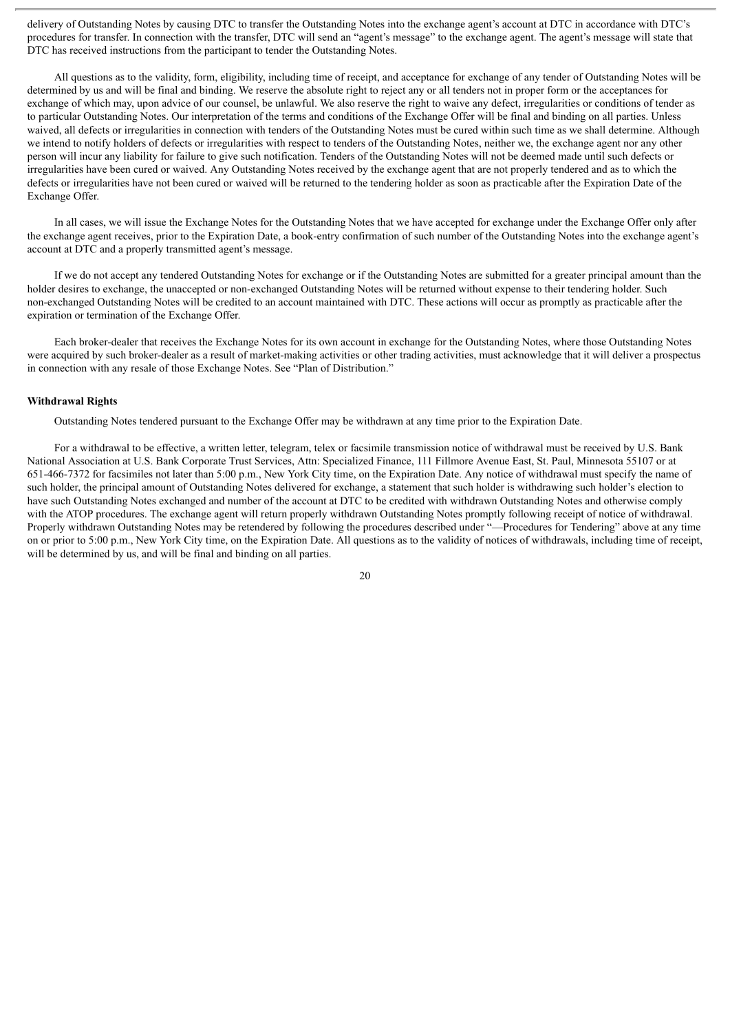delivery of Outstanding Notes by causing DTC to transfer the Outstanding Notes into the exchange agent's account at DTC in accordance with DTC's procedures for transfer. In connection with the transfer, DTC will send an "agent's message" to the exchange agent. The agent's message will state that DTC has received instructions from the participant to tender the Outstanding Notes.

All questions as to the validity, form, eligibility, including time of receipt, and acceptance for exchange of any tender of Outstanding Notes will be determined by us and will be final and binding. We reserve the absolute right to reject any or all tenders not in proper form or the acceptances for exchange of which may, upon advice of our counsel, be unlawful. We also reserve the right to waive any defect, irregularities or conditions of tender as to particular Outstanding Notes. Our interpretation of the terms and conditions of the Exchange Offer will be final and binding on all parties. Unless waived, all defects or irregularities in connection with tenders of the Outstanding Notes must be cured within such time as we shall determine. Although we intend to notify holders of defects or irregularities with respect to tenders of the Outstanding Notes, neither we, the exchange agent nor any other person will incur any liability for failure to give such notification. Tenders of the Outstanding Notes will not be deemed made until such defects or irregularities have been cured or waived. Any Outstanding Notes received by the exchange agent that are not properly tendered and as to which the defects or irregularities have not been cured or waived will be returned to the tendering holder as soon as practicable after the Expiration Date of the Exchange Offer.

In all cases, we will issue the Exchange Notes for the Outstanding Notes that we have accepted for exchange under the Exchange Offer only after the exchange agent receives, prior to the Expiration Date, a book-entry confirmation of such number of the Outstanding Notes into the exchange agent's account at DTC and a properly transmitted agent's message.

If we do not accept any tendered Outstanding Notes for exchange or if the Outstanding Notes are submitted for a greater principal amount than the holder desires to exchange, the unaccepted or non-exchanged Outstanding Notes will be returned without expense to their tendering holder. Such non-exchanged Outstanding Notes will be credited to an account maintained with DTC. These actions will occur as promptly as practicable after the expiration or termination of the Exchange Offer.

Each broker-dealer that receives the Exchange Notes for its own account in exchange for the Outstanding Notes, where those Outstanding Notes were acquired by such broker-dealer as a result of market-making activities or other trading activities, must acknowledge that it will deliver a prospectus in connection with any resale of those Exchange Notes. See "Plan of Distribution."

## **Withdrawal Rights**

Outstanding Notes tendered pursuant to the Exchange Offer may be withdrawn at any time prior to the Expiration Date.

For a withdrawal to be effective, a written letter, telegram, telex or facsimile transmission notice of withdrawal must be received by U.S. Bank National Association at U.S. Bank Corporate Trust Services, Attn: Specialized Finance, 111 Fillmore Avenue East, St. Paul, Minnesota 55107 or at 651-466-7372 for facsimiles not later than 5:00 p.m., New York City time, on the Expiration Date. Any notice of withdrawal must specify the name of such holder, the principal amount of Outstanding Notes delivered for exchange, a statement that such holder is withdrawing such holder's election to have such Outstanding Notes exchanged and number of the account at DTC to be credited with withdrawn Outstanding Notes and otherwise comply with the ATOP procedures. The exchange agent will return properly withdrawn Outstanding Notes promptly following receipt of notice of withdrawal. Properly withdrawn Outstanding Notes may be retendered by following the procedures described under "—Procedures for Tendering" above at any time on or prior to 5:00 p.m., New York City time, on the Expiration Date. All questions as to the validity of notices of withdrawals, including time of receipt, will be determined by us, and will be final and binding on all parties.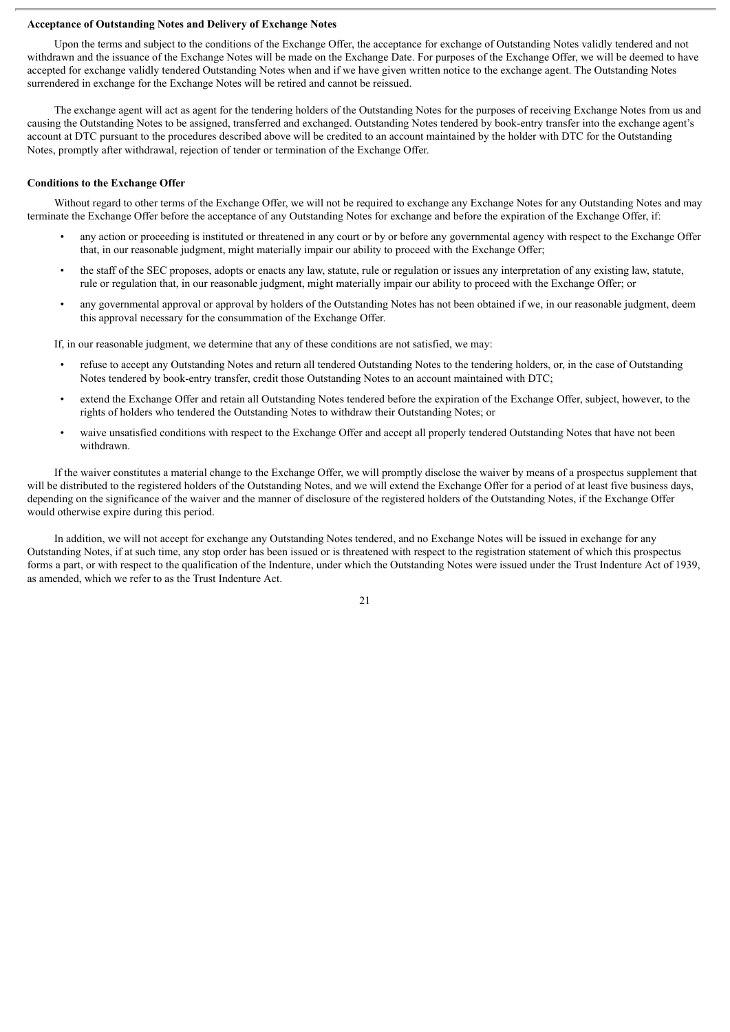## **Acceptance of Outstanding Notes and Delivery of Exchange Notes**

Upon the terms and subject to the conditions of the Exchange Offer, the acceptance for exchange of Outstanding Notes validly tendered and not withdrawn and the issuance of the Exchange Notes will be made on the Exchange Date. For purposes of the Exchange Offer, we will be deemed to have accepted for exchange validly tendered Outstanding Notes when and if we have given written notice to the exchange agent. The Outstanding Notes surrendered in exchange for the Exchange Notes will be retired and cannot be reissued.

The exchange agent will act as agent for the tendering holders of the Outstanding Notes for the purposes of receiving Exchange Notes from us and causing the Outstanding Notes to be assigned, transferred and exchanged. Outstanding Notes tendered by book-entry transfer into the exchange agent's account at DTC pursuant to the procedures described above will be credited to an account maintained by the holder with DTC for the Outstanding Notes, promptly after withdrawal, rejection of tender or termination of the Exchange Offer.

### **Conditions to the Exchange Offer**

Without regard to other terms of the Exchange Offer, we will not be required to exchange any Exchange Notes for any Outstanding Notes and may terminate the Exchange Offer before the acceptance of any Outstanding Notes for exchange and before the expiration of the Exchange Offer, if:

- any action or proceeding is instituted or threatened in any court or by or before any governmental agency with respect to the Exchange Offer that, in our reasonable judgment, might materially impair our ability to proceed with the Exchange Offer;
- the staff of the SEC proposes, adopts or enacts any law, statute, rule or regulation or issues any interpretation of any existing law, statute, rule or regulation that, in our reasonable judgment, might materially impair our ability to proceed with the Exchange Offer; or
- any governmental approval or approval by holders of the Outstanding Notes has not been obtained if we, in our reasonable judgment, deem this approval necessary for the consummation of the Exchange Offer.

If, in our reasonable judgment, we determine that any of these conditions are not satisfied, we may:

- refuse to accept any Outstanding Notes and return all tendered Outstanding Notes to the tendering holders, or, in the case of Outstanding Notes tendered by book-entry transfer, credit those Outstanding Notes to an account maintained with DTC;
- extend the Exchange Offer and retain all Outstanding Notes tendered before the expiration of the Exchange Offer, subject, however, to the rights of holders who tendered the Outstanding Notes to withdraw their Outstanding Notes; or
- waive unsatisfied conditions with respect to the Exchange Offer and accept all properly tendered Outstanding Notes that have not been withdrawn.

If the waiver constitutes a material change to the Exchange Offer, we will promptly disclose the waiver by means of a prospectus supplement that will be distributed to the registered holders of the Outstanding Notes, and we will extend the Exchange Offer for a period of at least five business days, depending on the significance of the waiver and the manner of disclosure of the registered holders of the Outstanding Notes, if the Exchange Offer would otherwise expire during this period.

In addition, we will not accept for exchange any Outstanding Notes tendered, and no Exchange Notes will be issued in exchange for any Outstanding Notes, if at such time, any stop order has been issued or is threatened with respect to the registration statement of which this prospectus forms a part, or with respect to the qualification of the Indenture, under which the Outstanding Notes were issued under the Trust Indenture Act of 1939, as amended, which we refer to as the Trust Indenture Act.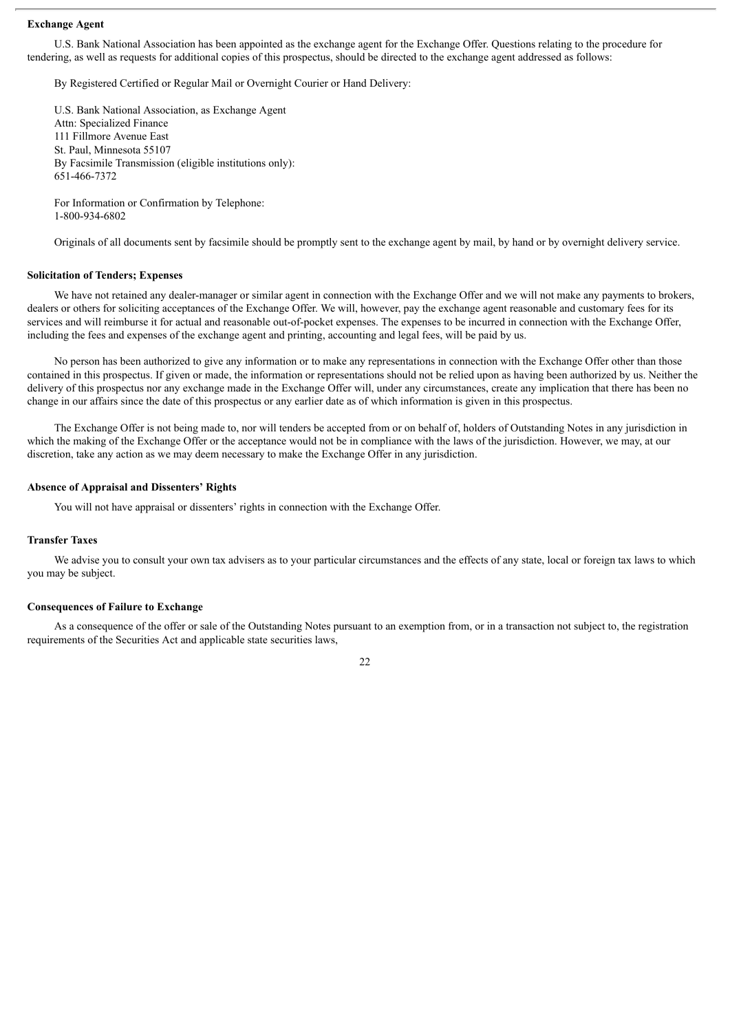### **Exchange Agent**

U.S. Bank National Association has been appointed as the exchange agent for the Exchange Offer. Questions relating to the procedure for tendering, as well as requests for additional copies of this prospectus, should be directed to the exchange agent addressed as follows:

By Registered Certified or Regular Mail or Overnight Courier or Hand Delivery:

U.S. Bank National Association, as Exchange Agent Attn: Specialized Finance 111 Fillmore Avenue East St. Paul, Minnesota 55107 By Facsimile Transmission (eligible institutions only): 651-466-7372

For Information or Confirmation by Telephone: 1-800-934-6802

Originals of all documents sent by facsimile should be promptly sent to the exchange agent by mail, by hand or by overnight delivery service.

### **Solicitation of Tenders; Expenses**

We have not retained any dealer-manager or similar agent in connection with the Exchange Offer and we will not make any payments to brokers, dealers or others for soliciting acceptances of the Exchange Offer. We will, however, pay the exchange agent reasonable and customary fees for its services and will reimburse it for actual and reasonable out-of-pocket expenses. The expenses to be incurred in connection with the Exchange Offer, including the fees and expenses of the exchange agent and printing, accounting and legal fees, will be paid by us.

No person has been authorized to give any information or to make any representations in connection with the Exchange Offer other than those contained in this prospectus. If given or made, the information or representations should not be relied upon as having been authorized by us. Neither the delivery of this prospectus nor any exchange made in the Exchange Offer will, under any circumstances, create any implication that there has been no change in our affairs since the date of this prospectus or any earlier date as of which information is given in this prospectus.

The Exchange Offer is not being made to, nor will tenders be accepted from or on behalf of, holders of Outstanding Notes in any jurisdiction in which the making of the Exchange Offer or the acceptance would not be in compliance with the laws of the jurisdiction. However, we may, at our discretion, take any action as we may deem necessary to make the Exchange Offer in any jurisdiction.

#### **Absence of Appraisal and Dissenters' Rights**

You will not have appraisal or dissenters' rights in connection with the Exchange Offer.

### **Transfer Taxes**

We advise you to consult your own tax advisers as to your particular circumstances and the effects of any state, local or foreign tax laws to which you may be subject.

#### **Consequences of Failure to Exchange**

As a consequence of the offer or sale of the Outstanding Notes pursuant to an exemption from, or in a transaction not subject to, the registration requirements of the Securities Act and applicable state securities laws,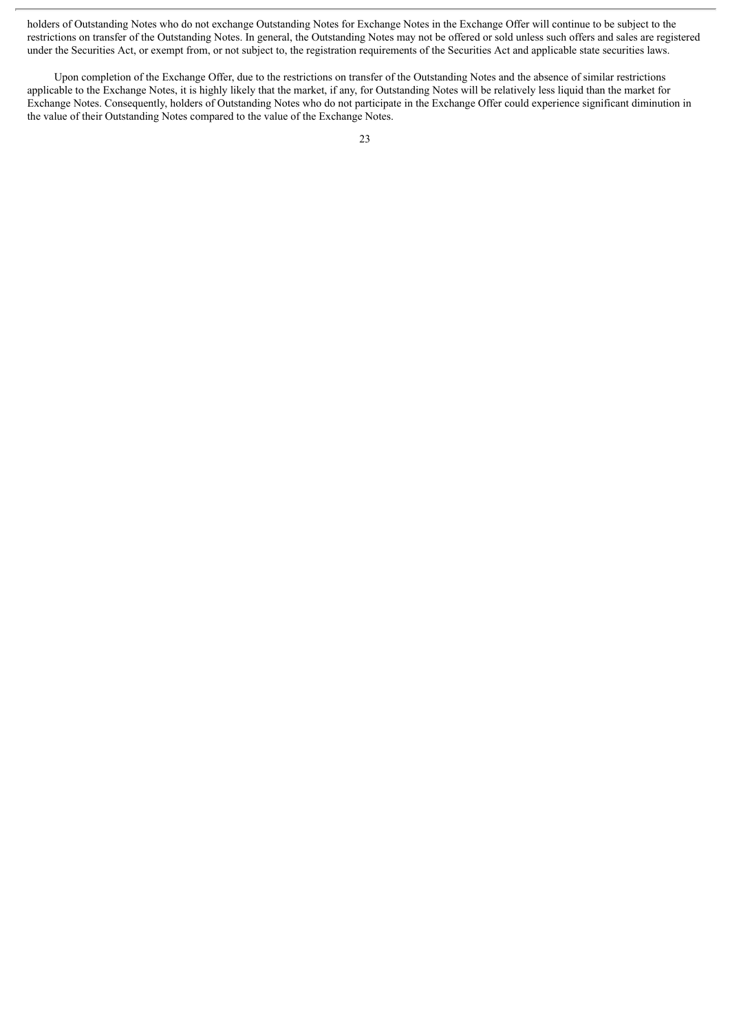holders of Outstanding Notes who do not exchange Outstanding Notes for Exchange Notes in the Exchange Offer will continue to be subject to the restrictions on transfer of the Outstanding Notes. In general, the Outstanding Notes may not be offered or sold unless such offers and sales are registered under the Securities Act, or exempt from, or not subject to, the registration requirements of the Securities Act and applicable state securities laws.

Upon completion of the Exchange Offer, due to the restrictions on transfer of the Outstanding Notes and the absence of similar restrictions applicable to the Exchange Notes, it is highly likely that the market, if any, for Outstanding Notes will be relatively less liquid than the market for Exchange Notes. Consequently, holders of Outstanding Notes who do not participate in the Exchange Offer could experience significant diminution in the value of their Outstanding Notes compared to the value of the Exchange Notes.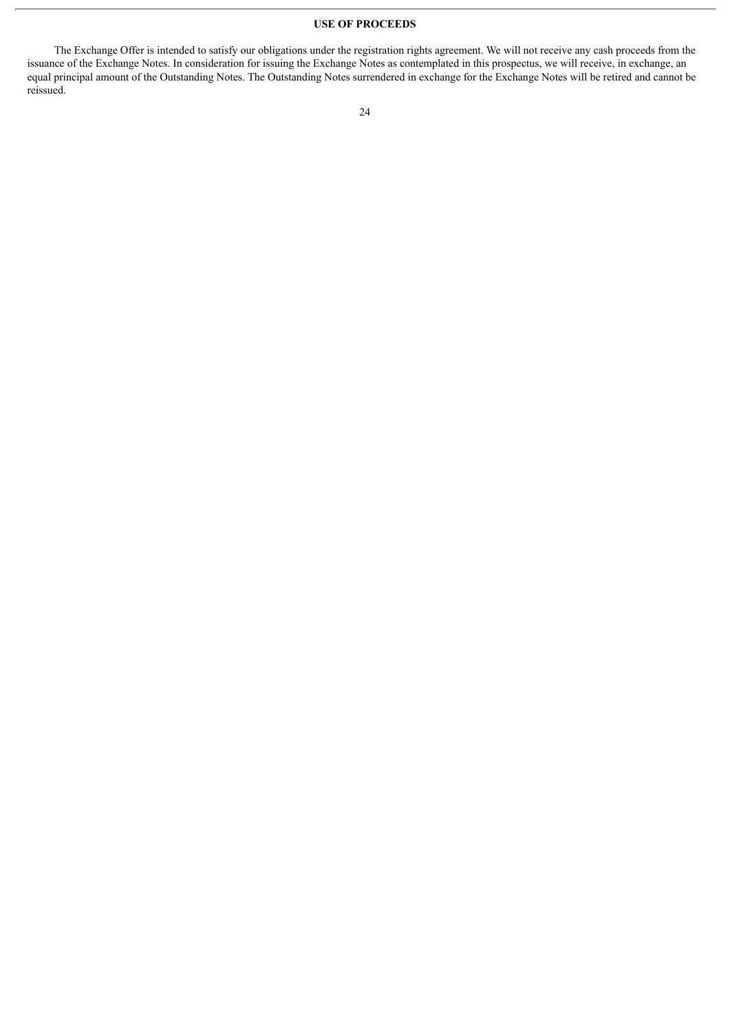## **USE OF PROCEEDS**

<span id="page-25-0"></span>The Exchange Offer is intended to satisfy our obligations under the registration rights agreement. We will not receive any cash proceeds from the issuance of the Exchange Notes. In consideration for issuing the Exchange Notes as contemplated in this prospectus, we will receive, in exchange, an equal principal amount of the Outstanding Notes. The Outstanding Notes surrendered in exchange for the Exchange Notes will be retired and cannot be reissued.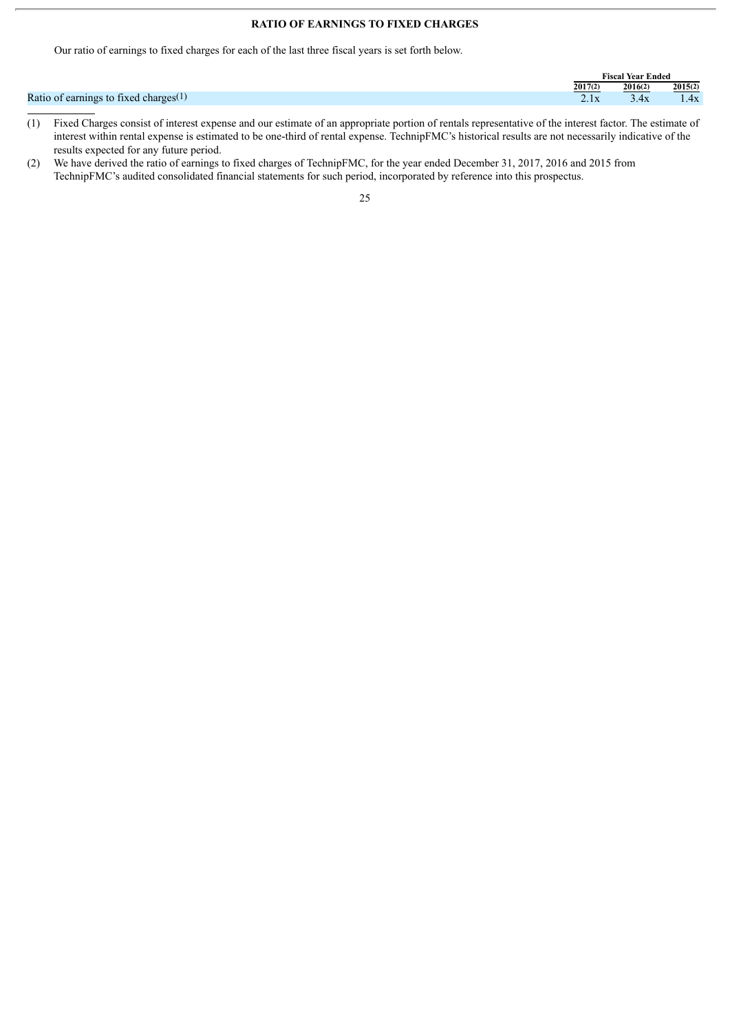## **RATIO OF EARNINGS TO FIXED CHARGES**

<span id="page-26-0"></span>Our ratio of earnings to fixed charges for each of the last three fiscal years is set forth below.

|                                          | <b>Fiscal Year Ended</b> |         |         |
|------------------------------------------|--------------------------|---------|---------|
|                                          | 2017(2)                  | 2016(2) | 2015(2) |
| Ratio of earnings to fixed charges $(1)$ |                          | 3.4x    | 1.4x    |

- (1) Fixed Charges consist of interest expense and our estimate of an appropriate portion of rentals representative of the interest factor. The estimate of interest within rental expense is estimated to be one-third of rental expense. TechnipFMC's historical results are not necessarily indicative of the results expected for any future period.
- (2) We have derived the ratio of earnings to fixed charges of TechnipFMC, for the year ended December 31, 2017, 2016 and 2015 from TechnipFMC's audited consolidated financial statements for such period, incorporated by reference into this prospectus.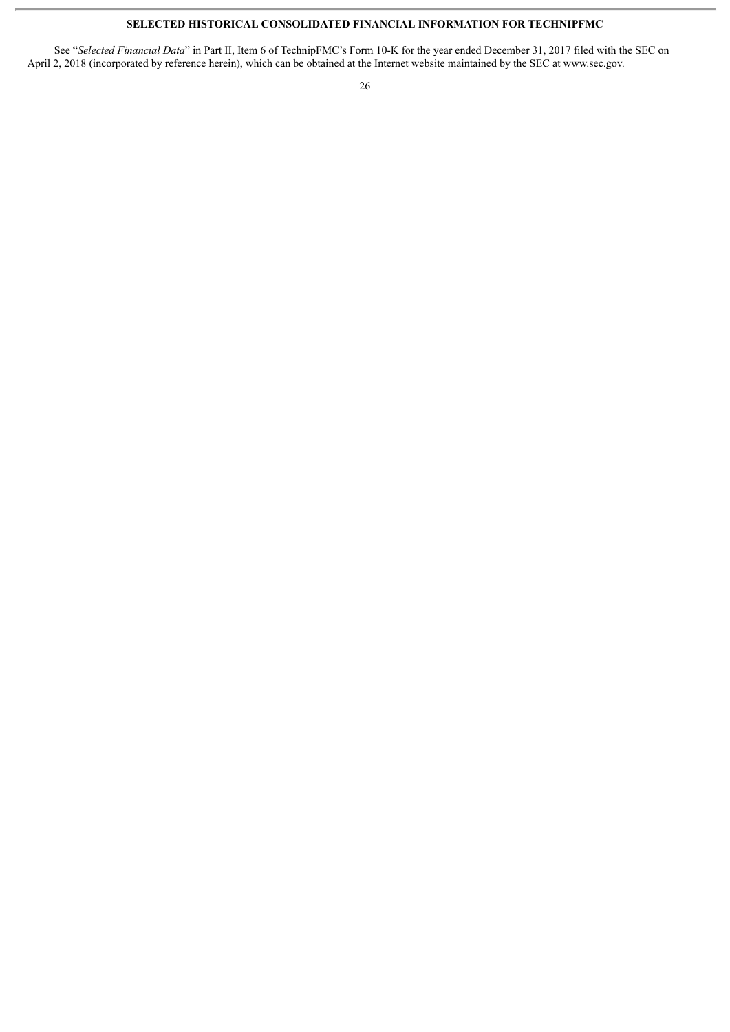## **SELECTED HISTORICAL CONSOLIDATED FINANCIAL INFORMATION FOR TECHNIPFMC**

<span id="page-27-0"></span>See "*Selected Financial Data*" in Part II, Item 6 of TechnipFMC's Form 10-K for the year ended December 31, 2017 filed with the SEC on April 2, 2018 (incorporated by reference herein), which can be obtained at the Internet website maintained by the SEC at www.sec.gov.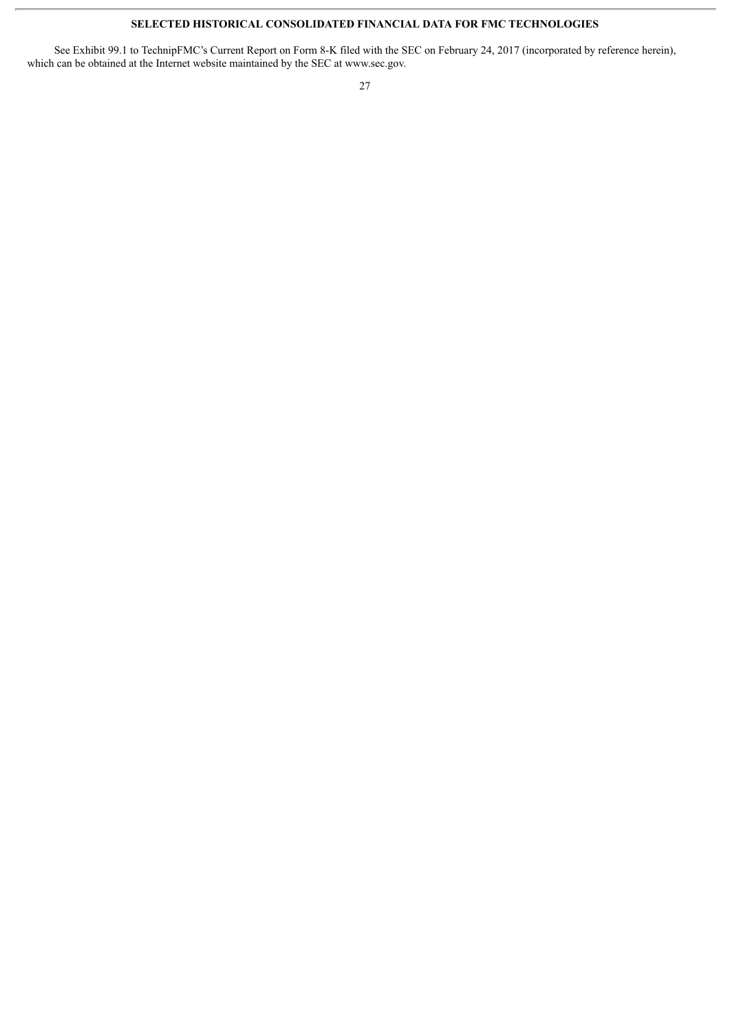# **SELECTED HISTORICAL CONSOLIDATED FINANCIAL DATA FOR FMC TECHNOLOGIES**

<span id="page-28-0"></span>See Exhibit 99.1 to TechnipFMC's Current Report on Form 8-K filed with the SEC on February 24, 2017 (incorporated by reference herein), which can be obtained at the Internet website maintained by the SEC at www.sec.gov.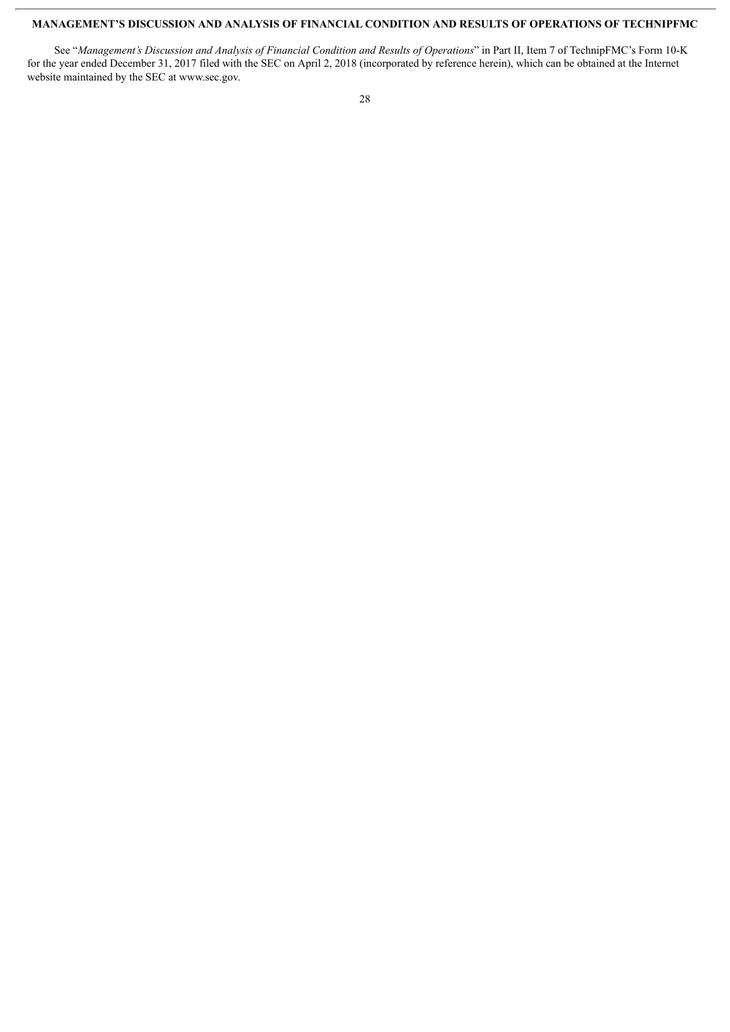## <span id="page-29-0"></span>**MANAGEMENT'S DISCUSSION AND ANALYSIS OF FINANCIAL CONDITION AND RESULTS OF OPERATIONS OF TECHNIPFMC**

See "*Management's Discussion and Analysis of Financial Condition and Results of Operations*" in Part II, Item 7 of TechnipFMC's Form 10-K for the year ended December 31, 2017 filed with the SEC on April 2, 2018 (incorporated by reference herein), which can be obtained at the Internet website maintained by the SEC at www.sec.gov.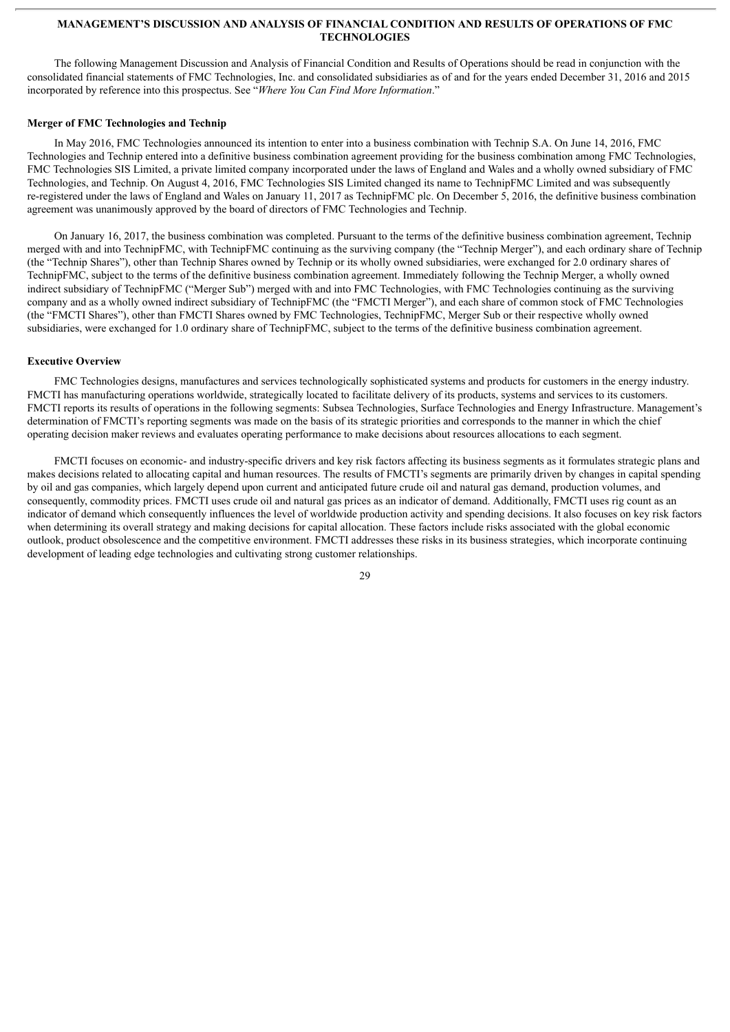## <span id="page-30-0"></span>**MANAGEMENT'S DISCUSSION AND ANALYSIS OF FINANCIAL CONDITION AND RESULTS OF OPERATIONS OF FMC TECHNOLOGIES**

The following Management Discussion and Analysis of Financial Condition and Results of Operations should be read in conjunction with the consolidated financial statements of FMC Technologies, Inc. and consolidated subsidiaries as of and for the years ended December 31, 2016 and 2015 incorporated by reference into this prospectus. See "*Where You Can Find More Information*."

#### **Merger of FMC Technologies and Technip**

In May 2016, FMC Technologies announced its intention to enter into a business combination with Technip S.A. On June 14, 2016, FMC Technologies and Technip entered into a definitive business combination agreement providing for the business combination among FMC Technologies, FMC Technologies SIS Limited, a private limited company incorporated under the laws of England and Wales and a wholly owned subsidiary of FMC Technologies, and Technip. On August 4, 2016, FMC Technologies SIS Limited changed its name to TechnipFMC Limited and was subsequently re-registered under the laws of England and Wales on January 11, 2017 as TechnipFMC plc. On December 5, 2016, the definitive business combination agreement was unanimously approved by the board of directors of FMC Technologies and Technip.

On January 16, 2017, the business combination was completed. Pursuant to the terms of the definitive business combination agreement, Technip merged with and into TechnipFMC, with TechnipFMC continuing as the surviving company (the "Technip Merger"), and each ordinary share of Technip (the "Technip Shares"), other than Technip Shares owned by Technip or its wholly owned subsidiaries, were exchanged for 2.0 ordinary shares of TechnipFMC, subject to the terms of the definitive business combination agreement. Immediately following the Technip Merger, a wholly owned indirect subsidiary of TechnipFMC ("Merger Sub") merged with and into FMC Technologies, with FMC Technologies continuing as the surviving company and as a wholly owned indirect subsidiary of TechnipFMC (the "FMCTI Merger"), and each share of common stock of FMC Technologies (the "FMCTI Shares"), other than FMCTI Shares owned by FMC Technologies, TechnipFMC, Merger Sub or their respective wholly owned subsidiaries, were exchanged for 1.0 ordinary share of TechnipFMC, subject to the terms of the definitive business combination agreement.

### **Executive Overview**

FMC Technologies designs, manufactures and services technologically sophisticated systems and products for customers in the energy industry. FMCTI has manufacturing operations worldwide, strategically located to facilitate delivery of its products, systems and services to its customers. FMCTI reports its results of operations in the following segments: Subsea Technologies, Surface Technologies and Energy Infrastructure. Management's determination of FMCTI's reporting segments was made on the basis of its strategic priorities and corresponds to the manner in which the chief operating decision maker reviews and evaluates operating performance to make decisions about resources allocations to each segment.

FMCTI focuses on economic- and industry-specific drivers and key risk factors affecting its business segments as it formulates strategic plans and makes decisions related to allocating capital and human resources. The results of FMCTI's segments are primarily driven by changes in capital spending by oil and gas companies, which largely depend upon current and anticipated future crude oil and natural gas demand, production volumes, and consequently, commodity prices. FMCTI uses crude oil and natural gas prices as an indicator of demand. Additionally, FMCTI uses rig count as an indicator of demand which consequently influences the level of worldwide production activity and spending decisions. It also focuses on key risk factors when determining its overall strategy and making decisions for capital allocation. These factors include risks associated with the global economic outlook, product obsolescence and the competitive environment. FMCTI addresses these risks in its business strategies, which incorporate continuing development of leading edge technologies and cultivating strong customer relationships.

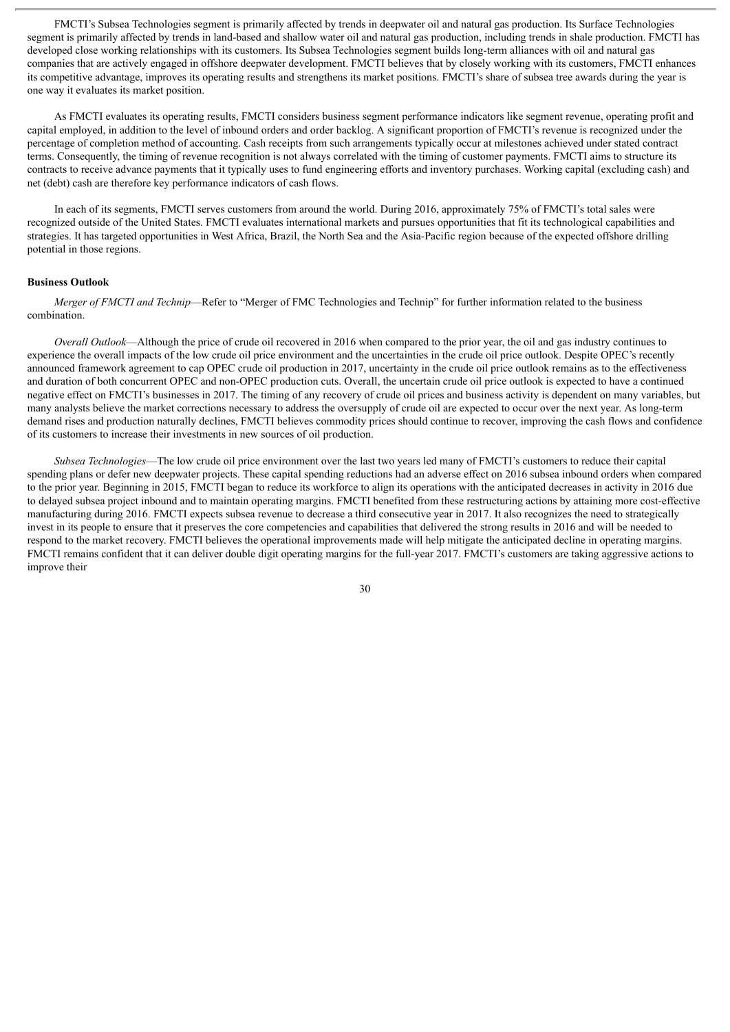FMCTI's Subsea Technologies segment is primarily affected by trends in deepwater oil and natural gas production. Its Surface Technologies segment is primarily affected by trends in land-based and shallow water oil and natural gas production, including trends in shale production. FMCTI has developed close working relationships with its customers. Its Subsea Technologies segment builds long-term alliances with oil and natural gas companies that are actively engaged in offshore deepwater development. FMCTI believes that by closely working with its customers, FMCTI enhances its competitive advantage, improves its operating results and strengthens its market positions. FMCTI's share of subsea tree awards during the year is one way it evaluates its market position.

As FMCTI evaluates its operating results, FMCTI considers business segment performance indicators like segment revenue, operating profit and capital employed, in addition to the level of inbound orders and order backlog. A significant proportion of FMCTI's revenue is recognized under the percentage of completion method of accounting. Cash receipts from such arrangements typically occur at milestones achieved under stated contract terms. Consequently, the timing of revenue recognition is not always correlated with the timing of customer payments. FMCTI aims to structure its contracts to receive advance payments that it typically uses to fund engineering efforts and inventory purchases. Working capital (excluding cash) and net (debt) cash are therefore key performance indicators of cash flows.

In each of its segments, FMCTI serves customers from around the world. During 2016, approximately 75% of FMCTI's total sales were recognized outside of the United States. FMCTI evaluates international markets and pursues opportunities that fit its technological capabilities and strategies. It has targeted opportunities in West Africa, Brazil, the North Sea and the Asia-Pacific region because of the expected offshore drilling potential in those regions.

## **Business Outlook**

*Merger of FMCTI and Technip*—Refer to "Merger of FMC Technologies and Technip" for further information related to the business combination.

*Overall Outlook*—Although the price of crude oil recovered in 2016 when compared to the prior year, the oil and gas industry continues to experience the overall impacts of the low crude oil price environment and the uncertainties in the crude oil price outlook. Despite OPEC's recently announced framework agreement to cap OPEC crude oil production in 2017, uncertainty in the crude oil price outlook remains as to the effectiveness and duration of both concurrent OPEC and non-OPEC production cuts. Overall, the uncertain crude oil price outlook is expected to have a continued negative effect on FMCTI's businesses in 2017. The timing of any recovery of crude oil prices and business activity is dependent on many variables, but many analysts believe the market corrections necessary to address the oversupply of crude oil are expected to occur over the next year. As long-term demand rises and production naturally declines, FMCTI believes commodity prices should continue to recover, improving the cash flows and confidence of its customers to increase their investments in new sources of oil production.

*Subsea Technologies*—The low crude oil price environment over the last two years led many of FMCTI's customers to reduce their capital spending plans or defer new deepwater projects. These capital spending reductions had an adverse effect on 2016 subsea inbound orders when compared to the prior year. Beginning in 2015, FMCTI began to reduce its workforce to align its operations with the anticipated decreases in activity in 2016 due to delayed subsea project inbound and to maintain operating margins. FMCTI benefited from these restructuring actions by attaining more cost-effective manufacturing during 2016. FMCTI expects subsea revenue to decrease a third consecutive year in 2017. It also recognizes the need to strategically invest in its people to ensure that it preserves the core competencies and capabilities that delivered the strong results in 2016 and will be needed to respond to the market recovery. FMCTI believes the operational improvements made will help mitigate the anticipated decline in operating margins. FMCTI remains confident that it can deliver double digit operating margins for the full-year 2017. FMCTI's customers are taking aggressive actions to improve their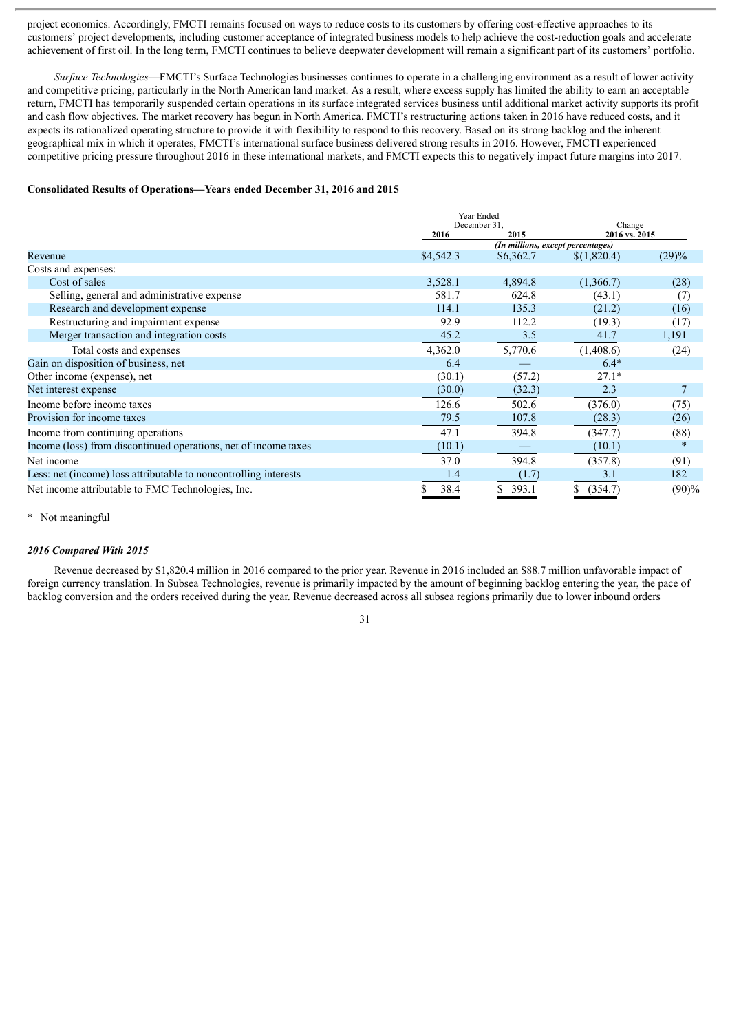project economics. Accordingly, FMCTI remains focused on ways to reduce costs to its customers by offering cost-effective approaches to its customers' project developments, including customer acceptance of integrated business models to help achieve the cost-reduction goals and accelerate achievement of first oil. In the long term, FMCTI continues to believe deepwater development will remain a significant part of its customers' portfolio.

*Surface Technologies*—FMCTI's Surface Technologies businesses continues to operate in a challenging environment as a result of lower activity and competitive pricing, particularly in the North American land market. As a result, where excess supply has limited the ability to earn an acceptable return, FMCTI has temporarily suspended certain operations in its surface integrated services business until additional market activity supports its profit and cash flow objectives. The market recovery has begun in North America. FMCTI's restructuring actions taken in 2016 have reduced costs, and it expects its rationalized operating structure to provide it with flexibility to respond to this recovery. Based on its strong backlog and the inherent geographical mix in which it operates, FMCTI's international surface business delivered strong results in 2016. However, FMCTI experienced competitive pricing pressure throughout 2016 in these international markets, and FMCTI expects this to negatively impact future margins into 2017.

## **Consolidated Results of Operations—Years ended December 31, 2016 and 2015**

|                                                                  | Year Ended<br>December 31<br>Change |                                   |               |        |
|------------------------------------------------------------------|-------------------------------------|-----------------------------------|---------------|--------|
|                                                                  | 2016                                | 2015                              | 2016 vs. 2015 |        |
|                                                                  |                                     | (In millions, except percentages) |               |        |
| Revenue                                                          | \$4,542.3                           | \$6,362.7                         | \$(1,820.4)   | (29)%  |
| Costs and expenses:                                              |                                     |                                   |               |        |
| Cost of sales                                                    | 3,528.1                             | 4,894.8                           | (1,366.7)     | (28)   |
| Selling, general and administrative expense                      | 581.7                               | 624.8                             | (43.1)        | (7)    |
| Research and development expense                                 | 114.1                               | 135.3                             | (21.2)        | (16)   |
| Restructuring and impairment expense                             | 92.9                                | 112.2                             | (19.3)        | (17)   |
| Merger transaction and integration costs                         | 45.2                                | 3.5                               | 41.7          | 1,191  |
| Total costs and expenses                                         | 4,362.0                             | 5,770.6                           | (1,408.6)     | (24)   |
| Gain on disposition of business, net                             | 6.4                                 |                                   | $6.4*$        |        |
| Other income (expense), net                                      | (30.1)                              | (57.2)                            | $27.1*$       |        |
| Net interest expense                                             | (30.0)                              | (32.3)                            | 2.3           |        |
| Income before income taxes                                       | 126.6                               | 502.6                             | (376.0)       | (75)   |
| Provision for income taxes                                       | 79.5                                | 107.8                             | (28.3)        | (26)   |
| Income from continuing operations                                | 47.1                                | 394.8                             | (347.7)       | (88)   |
| Income (loss) from discontinued operations, net of income taxes  | (10.1)                              |                                   | (10.1)        | $\ast$ |
| Net income                                                       | 37.0                                | 394.8                             | (357.8)       | (91)   |
| Less: net (income) loss attributable to noncontrolling interests | 1.4                                 | (1.7)                             | 3.1           | 182    |
| Net income attributable to FMC Technologies, Inc.                | 38.4                                | 393.1                             | (354.7)       | (90)%  |

Not meaningful

### *2016 Compared With 2015*

Revenue decreased by \$1,820.4 million in 2016 compared to the prior year. Revenue in 2016 included an \$88.7 million unfavorable impact of foreign currency translation. In Subsea Technologies, revenue is primarily impacted by the amount of beginning backlog entering the year, the pace of backlog conversion and the orders received during the year. Revenue decreased across all subsea regions primarily due to lower inbound orders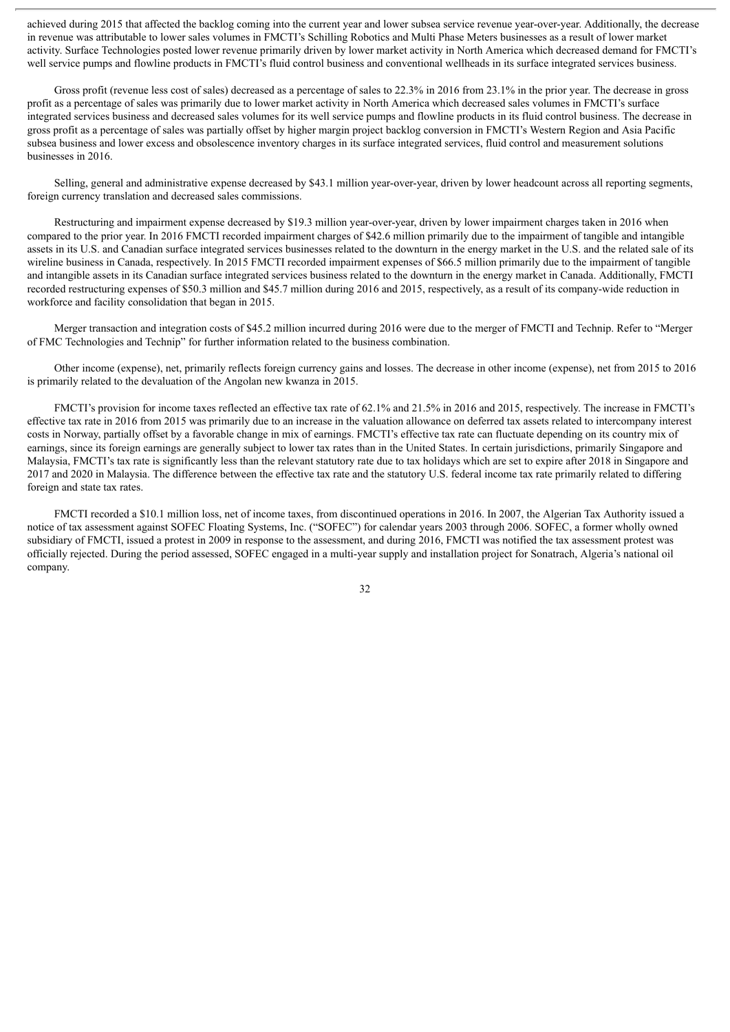achieved during 2015 that affected the backlog coming into the current year and lower subsea service revenue year-over-year. Additionally, the decrease in revenue was attributable to lower sales volumes in FMCTI's Schilling Robotics and Multi Phase Meters businesses as a result of lower market activity. Surface Technologies posted lower revenue primarily driven by lower market activity in North America which decreased demand for FMCTI's well service pumps and flowline products in FMCTI's fluid control business and conventional wellheads in its surface integrated services business.

Gross profit (revenue less cost of sales) decreased as a percentage of sales to 22.3% in 2016 from 23.1% in the prior year. The decrease in gross profit as a percentage of sales was primarily due to lower market activity in North America which decreased sales volumes in FMCTI's surface integrated services business and decreased sales volumes for its well service pumps and flowline products in its fluid control business. The decrease in gross profit as a percentage of sales was partially offset by higher margin project backlog conversion in FMCTI's Western Region and Asia Pacific subsea business and lower excess and obsolescence inventory charges in its surface integrated services, fluid control and measurement solutions businesses in 2016.

Selling, general and administrative expense decreased by \$43.1 million year-over-year, driven by lower headcount across all reporting segments, foreign currency translation and decreased sales commissions.

Restructuring and impairment expense decreased by \$19.3 million year-over-year, driven by lower impairment charges taken in 2016 when compared to the prior year. In 2016 FMCTI recorded impairment charges of \$42.6 million primarily due to the impairment of tangible and intangible assets in its U.S. and Canadian surface integrated services businesses related to the downturn in the energy market in the U.S. and the related sale of its wireline business in Canada, respectively. In 2015 FMCTI recorded impairment expenses of \$66.5 million primarily due to the impairment of tangible and intangible assets in its Canadian surface integrated services business related to the downturn in the energy market in Canada. Additionally, FMCTI recorded restructuring expenses of \$50.3 million and \$45.7 million during 2016 and 2015, respectively, as a result of its company-wide reduction in workforce and facility consolidation that began in 2015.

Merger transaction and integration costs of \$45.2 million incurred during 2016 were due to the merger of FMCTI and Technip. Refer to "Merger of FMC Technologies and Technip" for further information related to the business combination.

Other income (expense), net, primarily reflects foreign currency gains and losses. The decrease in other income (expense), net from 2015 to 2016 is primarily related to the devaluation of the Angolan new kwanza in 2015.

FMCTI's provision for income taxes reflected an effective tax rate of 62.1% and 21.5% in 2016 and 2015, respectively. The increase in FMCTI's effective tax rate in 2016 from 2015 was primarily due to an increase in the valuation allowance on deferred tax assets related to intercompany interest costs in Norway, partially offset by a favorable change in mix of earnings. FMCTI's effective tax rate can fluctuate depending on its country mix of earnings, since its foreign earnings are generally subject to lower tax rates than in the United States. In certain jurisdictions, primarily Singapore and Malaysia, FMCTI's tax rate is significantly less than the relevant statutory rate due to tax holidays which are set to expire after 2018 in Singapore and 2017 and 2020 in Malaysia. The difference between the effective tax rate and the statutory U.S. federal income tax rate primarily related to differing foreign and state tax rates.

FMCTI recorded a \$10.1 million loss, net of income taxes, from discontinued operations in 2016. In 2007, the Algerian Tax Authority issued a notice of tax assessment against SOFEC Floating Systems, Inc. ("SOFEC") for calendar years 2003 through 2006. SOFEC, a former wholly owned subsidiary of FMCTI, issued a protest in 2009 in response to the assessment, and during 2016, FMCTI was notified the tax assessment protest was officially rejected. During the period assessed, SOFEC engaged in a multi-year supply and installation project for Sonatrach, Algeria's national oil company.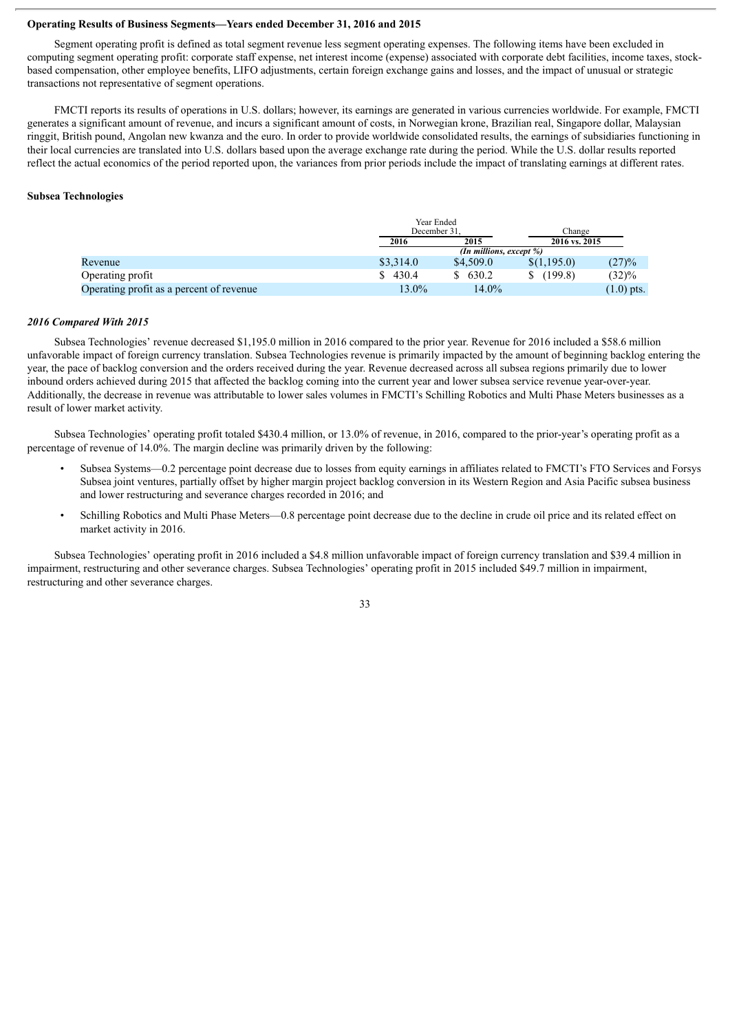## **Operating Results of Business Segments—Years ended December 31, 2016 and 2015**

Segment operating profit is defined as total segment revenue less segment operating expenses. The following items have been excluded in computing segment operating profit: corporate staff expense, net interest income (expense) associated with corporate debt facilities, income taxes, stockbased compensation, other employee benefits, LIFO adjustments, certain foreign exchange gains and losses, and the impact of unusual or strategic transactions not representative of segment operations.

FMCTI reports its results of operations in U.S. dollars; however, its earnings are generated in various currencies worldwide. For example, FMCTI generates a significant amount of revenue, and incurs a significant amount of costs, in Norwegian krone, Brazilian real, Singapore dollar, Malaysian ringgit, British pound, Angolan new kwanza and the euro. In order to provide worldwide consolidated results, the earnings of subsidiaries functioning in their local currencies are translated into U.S. dollars based upon the average exchange rate during the period. While the U.S. dollar results reported reflect the actual economics of the period reported upon, the variances from prior periods include the impact of translating earnings at different rates.

## **Subsea Technologies**

|                                          | Year Ended  |                             |               |               |  |  |
|------------------------------------------|-------------|-----------------------------|---------------|---------------|--|--|
|                                          | December 31 |                             | Change        |               |  |  |
|                                          | 2016        | 2015                        |               | 2016 vs. 2015 |  |  |
|                                          |             | (In millions, except $\%$ ) |               |               |  |  |
| Revenue                                  | \$3,314.0   | \$4.509.0                   | \$(1,195.0)   | (27)%         |  |  |
| Operating profit                         | \$430.4     | 630.2                       | (199.8)<br>S. | (32)%         |  |  |
| Operating profit as a percent of revenue | 13.0%       | $14.0\%$                    |               | $(1.0)$ pts.  |  |  |

#### *2016 Compared With 2015*

Subsea Technologies' revenue decreased \$1,195.0 million in 2016 compared to the prior year. Revenue for 2016 included a \$58.6 million unfavorable impact of foreign currency translation. Subsea Technologies revenue is primarily impacted by the amount of beginning backlog entering the year, the pace of backlog conversion and the orders received during the year. Revenue decreased across all subsea regions primarily due to lower inbound orders achieved during 2015 that affected the backlog coming into the current year and lower subsea service revenue year-over-year. Additionally, the decrease in revenue was attributable to lower sales volumes in FMCTI's Schilling Robotics and Multi Phase Meters businesses as a result of lower market activity.

Subsea Technologies' operating profit totaled \$430.4 million, or 13.0% of revenue, in 2016, compared to the prior-year's operating profit as a percentage of revenue of 14.0%. The margin decline was primarily driven by the following:

- Subsea Systems—0.2 percentage point decrease due to losses from equity earnings in affiliates related to FMCTI's FTO Services and Forsys Subsea joint ventures, partially offset by higher margin project backlog conversion in its Western Region and Asia Pacific subsea business and lower restructuring and severance charges recorded in 2016; and
- Schilling Robotics and Multi Phase Meters—0.8 percentage point decrease due to the decline in crude oil price and its related effect on market activity in 2016.

Subsea Technologies' operating profit in 2016 included a \$4.8 million unfavorable impact of foreign currency translation and \$39.4 million in impairment, restructuring and other severance charges. Subsea Technologies' operating profit in 2015 included \$49.7 million in impairment, restructuring and other severance charges.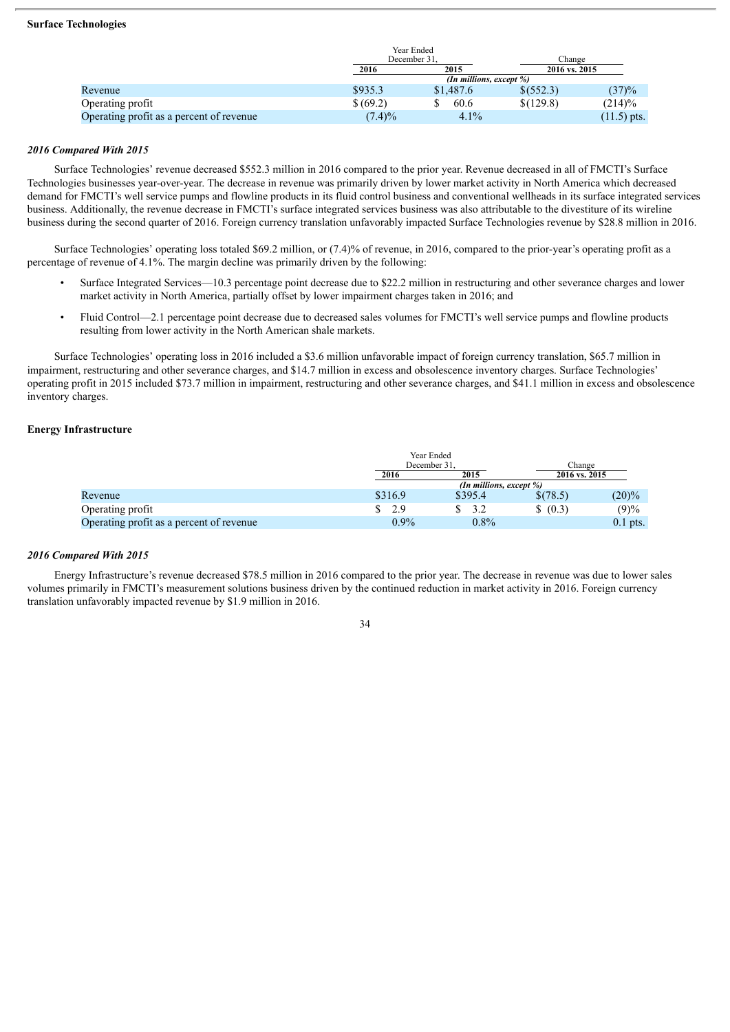## **Surface Technologies**

|                                          | Year Ended<br>December 31. |                             | Change    |               |  |
|------------------------------------------|----------------------------|-----------------------------|-----------|---------------|--|
|                                          | 2016                       | 2015                        |           | 2016 vs. 2015 |  |
|                                          |                            | (In millions, except $\%$ ) |           |               |  |
| Revenue                                  | \$935.3                    | \$1,487.6                   | \$(552.3) | (37)%         |  |
| Operating profit                         | \$ (69.2)                  | 60.6                        | \$(129.8) | $(214)\%$     |  |
| Operating profit as a percent of revenue | (7.4)%                     | 4.1%                        |           | $(11.5)$ pts. |  |

## *2016 Compared With 2015*

Surface Technologies' revenue decreased \$552.3 million in 2016 compared to the prior year. Revenue decreased in all of FMCTI's Surface Technologies businesses year-over-year. The decrease in revenue was primarily driven by lower market activity in North America which decreased demand for FMCTI's well service pumps and flowline products in its fluid control business and conventional wellheads in its surface integrated services business. Additionally, the revenue decrease in FMCTI's surface integrated services business was also attributable to the divestiture of its wireline business during the second quarter of 2016. Foreign currency translation unfavorably impacted Surface Technologies revenue by \$28.8 million in 2016.

Surface Technologies' operating loss totaled \$69.2 million, or (7.4)% of revenue, in 2016, compared to the prior-year's operating profit as a percentage of revenue of 4.1%. The margin decline was primarily driven by the following:

- Surface Integrated Services—10.3 percentage point decrease due to \$22.2 million in restructuring and other severance charges and lower market activity in North America, partially offset by lower impairment charges taken in 2016; and
- Fluid Control—2.1 percentage point decrease due to decreased sales volumes for FMCTI's well service pumps and flowline products resulting from lower activity in the North American shale markets.

Surface Technologies' operating loss in 2016 included a \$3.6 million unfavorable impact of foreign currency translation, \$65.7 million in impairment, restructuring and other severance charges, and \$14.7 million in excess and obsolescence inventory charges. Surface Technologies' operating profit in 2015 included \$73.7 million in impairment, restructuring and other severance charges, and \$41.1 million in excess and obsolescence inventory charges.

## **Energy Infrastructure**

|                                          | Year Ended |                         | Change   |               |  |  |
|------------------------------------------|------------|-------------------------|----------|---------------|--|--|
|                                          | 2016       | December 31<br>2015     |          | 2016 vs. 2015 |  |  |
|                                          |            | (In millions, except %) |          |               |  |  |
| Revenue                                  | \$316.9    | \$395.4                 | \$(78.5) | $(20)\%$      |  |  |
| Operating profit                         | 2.9        | 3.2                     | \$ (0.3) | $(9)\%$       |  |  |
| Operating profit as a percent of revenue | $0.9\%$    | $0.8\%$                 |          | $0.1$ pts.    |  |  |

## *2016 Compared With 2015*

Energy Infrastructure's revenue decreased \$78.5 million in 2016 compared to the prior year. The decrease in revenue was due to lower sales volumes primarily in FMCTI's measurement solutions business driven by the continued reduction in market activity in 2016. Foreign currency translation unfavorably impacted revenue by \$1.9 million in 2016.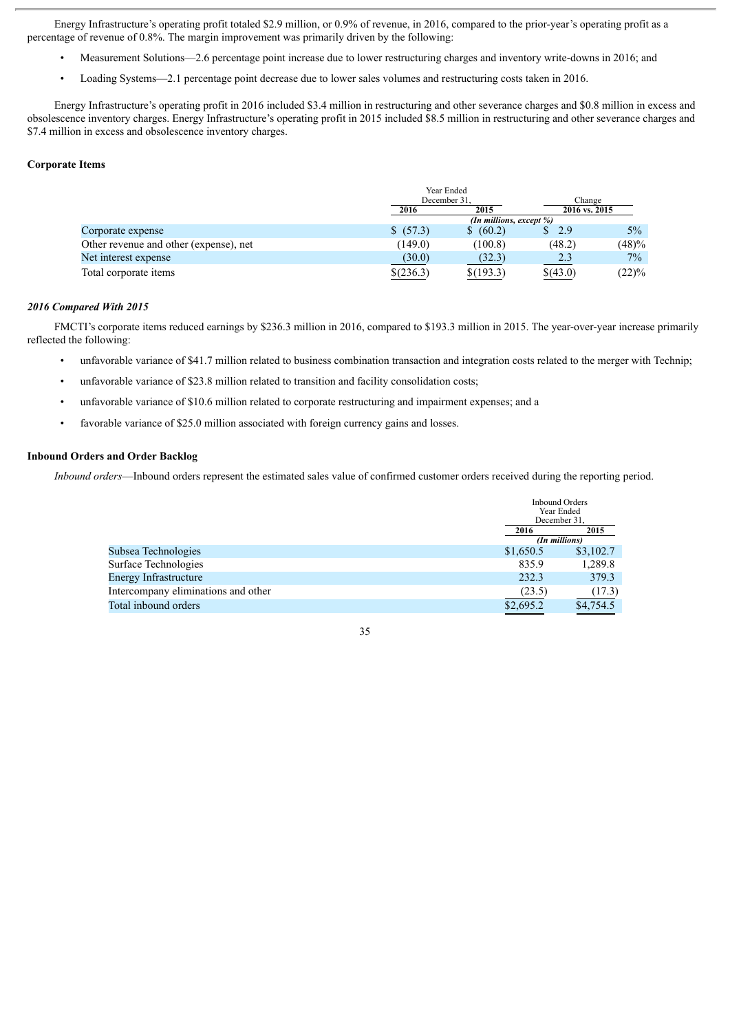Energy Infrastructure's operating profit totaled \$2.9 million, or 0.9% of revenue, in 2016, compared to the prior-year's operating profit as a percentage of revenue of 0.8%. The margin improvement was primarily driven by the following:

- Measurement Solutions—2.6 percentage point increase due to lower restructuring charges and inventory write-downs in 2016; and
- Loading Systems—2.1 percentage point decrease due to lower sales volumes and restructuring costs taken in 2016.

Energy Infrastructure's operating profit in 2016 included \$3.4 million in restructuring and other severance charges and \$0.8 million in excess and obsolescence inventory charges. Energy Infrastructure's operating profit in 2015 included \$8.5 million in restructuring and other severance charges and \$7.4 million in excess and obsolescence inventory charges.

# **Corporate Items**

|                                        |           | Year Ended                  |               |          |  |  |
|----------------------------------------|-----------|-----------------------------|---------------|----------|--|--|
|                                        |           | December 31.<br>Change      |               |          |  |  |
|                                        | 2016      | 2015                        | 2016 vs. 2015 |          |  |  |
|                                        |           | (In millions, except $\%$ ) |               |          |  |  |
| Corporate expense                      | \$ (57.3) | \$ (60.2)                   | 2.9           | 5%       |  |  |
| Other revenue and other (expense), net | (149.0)   | (100.8)                     | (48.2)        | (48)%    |  |  |
| Net interest expense                   | (30.0)    | (32.3)                      | 2.3           | 7%       |  |  |
| Total corporate items                  | \$(236.3) | \$(193.3)                   | \$(43.0)      | $(22)\%$ |  |  |

# *2016 Compared With 2015*

FMCTI's corporate items reduced earnings by \$236.3 million in 2016, compared to \$193.3 million in 2015. The year-over-year increase primarily reflected the following:

- unfavorable variance of \$41.7 million related to business combination transaction and integration costs related to the merger with Technip;
- unfavorable variance of \$23.8 million related to transition and facility consolidation costs;
- unfavorable variance of \$10.6 million related to corporate restructuring and impairment expenses; and a
- favorable variance of \$25.0 million associated with foreign currency gains and losses.

# **Inbound Orders and Order Backlog**

*Inbound orders*—Inbound orders represent the estimated sales value of confirmed customer orders received during the reporting period.

|                                     |           | <b>Inbound Orders</b><br>Year Ended<br>December 31. |
|-------------------------------------|-----------|-----------------------------------------------------|
|                                     | 2016      | 2015                                                |
|                                     |           | (In millions)                                       |
| Subsea Technologies                 | \$1,650.5 | \$3,102.7                                           |
| Surface Technologies                | 835.9     | 1,289.8                                             |
| <b>Energy Infrastructure</b>        | 232.3     | 379.3                                               |
| Intercompany eliminations and other | (23.5)    | (17.3)                                              |
| Total inbound orders                | \$2,695.2 | \$4,754.5                                           |
|                                     |           |                                                     |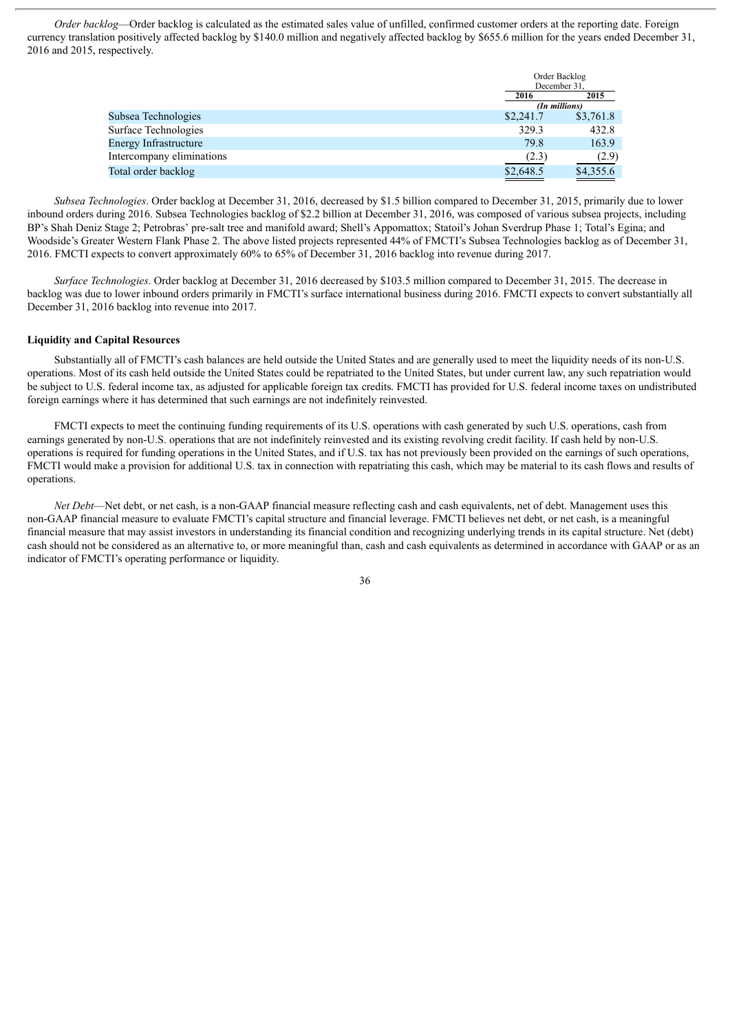*Order backlog*—Order backlog is calculated as the estimated sales value of unfilled, confirmed customer orders at the reporting date. Foreign currency translation positively affected backlog by \$140.0 million and negatively affected backlog by \$655.6 million for the years ended December 31, 2016 and 2015, respectively.

|                              |           | Order Backlog |
|------------------------------|-----------|---------------|
|                              |           | December 31.  |
|                              | 2016      | 2015          |
|                              |           | (In millions) |
| Subsea Technologies          | \$2,241.7 | \$3,761.8     |
| Surface Technologies         | 329.3     | 432.8         |
| <b>Energy Infrastructure</b> | 79.8      | 163.9         |
| Intercompany eliminations    | (2.3)     | (2.9)         |
| Total order backlog          | \$2,648.5 | \$4,355.6     |
|                              |           |               |

*Subsea Technologies*. Order backlog at December 31, 2016, decreased by \$1.5 billion compared to December 31, 2015, primarily due to lower inbound orders during 2016. Subsea Technologies backlog of \$2.2 billion at December 31, 2016, was composed of various subsea projects, including BP's Shah Deniz Stage 2; Petrobras' pre-salt tree and manifold award; Shell's Appomattox; Statoil's Johan Sverdrup Phase 1; Total's Egina; and Woodside's Greater Western Flank Phase 2. The above listed projects represented 44% of FMCTI's Subsea Technologies backlog as of December 31, 2016. FMCTI expects to convert approximately 60% to 65% of December 31, 2016 backlog into revenue during 2017.

*Surface Technologies*. Order backlog at December 31, 2016 decreased by \$103.5 million compared to December 31, 2015. The decrease in backlog was due to lower inbound orders primarily in FMCTI's surface international business during 2016. FMCTI expects to convert substantially all December 31, 2016 backlog into revenue into 2017.

## **Liquidity and Capital Resources**

Substantially all of FMCTI's cash balances are held outside the United States and are generally used to meet the liquidity needs of its non-U.S. operations. Most of its cash held outside the United States could be repatriated to the United States, but under current law, any such repatriation would be subject to U.S. federal income tax, as adjusted for applicable foreign tax credits. FMCTI has provided for U.S. federal income taxes on undistributed foreign earnings where it has determined that such earnings are not indefinitely reinvested.

FMCTI expects to meet the continuing funding requirements of its U.S. operations with cash generated by such U.S. operations, cash from earnings generated by non-U.S. operations that are not indefinitely reinvested and its existing revolving credit facility. If cash held by non-U.S. operations is required for funding operations in the United States, and if U.S. tax has not previously been provided on the earnings of such operations, FMCTI would make a provision for additional U.S. tax in connection with repatriating this cash, which may be material to its cash flows and results of operations.

*Net Debt*—Net debt, or net cash, is a non-GAAP financial measure reflecting cash and cash equivalents, net of debt. Management uses this non-GAAP financial measure to evaluate FMCTI's capital structure and financial leverage. FMCTI believes net debt, or net cash, is a meaningful financial measure that may assist investors in understanding its financial condition and recognizing underlying trends in its capital structure. Net (debt) cash should not be considered as an alternative to, or more meaningful than, cash and cash equivalents as determined in accordance with GAAP or as an indicator of FMCTI's operating performance or liquidity.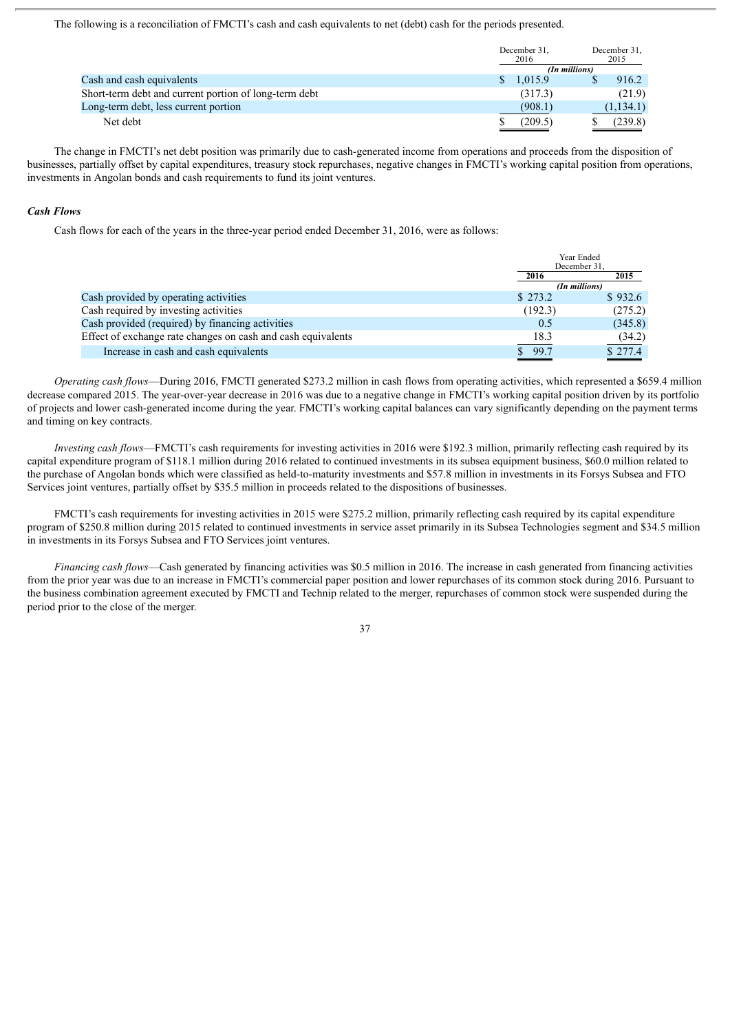The following is a reconciliation of FMCTI's cash and cash equivalents to net (debt) cash for the periods presented.

|                                                       | December 31.<br>2016 | December 31,<br>2015 |           |
|-------------------------------------------------------|----------------------|----------------------|-----------|
|                                                       |                      | (In millions)        |           |
| Cash and cash equivalents                             | 1.015.9              |                      | 916.2     |
| Short-term debt and current portion of long-term debt | (317.3)              |                      | (21.9)    |
| Long-term debt, less current portion                  | (908.1)              |                      | (1,134.1) |
| Net debt                                              | (209.5)              |                      | (239.8)   |

The change in FMCTI's net debt position was primarily due to cash-generated income from operations and proceeds from the disposition of businesses, partially offset by capital expenditures, treasury stock repurchases, negative changes in FMCTI's working capital position from operations, investments in Angolan bonds and cash requirements to fund its joint ventures.

# *Cash Flows*

Cash flows for each of the years in the three-year period ended December 31, 2016, were as follows:

|                                                              | Year Ended    |         |
|--------------------------------------------------------------|---------------|---------|
|                                                              | December 31.  |         |
|                                                              | 2016          | 2015    |
|                                                              | (In millions) |         |
| Cash provided by operating activities                        | \$273.2       | \$932.6 |
| Cash required by investing activities                        | (192.3)       | (275.2) |
| Cash provided (required) by financing activities             | 0.5           | (345.8) |
| Effect of exchange rate changes on cash and cash equivalents | 18.3          | (34.2)  |
| Increase in cash and cash equivalents                        | 99.7          | \$277.4 |

*Operating cash flows*—During 2016, FMCTI generated \$273.2 million in cash flows from operating activities, which represented a \$659.4 million decrease compared 2015. The year-over-year decrease in 2016 was due to a negative change in FMCTI's working capital position driven by its portfolio of projects and lower cash-generated income during the year. FMCTI's working capital balances can vary significantly depending on the payment terms and timing on key contracts.

*Investing cash flows*—FMCTI's cash requirements for investing activities in 2016 were \$192.3 million, primarily reflecting cash required by its capital expenditure program of \$118.1 million during 2016 related to continued investments in its subsea equipment business, \$60.0 million related to the purchase of Angolan bonds which were classified as held-to-maturity investments and \$57.8 million in investments in its Forsys Subsea and FTO Services joint ventures, partially offset by \$35.5 million in proceeds related to the dispositions of businesses.

FMCTI's cash requirements for investing activities in 2015 were \$275.2 million, primarily reflecting cash required by its capital expenditure program of \$250.8 million during 2015 related to continued investments in service asset primarily in its Subsea Technologies segment and \$34.5 million in investments in its Forsys Subsea and FTO Services joint ventures.

*Financing cash flows*—Cash generated by financing activities was \$0.5 million in 2016. The increase in cash generated from financing activities from the prior year was due to an increase in FMCTI's commercial paper position and lower repurchases of its common stock during 2016. Pursuant to the business combination agreement executed by FMCTI and Technip related to the merger, repurchases of common stock were suspended during the period prior to the close of the merger.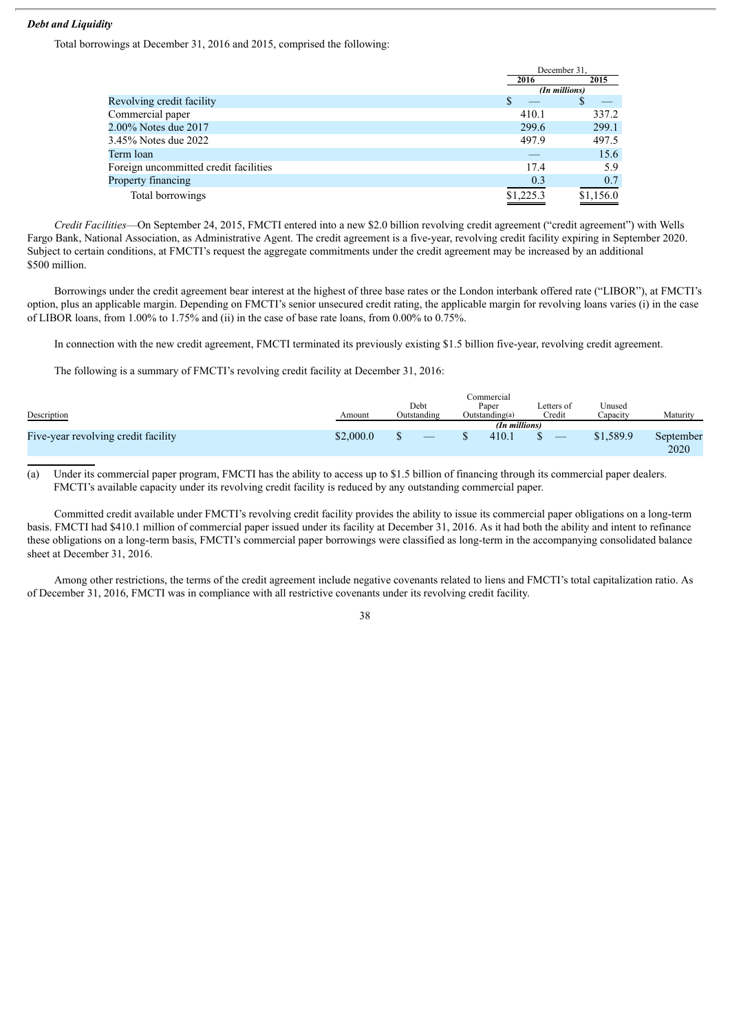# *Debt and Liquidity*

Total borrowings at December 31, 2016 and 2015, comprised the following:

|                                       | December 31. |               |           |
|---------------------------------------|--------------|---------------|-----------|
|                                       | 2016         |               | 2015      |
|                                       |              | (In millions) |           |
| Revolving credit facility             |              |               |           |
| Commercial paper                      | 410.1        |               | 337.2     |
| 2.00% Notes due 2017                  | 299.6        |               | 299.1     |
| 3.45% Notes due 2022                  | 497.9        |               | 497.5     |
| Term loan                             |              |               | 15.6      |
| Foreign uncommitted credit facilities | 17.4         |               | 5.9       |
| Property financing                    |              | 0.3           | 0.7       |
| Total borrowings                      | \$1,225.3    |               | \$1,156.0 |
|                                       |              |               |           |

*Credit Facilities*—On September 24, 2015, FMCTI entered into a new \$2.0 billion revolving credit agreement ("credit agreement") with Wells Fargo Bank, National Association, as Administrative Agent. The credit agreement is a five-year, revolving credit facility expiring in September 2020. Subject to certain conditions, at FMCTI's request the aggregate commitments under the credit agreement may be increased by an additional \$500 million.

Borrowings under the credit agreement bear interest at the highest of three base rates or the London interbank offered rate ("LIBOR"), at FMCTI's option, plus an applicable margin. Depending on FMCTI's senior unsecured credit rating, the applicable margin for revolving loans varies (i) in the case of LIBOR loans, from 1.00% to 1.75% and (ii) in the case of base rate loans, from 0.00% to 0.75%.

In connection with the new credit agreement, FMCTI terminated its previously existing \$1.5 billion five-year, revolving credit agreement.

The following is a summary of FMCTI's revolving credit facility at December 31, 2016:

| Description                         | Amount    | Debt<br>Outstanding |  | Commercial<br>Paper<br>Outstanding(a) | ∟etters of<br>Credit | Unused<br>Capacity | Maturity          |
|-------------------------------------|-----------|---------------------|--|---------------------------------------|----------------------|--------------------|-------------------|
|                                     |           |                     |  | (In millions)                         |                      |                    |                   |
| Five-year revolving credit facility | \$2,000.0 |                     |  | 410.1                                 | _                    | \$1.589.9          | September<br>2020 |

(a) Under its commercial paper program, FMCTI has the ability to access up to \$1.5 billion of financing through its commercial paper dealers. FMCTI's available capacity under its revolving credit facility is reduced by any outstanding commercial paper.

Committed credit available under FMCTI's revolving credit facility provides the ability to issue its commercial paper obligations on a long-term basis. FMCTI had \$410.1 million of commercial paper issued under its facility at December 31, 2016. As it had both the ability and intent to refinance these obligations on a long-term basis, FMCTI's commercial paper borrowings were classified as long-term in the accompanying consolidated balance sheet at December 31, 2016.

Among other restrictions, the terms of the credit agreement include negative covenants related to liens and FMCTI's total capitalization ratio. As of December 31, 2016, FMCTI was in compliance with all restrictive covenants under its revolving credit facility.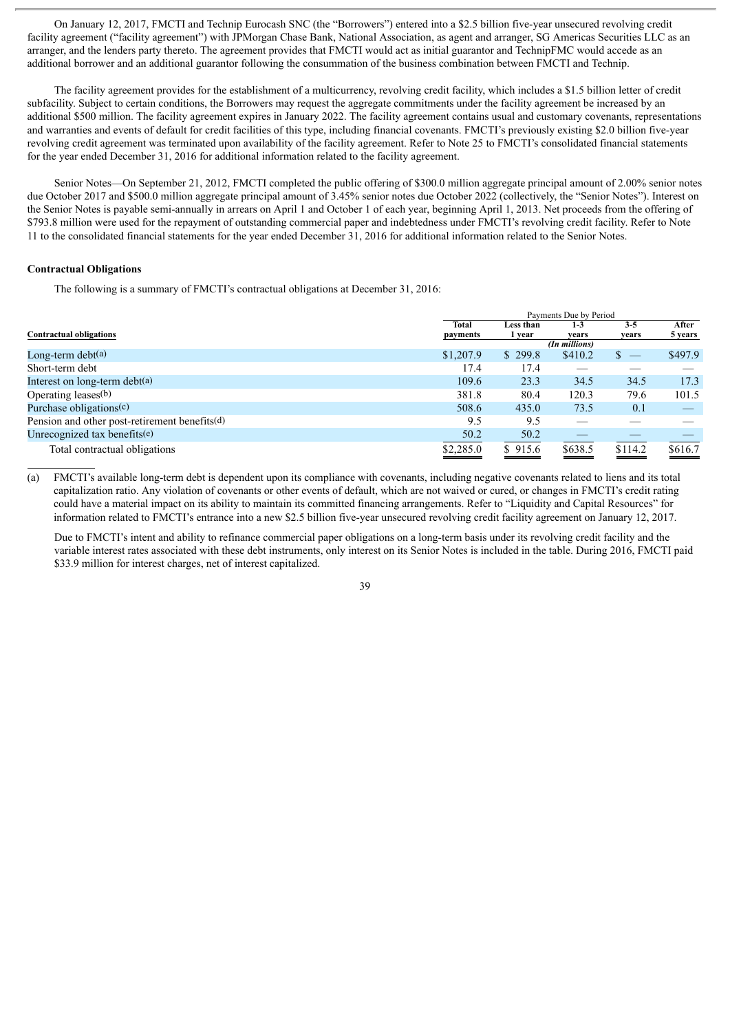On January 12, 2017, FMCTI and Technip Eurocash SNC (the "Borrowers") entered into a \$2.5 billion five-year unsecured revolving credit facility agreement ("facility agreement") with JPMorgan Chase Bank, National Association, as agent and arranger, SG Americas Securities LLC as an arranger, and the lenders party thereto. The agreement provides that FMCTI would act as initial guarantor and TechnipFMC would accede as an additional borrower and an additional guarantor following the consummation of the business combination between FMCTI and Technip.

The facility agreement provides for the establishment of a multicurrency, revolving credit facility, which includes a \$1.5 billion letter of credit subfacility. Subject to certain conditions, the Borrowers may request the aggregate commitments under the facility agreement be increased by an additional \$500 million. The facility agreement expires in January 2022. The facility agreement contains usual and customary covenants, representations and warranties and events of default for credit facilities of this type, including financial covenants. FMCTI's previously existing \$2.0 billion five-year revolving credit agreement was terminated upon availability of the facility agreement. Refer to Note 25 to FMCTI's consolidated financial statements for the year ended December 31, 2016 for additional information related to the facility agreement.

Senior Notes—On September 21, 2012, FMCTI completed the public offering of \$300.0 million aggregate principal amount of 2.00% senior notes due October 2017 and \$500.0 million aggregate principal amount of 3.45% senior notes due October 2022 (collectively, the "Senior Notes"). Interest on the Senior Notes is payable semi-annually in arrears on April 1 and October 1 of each year, beginning April 1, 2013. Net proceeds from the offering of \$793.8 million were used for the repayment of outstanding commercial paper and indebtedness under FMCTI's revolving credit facility. Refer to Note 11 to the consolidated financial statements for the year ended December 31, 2016 for additional information related to the Senior Notes.

# **Contractual Obligations**

The following is a summary of FMCTI's contractual obligations at December 31, 2016:

|                                                  |                          | Payments Due by Period |                |                  |                  |  |  |  |
|--------------------------------------------------|--------------------------|------------------------|----------------|------------------|------------------|--|--|--|
| <b>Contractual obligations</b>                   | <b>Total</b><br>payments | Less than<br>1 year    | $1-3$<br>vears | $3 - 5$<br>vears | After<br>5 years |  |  |  |
|                                                  |                          |                        | (In millions)  |                  |                  |  |  |  |
| Long-term $debt(a)$                              | \$1,207.9                | \$299.8                | \$410.2        |                  | \$497.9          |  |  |  |
| Short-term debt                                  | 17.4                     | 17.4                   |                |                  |                  |  |  |  |
| Interest on long-term debt(a)                    | 109.6                    | 23.3                   | 34.5           | 34.5             | 17.3             |  |  |  |
| Operating leases(b)                              | 381.8                    | 80.4                   | 120.3          | 79.6             | 101.5            |  |  |  |
| Purchase obligations $(c)$                       | 508.6                    | 435.0                  | 73.5           | 0.1              |                  |  |  |  |
| Pension and other post-retirement benefits $(d)$ | 9.5                      | 9.5                    |                |                  |                  |  |  |  |
| Unrecognized tax benefits(e)                     | 50.2                     | 50.2                   |                |                  |                  |  |  |  |
| Total contractual obligations                    | \$2,285.0                | \$915.6                | \$638.5        | \$114.2          | \$616.7          |  |  |  |

(a) FMCTI's available long-term debt is dependent upon its compliance with covenants, including negative covenants related to liens and its total capitalization ratio. Any violation of covenants or other events of default, which are not waived or cured, or changes in FMCTI's credit rating could have a material impact on its ability to maintain its committed financing arrangements. Refer to "Liquidity and Capital Resources" for information related to FMCTI's entrance into a new \$2.5 billion five-year unsecured revolving credit facility agreement on January 12, 2017.

Due to FMCTI's intent and ability to refinance commercial paper obligations on a long-term basis under its revolving credit facility and the variable interest rates associated with these debt instruments, only interest on its Senior Notes is included in the table. During 2016, FMCTI paid \$33.9 million for interest charges, net of interest capitalized.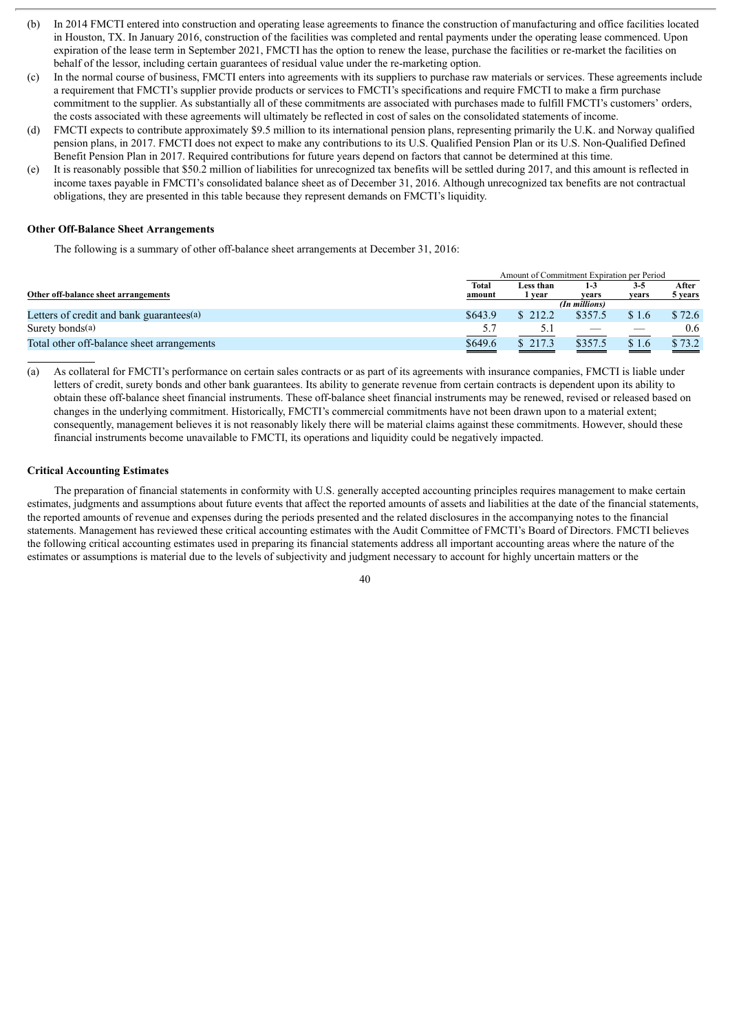- (b) In 2014 FMCTI entered into construction and operating lease agreements to finance the construction of manufacturing and office facilities located in Houston, TX. In January 2016, construction of the facilities was completed and rental payments under the operating lease commenced. Upon expiration of the lease term in September 2021, FMCTI has the option to renew the lease, purchase the facilities or re-market the facilities on behalf of the lessor, including certain guarantees of residual value under the re-marketing option.
- (c) In the normal course of business, FMCTI enters into agreements with its suppliers to purchase raw materials or services. These agreements include a requirement that FMCTI's supplier provide products or services to FMCTI's specifications and require FMCTI to make a firm purchase commitment to the supplier. As substantially all of these commitments are associated with purchases made to fulfill FMCTI's customers' orders, the costs associated with these agreements will ultimately be reflected in cost of sales on the consolidated statements of income.
- (d) FMCTI expects to contribute approximately \$9.5 million to its international pension plans, representing primarily the U.K. and Norway qualified pension plans, in 2017. FMCTI does not expect to make any contributions to its U.S. Qualified Pension Plan or its U.S. Non-Qualified Defined Benefit Pension Plan in 2017. Required contributions for future years depend on factors that cannot be determined at this time.
- (e) It is reasonably possible that \$50.2 million of liabilities for unrecognized tax benefits will be settled during 2017, and this amount is reflected in income taxes payable in FMCTI's consolidated balance sheet as of December 31, 2016. Although unrecognized tax benefits are not contractual obligations, they are presented in this table because they represent demands on FMCTI's liquidity.

## **Other Off-Balance Sheet Arrangements**

The following is a summary of other off-balance sheet arrangements at December 31, 2016:

|                                            |                 | Amount of Commitment Expiration per Period |               |                |                  |
|--------------------------------------------|-----------------|--------------------------------------------|---------------|----------------|------------------|
| Other off-balance sheet arrangements       | Total<br>amount | Less than<br>vear                          | 1-3<br>vears  | $3-5$<br>vears | After<br>5 years |
|                                            |                 |                                            | (In millions) |                |                  |
| Letters of credit and bank guarantees(a)   | \$643.9         | \$ 212.2                                   | \$357.5       | \$1.6          | \$72.6           |
| Surety bonds(a)                            |                 |                                            |               |                | 0.6              |
| Total other off-balance sheet arrangements | \$649.6         | \$217.3                                    | \$357.5       | \$1.6          | \$73.2           |

(a) As collateral for FMCTI's performance on certain sales contracts or as part of its agreements with insurance companies, FMCTI is liable under letters of credit, surety bonds and other bank guarantees. Its ability to generate revenue from certain contracts is dependent upon its ability to obtain these off-balance sheet financial instruments. These off-balance sheet financial instruments may be renewed, revised or released based on changes in the underlying commitment. Historically, FMCTI's commercial commitments have not been drawn upon to a material extent; consequently, management believes it is not reasonably likely there will be material claims against these commitments. However, should these financial instruments become unavailable to FMCTI, its operations and liquidity could be negatively impacted.

## **Critical Accounting Estimates**

The preparation of financial statements in conformity with U.S. generally accepted accounting principles requires management to make certain estimates, judgments and assumptions about future events that affect the reported amounts of assets and liabilities at the date of the financial statements, the reported amounts of revenue and expenses during the periods presented and the related disclosures in the accompanying notes to the financial statements. Management has reviewed these critical accounting estimates with the Audit Committee of FMCTI's Board of Directors. FMCTI believes the following critical accounting estimates used in preparing its financial statements address all important accounting areas where the nature of the estimates or assumptions is material due to the levels of subjectivity and judgment necessary to account for highly uncertain matters or the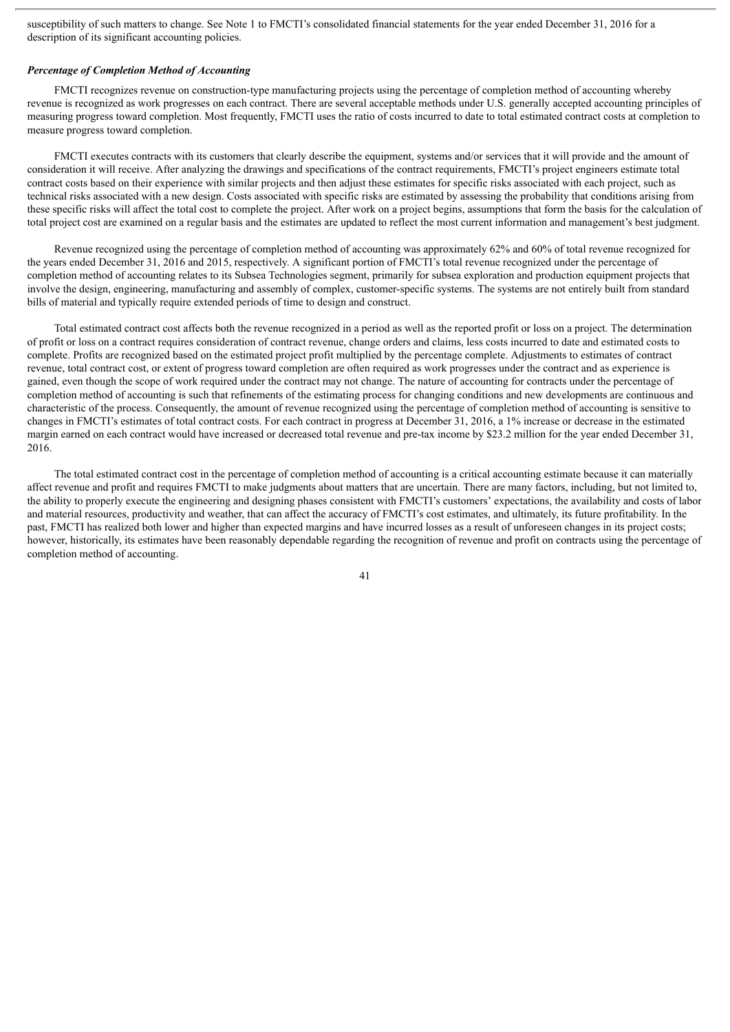susceptibility of such matters to change. See Note 1 to FMCTI's consolidated financial statements for the year ended December 31, 2016 for a description of its significant accounting policies.

# *Percentage of Completion Method of Accounting*

FMCTI recognizes revenue on construction-type manufacturing projects using the percentage of completion method of accounting whereby revenue is recognized as work progresses on each contract. There are several acceptable methods under U.S. generally accepted accounting principles of measuring progress toward completion. Most frequently, FMCTI uses the ratio of costs incurred to date to total estimated contract costs at completion to measure progress toward completion.

FMCTI executes contracts with its customers that clearly describe the equipment, systems and/or services that it will provide and the amount of consideration it will receive. After analyzing the drawings and specifications of the contract requirements, FMCTI's project engineers estimate total contract costs based on their experience with similar projects and then adjust these estimates for specific risks associated with each project, such as technical risks associated with a new design. Costs associated with specific risks are estimated by assessing the probability that conditions arising from these specific risks will affect the total cost to complete the project. After work on a project begins, assumptions that form the basis for the calculation of total project cost are examined on a regular basis and the estimates are updated to reflect the most current information and management's best judgment.

Revenue recognized using the percentage of completion method of accounting was approximately 62% and 60% of total revenue recognized for the years ended December 31, 2016 and 2015, respectively. A significant portion of FMCTI's total revenue recognized under the percentage of completion method of accounting relates to its Subsea Technologies segment, primarily for subsea exploration and production equipment projects that involve the design, engineering, manufacturing and assembly of complex, customer-specific systems. The systems are not entirely built from standard bills of material and typically require extended periods of time to design and construct.

Total estimated contract cost affects both the revenue recognized in a period as well as the reported profit or loss on a project. The determination of profit or loss on a contract requires consideration of contract revenue, change orders and claims, less costs incurred to date and estimated costs to complete. Profits are recognized based on the estimated project profit multiplied by the percentage complete. Adjustments to estimates of contract revenue, total contract cost, or extent of progress toward completion are often required as work progresses under the contract and as experience is gained, even though the scope of work required under the contract may not change. The nature of accounting for contracts under the percentage of completion method of accounting is such that refinements of the estimating process for changing conditions and new developments are continuous and characteristic of the process. Consequently, the amount of revenue recognized using the percentage of completion method of accounting is sensitive to changes in FMCTI's estimates of total contract costs. For each contract in progress at December 31, 2016, a 1% increase or decrease in the estimated margin earned on each contract would have increased or decreased total revenue and pre-tax income by \$23.2 million for the year ended December 31, 2016.

The total estimated contract cost in the percentage of completion method of accounting is a critical accounting estimate because it can materially affect revenue and profit and requires FMCTI to make judgments about matters that are uncertain. There are many factors, including, but not limited to, the ability to properly execute the engineering and designing phases consistent with FMCTI's customers' expectations, the availability and costs of labor and material resources, productivity and weather, that can affect the accuracy of FMCTI's cost estimates, and ultimately, its future profitability. In the past, FMCTI has realized both lower and higher than expected margins and have incurred losses as a result of unforeseen changes in its project costs; however, historically, its estimates have been reasonably dependable regarding the recognition of revenue and profit on contracts using the percentage of completion method of accounting.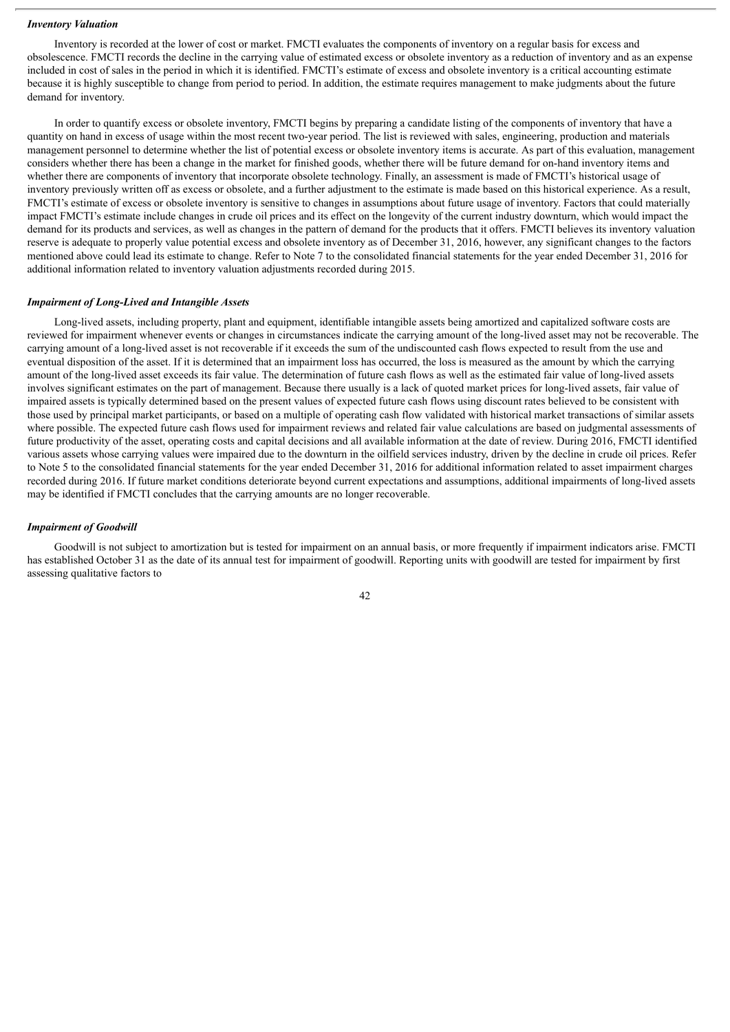#### *Inventory Valuation*

Inventory is recorded at the lower of cost or market. FMCTI evaluates the components of inventory on a regular basis for excess and obsolescence. FMCTI records the decline in the carrying value of estimated excess or obsolete inventory as a reduction of inventory and as an expense included in cost of sales in the period in which it is identified. FMCTI's estimate of excess and obsolete inventory is a critical accounting estimate because it is highly susceptible to change from period to period. In addition, the estimate requires management to make judgments about the future demand for inventory.

In order to quantify excess or obsolete inventory, FMCTI begins by preparing a candidate listing of the components of inventory that have a quantity on hand in excess of usage within the most recent two-year period. The list is reviewed with sales, engineering, production and materials management personnel to determine whether the list of potential excess or obsolete inventory items is accurate. As part of this evaluation, management considers whether there has been a change in the market for finished goods, whether there will be future demand for on-hand inventory items and whether there are components of inventory that incorporate obsolete technology. Finally, an assessment is made of FMCTI's historical usage of inventory previously written off as excess or obsolete, and a further adjustment to the estimate is made based on this historical experience. As a result, FMCTI's estimate of excess or obsolete inventory is sensitive to changes in assumptions about future usage of inventory. Factors that could materially impact FMCTI's estimate include changes in crude oil prices and its effect on the longevity of the current industry downturn, which would impact the demand for its products and services, as well as changes in the pattern of demand for the products that it offers. FMCTI believes its inventory valuation reserve is adequate to properly value potential excess and obsolete inventory as of December 31, 2016, however, any significant changes to the factors mentioned above could lead its estimate to change. Refer to Note 7 to the consolidated financial statements for the year ended December 31, 2016 for additional information related to inventory valuation adjustments recorded during 2015.

## *Impairment of Long-Lived and Intangible Assets*

Long-lived assets, including property, plant and equipment, identifiable intangible assets being amortized and capitalized software costs are reviewed for impairment whenever events or changes in circumstances indicate the carrying amount of the long-lived asset may not be recoverable. The carrying amount of a long-lived asset is not recoverable if it exceeds the sum of the undiscounted cash flows expected to result from the use and eventual disposition of the asset. If it is determined that an impairment loss has occurred, the loss is measured as the amount by which the carrying amount of the long-lived asset exceeds its fair value. The determination of future cash flows as well as the estimated fair value of long-lived assets involves significant estimates on the part of management. Because there usually is a lack of quoted market prices for long-lived assets, fair value of impaired assets is typically determined based on the present values of expected future cash flows using discount rates believed to be consistent with those used by principal market participants, or based on a multiple of operating cash flow validated with historical market transactions of similar assets where possible. The expected future cash flows used for impairment reviews and related fair value calculations are based on judgmental assessments of future productivity of the asset, operating costs and capital decisions and all available information at the date of review. During 2016, FMCTI identified various assets whose carrying values were impaired due to the downturn in the oilfield services industry, driven by the decline in crude oil prices. Refer to Note 5 to the consolidated financial statements for the year ended December 31, 2016 for additional information related to asset impairment charges recorded during 2016. If future market conditions deteriorate beyond current expectations and assumptions, additional impairments of long-lived assets may be identified if FMCTI concludes that the carrying amounts are no longer recoverable.

## *Impairment of Goodwill*

Goodwill is not subject to amortization but is tested for impairment on an annual basis, or more frequently if impairment indicators arise. FMCTI has established October 31 as the date of its annual test for impairment of goodwill. Reporting units with goodwill are tested for impairment by first assessing qualitative factors to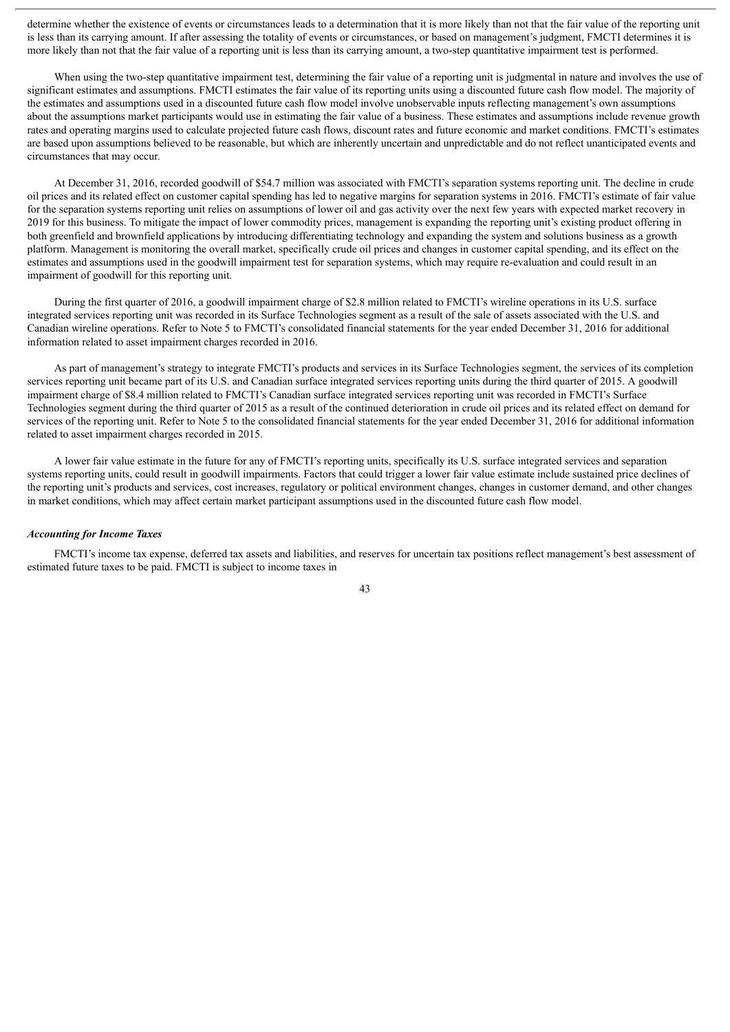determine whether the existence of events or circumstances leads to a determination that it is more likely than not that the fair value of the reporting unit is less than its carrying amount. If after assessing the totality of events or circumstances, or based on management's judgment, FMCTI determines it is more likely than not that the fair value of a reporting unit is less than its carrying amount, a two-step quantitative impairment test is performed.

When using the two-step quantitative impairment test, determining the fair value of a reporting unit is judgmental in nature and involves the use of significant estimates and assumptions. FMCTI estimates the fair value of its reporting units using a discounted future cash flow model. The majority of the estimates and assumptions used in a discounted future cash flow model involve unobservable inputs reflecting management's own assumptions about the assumptions market participants would use in estimating the fair value of a business. These estimates and assumptions include revenue growth rates and operating margins used to calculate projected future cash flows, discount rates and future economic and market conditions. FMCTI's estimates are based upon assumptions believed to be reasonable, but which are inherently uncertain and unpredictable and do not reflect unanticipated events and circumstances that may occur.

At December 31, 2016, recorded goodwill of \$54.7 million was associated with FMCTI's separation systems reporting unit. The decline in crude oil prices and its related effect on customer capital spending has led to negative margins for separation systems in 2016. FMCTI's estimate of fair value for the separation systems reporting unit relies on assumptions of lower oil and gas activity over the next few years with expected market recovery in 2019 for this business. To mitigate the impact of lower commodity prices, management is expanding the reporting unit's existing product offering in both greenfield and brownfield applications by introducing differentiating technology and expanding the system and solutions business as a growth platform. Management is monitoring the overall market, specifically crude oil prices and changes in customer capital spending, and its effect on the estimates and assumptions used in the goodwill impairment test for separation systems, which may require re-evaluation and could result in an impairment of goodwill for this reporting unit.

During the first quarter of 2016, a goodwill impairment charge of \$2.8 million related to FMCTI's wireline operations in its U.S. surface integrated services reporting unit was recorded in its Surface Technologies segment as a result of the sale of assets associated with the U.S. and Canadian wireline operations. Refer to Note 5 to FMCTI's consolidated financial statements for the year ended December 31, 2016 for additional information related to asset impairment charges recorded in 2016.

As part of management's strategy to integrate FMCTI's products and services in its Surface Technologies segment, the services of its completion services reporting unit became part of its U.S. and Canadian surface integrated services reporting units during the third quarter of 2015. A goodwill impairment charge of \$8.4 million related to FMCTI's Canadian surface integrated services reporting unit was recorded in FMCTI's Surface Technologies segment during the third quarter of 2015 as a result of the continued deterioration in crude oil prices and its related effect on demand for services of the reporting unit. Refer to Note 5 to the consolidated financial statements for the year ended December 31, 2016 for additional information related to asset impairment charges recorded in 2015.

A lower fair value estimate in the future for any of FMCTI's reporting units, specifically its U.S. surface integrated services and separation systems reporting units, could result in goodwill impairments. Factors that could trigger a lower fair value estimate include sustained price declines of the reporting unit's products and services, cost increases, regulatory or political environment changes, changes in customer demand, and other changes in market conditions, which may affect certain market participant assumptions used in the discounted future cash flow model.

## *Accounting for Income Taxes*

FMCTI's income tax expense, deferred tax assets and liabilities, and reserves for uncertain tax positions reflect management's best assessment of estimated future taxes to be paid. FMCTI is subject to income taxes in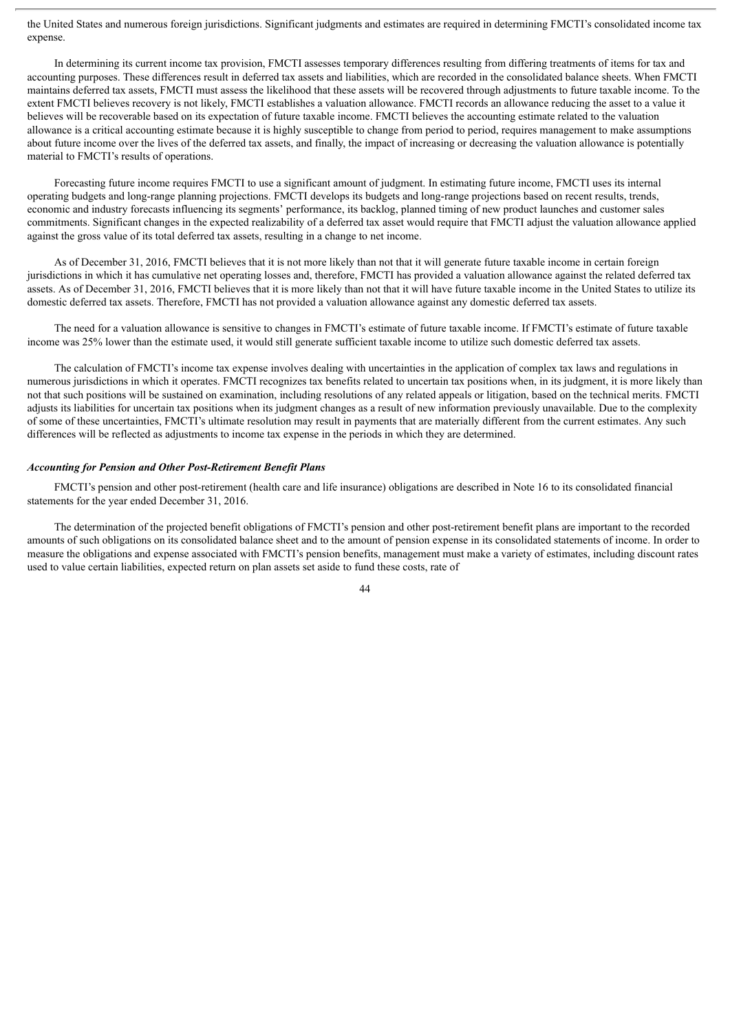the United States and numerous foreign jurisdictions. Significant judgments and estimates are required in determining FMCTI's consolidated income tax expense.

In determining its current income tax provision, FMCTI assesses temporary differences resulting from differing treatments of items for tax and accounting purposes. These differences result in deferred tax assets and liabilities, which are recorded in the consolidated balance sheets. When FMCTI maintains deferred tax assets, FMCTI must assess the likelihood that these assets will be recovered through adjustments to future taxable income. To the extent FMCTI believes recovery is not likely, FMCTI establishes a valuation allowance. FMCTI records an allowance reducing the asset to a value it believes will be recoverable based on its expectation of future taxable income. FMCTI believes the accounting estimate related to the valuation allowance is a critical accounting estimate because it is highly susceptible to change from period to period, requires management to make assumptions about future income over the lives of the deferred tax assets, and finally, the impact of increasing or decreasing the valuation allowance is potentially material to FMCTI's results of operations.

Forecasting future income requires FMCTI to use a significant amount of judgment. In estimating future income, FMCTI uses its internal operating budgets and long-range planning projections. FMCTI develops its budgets and long-range projections based on recent results, trends, economic and industry forecasts influencing its segments' performance, its backlog, planned timing of new product launches and customer sales commitments. Significant changes in the expected realizability of a deferred tax asset would require that FMCTI adjust the valuation allowance applied against the gross value of its total deferred tax assets, resulting in a change to net income.

As of December 31, 2016, FMCTI believes that it is not more likely than not that it will generate future taxable income in certain foreign jurisdictions in which it has cumulative net operating losses and, therefore, FMCTI has provided a valuation allowance against the related deferred tax assets. As of December 31, 2016, FMCTI believes that it is more likely than not that it will have future taxable income in the United States to utilize its domestic deferred tax assets. Therefore, FMCTI has not provided a valuation allowance against any domestic deferred tax assets.

The need for a valuation allowance is sensitive to changes in FMCTI's estimate of future taxable income. If FMCTI's estimate of future taxable income was 25% lower than the estimate used, it would still generate sufficient taxable income to utilize such domestic deferred tax assets.

The calculation of FMCTI's income tax expense involves dealing with uncertainties in the application of complex tax laws and regulations in numerous jurisdictions in which it operates. FMCTI recognizes tax benefits related to uncertain tax positions when, in its judgment, it is more likely than not that such positions will be sustained on examination, including resolutions of any related appeals or litigation, based on the technical merits. FMCTI adjusts its liabilities for uncertain tax positions when its judgment changes as a result of new information previously unavailable. Due to the complexity of some of these uncertainties, FMCTI's ultimate resolution may result in payments that are materially different from the current estimates. Any such differences will be reflected as adjustments to income tax expense in the periods in which they are determined.

# *Accounting for Pension and Other Post-Retirement Benefit Plans*

FMCTI's pension and other post-retirement (health care and life insurance) obligations are described in Note 16 to its consolidated financial statements for the year ended December 31, 2016.

The determination of the projected benefit obligations of FMCTI's pension and other post-retirement benefit plans are important to the recorded amounts of such obligations on its consolidated balance sheet and to the amount of pension expense in its consolidated statements of income. In order to measure the obligations and expense associated with FMCTI's pension benefits, management must make a variety of estimates, including discount rates used to value certain liabilities, expected return on plan assets set aside to fund these costs, rate of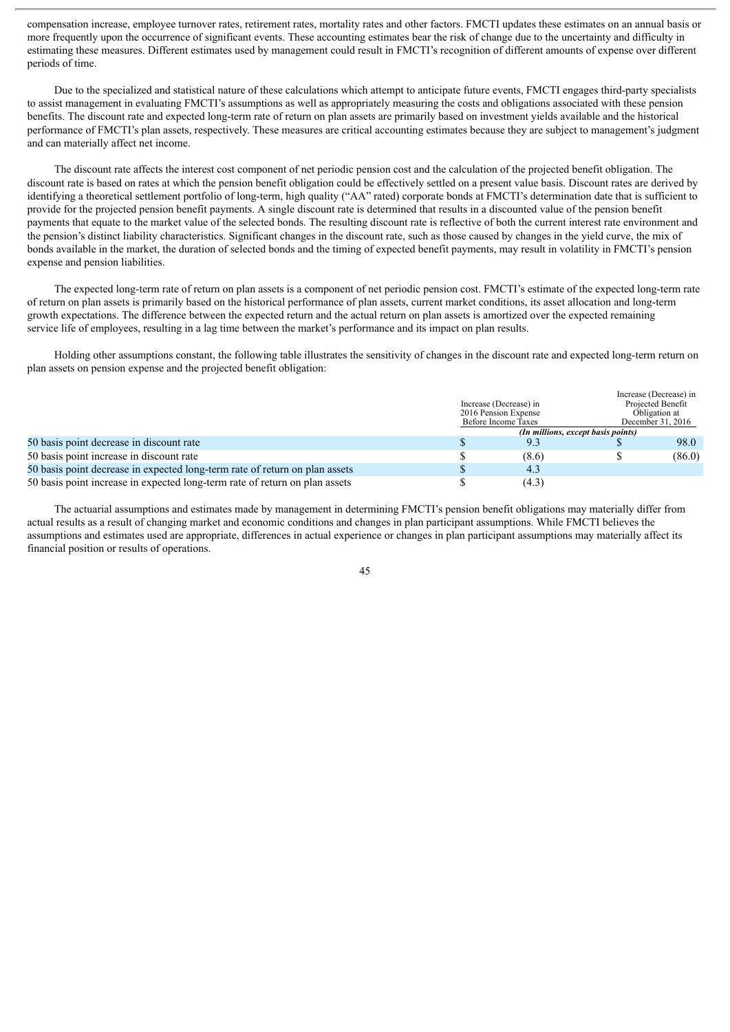compensation increase, employee turnover rates, retirement rates, mortality rates and other factors. FMCTI updates these estimates on an annual basis or more frequently upon the occurrence of significant events. These accounting estimates bear the risk of change due to the uncertainty and difficulty in estimating these measures. Different estimates used by management could result in FMCTI's recognition of different amounts of expense over different periods of time.

Due to the specialized and statistical nature of these calculations which attempt to anticipate future events, FMCTI engages third-party specialists to assist management in evaluating FMCTI's assumptions as well as appropriately measuring the costs and obligations associated with these pension benefits. The discount rate and expected long-term rate of return on plan assets are primarily based on investment yields available and the historical performance of FMCTI's plan assets, respectively. These measures are critical accounting estimates because they are subject to management's judgment and can materially affect net income.

The discount rate affects the interest cost component of net periodic pension cost and the calculation of the projected benefit obligation. The discount rate is based on rates at which the pension benefit obligation could be effectively settled on a present value basis. Discount rates are derived by identifying a theoretical settlement portfolio of long-term, high quality ("AA" rated) corporate bonds at FMCTI's determination date that is sufficient to provide for the projected pension benefit payments. A single discount rate is determined that results in a discounted value of the pension benefit payments that equate to the market value of the selected bonds. The resulting discount rate is reflective of both the current interest rate environment and the pension's distinct liability characteristics. Significant changes in the discount rate, such as those caused by changes in the yield curve, the mix of bonds available in the market, the duration of selected bonds and the timing of expected benefit payments, may result in volatility in FMCTI's pension expense and pension liabilities.

The expected long-term rate of return on plan assets is a component of net periodic pension cost. FMCTI's estimate of the expected long-term rate of return on plan assets is primarily based on the historical performance of plan assets, current market conditions, its asset allocation and long-term growth expectations. The difference between the expected return and the actual return on plan assets is amortized over the expected remaining service life of employees, resulting in a lag time between the market's performance and its impact on plan results.

Holding other assumptions constant, the following table illustrates the sensitivity of changes in the discount rate and expected long-term return on plan assets on pension expense and the projected benefit obligation:

|                                                                             |                                    | Increase (Decrease) in |  | Increase (Decrease) in<br>Projected Benefit |  |
|-----------------------------------------------------------------------------|------------------------------------|------------------------|--|---------------------------------------------|--|
|                                                                             |                                    | 2016 Pension Expense   |  | Obligation at                               |  |
|                                                                             | Before Income Taxes                |                        |  | December 31, 2016                           |  |
|                                                                             | (In millions, except basis points) |                        |  |                                             |  |
| 50 basis point decrease in discount rate                                    |                                    | 9.3                    |  | 98.0                                        |  |
| 50 basis point increase in discount rate                                    |                                    | (8.6)                  |  | (86.0)                                      |  |
| 50 basis point decrease in expected long-term rate of return on plan assets |                                    | 4.3                    |  |                                             |  |
| 50 basis point increase in expected long-term rate of return on plan assets |                                    | (4.3)                  |  |                                             |  |

The actuarial assumptions and estimates made by management in determining FMCTI's pension benefit obligations may materially differ from actual results as a result of changing market and economic conditions and changes in plan participant assumptions. While FMCTI believes the assumptions and estimates used are appropriate, differences in actual experience or changes in plan participant assumptions may materially affect its financial position or results of operations.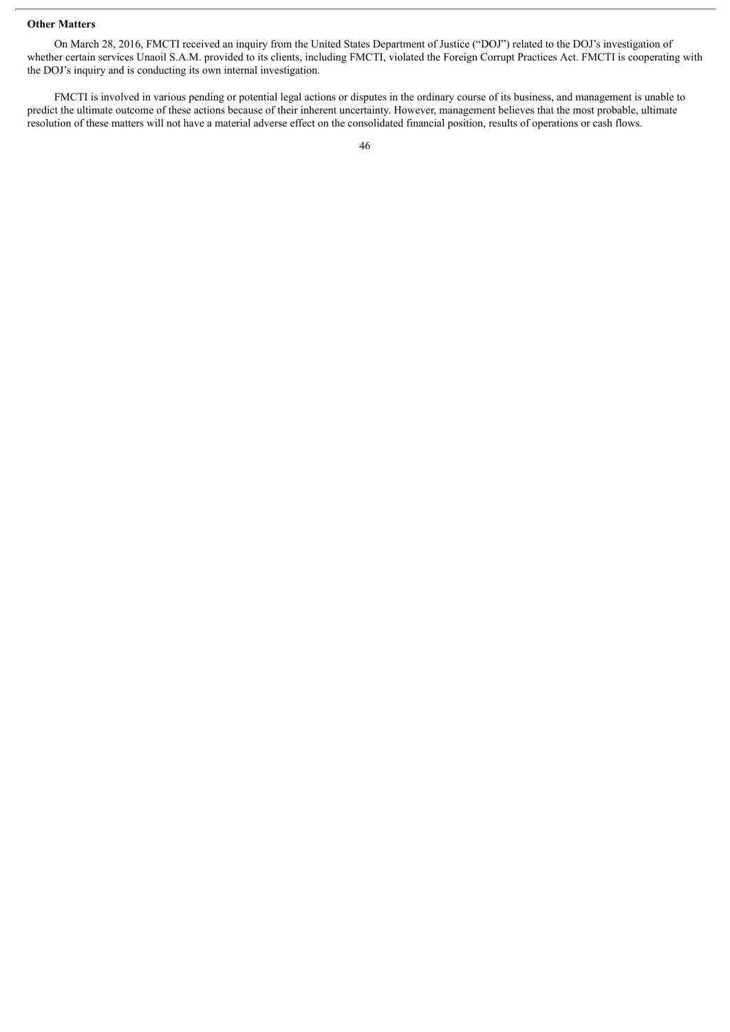## **Other Matters**

On March 28, 2016, FMCTI received an inquiry from the United States Department of Justice ("DOJ") related to the DOJ's investigation of whether certain services Unaoil S.A.M. provided to its clients, including FMCTI, violated the Foreign Corrupt Practices Act. FMCTI is cooperating with the DOJ's inquiry and is conducting its own internal investigation.

FMCTI is involved in various pending or potential legal actions or disputes in the ordinary course of its business, and management is unable to predict the ultimate outcome of these actions because of their inherent uncertainty. However, management believes that the most probable, ultimate resolution of these matters will not have a material adverse effect on the consolidated financial position, results of operations or cash flows.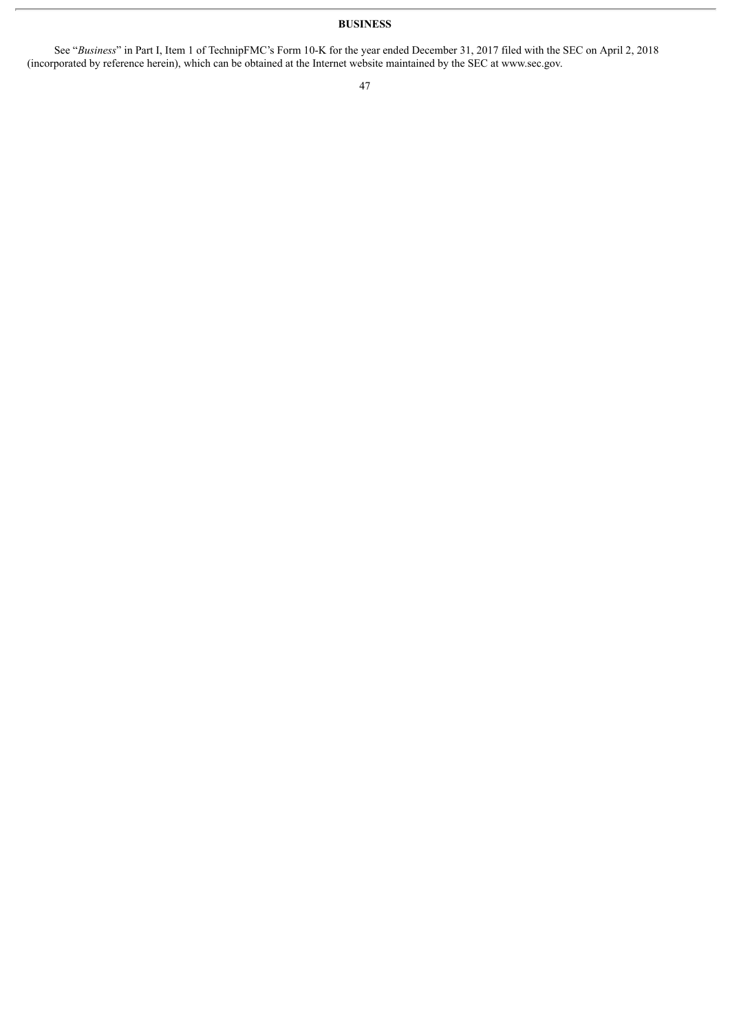# **BUSINESS**

See "*Business*" in Part I, Item 1 of TechnipFMC's Form 10-K for the year ended December 31, 2017 filed with the SEC on April 2, 2018 (incorporated by reference herein), which can be obtained at the Internet website maintained by the SEC at www.sec.gov.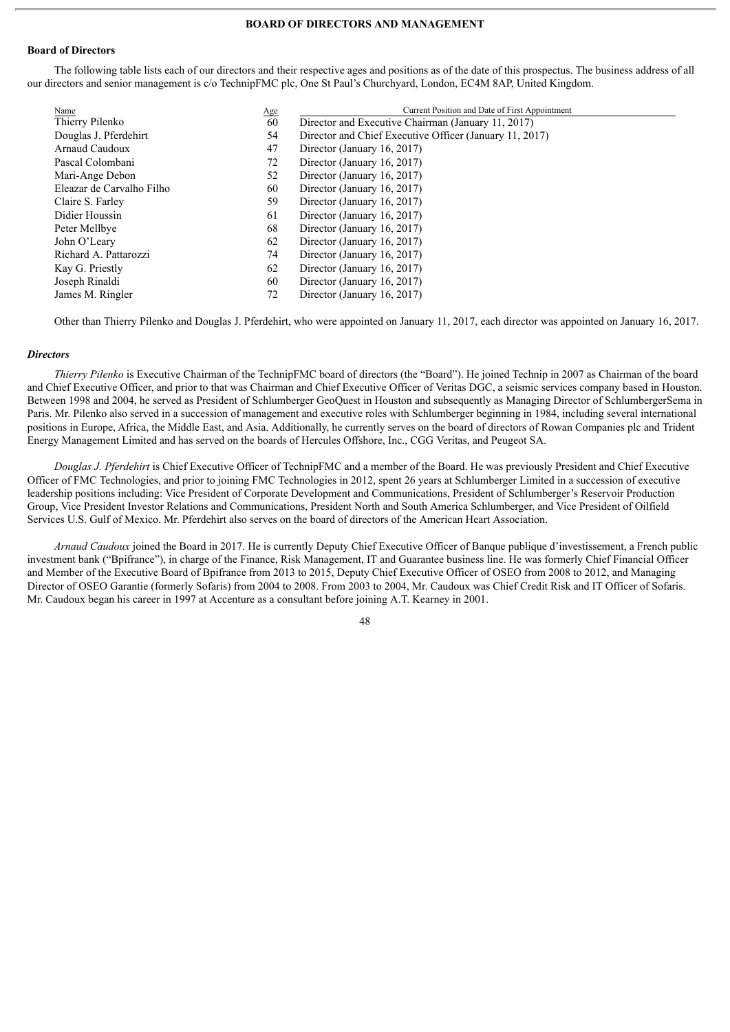## **BOARD OF DIRECTORS AND MANAGEMENT**

## **Board of Directors**

The following table lists each of our directors and their respective ages and positions as of the date of this prospectus. The business address of all our directors and senior management is c/o TechnipFMC plc, One St Paul's Churchyard, London, EC4M 8AP, United Kingdom.

| Name                      | <u>Age</u> | Current Position and Date of First Appointment          |
|---------------------------|------------|---------------------------------------------------------|
| Thierry Pilenko           | 60         | Director and Executive Chairman (January 11, 2017)      |
| Douglas J. Pferdehirt     | 54         | Director and Chief Executive Officer (January 11, 2017) |
| <b>Arnaud Caudoux</b>     | 47         | Director (January 16, 2017)                             |
| Pascal Colombani          | 72         | Director (January 16, 2017)                             |
| Mari-Ange Debon           | 52         | Director (January 16, 2017)                             |
| Eleazar de Carvalho Filho | 60         | Director (January 16, 2017)                             |
| Claire S. Farley          | 59         | Director (January 16, 2017)                             |
| Didier Houssin            | 61         | Director (January 16, 2017)                             |
| Peter Mellbye             | 68         | Director (January 16, 2017)                             |
| John O'Leary              | 62         | Director (January 16, 2017)                             |
| Richard A. Pattarozzi     | 74         | Director (January 16, 2017)                             |
| Kay G. Priestly           | 62         | Director (January 16, 2017)                             |
| Joseph Rinaldi            | 60         | Director (January 16, 2017)                             |
| James M. Ringler          | 72         | Director (January 16, 2017)                             |

Other than Thierry Pilenko and Douglas J. Pferdehirt, who were appointed on January 11, 2017, each director was appointed on January 16, 2017.

#### *Directors*

*Thierry Pilenko* is Executive Chairman of the TechnipFMC board of directors (the "Board"). He joined Technip in 2007 as Chairman of the board and Chief Executive Officer, and prior to that was Chairman and Chief Executive Officer of Veritas DGC, a seismic services company based in Houston. Between 1998 and 2004, he served as President of Schlumberger GeoQuest in Houston and subsequently as Managing Director of SchlumbergerSema in Paris. Mr. Pilenko also served in a succession of management and executive roles with Schlumberger beginning in 1984, including several international positions in Europe, Africa, the Middle East, and Asia. Additionally, he currently serves on the board of directors of Rowan Companies plc and Trident Energy Management Limited and has served on the boards of Hercules Offshore, Inc., CGG Veritas, and Peugeot SA.

*Douglas J. Pferdehirt* is Chief Executive Officer of TechnipFMC and a member of the Board. He was previously President and Chief Executive Officer of FMC Technologies, and prior to joining FMC Technologies in 2012, spent 26 years at Schlumberger Limited in a succession of executive leadership positions including: Vice President of Corporate Development and Communications, President of Schlumberger's Reservoir Production Group, Vice President Investor Relations and Communications, President North and South America Schlumberger, and Vice President of Oilfield Services U.S. Gulf of Mexico. Mr. Pferdehirt also serves on the board of directors of the American Heart Association.

*Arnaud Caudoux* joined the Board in 2017. He is currently Deputy Chief Executive Officer of Banque publique d'investissement, a French public investment bank ("Bpifrance"), in charge of the Finance, Risk Management, IT and Guarantee business line. He was formerly Chief Financial Officer and Member of the Executive Board of Bpifrance from 2013 to 2015, Deputy Chief Executive Officer of OSEO from 2008 to 2012, and Managing Director of OSEO Garantie (formerly Sofaris) from 2004 to 2008. From 2003 to 2004, Mr. Caudoux was Chief Credit Risk and IT Officer of Sofaris. Mr. Caudoux began his career in 1997 at Accenture as a consultant before joining A.T. Kearney in 2001.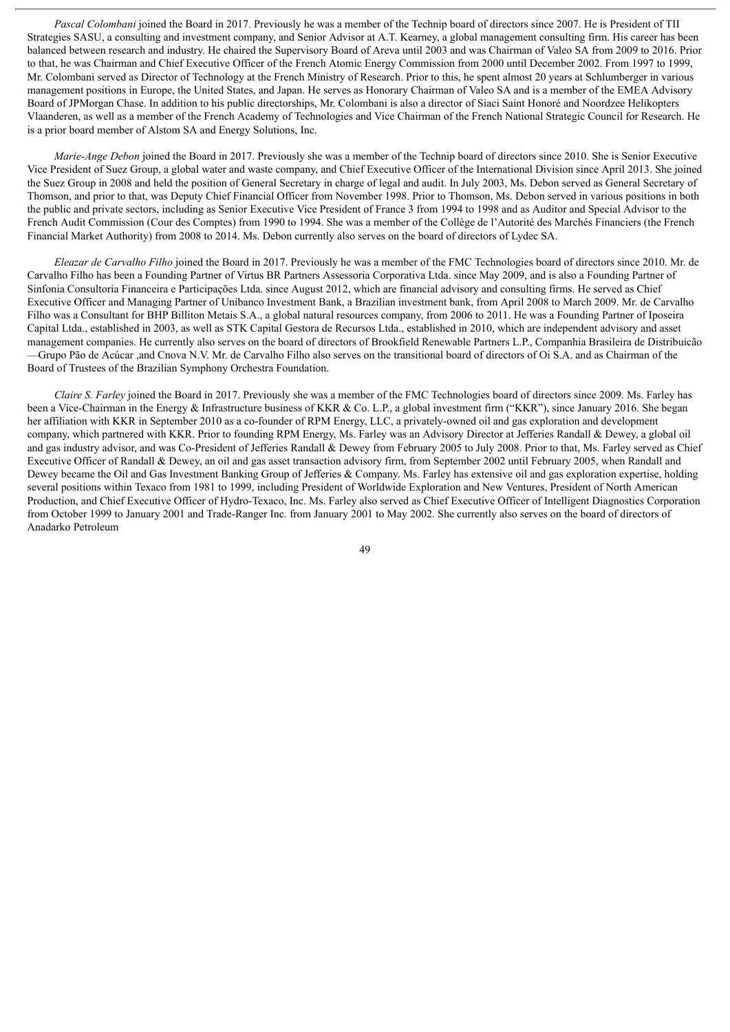*Pascal Colombani* joined the Board in 2017. Previously he was a member of the Technip board of directors since 2007. He is President of TII Strategies SASU, a consulting and investment company, and Senior Advisor at A.T. Kearney, a global management consulting firm. His career has been balanced between research and industry. He chaired the Supervisory Board of Areva until 2003 and was Chairman of Valeo SA from 2009 to 2016. Prior to that, he was Chairman and Chief Executive Officer of the French Atomic Energy Commission from 2000 until December 2002. From 1997 to 1999, Mr. Colombani served as Director of Technology at the French Ministry of Research. Prior to this, he spent almost 20 years at Schlumberger in various management positions in Europe, the United States, and Japan. He serves as Honorary Chairman of Valeo SA and is a member of the EMEA Advisory Board of JPMorgan Chase. In addition to his public directorships, Mr. Colombani is also a director of Siaci Saint Honoré and Noordzee Helikopters Vlaanderen, as well as a member of the French Academy of Technologies and Vice Chairman of the French National Strategic Council for Research. He is a prior board member of Alstom SA and Energy Solutions, Inc.

*Marie-Ange Debon* joined the Board in 2017. Previously she was a member of the Technip board of directors since 2010. She is Senior Executive Vice President of Suez Group, a global water and waste company, and Chief Executive Officer of the International Division since April 2013. She joined the Suez Group in 2008 and held the position of General Secretary in charge of legal and audit. In July 2003, Ms. Debon served as General Secretary of Thomson, and prior to that, was Deputy Chief Financial Officer from November 1998. Prior to Thomson, Ms. Debon served in various positions in both the public and private sectors, including as Senior Executive Vice President of France 3 from 1994 to 1998 and as Auditor and Special Advisor to the French Audit Commission (Cour des Comptes) from 1990 to 1994. She was a member of the Collège de l'Autorité des Marchés Financiers (the French Financial Market Authority) from 2008 to 2014. Ms. Debon currently also serves on the board of directors of Lydec SA.

*Eleazar de Carvalho Filho* joined the Board in 2017. Previously he was a member of the FMC Technologies board of directors since 2010. Mr. de Carvalho Filho has been a Founding Partner of Virtus BR Partners Assessoria Corporativa Ltda. since May 2009, and is also a Founding Partner of Sinfonia Consultoria Financeira e Participações Ltda. since August 2012, which are financial advisory and consulting firms. He served as Chief Executive Officer and Managing Partner of Unibanco Investment Bank, a Brazilian investment bank, from April 2008 to March 2009. Mr. de Carvalho Filho was a Consultant for BHP Billiton Metais S.A., a global natural resources company, from 2006 to 2011. He was a Founding Partner of Iposeira Capital Ltda., established in 2003, as well as STK Capital Gestora de Recursos Ltda., established in 2010, which are independent advisory and asset management companies. He currently also serves on the board of directors of Brookfield Renewable Partners L.P., Companhia Brasileira de Distribuicão —Grupo Pão de Acúcar ,and Cnova N.V. Mr. de Carvalho Filho also serves on the transitional board of directors of Oi S.A. and as Chairman of the Board of Trustees of the Brazilian Symphony Orchestra Foundation.

*Claire S. Farley* joined the Board in 2017. Previously she was a member of the FMC Technologies board of directors since 2009. Ms. Farley has been a Vice-Chairman in the Energy & Infrastructure business of KKR & Co. L.P., a global investment firm ("KKR"), since January 2016. She began her affiliation with KKR in September 2010 as a co-founder of RPM Energy, LLC, a privately-owned oil and gas exploration and development company, which partnered with KKR. Prior to founding RPM Energy, Ms. Farley was an Advisory Director at Jefferies Randall & Dewey, a global oil and gas industry advisor, and was Co-President of Jefferies Randall & Dewey from February 2005 to July 2008. Prior to that, Ms. Farley served as Chief Executive Officer of Randall & Dewey, an oil and gas asset transaction advisory firm, from September 2002 until February 2005, when Randall and Dewey became the Oil and Gas Investment Banking Group of Jefferies & Company. Ms. Farley has extensive oil and gas exploration expertise, holding several positions within Texaco from 1981 to 1999, including President of Worldwide Exploration and New Ventures, President of North American Production, and Chief Executive Officer of Hydro-Texaco, Inc. Ms. Farley also served as Chief Executive Officer of Intelligent Diagnostics Corporation from October 1999 to January 2001 and Trade-Ranger Inc. from January 2001 to May 2002. She currently also serves on the board of directors of Anadarko Petroleum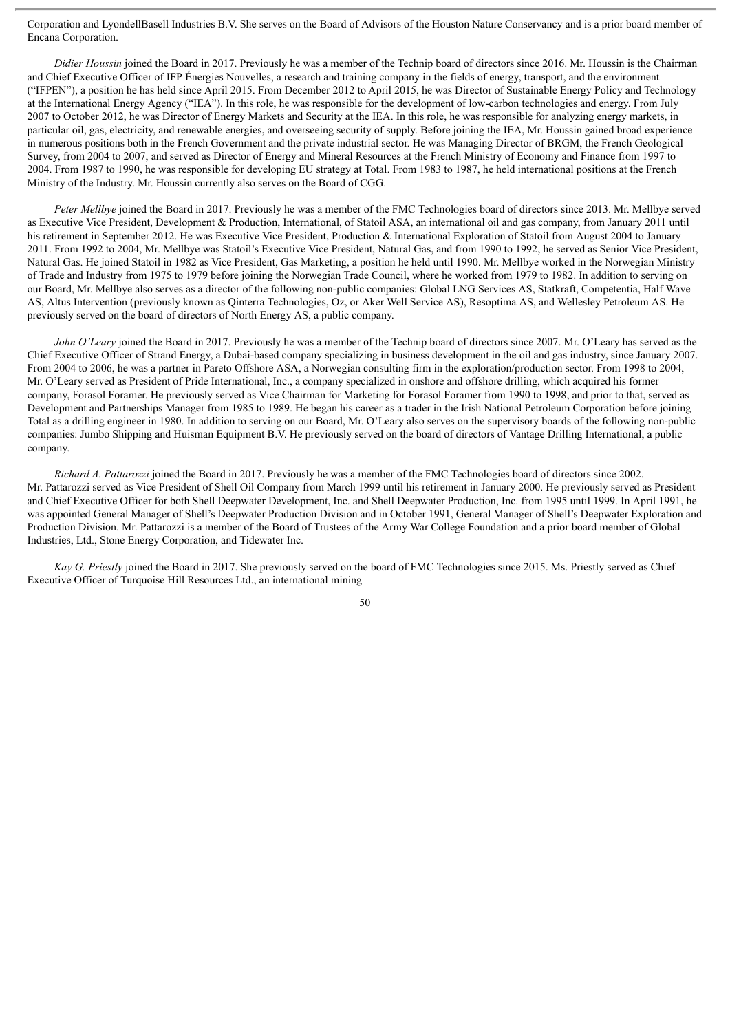Corporation and LyondellBasell Industries B.V. She serves on the Board of Advisors of the Houston Nature Conservancy and is a prior board member of Encana Corporation.

*Didier Houssin* joined the Board in 2017. Previously he was a member of the Technip board of directors since 2016. Mr. Houssin is the Chairman and Chief Executive Officer of IFP Énergies Nouvelles, a research and training company in the fields of energy, transport, and the environment ("IFPEN"), a position he has held since April 2015. From December 2012 to April 2015, he was Director of Sustainable Energy Policy and Technology at the International Energy Agency ("IEA"). In this role, he was responsible for the development of low-carbon technologies and energy. From July 2007 to October 2012, he was Director of Energy Markets and Security at the IEA. In this role, he was responsible for analyzing energy markets, in particular oil, gas, electricity, and renewable energies, and overseeing security of supply. Before joining the IEA, Mr. Houssin gained broad experience in numerous positions both in the French Government and the private industrial sector. He was Managing Director of BRGM, the French Geological Survey, from 2004 to 2007, and served as Director of Energy and Mineral Resources at the French Ministry of Economy and Finance from 1997 to 2004. From 1987 to 1990, he was responsible for developing EU strategy at Total. From 1983 to 1987, he held international positions at the French Ministry of the Industry. Mr. Houssin currently also serves on the Board of CGG.

*Peter Mellbye* joined the Board in 2017. Previously he was a member of the FMC Technologies board of directors since 2013. Mr. Mellbye served as Executive Vice President, Development & Production, International, of Statoil ASA, an international oil and gas company, from January 2011 until his retirement in September 2012. He was Executive Vice President, Production & International Exploration of Statoil from August 2004 to January 2011. From 1992 to 2004, Mr. Mellbye was Statoil's Executive Vice President, Natural Gas, and from 1990 to 1992, he served as Senior Vice President, Natural Gas. He joined Statoil in 1982 as Vice President, Gas Marketing, a position he held until 1990. Mr. Mellbye worked in the Norwegian Ministry of Trade and Industry from 1975 to 1979 before joining the Norwegian Trade Council, where he worked from 1979 to 1982. In addition to serving on our Board, Mr. Mellbye also serves as a director of the following non-public companies: Global LNG Services AS, Statkraft, Competentia, Half Wave AS, Altus Intervention (previously known as Qinterra Technologies, Oz, or Aker Well Service AS), Resoptima AS, and Wellesley Petroleum AS. He previously served on the board of directors of North Energy AS, a public company.

*John O'Leary* joined the Board in 2017. Previously he was a member of the Technip board of directors since 2007. Mr. O'Leary has served as the Chief Executive Officer of Strand Energy, a Dubai-based company specializing in business development in the oil and gas industry, since January 2007. From 2004 to 2006, he was a partner in Pareto Offshore ASA, a Norwegian consulting firm in the exploration/production sector. From 1998 to 2004, Mr. O'Leary served as President of Pride International, Inc., a company specialized in onshore and offshore drilling, which acquired his former company, Forasol Foramer. He previously served as Vice Chairman for Marketing for Forasol Foramer from 1990 to 1998, and prior to that, served as Development and Partnerships Manager from 1985 to 1989. He began his career as a trader in the Irish National Petroleum Corporation before joining Total as a drilling engineer in 1980. In addition to serving on our Board, Mr. O'Leary also serves on the supervisory boards of the following non-public companies: Jumbo Shipping and Huisman Equipment B.V. He previously served on the board of directors of Vantage Drilling International, a public company.

*Richard A. Pattarozzi* joined the Board in 2017. Previously he was a member of the FMC Technologies board of directors since 2002. Mr. Pattarozzi served as Vice President of Shell Oil Company from March 1999 until his retirement in January 2000. He previously served as President and Chief Executive Officer for both Shell Deepwater Development, Inc. and Shell Deepwater Production, Inc. from 1995 until 1999. In April 1991, he was appointed General Manager of Shell's Deepwater Production Division and in October 1991, General Manager of Shell's Deepwater Exploration and Production Division. Mr. Pattarozzi is a member of the Board of Trustees of the Army War College Foundation and a prior board member of Global Industries, Ltd., Stone Energy Corporation, and Tidewater Inc.

*Kay G. Priestly* joined the Board in 2017. She previously served on the board of FMC Technologies since 2015. Ms. Priestly served as Chief Executive Officer of Turquoise Hill Resources Ltd., an international mining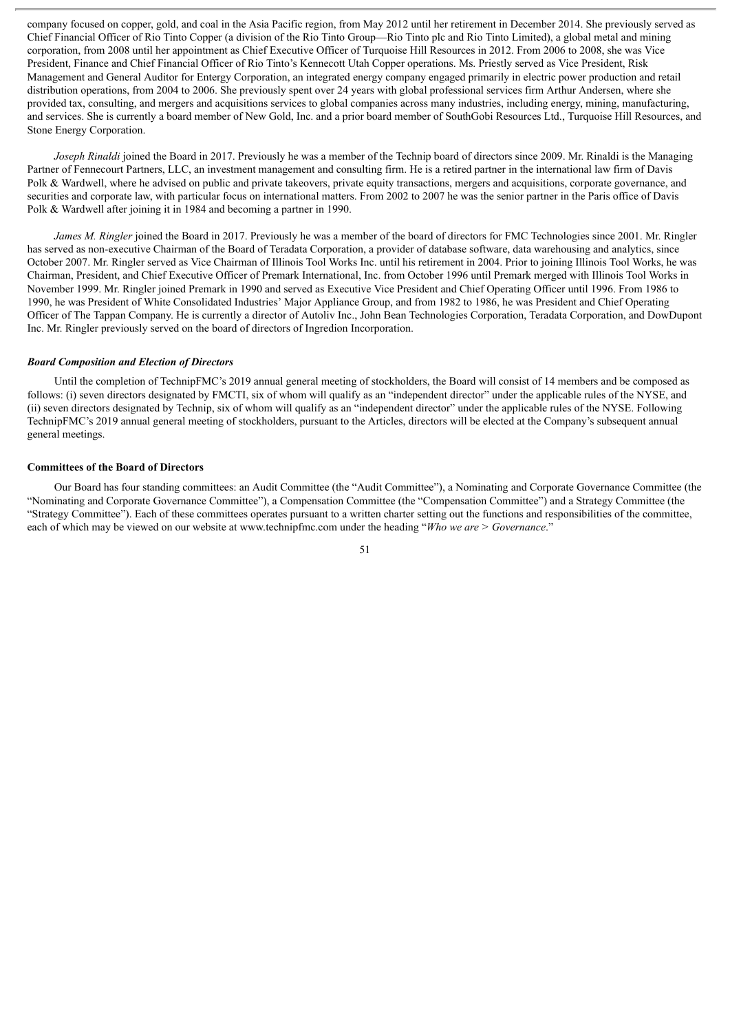company focused on copper, gold, and coal in the Asia Pacific region, from May 2012 until her retirement in December 2014. She previously served as Chief Financial Officer of Rio Tinto Copper (a division of the Rio Tinto Group—Rio Tinto plc and Rio Tinto Limited), a global metal and mining corporation, from 2008 until her appointment as Chief Executive Officer of Turquoise Hill Resources in 2012. From 2006 to 2008, she was Vice President, Finance and Chief Financial Officer of Rio Tinto's Kennecott Utah Copper operations. Ms. Priestly served as Vice President, Risk Management and General Auditor for Entergy Corporation, an integrated energy company engaged primarily in electric power production and retail distribution operations, from 2004 to 2006. She previously spent over 24 years with global professional services firm Arthur Andersen, where she provided tax, consulting, and mergers and acquisitions services to global companies across many industries, including energy, mining, manufacturing, and services. She is currently a board member of New Gold, Inc. and a prior board member of SouthGobi Resources Ltd., Turquoise Hill Resources, and Stone Energy Corporation.

*Joseph Rinaldi* joined the Board in 2017. Previously he was a member of the Technip board of directors since 2009. Mr. Rinaldi is the Managing Partner of Fennecourt Partners, LLC, an investment management and consulting firm. He is a retired partner in the international law firm of Davis Polk & Wardwell, where he advised on public and private takeovers, private equity transactions, mergers and acquisitions, corporate governance, and securities and corporate law, with particular focus on international matters. From 2002 to 2007 he was the senior partner in the Paris office of Davis Polk & Wardwell after joining it in 1984 and becoming a partner in 1990.

*James M. Ringler* joined the Board in 2017. Previously he was a member of the board of directors for FMC Technologies since 2001. Mr. Ringler has served as non-executive Chairman of the Board of Teradata Corporation, a provider of database software, data warehousing and analytics, since October 2007. Mr. Ringler served as Vice Chairman of Illinois Tool Works Inc. until his retirement in 2004. Prior to joining Illinois Tool Works, he was Chairman, President, and Chief Executive Officer of Premark International, Inc. from October 1996 until Premark merged with Illinois Tool Works in November 1999. Mr. Ringler joined Premark in 1990 and served as Executive Vice President and Chief Operating Officer until 1996. From 1986 to 1990, he was President of White Consolidated Industries' Major Appliance Group, and from 1982 to 1986, he was President and Chief Operating Officer of The Tappan Company. He is currently a director of Autoliv Inc., John Bean Technologies Corporation, Teradata Corporation, and DowDupont Inc. Mr. Ringler previously served on the board of directors of Ingredion Incorporation.

## *Board Composition and Election of Directors*

Until the completion of TechnipFMC's 2019 annual general meeting of stockholders, the Board will consist of 14 members and be composed as follows: (i) seven directors designated by FMCTI, six of whom will qualify as an "independent director" under the applicable rules of the NYSE, and (ii) seven directors designated by Technip, six of whom will qualify as an "independent director" under the applicable rules of the NYSE. Following TechnipFMC's 2019 annual general meeting of stockholders, pursuant to the Articles, directors will be elected at the Company's subsequent annual general meetings.

## **Committees of the Board of Directors**

Our Board has four standing committees: an Audit Committee (the "Audit Committee"), a Nominating and Corporate Governance Committee (the "Nominating and Corporate Governance Committee"), a Compensation Committee (the "Compensation Committee") and a Strategy Committee (the "Strategy Committee"). Each of these committees operates pursuant to a written charter setting out the functions and responsibilities of the committee, each of which may be viewed on our website at www.technipfmc.com under the heading "*Who we are > Governance*."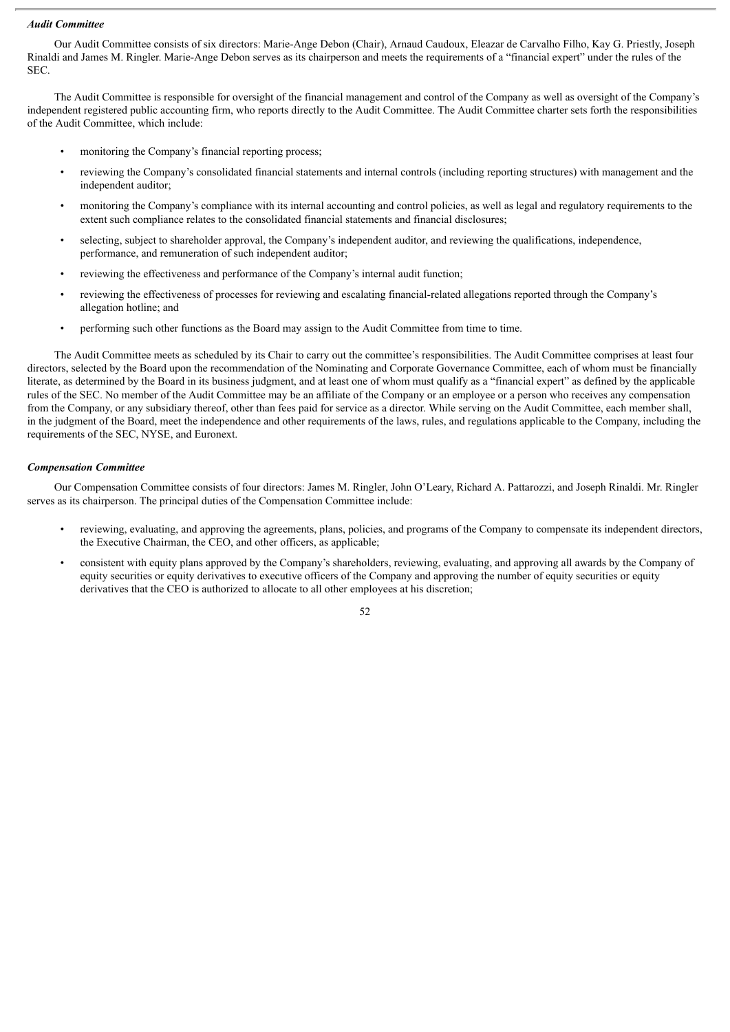#### *Audit Committee*

Our Audit Committee consists of six directors: Marie-Ange Debon (Chair), Arnaud Caudoux, Eleazar de Carvalho Filho, Kay G. Priestly, Joseph Rinaldi and James M. Ringler. Marie-Ange Debon serves as its chairperson and meets the requirements of a "financial expert" under the rules of the SEC.

The Audit Committee is responsible for oversight of the financial management and control of the Company as well as oversight of the Company's independent registered public accounting firm, who reports directly to the Audit Committee. The Audit Committee charter sets forth the responsibilities of the Audit Committee, which include:

- monitoring the Company's financial reporting process;
- reviewing the Company's consolidated financial statements and internal controls (including reporting structures) with management and the independent auditor;
- monitoring the Company's compliance with its internal accounting and control policies, as well as legal and regulatory requirements to the extent such compliance relates to the consolidated financial statements and financial disclosures;
- selecting, subject to shareholder approval, the Company's independent auditor, and reviewing the qualifications, independence, performance, and remuneration of such independent auditor;
- reviewing the effectiveness and performance of the Company's internal audit function;
- reviewing the effectiveness of processes for reviewing and escalating financial-related allegations reported through the Company's allegation hotline; and
- performing such other functions as the Board may assign to the Audit Committee from time to time.

The Audit Committee meets as scheduled by its Chair to carry out the committee's responsibilities. The Audit Committee comprises at least four directors, selected by the Board upon the recommendation of the Nominating and Corporate Governance Committee, each of whom must be financially literate, as determined by the Board in its business judgment, and at least one of whom must qualify as a "financial expert" as defined by the applicable rules of the SEC. No member of the Audit Committee may be an affiliate of the Company or an employee or a person who receives any compensation from the Company, or any subsidiary thereof, other than fees paid for service as a director. While serving on the Audit Committee, each member shall, in the judgment of the Board, meet the independence and other requirements of the laws, rules, and regulations applicable to the Company, including the requirements of the SEC, NYSE, and Euronext.

## *Compensation Committee*

Our Compensation Committee consists of four directors: James M. Ringler, John O'Leary, Richard A. Pattarozzi, and Joseph Rinaldi. Mr. Ringler serves as its chairperson. The principal duties of the Compensation Committee include:

- reviewing, evaluating, and approving the agreements, plans, policies, and programs of the Company to compensate its independent directors, the Executive Chairman, the CEO, and other officers, as applicable;
- consistent with equity plans approved by the Company's shareholders, reviewing, evaluating, and approving all awards by the Company of equity securities or equity derivatives to executive officers of the Company and approving the number of equity securities or equity derivatives that the CEO is authorized to allocate to all other employees at his discretion;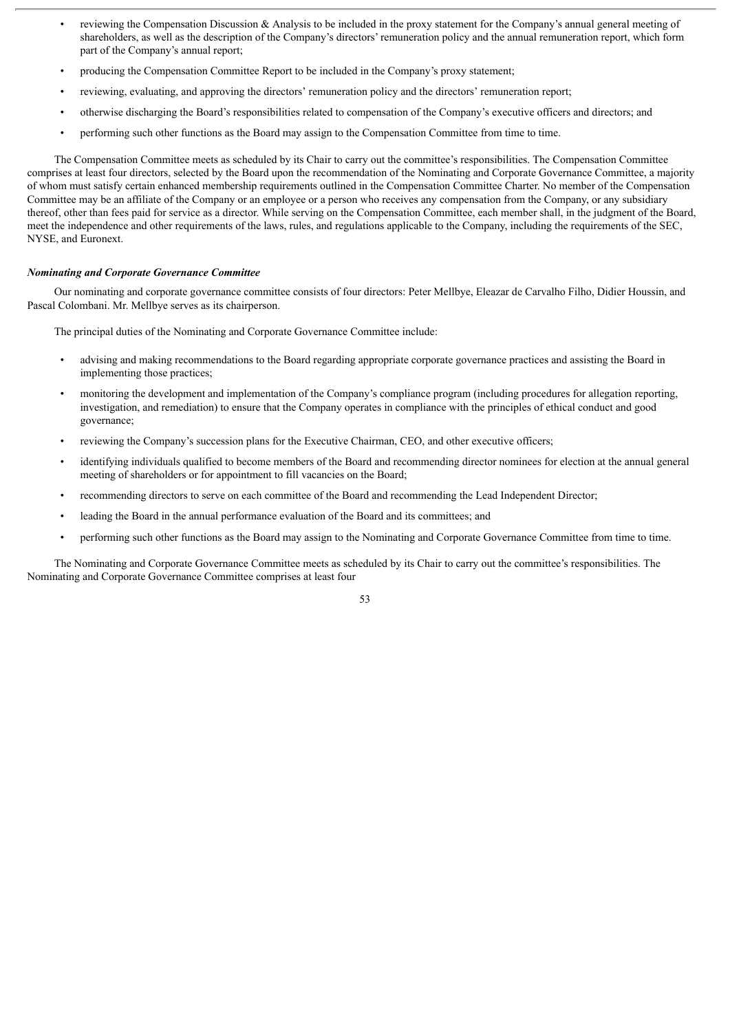- reviewing the Compensation Discussion & Analysis to be included in the proxy statement for the Company's annual general meeting of shareholders, as well as the description of the Company's directors' remuneration policy and the annual remuneration report, which form part of the Company's annual report;
- producing the Compensation Committee Report to be included in the Company's proxy statement;
- reviewing, evaluating, and approving the directors' remuneration policy and the directors' remuneration report;
- otherwise discharging the Board's responsibilities related to compensation of the Company's executive officers and directors; and
- performing such other functions as the Board may assign to the Compensation Committee from time to time.

The Compensation Committee meets as scheduled by its Chair to carry out the committee's responsibilities. The Compensation Committee comprises at least four directors, selected by the Board upon the recommendation of the Nominating and Corporate Governance Committee, a majority of whom must satisfy certain enhanced membership requirements outlined in the Compensation Committee Charter. No member of the Compensation Committee may be an affiliate of the Company or an employee or a person who receives any compensation from the Company, or any subsidiary thereof, other than fees paid for service as a director. While serving on the Compensation Committee, each member shall, in the judgment of the Board, meet the independence and other requirements of the laws, rules, and regulations applicable to the Company, including the requirements of the SEC, NYSE, and Euronext.

## *Nominating and Corporate Governance Committee*

Our nominating and corporate governance committee consists of four directors: Peter Mellbye, Eleazar de Carvalho Filho, Didier Houssin, and Pascal Colombani. Mr. Mellbye serves as its chairperson.

The principal duties of the Nominating and Corporate Governance Committee include:

- advising and making recommendations to the Board regarding appropriate corporate governance practices and assisting the Board in implementing those practices;
- monitoring the development and implementation of the Company's compliance program (including procedures for allegation reporting, investigation, and remediation) to ensure that the Company operates in compliance with the principles of ethical conduct and good governance;
- reviewing the Company's succession plans for the Executive Chairman, CEO, and other executive officers;
- identifying individuals qualified to become members of the Board and recommending director nominees for election at the annual general meeting of shareholders or for appointment to fill vacancies on the Board;
- recommending directors to serve on each committee of the Board and recommending the Lead Independent Director;
- leading the Board in the annual performance evaluation of the Board and its committees; and
- performing such other functions as the Board may assign to the Nominating and Corporate Governance Committee from time to time.

The Nominating and Corporate Governance Committee meets as scheduled by its Chair to carry out the committee's responsibilities. The Nominating and Corporate Governance Committee comprises at least four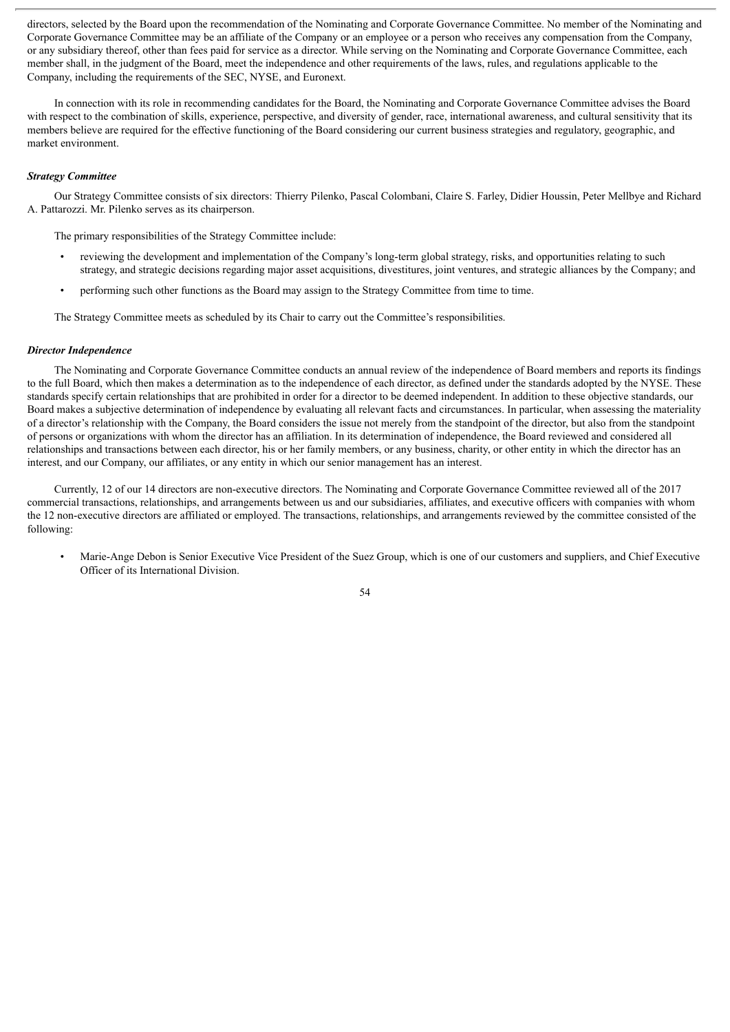directors, selected by the Board upon the recommendation of the Nominating and Corporate Governance Committee. No member of the Nominating and Corporate Governance Committee may be an affiliate of the Company or an employee or a person who receives any compensation from the Company, or any subsidiary thereof, other than fees paid for service as a director. While serving on the Nominating and Corporate Governance Committee, each member shall, in the judgment of the Board, meet the independence and other requirements of the laws, rules, and regulations applicable to the Company, including the requirements of the SEC, NYSE, and Euronext.

In connection with its role in recommending candidates for the Board, the Nominating and Corporate Governance Committee advises the Board with respect to the combination of skills, experience, perspective, and diversity of gender, race, international awareness, and cultural sensitivity that its members believe are required for the effective functioning of the Board considering our current business strategies and regulatory, geographic, and market environment.

#### *Strategy Committee*

Our Strategy Committee consists of six directors: Thierry Pilenko, Pascal Colombani, Claire S. Farley, Didier Houssin, Peter Mellbye and Richard A. Pattarozzi. Mr. Pilenko serves as its chairperson.

The primary responsibilities of the Strategy Committee include:

- reviewing the development and implementation of the Company's long-term global strategy, risks, and opportunities relating to such strategy, and strategic decisions regarding major asset acquisitions, divestitures, joint ventures, and strategic alliances by the Company; and
- performing such other functions as the Board may assign to the Strategy Committee from time to time.

The Strategy Committee meets as scheduled by its Chair to carry out the Committee's responsibilities.

#### *Director Independence*

The Nominating and Corporate Governance Committee conducts an annual review of the independence of Board members and reports its findings to the full Board, which then makes a determination as to the independence of each director, as defined under the standards adopted by the NYSE. These standards specify certain relationships that are prohibited in order for a director to be deemed independent. In addition to these objective standards, our Board makes a subjective determination of independence by evaluating all relevant facts and circumstances. In particular, when assessing the materiality of a director's relationship with the Company, the Board considers the issue not merely from the standpoint of the director, but also from the standpoint of persons or organizations with whom the director has an affiliation. In its determination of independence, the Board reviewed and considered all relationships and transactions between each director, his or her family members, or any business, charity, or other entity in which the director has an interest, and our Company, our affiliates, or any entity in which our senior management has an interest.

Currently, 12 of our 14 directors are non-executive directors. The Nominating and Corporate Governance Committee reviewed all of the 2017 commercial transactions, relationships, and arrangements between us and our subsidiaries, affiliates, and executive officers with companies with whom the 12 non-executive directors are affiliated or employed. The transactions, relationships, and arrangements reviewed by the committee consisted of the following:

• Marie-Ange Debon is Senior Executive Vice President of the Suez Group, which is one of our customers and suppliers, and Chief Executive Officer of its International Division.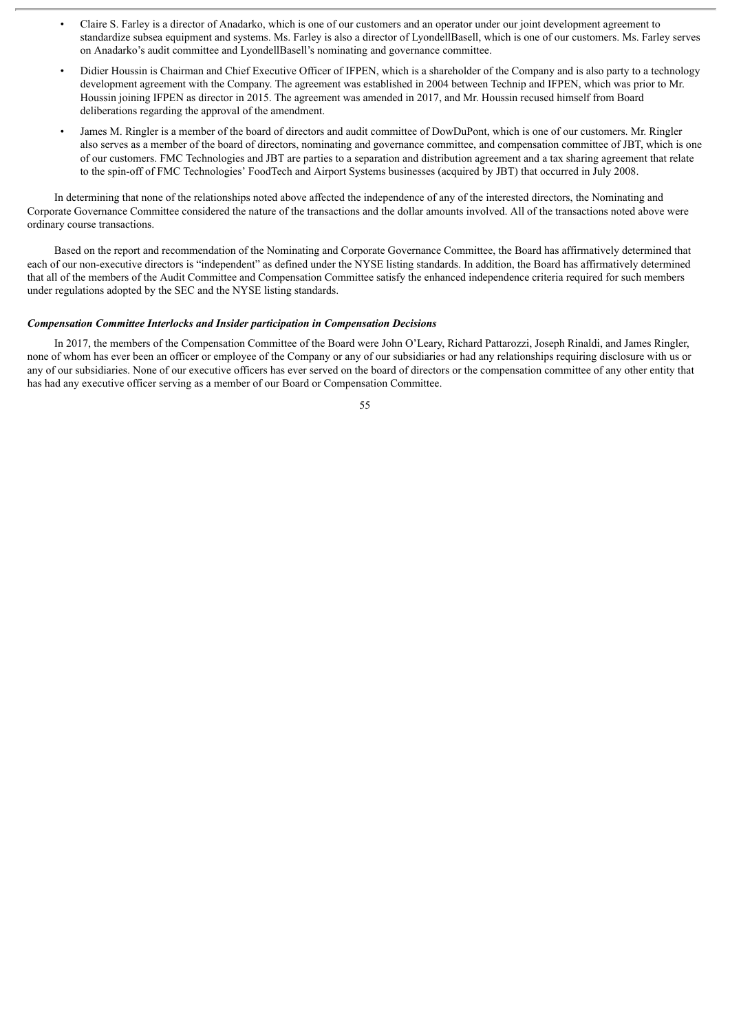- Claire S. Farley is a director of Anadarko, which is one of our customers and an operator under our joint development agreement to standardize subsea equipment and systems. Ms. Farley is also a director of LyondellBasell, which is one of our customers. Ms. Farley serves on Anadarko's audit committee and LyondellBasell's nominating and governance committee.
- Didier Houssin is Chairman and Chief Executive Officer of IFPEN, which is a shareholder of the Company and is also party to a technology development agreement with the Company. The agreement was established in 2004 between Technip and IFPEN, which was prior to Mr. Houssin joining IFPEN as director in 2015. The agreement was amended in 2017, and Mr. Houssin recused himself from Board deliberations regarding the approval of the amendment.
- James M. Ringler is a member of the board of directors and audit committee of DowDuPont, which is one of our customers. Mr. Ringler also serves as a member of the board of directors, nominating and governance committee, and compensation committee of JBT, which is one of our customers. FMC Technologies and JBT are parties to a separation and distribution agreement and a tax sharing agreement that relate to the spin-off of FMC Technologies' FoodTech and Airport Systems businesses (acquired by JBT) that occurred in July 2008.

In determining that none of the relationships noted above affected the independence of any of the interested directors, the Nominating and Corporate Governance Committee considered the nature of the transactions and the dollar amounts involved. All of the transactions noted above were ordinary course transactions.

Based on the report and recommendation of the Nominating and Corporate Governance Committee, the Board has affirmatively determined that each of our non-executive directors is "independent" as defined under the NYSE listing standards. In addition, the Board has affirmatively determined that all of the members of the Audit Committee and Compensation Committee satisfy the enhanced independence criteria required for such members under regulations adopted by the SEC and the NYSE listing standards.

# *Compensation Committee Interlocks and Insider participation in Compensation Decisions*

In 2017, the members of the Compensation Committee of the Board were John O'Leary, Richard Pattarozzi, Joseph Rinaldi, and James Ringler, none of whom has ever been an officer or employee of the Company or any of our subsidiaries or had any relationships requiring disclosure with us or any of our subsidiaries. None of our executive officers has ever served on the board of directors or the compensation committee of any other entity that has had any executive officer serving as a member of our Board or Compensation Committee.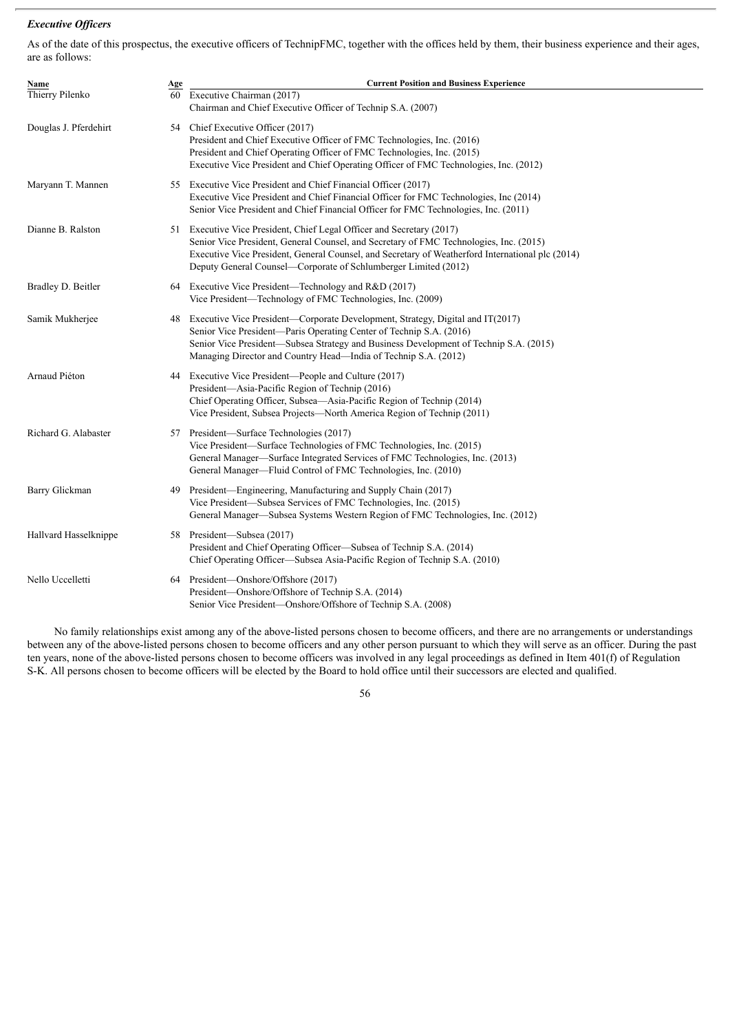# *Executive Of icers*

As of the date of this prospectus, the executive officers of TechnipFMC, together with the offices held by them, their business experience and their ages, are as follows:

| Name                  | Age | <b>Current Position and Business Experience</b>                                                                                                                                                                                                                                                                                        |
|-----------------------|-----|----------------------------------------------------------------------------------------------------------------------------------------------------------------------------------------------------------------------------------------------------------------------------------------------------------------------------------------|
| Thierry Pilenko       |     | $\overline{60}$ Executive Chairman (2017)<br>Chairman and Chief Executive Officer of Technip S.A. (2007)                                                                                                                                                                                                                               |
| Douglas J. Pferdehirt |     | 54 Chief Executive Officer (2017)<br>President and Chief Executive Officer of FMC Technologies, Inc. (2016)<br>President and Chief Operating Officer of FMC Technologies, Inc. (2015)<br>Executive Vice President and Chief Operating Officer of FMC Technologies, Inc. (2012)                                                         |
| Maryann T. Mannen     |     | 55 Executive Vice President and Chief Financial Officer (2017)<br>Executive Vice President and Chief Financial Officer for FMC Technologies, Inc (2014)<br>Senior Vice President and Chief Financial Officer for FMC Technologies, Inc. (2011)                                                                                         |
| Dianne B. Ralston     |     | 51 Executive Vice President, Chief Legal Officer and Secretary (2017)<br>Senior Vice President, General Counsel, and Secretary of FMC Technologies, Inc. (2015)<br>Executive Vice President, General Counsel, and Secretary of Weatherford International plc (2014)<br>Deputy General Counsel—Corporate of Schlumberger Limited (2012) |
| Bradley D. Beitler    |     | 64 Executive Vice President—Technology and R&D (2017)<br>Vice President—Technology of FMC Technologies, Inc. (2009)                                                                                                                                                                                                                    |
| Samik Mukherjee       |     | 48 Executive Vice President—Corporate Development, Strategy, Digital and IT(2017)<br>Senior Vice President—Paris Operating Center of Technip S.A. (2016)<br>Senior Vice President—Subsea Strategy and Business Development of Technip S.A. (2015)<br>Managing Director and Country Head—India of Technip S.A. (2012)                   |
| Arnaud Piéton         |     | 44 Executive Vice President—People and Culture (2017)<br>President—Asia-Pacific Region of Technip (2016)<br>Chief Operating Officer, Subsea—Asia-Pacific Region of Technip (2014)<br>Vice President, Subsea Projects—North America Region of Technip (2011)                                                                            |
| Richard G. Alabaster  |     | 57 President—Surface Technologies (2017)<br>Vice President—Surface Technologies of FMC Technologies, Inc. (2015)<br>General Manager-Surface Integrated Services of FMC Technologies, Inc. (2013)<br>General Manager-Fluid Control of FMC Technologies, Inc. (2010)                                                                     |
| Barry Glickman        |     | 49 President—Engineering, Manufacturing and Supply Chain (2017)<br>Vice President—Subsea Services of FMC Technologies, Inc. (2015)<br>General Manager-Subsea Systems Western Region of FMC Technologies, Inc. (2012)                                                                                                                   |
| Hallvard Hasselknippe |     | 58 President-Subsea (2017)<br>President and Chief Operating Officer-Subsea of Technip S.A. (2014)<br>Chief Operating Officer—Subsea Asia-Pacific Region of Technip S.A. (2010)                                                                                                                                                         |
| Nello Uccelletti      |     | 64 President-Onshore/Offshore (2017)<br>President—Onshore/Offshore of Technip S.A. (2014)<br>Senior Vice President-Onshore/Offshore of Technip S.A. (2008)                                                                                                                                                                             |

No family relationships exist among any of the above-listed persons chosen to become officers, and there are no arrangements or understandings between any of the above-listed persons chosen to become officers and any other person pursuant to which they will serve as an officer. During the past ten years, none of the above-listed persons chosen to become officers was involved in any legal proceedings as defined in Item 401(f) of Regulation S-K. All persons chosen to become officers will be elected by the Board to hold office until their successors are elected and qualified.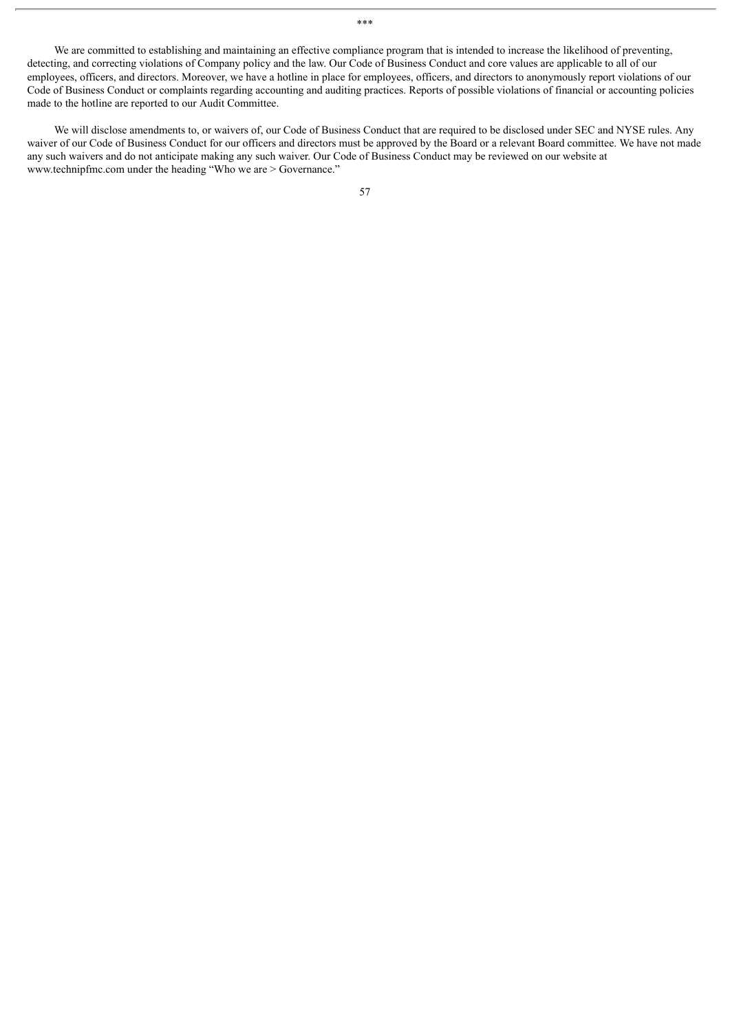We are committed to establishing and maintaining an effective compliance program that is intended to increase the likelihood of preventing, detecting, and correcting violations of Company policy and the law. Our Code of Business Conduct and core values are applicable to all of our employees, officers, and directors. Moreover, we have a hotline in place for employees, officers, and directors to anonymously report violations of our Code of Business Conduct or complaints regarding accounting and auditing practices. Reports of possible violations of financial or accounting policies made to the hotline are reported to our Audit Committee.

We will disclose amendments to, or waivers of, our Code of Business Conduct that are required to be disclosed under SEC and NYSE rules. Any waiver of our Code of Business Conduct for our officers and directors must be approved by the Board or a relevant Board committee. We have not made any such waivers and do not anticipate making any such waiver. Our Code of Business Conduct may be reviewed on our website at www.technipfmc.com under the heading "Who we are > Governance."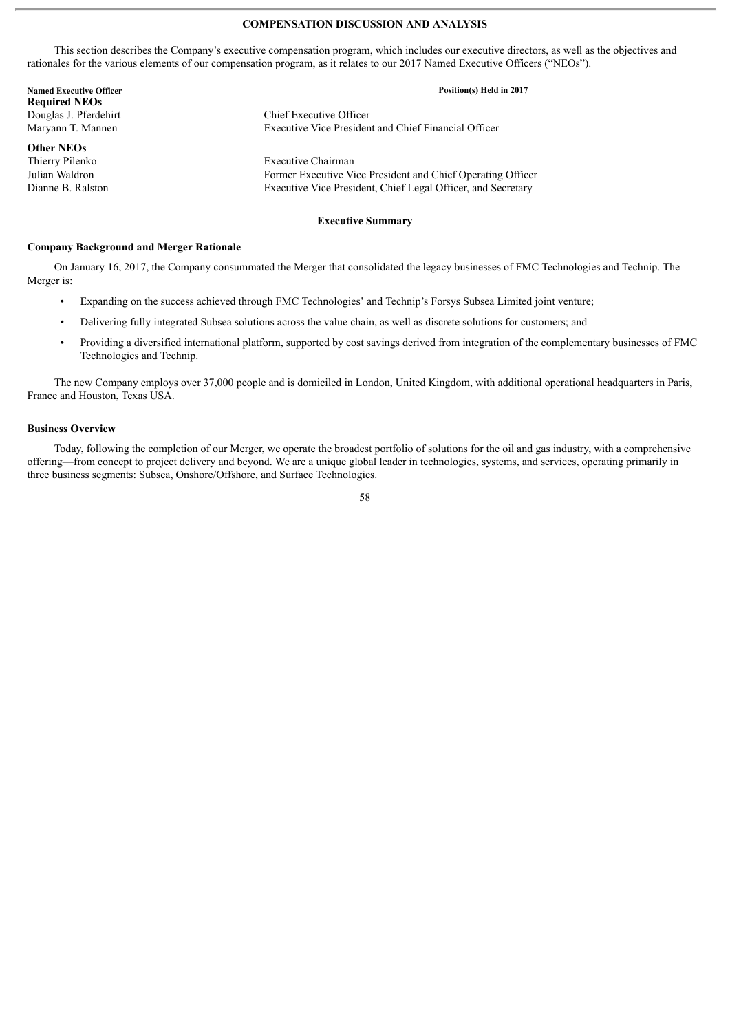# **COMPENSATION DISCUSSION AND ANALYSIS**

This section describes the Company's executive compensation program, which includes our executive directors, as well as the objectives and rationales for the various elements of our compensation program, as it relates to our 2017 Named Executive Officers ("NEOs").

| <b>Named Executive Officer</b> | Position(s) Held in 2017                                     |  |  |  |
|--------------------------------|--------------------------------------------------------------|--|--|--|
| <b>Required NEOs</b>           |                                                              |  |  |  |
| Douglas J. Pferdehirt          | Chief Executive Officer                                      |  |  |  |
| Maryann T. Mannen              | Executive Vice President and Chief Financial Officer         |  |  |  |
| <b>Other NEOs</b>              |                                                              |  |  |  |
| Thierry Pilenko                | Executive Chairman                                           |  |  |  |
| Julian Waldron                 | Former Executive Vice President and Chief Operating Officer  |  |  |  |
| Dianne B. Ralston              | Executive Vice President, Chief Legal Officer, and Secretary |  |  |  |

## **Executive Summary**

# **Company Background and Merger Rationale**

On January 16, 2017, the Company consummated the Merger that consolidated the legacy businesses of FMC Technologies and Technip. The Merger is:

- Expanding on the success achieved through FMC Technologies' and Technip's Forsys Subsea Limited joint venture;
- Delivering fully integrated Subsea solutions across the value chain, as well as discrete solutions for customers; and
- Providing a diversified international platform, supported by cost savings derived from integration of the complementary businesses of FMC Technologies and Technip.

The new Company employs over 37,000 people and is domiciled in London, United Kingdom, with additional operational headquarters in Paris, France and Houston, Texas USA.

# **Business Overview**

Today, following the completion of our Merger, we operate the broadest portfolio of solutions for the oil and gas industry, with a comprehensive offering—from concept to project delivery and beyond. We are a unique global leader in technologies, systems, and services, operating primarily in three business segments: Subsea, Onshore/Offshore, and Surface Technologies.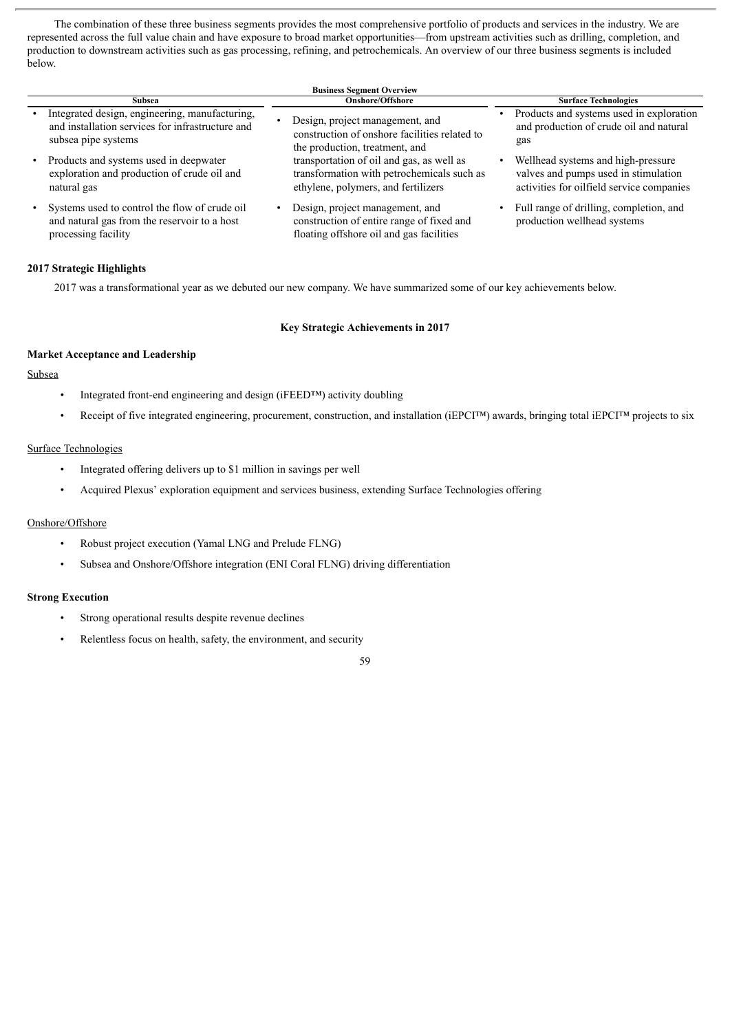The combination of these three business segments provides the most comprehensive portfolio of products and services in the industry. We are represented across the full value chain and have exposure to broad market opportunities—from upstream activities such as drilling, completion, and production to downstream activities such as gas processing, refining, and petrochemicals. An overview of our three business segments is included below.

| <b>Business Segment Overview</b>                                                                                          |  |                                                                                                                                |           |                                                                                                                         |  |  |
|---------------------------------------------------------------------------------------------------------------------------|--|--------------------------------------------------------------------------------------------------------------------------------|-----------|-------------------------------------------------------------------------------------------------------------------------|--|--|
| <b>Subsea</b>                                                                                                             |  | <b>Onshore/Offshore</b>                                                                                                        |           | <b>Surface Technologies</b>                                                                                             |  |  |
| Integrated design, engineering, manufacturing,<br>and installation services for infrastructure and<br>subsea pipe systems |  | Design, project management, and<br>construction of onshore facilities related to<br>the production, treatment, and             |           | Products and systems used in exploration<br>and production of crude oil and natural<br>gas                              |  |  |
| Products and systems used in deepwater<br>exploration and production of crude oil and<br>natural gas                      |  | transportation of oil and gas, as well as<br>transformation with petrochemicals such as<br>ethylene, polymers, and fertilizers | $\bullet$ | Wellhead systems and high-pressure<br>valves and pumps used in stimulation<br>activities for oilfield service companies |  |  |
| Systems used to control the flow of crude oil<br>and natural gas from the reservoir to a host                             |  | Design, project management, and<br>construction of entire range of fixed and                                                   |           | Full range of drilling, completion, and<br>production wellhead systems                                                  |  |  |

floating offshore oil and gas facilities

# **2017 Strategic Highlights**

processing facility

2017 was a transformational year as we debuted our new company. We have summarized some of our key achievements below.

# **Key Strategic Achievements in 2017**

# **Market Acceptance and Leadership**

# **Subsea**

- Integrated front-end engineering and design (iFEED™) activity doubling
- Receipt of five integrated engineering, procurement, construction, and installation (iEPCI™) awards, bringing total iEPCI™ projects to six

# Surface Technologies

- Integrated offering delivers up to \$1 million in savings per well
- Acquired Plexus' exploration equipment and services business, extending Surface Technologies offering

# Onshore/Offshore

- Robust project execution (Yamal LNG and Prelude FLNG)
- Subsea and Onshore/Offshore integration (ENI Coral FLNG) driving differentiation

# **Strong Execution**

- Strong operational results despite revenue declines
- Relentless focus on health, safety, the environment, and security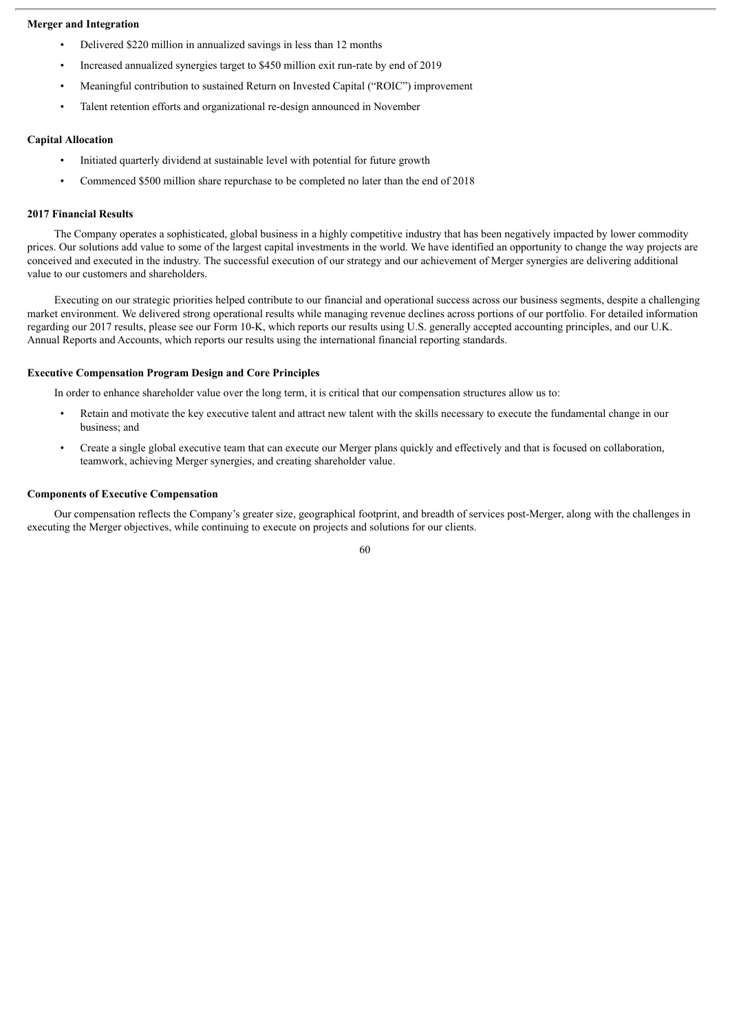## **Merger and Integration**

- Delivered \$220 million in annualized savings in less than 12 months
- Increased annualized synergies target to \$450 million exit run-rate by end of 2019
- Meaningful contribution to sustained Return on Invested Capital ("ROIC") improvement
- Talent retention efforts and organizational re-design announced in November

# **Capital Allocation**

- Initiated quarterly dividend at sustainable level with potential for future growth
- Commenced \$500 million share repurchase to be completed no later than the end of 2018

# **2017 Financial Results**

The Company operates a sophisticated, global business in a highly competitive industry that has been negatively impacted by lower commodity prices. Our solutions add value to some of the largest capital investments in the world. We have identified an opportunity to change the way projects are conceived and executed in the industry. The successful execution of our strategy and our achievement of Merger synergies are delivering additional value to our customers and shareholders.

Executing on our strategic priorities helped contribute to our financial and operational success across our business segments, despite a challenging market environment. We delivered strong operational results while managing revenue declines across portions of our portfolio. For detailed information regarding our 2017 results, please see our Form 10-K, which reports our results using U.S. generally accepted accounting principles, and our U.K. Annual Reports and Accounts, which reports our results using the international financial reporting standards.

## **Executive Compensation Program Design and Core Principles**

In order to enhance shareholder value over the long term, it is critical that our compensation structures allow us to:

- Retain and motivate the key executive talent and attract new talent with the skills necessary to execute the fundamental change in our business; and
- Create a single global executive team that can execute our Merger plans quickly and effectively and that is focused on collaboration, teamwork, achieving Merger synergies, and creating shareholder value.

#### **Components of Executive Compensation**

Our compensation reflects the Company's greater size, geographical footprint, and breadth of services post-Merger, along with the challenges in executing the Merger objectives, while continuing to execute on projects and solutions for our clients.

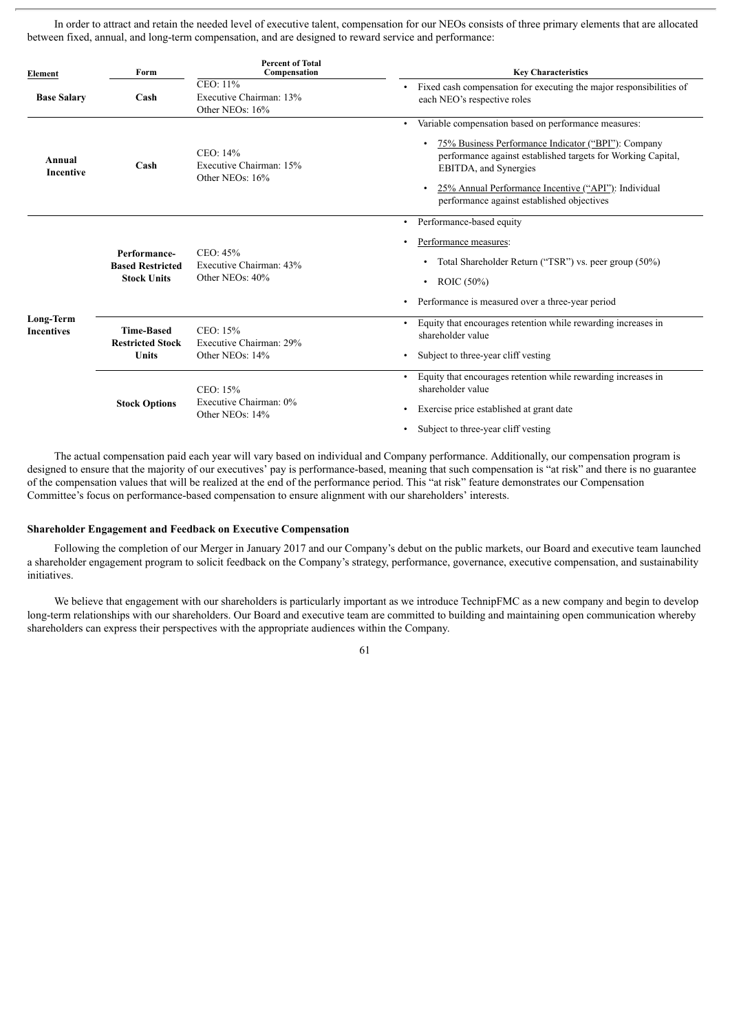In order to attract and retain the needed level of executive talent, compensation for our NEOs consists of three primary elements that are allocated between fixed, annual, and long-term compensation, and are designed to reward service and performance:

| Element                        | Form                                                          | <b>Percent of Total</b><br>Compensation                | <b>Key Characteristics</b>                                                                                                                                                                                                                                                                                              |
|--------------------------------|---------------------------------------------------------------|--------------------------------------------------------|-------------------------------------------------------------------------------------------------------------------------------------------------------------------------------------------------------------------------------------------------------------------------------------------------------------------------|
| <b>Base Salary</b>             | Cash                                                          | CEO: 11%<br>Executive Chairman: 13%<br>Other NEOs: 16% | Fixed cash compensation for executing the major responsibilities of<br>٠<br>each NEO's respective roles                                                                                                                                                                                                                 |
| Annual<br><b>Incentive</b>     | Cash                                                          | CEO: 14%<br>Executive Chairman: 15%<br>Other NEOs: 16% | Variable compensation based on performance measures:<br>$\bullet$<br>75% Business Performance Indicator ("BPI"): Company<br>performance against established targets for Working Capital.<br>EBITDA, and Synergies<br>25% Annual Performance Incentive ("API"): Individual<br>performance against established objectives |
| Long-Term<br><b>Incentives</b> | Performance-<br><b>Based Restricted</b><br><b>Stock Units</b> | CEO: 45%<br>Executive Chairman: 43%<br>Other NEOs: 40% | • Performance-based equity<br>Performance measures:<br>Total Shareholder Return ("TSR") vs. peer group (50%)<br>ROIC $(50\%)$<br>٠<br>Performance is measured over a three-year period                                                                                                                                  |
|                                | <b>Time-Based</b><br><b>Restricted Stock</b><br><b>Units</b>  | CEO: 15%<br>Executive Chairman: 29%<br>Other NEOs: 14% | Equity that encourages retention while rewarding increases in<br>shareholder value<br>Subject to three-year cliff vesting                                                                                                                                                                                               |
|                                | <b>Stock Options</b>                                          | CEO: 15%<br>Executive Chairman: 0%<br>Other NEOs: 14%  | • Equity that encourages retention while rewarding increases in<br>shareholder value<br>Exercise price established at grant date<br>Subject to three-year cliff vesting                                                                                                                                                 |

The actual compensation paid each year will vary based on individual and Company performance. Additionally, our compensation program is designed to ensure that the majority of our executives' pay is performance-based, meaning that such compensation is "at risk" and there is no guarantee of the compensation values that will be realized at the end of the performance period. This "at risk" feature demonstrates our Compensation Committee's focus on performance-based compensation to ensure alignment with our shareholders' interests.

## **Shareholder Engagement and Feedback on Executive Compensation**

Following the completion of our Merger in January 2017 and our Company's debut on the public markets, our Board and executive team launched a shareholder engagement program to solicit feedback on the Company's strategy, performance, governance, executive compensation, and sustainability initiatives.

We believe that engagement with our shareholders is particularly important as we introduce TechnipFMC as a new company and begin to develop long-term relationships with our shareholders. Our Board and executive team are committed to building and maintaining open communication whereby shareholders can express their perspectives with the appropriate audiences within the Company.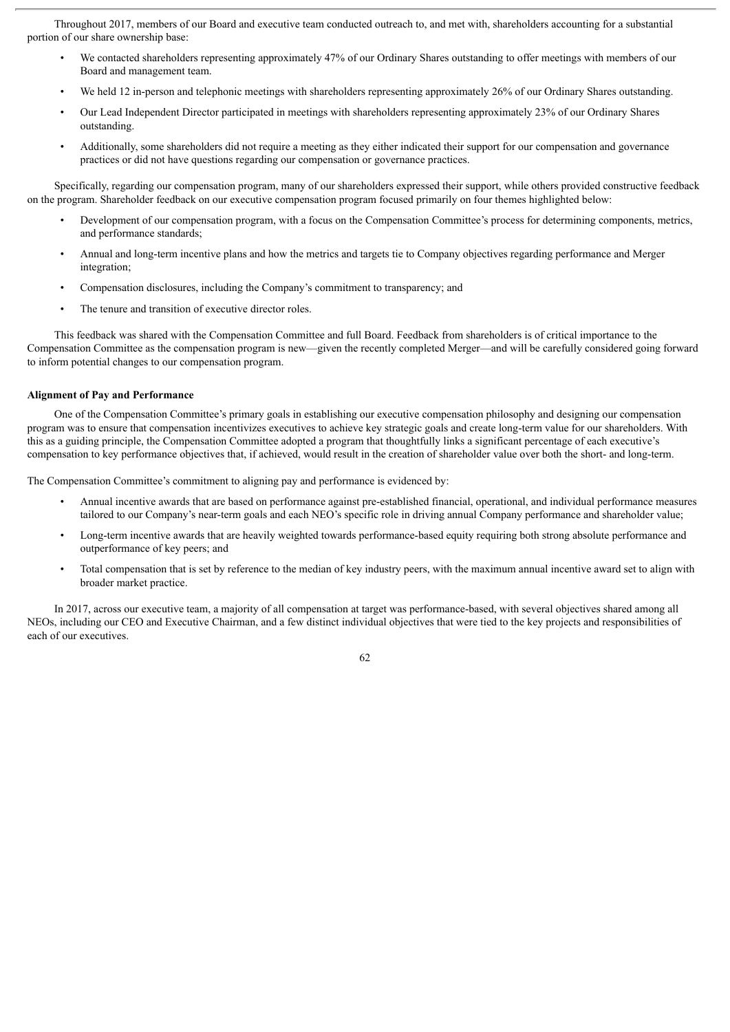Throughout 2017, members of our Board and executive team conducted outreach to, and met with, shareholders accounting for a substantial portion of our share ownership base:

- We contacted shareholders representing approximately 47% of our Ordinary Shares outstanding to offer meetings with members of our Board and management team.
- We held 12 in-person and telephonic meetings with shareholders representing approximately 26% of our Ordinary Shares outstanding.
- Our Lead Independent Director participated in meetings with shareholders representing approximately 23% of our Ordinary Shares outstanding.
- Additionally, some shareholders did not require a meeting as they either indicated their support for our compensation and governance practices or did not have questions regarding our compensation or governance practices.

Specifically, regarding our compensation program, many of our shareholders expressed their support, while others provided constructive feedback on the program. Shareholder feedback on our executive compensation program focused primarily on four themes highlighted below:

- Development of our compensation program, with a focus on the Compensation Committee's process for determining components, metrics, and performance standards;
- Annual and long-term incentive plans and how the metrics and targets tie to Company objectives regarding performance and Merger integration;
- Compensation disclosures, including the Company's commitment to transparency; and
- The tenure and transition of executive director roles.

This feedback was shared with the Compensation Committee and full Board. Feedback from shareholders is of critical importance to the Compensation Committee as the compensation program is new—given the recently completed Merger—and will be carefully considered going forward to inform potential changes to our compensation program.

# **Alignment of Pay and Performance**

One of the Compensation Committee's primary goals in establishing our executive compensation philosophy and designing our compensation program was to ensure that compensation incentivizes executives to achieve key strategic goals and create long-term value for our shareholders. With this as a guiding principle, the Compensation Committee adopted a program that thoughtfully links a significant percentage of each executive's compensation to key performance objectives that, if achieved, would result in the creation of shareholder value over both the short- and long-term.

The Compensation Committee's commitment to aligning pay and performance is evidenced by:

- Annual incentive awards that are based on performance against pre-established financial, operational, and individual performance measures tailored to our Company's near-term goals and each NEO's specific role in driving annual Company performance and shareholder value;
- Long-term incentive awards that are heavily weighted towards performance-based equity requiring both strong absolute performance and outperformance of key peers; and
- Total compensation that is set by reference to the median of key industry peers, with the maximum annual incentive award set to align with broader market practice.

In 2017, across our executive team, a majority of all compensation at target was performance-based, with several objectives shared among all NEOs, including our CEO and Executive Chairman, and a few distinct individual objectives that were tied to the key projects and responsibilities of each of our executives.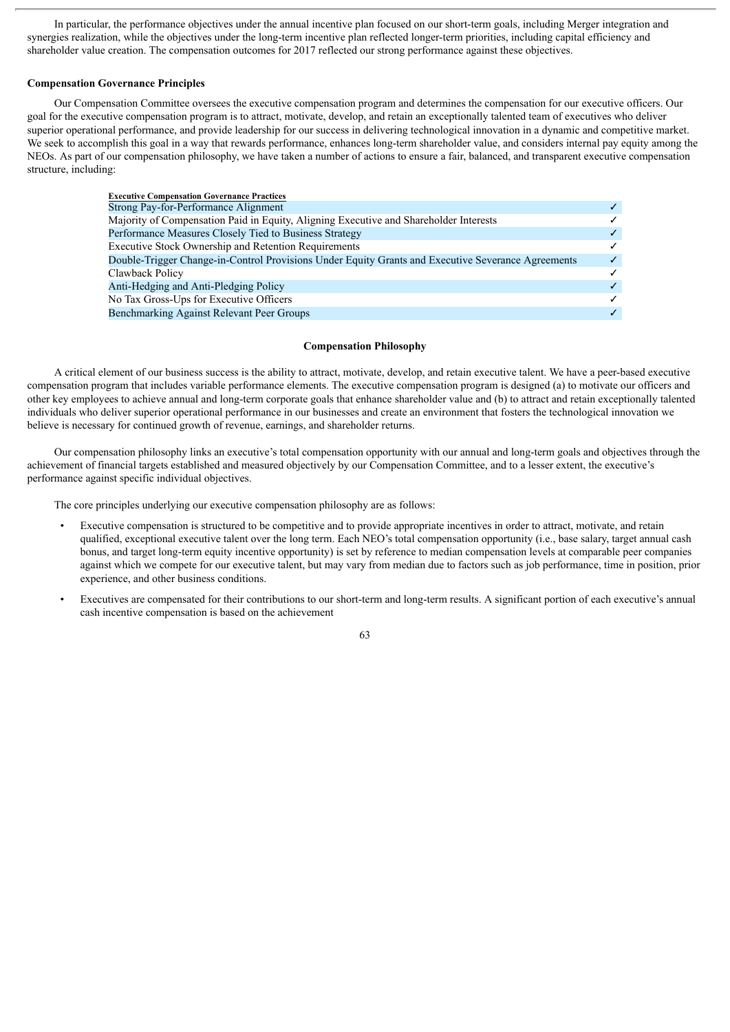In particular, the performance objectives under the annual incentive plan focused on our short-term goals, including Merger integration and synergies realization, while the objectives under the long-term incentive plan reflected longer-term priorities, including capital efficiency and shareholder value creation. The compensation outcomes for 2017 reflected our strong performance against these objectives.

## **Compensation Governance Principles**

Our Compensation Committee oversees the executive compensation program and determines the compensation for our executive officers. Our goal for the executive compensation program is to attract, motivate, develop, and retain an exceptionally talented team of executives who deliver superior operational performance, and provide leadership for our success in delivering technological innovation in a dynamic and competitive market. We seek to accomplish this goal in a way that rewards performance, enhances long-term shareholder value, and considers internal pay equity among the NEOs. As part of our compensation philosophy, we have taken a number of actions to ensure a fair, balanced, and transparent executive compensation structure, including:

# **Compensation Philosophy**

A critical element of our business success is the ability to attract, motivate, develop, and retain executive talent. We have a peer-based executive compensation program that includes variable performance elements. The executive compensation program is designed (a) to motivate our officers and other key employees to achieve annual and long-term corporate goals that enhance shareholder value and (b) to attract and retain exceptionally talented individuals who deliver superior operational performance in our businesses and create an environment that fosters the technological innovation we believe is necessary for continued growth of revenue, earnings, and shareholder returns.

Our compensation philosophy links an executive's total compensation opportunity with our annual and long-term goals and objectives through the achievement of financial targets established and measured objectively by our Compensation Committee, and to a lesser extent, the executive's performance against specific individual objectives.

The core principles underlying our executive compensation philosophy are as follows:

- Executive compensation is structured to be competitive and to provide appropriate incentives in order to attract, motivate, and retain qualified, exceptional executive talent over the long term. Each NEO's total compensation opportunity (i.e., base salary, target annual cash bonus, and target long-term equity incentive opportunity) is set by reference to median compensation levels at comparable peer companies against which we compete for our executive talent, but may vary from median due to factors such as job performance, time in position, prior experience, and other business conditions.
- Executives are compensated for their contributions to our short-term and long-term results. A significant portion of each executive's annual cash incentive compensation is based on the achievement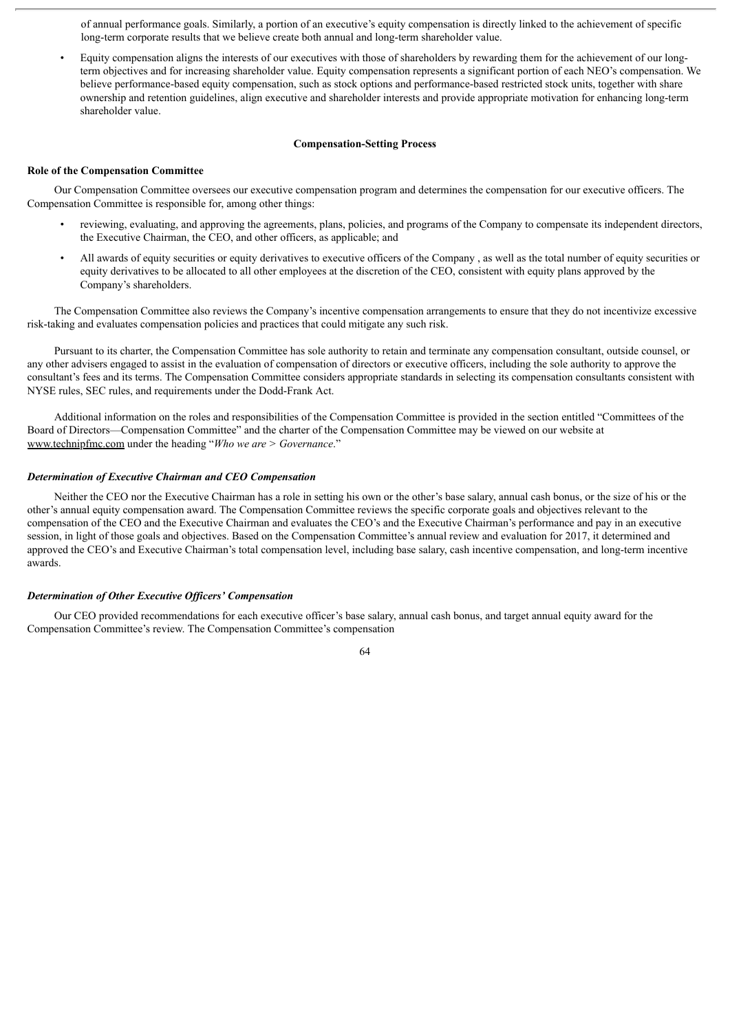of annual performance goals. Similarly, a portion of an executive's equity compensation is directly linked to the achievement of specific long-term corporate results that we believe create both annual and long-term shareholder value.

• Equity compensation aligns the interests of our executives with those of shareholders by rewarding them for the achievement of our longterm objectives and for increasing shareholder value. Equity compensation represents a significant portion of each NEO's compensation. We believe performance-based equity compensation, such as stock options and performance-based restricted stock units, together with share ownership and retention guidelines, align executive and shareholder interests and provide appropriate motivation for enhancing long-term shareholder value.

# **Compensation-Setting Process**

## **Role of the Compensation Committee**

Our Compensation Committee oversees our executive compensation program and determines the compensation for our executive officers. The Compensation Committee is responsible for, among other things:

- reviewing, evaluating, and approving the agreements, plans, policies, and programs of the Company to compensate its independent directors, the Executive Chairman, the CEO, and other officers, as applicable; and
- All awards of equity securities or equity derivatives to executive officers of the Company , as well as the total number of equity securities or equity derivatives to be allocated to all other employees at the discretion of the CEO, consistent with equity plans approved by the Company's shareholders.

The Compensation Committee also reviews the Company's incentive compensation arrangements to ensure that they do not incentivize excessive risk-taking and evaluates compensation policies and practices that could mitigate any such risk.

Pursuant to its charter, the Compensation Committee has sole authority to retain and terminate any compensation consultant, outside counsel, or any other advisers engaged to assist in the evaluation of compensation of directors or executive officers, including the sole authority to approve the consultant's fees and its terms. The Compensation Committee considers appropriate standards in selecting its compensation consultants consistent with NYSE rules, SEC rules, and requirements under the Dodd-Frank Act.

Additional information on the roles and responsibilities of the Compensation Committee is provided in the section entitled "Committees of the Board of Directors—Compensation Committee" and the charter of the Compensation Committee may be viewed on our website at www.technipfmc.com under the heading "*Who we are > Governance*."

# *Determination of Executive Chairman and CEO Compensation*

Neither the CEO nor the Executive Chairman has a role in setting his own or the other's base salary, annual cash bonus, or the size of his or the other's annual equity compensation award. The Compensation Committee reviews the specific corporate goals and objectives relevant to the compensation of the CEO and the Executive Chairman and evaluates the CEO's and the Executive Chairman's performance and pay in an executive session, in light of those goals and objectives. Based on the Compensation Committee's annual review and evaluation for 2017, it determined and approved the CEO's and Executive Chairman's total compensation level, including base salary, cash incentive compensation, and long-term incentive awards.

# *Determination of Other Executive Of icers' Compensation*

Our CEO provided recommendations for each executive officer's base salary, annual cash bonus, and target annual equity award for the Compensation Committee's review. The Compensation Committee's compensation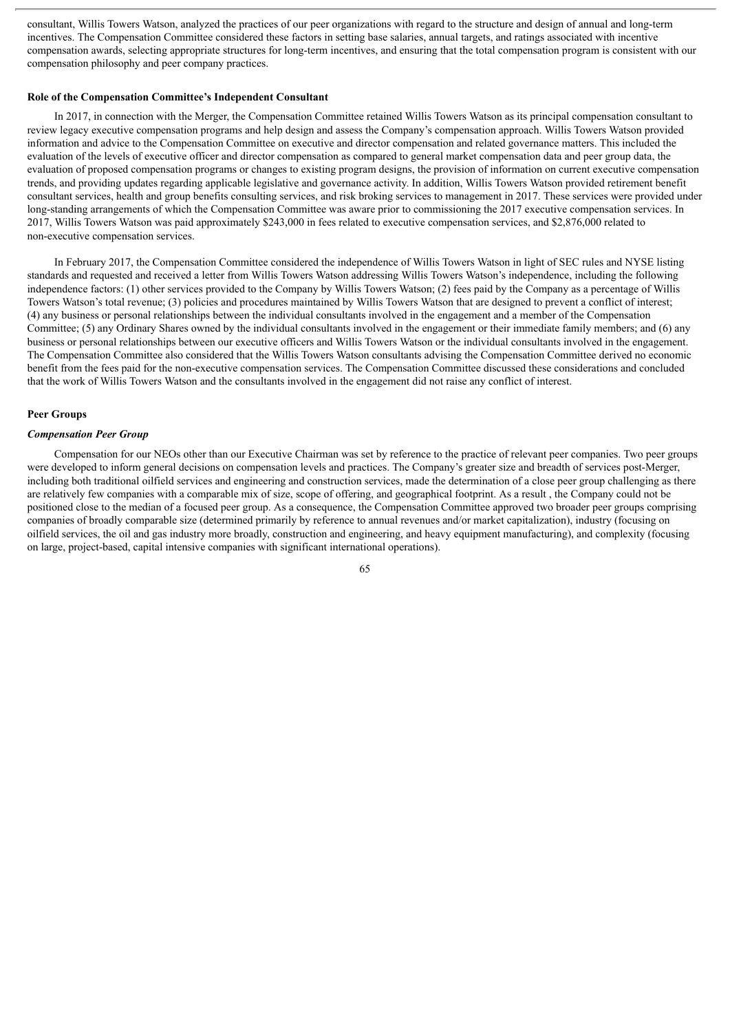consultant, Willis Towers Watson, analyzed the practices of our peer organizations with regard to the structure and design of annual and long-term incentives. The Compensation Committee considered these factors in setting base salaries, annual targets, and ratings associated with incentive compensation awards, selecting appropriate structures for long-term incentives, and ensuring that the total compensation program is consistent with our compensation philosophy and peer company practices.

## **Role of the Compensation Committee's Independent Consultant**

In 2017, in connection with the Merger, the Compensation Committee retained Willis Towers Watson as its principal compensation consultant to review legacy executive compensation programs and help design and assess the Company's compensation approach. Willis Towers Watson provided information and advice to the Compensation Committee on executive and director compensation and related governance matters. This included the evaluation of the levels of executive officer and director compensation as compared to general market compensation data and peer group data, the evaluation of proposed compensation programs or changes to existing program designs, the provision of information on current executive compensation trends, and providing updates regarding applicable legislative and governance activity. In addition, Willis Towers Watson provided retirement benefit consultant services, health and group benefits consulting services, and risk broking services to management in 2017. These services were provided under long-standing arrangements of which the Compensation Committee was aware prior to commissioning the 2017 executive compensation services. In 2017, Willis Towers Watson was paid approximately \$243,000 in fees related to executive compensation services, and \$2,876,000 related to non-executive compensation services.

In February 2017, the Compensation Committee considered the independence of Willis Towers Watson in light of SEC rules and NYSE listing standards and requested and received a letter from Willis Towers Watson addressing Willis Towers Watson's independence, including the following independence factors: (1) other services provided to the Company by Willis Towers Watson; (2) fees paid by the Company as a percentage of Willis Towers Watson's total revenue; (3) policies and procedures maintained by Willis Towers Watson that are designed to prevent a conflict of interest; (4) any business or personal relationships between the individual consultants involved in the engagement and a member of the Compensation Committee; (5) any Ordinary Shares owned by the individual consultants involved in the engagement or their immediate family members; and (6) any business or personal relationships between our executive officers and Willis Towers Watson or the individual consultants involved in the engagement. The Compensation Committee also considered that the Willis Towers Watson consultants advising the Compensation Committee derived no economic benefit from the fees paid for the non-executive compensation services. The Compensation Committee discussed these considerations and concluded that the work of Willis Towers Watson and the consultants involved in the engagement did not raise any conflict of interest.

#### **Peer Groups**

# *Compensation Peer Group*

Compensation for our NEOs other than our Executive Chairman was set by reference to the practice of relevant peer companies. Two peer groups were developed to inform general decisions on compensation levels and practices. The Company's greater size and breadth of services post-Merger, including both traditional oilfield services and engineering and construction services, made the determination of a close peer group challenging as there are relatively few companies with a comparable mix of size, scope of offering, and geographical footprint. As a result , the Company could not be positioned close to the median of a focused peer group. As a consequence, the Compensation Committee approved two broader peer groups comprising companies of broadly comparable size (determined primarily by reference to annual revenues and/or market capitalization), industry (focusing on oilfield services, the oil and gas industry more broadly, construction and engineering, and heavy equipment manufacturing), and complexity (focusing on large, project-based, capital intensive companies with significant international operations).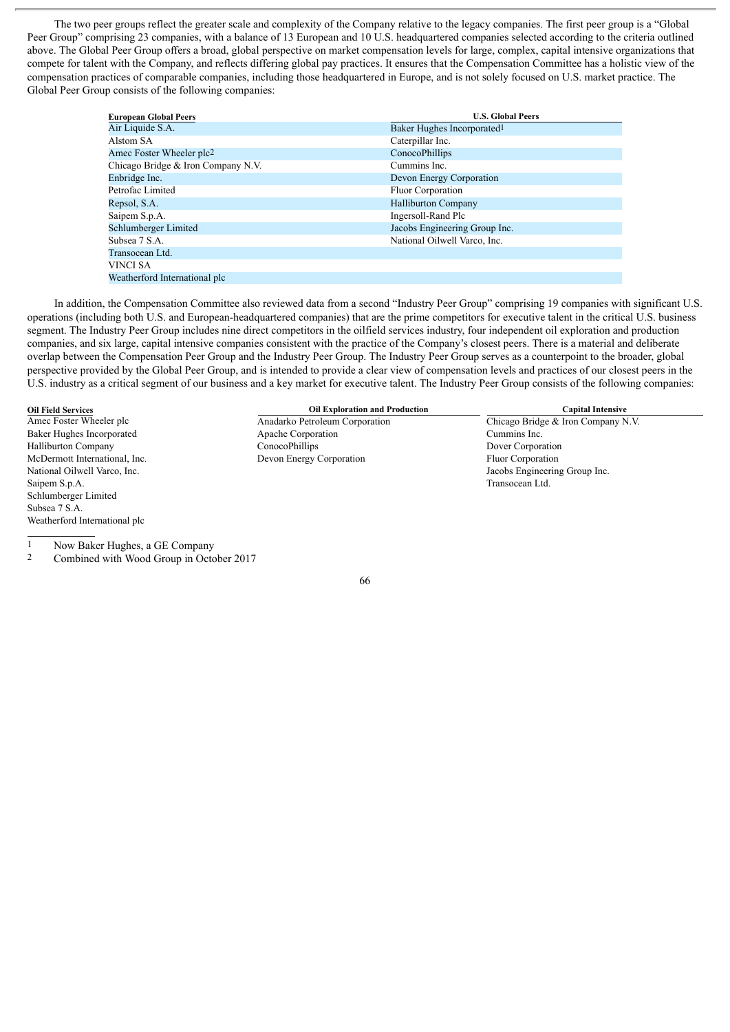The two peer groups reflect the greater scale and complexity of the Company relative to the legacy companies. The first peer group is a "Global Peer Group" comprising 23 companies, with a balance of 13 European and 10 U.S. headquartered companies selected according to the criteria outlined above. The Global Peer Group offers a broad, global perspective on market compensation levels for large, complex, capital intensive organizations that compete for talent with the Company, and reflects differing global pay practices. It ensures that the Compensation Committee has a holistic view of the compensation practices of comparable companies, including those headquartered in Europe, and is not solely focused on U.S. market practice. The Global Peer Group consists of the following companies:

| <b>European Global Peers</b>       | <b>U.S. Global Peers</b>               |
|------------------------------------|----------------------------------------|
| Air Liquide S.A.                   | Baker Hughes Incorporated <sup>1</sup> |
| Alstom SA                          | Caterpillar Inc.                       |
| Amec Foster Wheeler plc2           | ConocoPhillips                         |
| Chicago Bridge & Iron Company N.V. | Cummins Inc.                           |
| Enbridge Inc.                      | Devon Energy Corporation               |
| Petrofac Limited                   | Fluor Corporation                      |
| Repsol, S.A.                       | <b>Halliburton Company</b>             |
| Saipem S.p.A.                      | Ingersoll-Rand Plc                     |
| Schlumberger Limited               | Jacobs Engineering Group Inc.          |
| Subsea 7 S.A.                      | National Oilwell Varco, Inc.           |
| Transocean Ltd.                    |                                        |
| VINCI SA                           |                                        |
| Weatherford International plc      |                                        |

In addition, the Compensation Committee also reviewed data from a second "Industry Peer Group" comprising 19 companies with significant U.S. operations (including both U.S. and European-headquartered companies) that are the prime competitors for executive talent in the critical U.S. business segment. The Industry Peer Group includes nine direct competitors in the oilfield services industry, four independent oil exploration and production companies, and six large, capital intensive companies consistent with the practice of the Company's closest peers. There is a material and deliberate overlap between the Compensation Peer Group and the Industry Peer Group. The Industry Peer Group serves as a counterpoint to the broader, global perspective provided by the Global Peer Group, and is intended to provide a clear view of compensation levels and practices of our closest peers in the U.S. industry as a critical segment of our business and a key market for executive talent. The Industry Peer Group consists of the following companies:

| <b>Oil Field Services</b>     | <b>Oil Exploration and Production</b> | <b>Capital Intensive</b>           |
|-------------------------------|---------------------------------------|------------------------------------|
| Amec Foster Wheeler plc       | Anadarko Petroleum Corporation        | Chicago Bridge & Iron Company N.V. |
| Baker Hughes Incorporated     | Apache Corporation                    | Cummins Inc.                       |
| <b>Halliburton Company</b>    | ConocoPhillips                        | Dover Corporation                  |
| McDermott International, Inc. | Devon Energy Corporation              | <b>Fluor Corporation</b>           |
| National Oilwell Varco, Inc.  |                                       | Jacobs Engineering Group Inc.      |
| Saipem S.p.A.                 |                                       | Transocean Ltd.                    |
| Schlumberger Limited          |                                       |                                    |
| Subsea 7 S.A.                 |                                       |                                    |
| Weatherford International plc |                                       |                                    |
|                               |                                       |                                    |

1 Now Baker Hughes, a GE Company

2 Combined with Wood Group in October 2017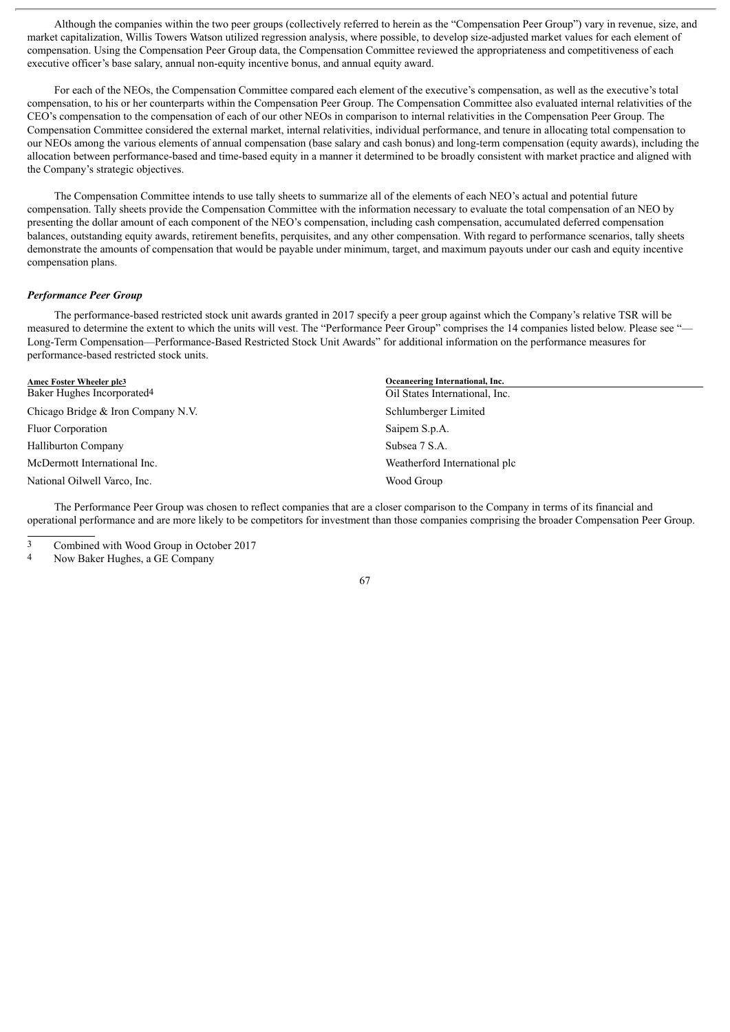Although the companies within the two peer groups (collectively referred to herein as the "Compensation Peer Group") vary in revenue, size, and market capitalization, Willis Towers Watson utilized regression analysis, where possible, to develop size-adjusted market values for each element of compensation. Using the Compensation Peer Group data, the Compensation Committee reviewed the appropriateness and competitiveness of each executive officer's base salary, annual non-equity incentive bonus, and annual equity award.

For each of the NEOs, the Compensation Committee compared each element of the executive's compensation, as well as the executive's total compensation, to his or her counterparts within the Compensation Peer Group. The Compensation Committee also evaluated internal relativities of the CEO's compensation to the compensation of each of our other NEOs in comparison to internal relativities in the Compensation Peer Group. The Compensation Committee considered the external market, internal relativities, individual performance, and tenure in allocating total compensation to our NEOs among the various elements of annual compensation (base salary and cash bonus) and long-term compensation (equity awards), including the allocation between performance-based and time-based equity in a manner it determined to be broadly consistent with market practice and aligned with the Company's strategic objectives.

The Compensation Committee intends to use tally sheets to summarize all of the elements of each NEO's actual and potential future compensation. Tally sheets provide the Compensation Committee with the information necessary to evaluate the total compensation of an NEO by presenting the dollar amount of each component of the NEO's compensation, including cash compensation, accumulated deferred compensation balances, outstanding equity awards, retirement benefits, perquisites, and any other compensation. With regard to performance scenarios, tally sheets demonstrate the amounts of compensation that would be payable under minimum, target, and maximum payouts under our cash and equity incentive compensation plans.

## *Performance Peer Group*

The performance-based restricted stock unit awards granted in 2017 specify a peer group against which the Company's relative TSR will be measured to determine the extent to which the units will vest. The "Performance Peer Group" comprises the 14 companies listed below. Please see "— Long-Term Compensation—Performance-Based Restricted Stock Unit Awards" for additional information on the performance measures for performance-based restricted stock units.

| Amec Foster Wheeler plc3               | Oceaneering International, Inc. |
|----------------------------------------|---------------------------------|
| Baker Hughes Incorporated <sup>4</sup> | Oil States International, Inc.  |
| Chicago Bridge $\&$ Iron Company N.V.  | Schlumberger Limited            |
| Fluor Corporation                      | Saipem S.p.A.                   |
| <b>Halliburton Company</b>             | Subsea 7 S.A.                   |
| McDermott International Inc.           | Weatherford International plc   |
| National Oilwell Varco, Inc.           | Wood Group                      |
|                                        |                                 |

The Performance Peer Group was chosen to reflect companies that are a closer comparison to the Company in terms of its financial and operational performance and are more likely to be competitors for investment than those companies comprising the broader Compensation Peer Group.

3 Combined with Wood Group in October 2017

4 Now Baker Hughes, a GE Company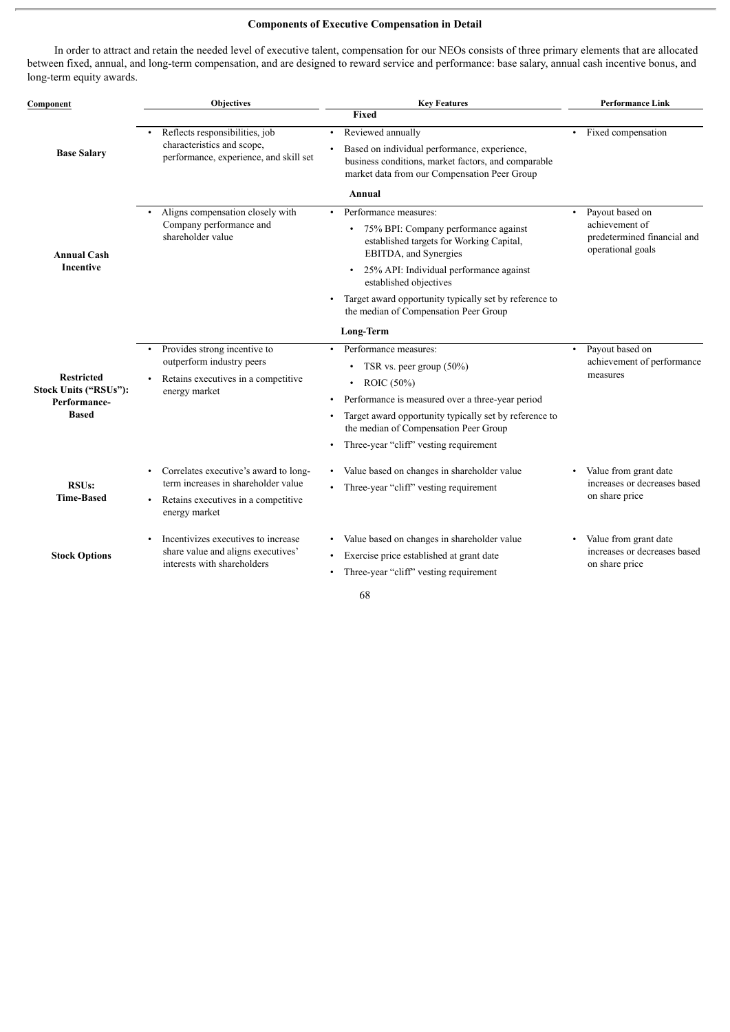# **Components of Executive Compensation in Detail**

In order to attract and retain the needed level of executive talent, compensation for our NEOs consists of three primary elements that are allocated between fixed, annual, and long-term compensation, and are designed to reward service and performance: base salary, annual cash incentive bonus, and long-term equity awards.

| Component                                  | <b>Objectives</b>                                                    | <b>Key Features</b>                                                                                                                                 | <b>Performance Link</b>                                            |  |  |  |
|--------------------------------------------|----------------------------------------------------------------------|-----------------------------------------------------------------------------------------------------------------------------------------------------|--------------------------------------------------------------------|--|--|--|
|                                            |                                                                      | Fixed                                                                                                                                               |                                                                    |  |  |  |
|                                            | Reflects responsibilities, job                                       | Reviewed annually<br>٠                                                                                                                              | Fixed compensation<br>$\bullet$                                    |  |  |  |
| <b>Base Salary</b>                         | characteristics and scope,<br>performance, experience, and skill set | Based on individual performance, experience,<br>business conditions, market factors, and comparable<br>market data from our Compensation Peer Group |                                                                    |  |  |  |
|                                            |                                                                      | Annual                                                                                                                                              |                                                                    |  |  |  |
|                                            | • Aligns compensation closely with                                   | Performance measures:<br>$\bullet$                                                                                                                  | Payout based on<br>$\bullet$                                       |  |  |  |
| <b>Annual Cash</b>                         | Company performance and<br>shareholder value                         | 75% BPI: Company performance against<br>established targets for Working Capital,<br>EBITDA, and Synergies                                           | achievement of<br>predetermined financial and<br>operational goals |  |  |  |
| <b>Incentive</b>                           |                                                                      | 25% API: Individual performance against<br>$\bullet$<br>established objectives                                                                      |                                                                    |  |  |  |
|                                            |                                                                      | Target award opportunity typically set by reference to<br>٠<br>the median of Compensation Peer Group                                                |                                                                    |  |  |  |
|                                            |                                                                      | Long-Term                                                                                                                                           |                                                                    |  |  |  |
|                                            | Provides strong incentive to                                         | Performance measures:                                                                                                                               | Payout based on<br>$\bullet$                                       |  |  |  |
|                                            | outperform industry peers                                            | TSR vs. peer group $(50\%)$                                                                                                                         | achievement of performance<br>measures                             |  |  |  |
| <b>Restricted</b><br>Stock Units ("RSUs"): | Retains executives in a competitive<br>energy market                 | ROIC (50%)                                                                                                                                          |                                                                    |  |  |  |
| Performance-                               |                                                                      | Performance is measured over a three-year period<br>$\bullet$                                                                                       |                                                                    |  |  |  |
| <b>Based</b>                               |                                                                      | Target award opportunity typically set by reference to<br>٠<br>the median of Compensation Peer Group                                                |                                                                    |  |  |  |
|                                            |                                                                      | Three-year "cliff" vesting requirement<br>٠                                                                                                         |                                                                    |  |  |  |
|                                            | Correlates executive's award to long-<br>$\bullet$                   | Value based on changes in shareholder value                                                                                                         | Value from grant date                                              |  |  |  |
| <b>RSUs:</b>                               | term increases in shareholder value                                  | Three-year "cliff" vesting requirement<br>٠                                                                                                         | increases or decreases based                                       |  |  |  |
| <b>Time-Based</b>                          | Retains executives in a competitive<br>$\bullet$<br>energy market    |                                                                                                                                                     | on share price                                                     |  |  |  |
|                                            | Incentivizes executives to increase                                  | Value based on changes in shareholder value<br>٠                                                                                                    | Value from grant date                                              |  |  |  |
| <b>Stock Options</b>                       | share value and aligns executives'                                   | Exercise price established at grant date<br>٠                                                                                                       | increases or decreases based                                       |  |  |  |
|                                            | interests with shareholders                                          | Three-year "cliff" vesting requirement                                                                                                              | on share price                                                     |  |  |  |
|                                            |                                                                      | 68                                                                                                                                                  |                                                                    |  |  |  |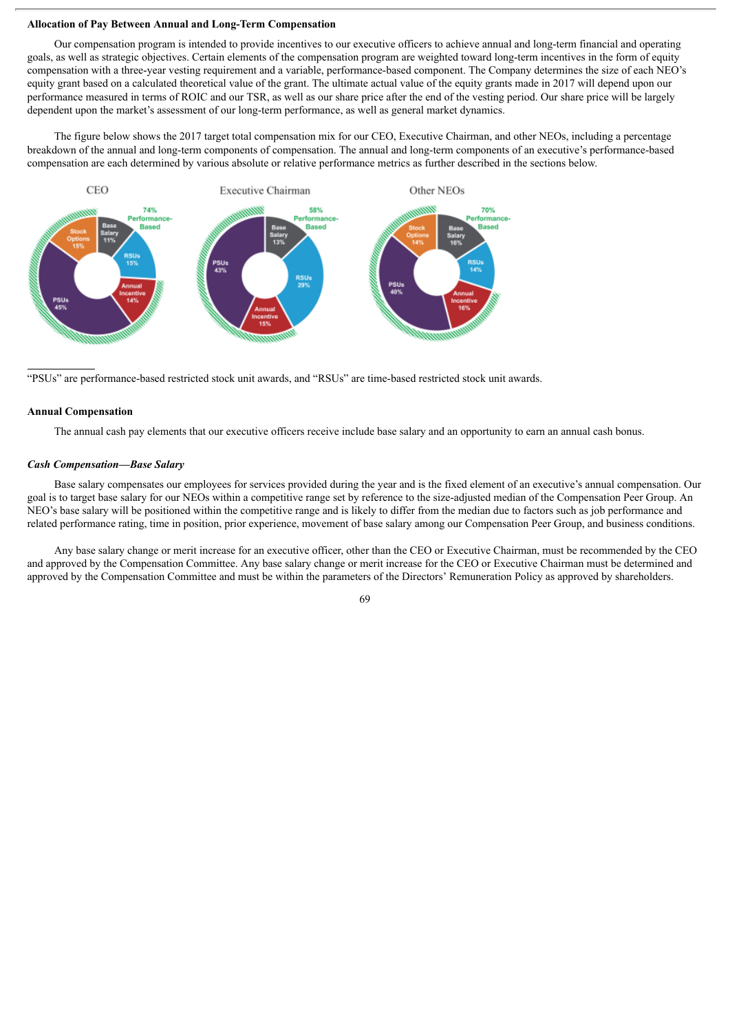# **Allocation of Pay Between Annual and Long-Term Compensation**

Our compensation program is intended to provide incentives to our executive officers to achieve annual and long-term financial and operating goals, as well as strategic objectives. Certain elements of the compensation program are weighted toward long-term incentives in the form of equity compensation with a three-year vesting requirement and a variable, performance-based component. The Company determines the size of each NEO's equity grant based on a calculated theoretical value of the grant. The ultimate actual value of the equity grants made in 2017 will depend upon our performance measured in terms of ROIC and our TSR, as well as our share price after the end of the vesting period. Our share price will be largely dependent upon the market's assessment of our long-term performance, as well as general market dynamics.

The figure below shows the 2017 target total compensation mix for our CEO, Executive Chairman, and other NEOs, including a percentage breakdown of the annual and long-term components of compensation. The annual and long-term components of an executive's performance-based compensation are each determined by various absolute or relative performance metrics as further described in the sections below.



"PSUs" are performance-based restricted stock unit awards, and "RSUs" are time-based restricted stock unit awards.

#### **Annual Compensation**

The annual cash pay elements that our executive officers receive include base salary and an opportunity to earn an annual cash bonus.

## *Cash Compensation—Base Salary*

Base salary compensates our employees for services provided during the year and is the fixed element of an executive's annual compensation. Our goal is to target base salary for our NEOs within a competitive range set by reference to the size-adjusted median of the Compensation Peer Group. An NEO's base salary will be positioned within the competitive range and is likely to differ from the median due to factors such as job performance and related performance rating, time in position, prior experience, movement of base salary among our Compensation Peer Group, and business conditions.

Any base salary change or merit increase for an executive officer, other than the CEO or Executive Chairman, must be recommended by the CEO and approved by the Compensation Committee. Any base salary change or merit increase for the CEO or Executive Chairman must be determined and approved by the Compensation Committee and must be within the parameters of the Directors' Remuneration Policy as approved by shareholders.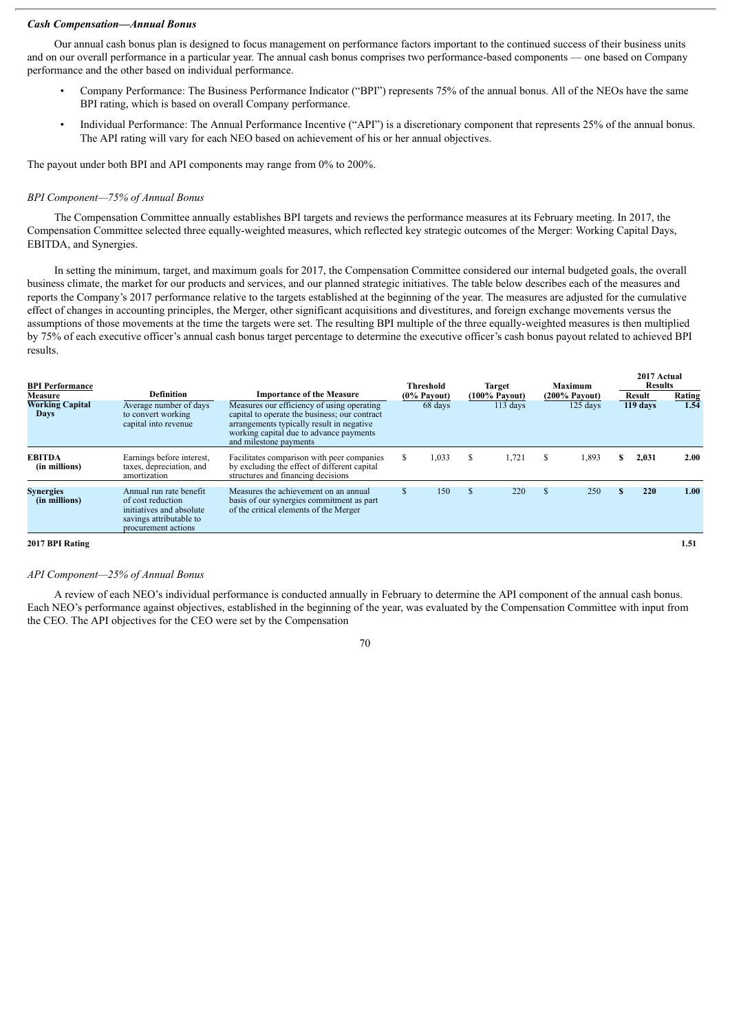## *Cash Compensation—Annual Bonus*

Our annual cash bonus plan is designed to focus management on performance factors important to the continued success of their business units and on our overall performance in a particular year. The annual cash bonus comprises two performance-based components — one based on Company performance and the other based on individual performance.

- Company Performance: The Business Performance Indicator ("BPI") represents 75% of the annual bonus. All of the NEOs have the same BPI rating, which is based on overall Company performance.
- Individual Performance: The Annual Performance Incentive ("API") is a discretionary component that represents 25% of the annual bonus. The API rating will vary for each NEO based on achievement of his or her annual objectives.

The payout under both BPI and API components may range from 0% to 200%.

## *BPI Component—75% of Annual Bonus*

The Compensation Committee annually establishes BPI targets and reviews the performance measures at its February meeting. In 2017, the Compensation Committee selected three equally-weighted measures, which reflected key strategic outcomes of the Merger: Working Capital Days, EBITDA, and Synergies.

In setting the minimum, target, and maximum goals for 2017, the Compensation Committee considered our internal budgeted goals, the overall business climate, the market for our products and services, and our planned strategic initiatives. The table below describes each of the measures and reports the Company's 2017 performance relative to the targets established at the beginning of the year. The measures are adjusted for the cumulative effect of changes in accounting principles, the Merger, other significant acquisitions and divestitures, and foreign exchange movements versus the assumptions of those movements at the time the targets were set. The resulting BPI multiple of the three equally-weighted measures is then multiplied by 75% of each executive officer's annual cash bonus target percentage to determine the executive officer's cash bonus payout related to achieved BPI results.

**2017 Actual**

| <b>BPI Performance</b>                |                                                                                                                            |                                                                                                                                                                                                               | Threshold      |     | <b>Target</b>    | <b>Maximum</b>  | <b>2017 Actual</b><br><b>Results</b> |               |        |
|---------------------------------------|----------------------------------------------------------------------------------------------------------------------------|---------------------------------------------------------------------------------------------------------------------------------------------------------------------------------------------------------------|----------------|-----|------------------|-----------------|--------------------------------------|---------------|--------|
| Measure                               | <b>Definition</b>                                                                                                          | <b>Importance of the Measure</b>                                                                                                                                                                              | $(0\%$ Payout) |     | $(100\%$ Payout) | $(200%$ Payout) |                                      | <b>Result</b> | Rating |
| <b>Working Capital</b><br><b>Days</b> | Average number of days<br>to convert working<br>capital into revenue                                                       | Measures our efficiency of using operating<br>capital to operate the business; our contract<br>arrangements typically result in negative<br>working capital due to advance payments<br>and milestone payments | 68 days        |     | 113 days         | 125 days        |                                      | 119 days      | 1.54   |
| <b>EBITDA</b><br>(in millions)        | Earnings before interest.<br>taxes, depreciation, and<br>amortization                                                      | Facilitates comparison with peer companies<br>by excluding the effect of different capital<br>structures and financing decisions                                                                              | 1,033          | \$  | 1,721            | \$<br>1,893     |                                      | 2,031         | 2.00   |
| <b>Synergies</b><br>(in millions)     | Annual run rate benefit<br>of cost reduction<br>initiatives and absolute<br>savings attributable to<br>procurement actions | Measures the achievement on an annual<br>basis of our synergies commitment as part<br>of the critical elements of the Merger                                                                                  | 150            | \$. | 220              | \$<br>250       |                                      | 220           | 1.00   |
| 2017 BPI Rating                       |                                                                                                                            |                                                                                                                                                                                                               |                |     |                  |                 |                                      |               | 1.51   |

#### *API Component—25% of Annual Bonus*

A review of each NEO's individual performance is conducted annually in February to determine the API component of the annual cash bonus. Each NEO's performance against objectives, established in the beginning of the year, was evaluated by the Compensation Committee with input from the CEO. The API objectives for the CEO were set by the Compensation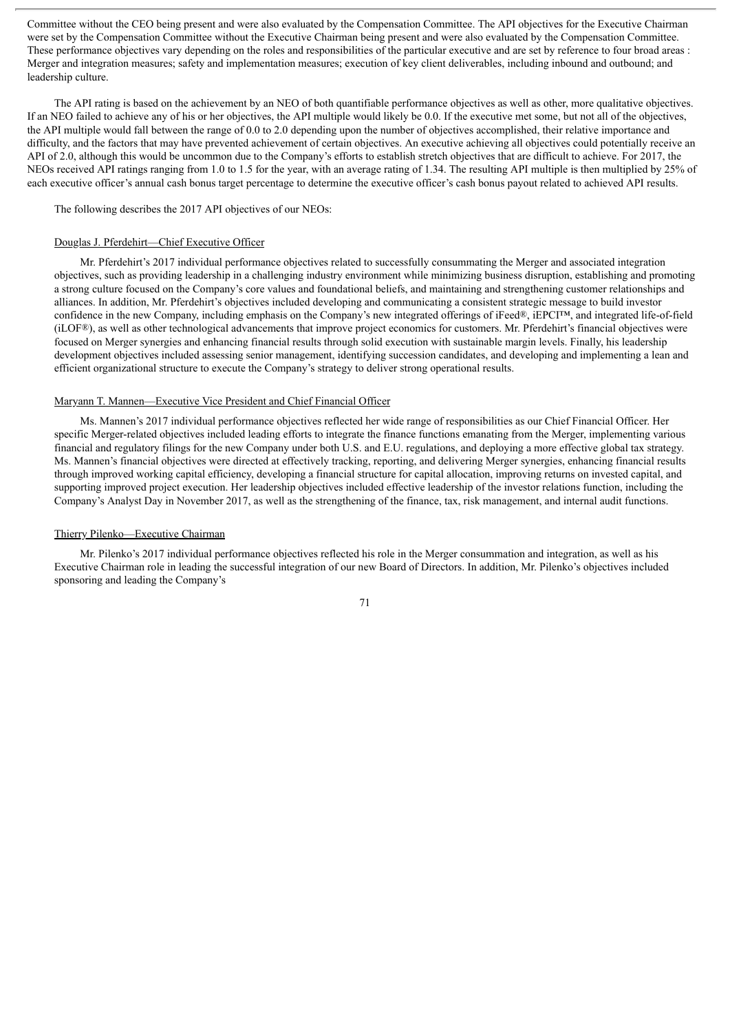Committee without the CEO being present and were also evaluated by the Compensation Committee. The API objectives for the Executive Chairman were set by the Compensation Committee without the Executive Chairman being present and were also evaluated by the Compensation Committee. These performance objectives vary depending on the roles and responsibilities of the particular executive and are set by reference to four broad areas : Merger and integration measures; safety and implementation measures; execution of key client deliverables, including inbound and outbound; and leadership culture.

The API rating is based on the achievement by an NEO of both quantifiable performance objectives as well as other, more qualitative objectives. If an NEO failed to achieve any of his or her objectives, the API multiple would likely be 0.0. If the executive met some, but not all of the objectives, the API multiple would fall between the range of 0.0 to 2.0 depending upon the number of objectives accomplished, their relative importance and difficulty, and the factors that may have prevented achievement of certain objectives. An executive achieving all objectives could potentially receive an API of 2.0, although this would be uncommon due to the Company's efforts to establish stretch objectives that are difficult to achieve. For 2017, the NEOs received API ratings ranging from 1.0 to 1.5 for the year, with an average rating of 1.34. The resulting API multiple is then multiplied by 25% of each executive officer's annual cash bonus target percentage to determine the executive officer's cash bonus payout related to achieved API results.

The following describes the 2017 API objectives of our NEOs:

#### Douglas J. Pferdehirt—Chief Executive Officer

Mr. Pferdehirt's 2017 individual performance objectives related to successfully consummating the Merger and associated integration objectives, such as providing leadership in a challenging industry environment while minimizing business disruption, establishing and promoting a strong culture focused on the Company's core values and foundational beliefs, and maintaining and strengthening customer relationships and alliances. In addition, Mr. Pferdehirt's objectives included developing and communicating a consistent strategic message to build investor confidence in the new Company, including emphasis on the Company's new integrated offerings of iFeed®, iEPCI™, and integrated life-of-field (iLOF®), as well as other technological advancements that improve project economics for customers. Mr. Pferdehirt's financial objectives were focused on Merger synergies and enhancing financial results through solid execution with sustainable margin levels. Finally, his leadership development objectives included assessing senior management, identifying succession candidates, and developing and implementing a lean and efficient organizational structure to execute the Company's strategy to deliver strong operational results.

#### Maryann T. Mannen—Executive Vice President and Chief Financial Officer

Ms. Mannen's 2017 individual performance objectives reflected her wide range of responsibilities as our Chief Financial Officer. Her specific Merger-related objectives included leading efforts to integrate the finance functions emanating from the Merger, implementing various financial and regulatory filings for the new Company under both U.S. and E.U. regulations, and deploying a more effective global tax strategy. Ms. Mannen's financial objectives were directed at effectively tracking, reporting, and delivering Merger synergies, enhancing financial results through improved working capital efficiency, developing a financial structure for capital allocation, improving returns on invested capital, and supporting improved project execution. Her leadership objectives included effective leadership of the investor relations function, including the Company's Analyst Day in November 2017, as well as the strengthening of the finance, tax, risk management, and internal audit functions.

### Thierry Pilenko—Executive Chairman

Mr. Pilenko's 2017 individual performance objectives reflected his role in the Merger consummation and integration, as well as his Executive Chairman role in leading the successful integration of our new Board of Directors. In addition, Mr. Pilenko's objectives included sponsoring and leading the Company's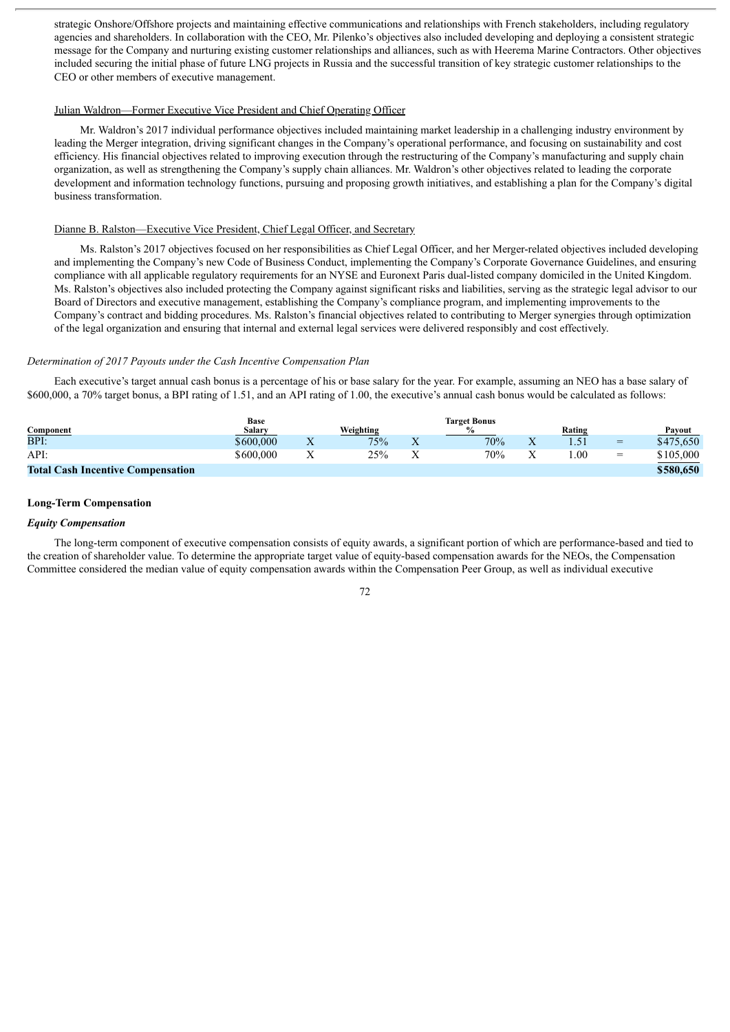strategic Onshore/Offshore projects and maintaining effective communications and relationships with French stakeholders, including regulatory agencies and shareholders. In collaboration with the CEO, Mr. Pilenko's objectives also included developing and deploying a consistent strategic message for the Company and nurturing existing customer relationships and alliances, such as with Heerema Marine Contractors. Other objectives included securing the initial phase of future LNG projects in Russia and the successful transition of key strategic customer relationships to the CEO or other members of executive management.

### Julian Waldron—Former Executive Vice President and Chief Operating Officer

Mr. Waldron's 2017 individual performance objectives included maintaining market leadership in a challenging industry environment by leading the Merger integration, driving significant changes in the Company's operational performance, and focusing on sustainability and cost efficiency. His financial objectives related to improving execution through the restructuring of the Company's manufacturing and supply chain organization, as well as strengthening the Company's supply chain alliances. Mr. Waldron's other objectives related to leading the corporate development and information technology functions, pursuing and proposing growth initiatives, and establishing a plan for the Company's digital business transformation.

### Dianne B. Ralston—Executive Vice President, Chief Legal Officer, and Secretary

Ms. Ralston's 2017 objectives focused on her responsibilities as Chief Legal Officer, and her Merger-related objectives included developing and implementing the Company's new Code of Business Conduct, implementing the Company's Corporate Governance Guidelines, and ensuring compliance with all applicable regulatory requirements for an NYSE and Euronext Paris dual-listed company domiciled in the United Kingdom. Ms. Ralston's objectives also included protecting the Company against significant risks and liabilities, serving as the strategic legal advisor to our Board of Directors and executive management, establishing the Company's compliance program, and implementing improvements to the Company's contract and bidding procedures. Ms. Ralston's financial objectives related to contributing to Merger synergies through optimization of the legal organization and ensuring that internal and external legal services were delivered responsibly and cost effectively.

### *Determination of 2017 Payouts under the Cash Incentive Compensation Plan*

Each executive's target annual cash bonus is a percentage of his or base salary for the year. For example, assuming an NEO has a base salary of \$600,000, a 70% target bonus, a BPI rating of 1.51, and an API rating of 1.00, the executive's annual cash bonus would be calculated as follows:

|                                          | Base      |           |           | <b>Target Bonus</b> |   |        |     |           |
|------------------------------------------|-----------|-----------|-----------|---------------------|---|--------|-----|-----------|
| <b>Component</b>                         | Salary    |           | Weighting |                     |   | Rating |     | Payout    |
| BPI:                                     | \$600,000 | л         | 75%       | 70%                 | △ | .      | $=$ | \$475,650 |
| API:                                     | \$600,000 | $\Lambda$ | 25%       | 70%                 |   | .00    | $=$ | \$105,000 |
| <b>Total Cash Incentive Compensation</b> |           |           |           |                     |   |        |     | \$580,650 |

### **Long-Term Compensation**

### *Equity Compensation*

The long-term component of executive compensation consists of equity awards, a significant portion of which are performance-based and tied to the creation of shareholder value. To determine the appropriate target value of equity-based compensation awards for the NEOs, the Compensation Committee considered the median value of equity compensation awards within the Compensation Peer Group, as well as individual executive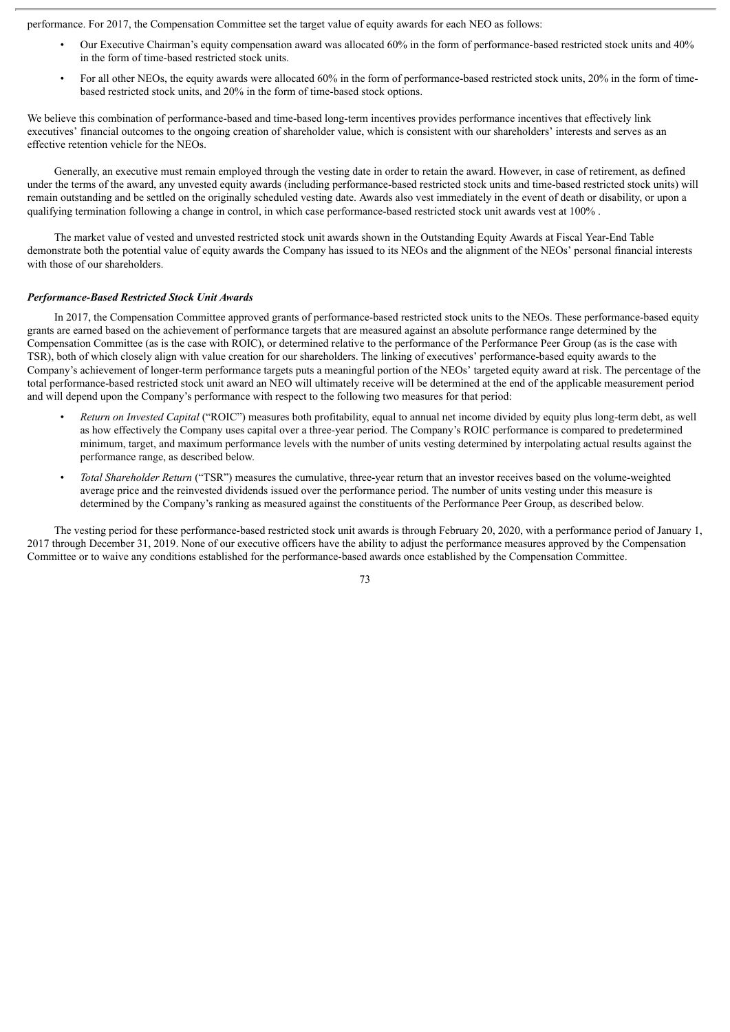performance. For 2017, the Compensation Committee set the target value of equity awards for each NEO as follows:

- Our Executive Chairman's equity compensation award was allocated 60% in the form of performance-based restricted stock units and 40% in the form of time-based restricted stock units.
- For all other NEOs, the equity awards were allocated 60% in the form of performance-based restricted stock units, 20% in the form of timebased restricted stock units, and 20% in the form of time-based stock options.

We believe this combination of performance-based and time-based long-term incentives provides performance incentives that effectively link executives' financial outcomes to the ongoing creation of shareholder value, which is consistent with our shareholders' interests and serves as an effective retention vehicle for the NEOs.

Generally, an executive must remain employed through the vesting date in order to retain the award. However, in case of retirement, as defined under the terms of the award, any unvested equity awards (including performance-based restricted stock units and time-based restricted stock units) will remain outstanding and be settled on the originally scheduled vesting date. Awards also vest immediately in the event of death or disability, or upon a qualifying termination following a change in control, in which case performance-based restricted stock unit awards vest at 100% .

The market value of vested and unvested restricted stock unit awards shown in the Outstanding Equity Awards at Fiscal Year-End Table demonstrate both the potential value of equity awards the Company has issued to its NEOs and the alignment of the NEOs' personal financial interests with those of our shareholders.

### *Performance-Based Restricted Stock Unit Awards*

In 2017, the Compensation Committee approved grants of performance-based restricted stock units to the NEOs. These performance-based equity grants are earned based on the achievement of performance targets that are measured against an absolute performance range determined by the Compensation Committee (as is the case with ROIC), or determined relative to the performance of the Performance Peer Group (as is the case with TSR), both of which closely align with value creation for our shareholders. The linking of executives' performance-based equity awards to the Company's achievement of longer-term performance targets puts a meaningful portion of the NEOs' targeted equity award at risk. The percentage of the total performance-based restricted stock unit award an NEO will ultimately receive will be determined at the end of the applicable measurement period and will depend upon the Company's performance with respect to the following two measures for that period:

- *Return on Invested Capital* ("ROIC") measures both profitability, equal to annual net income divided by equity plus long-term debt, as well as how effectively the Company uses capital over a three-year period. The Company's ROIC performance is compared to predetermined minimum, target, and maximum performance levels with the number of units vesting determined by interpolating actual results against the performance range, as described below.
- *Total Shareholder Return* ("TSR") measures the cumulative, three-year return that an investor receives based on the volume-weighted average price and the reinvested dividends issued over the performance period. The number of units vesting under this measure is determined by the Company's ranking as measured against the constituents of the Performance Peer Group, as described below.

The vesting period for these performance-based restricted stock unit awards is through February 20, 2020, with a performance period of January 1, 2017 through December 31, 2019. None of our executive officers have the ability to adjust the performance measures approved by the Compensation Committee or to waive any conditions established for the performance-based awards once established by the Compensation Committee.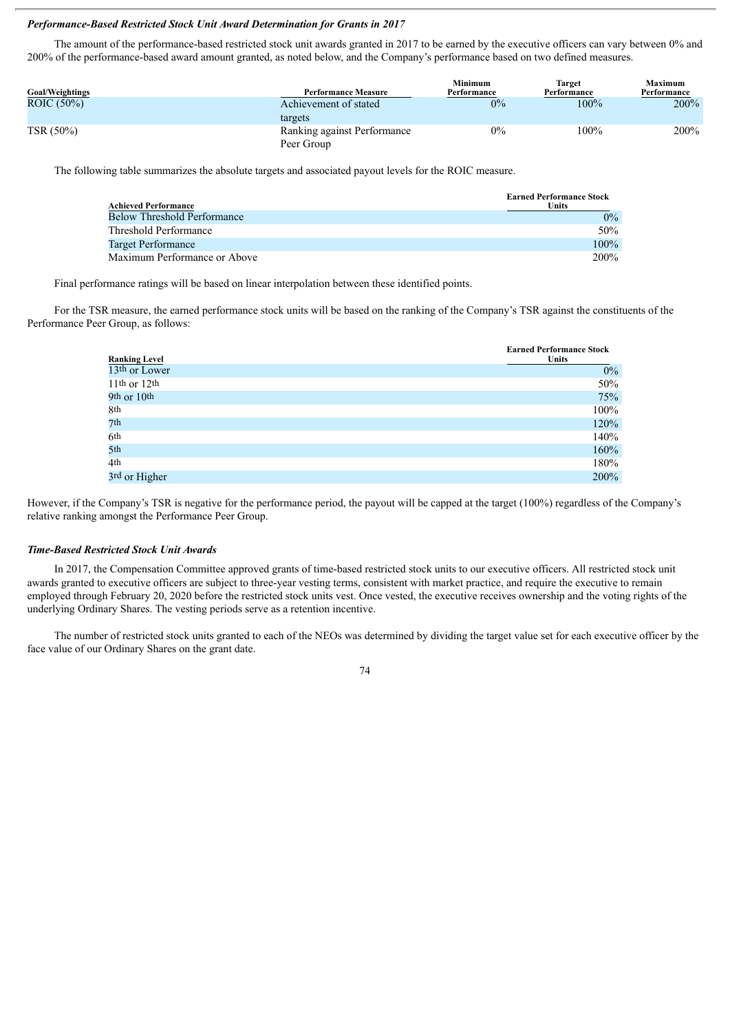# *Performance-Based Restricted Stock Unit Award Determination for Grants in 2017*

The amount of the performance-based restricted stock unit awards granted in 2017 to be earned by the executive officers can vary between 0% and 200% of the performance-based award amount granted, as noted below, and the Company's performance based on two defined measures.

| Goal/Weightings | <b>Performance Measure</b>  | <b>Minimum</b><br>Performance | Target<br>Performance | <b>Maximum</b><br>Performance |
|-----------------|-----------------------------|-------------------------------|-----------------------|-------------------------------|
| ROIC (50%)      | Achievement of stated       | $0\%$                         | $100\%$               | 200%                          |
|                 | targets                     |                               |                       |                               |
| TSR (50%)       | Ranking against Performance | $0\%$                         | 100%                  | 200%                          |
|                 | Peer Group                  |                               |                       |                               |

The following table summarizes the absolute targets and associated payout levels for the ROIC measure.

| <b>Achieved Performance</b>        | <b>Earned Performance Stock</b><br><b>Units</b> |
|------------------------------------|-------------------------------------------------|
| <b>Below Threshold Performance</b> | $0\%$                                           |
| Threshold Performance              | 50%                                             |
| <b>Target Performance</b>          | $100\%$                                         |
| Maximum Performance or Above       | 200%                                            |

Final performance ratings will be based on linear interpolation between these identified points.

For the TSR measure, the earned performance stock units will be based on the ranking of the Company's TSR against the constituents of the Performance Peer Group, as follows:

| <b>Ranking Level</b> | <b>Earned Performance Stock</b><br><b>Units</b> |
|----------------------|-------------------------------------------------|
| 13th or Lower        | $0\%$                                           |
| $11th$ or $12th$     | 50%                                             |
| 9th or 10th          | 75%                                             |
| 8th                  | 100%                                            |
| 7 <sup>th</sup>      | 120%                                            |
| 6 <sup>th</sup>      | 140%                                            |
| 5th                  | 160%                                            |
| 4th                  | 180%                                            |
| 3rd or Higher        | 200%                                            |

However, if the Company's TSR is negative for the performance period, the payout will be capped at the target (100%) regardless of the Company's relative ranking amongst the Performance Peer Group.

# *Time-Based Restricted Stock Unit Awards*

In 2017, the Compensation Committee approved grants of time-based restricted stock units to our executive officers. All restricted stock unit awards granted to executive officers are subject to three-year vesting terms, consistent with market practice, and require the executive to remain employed through February 20, 2020 before the restricted stock units vest. Once vested, the executive receives ownership and the voting rights of the underlying Ordinary Shares. The vesting periods serve as a retention incentive.

The number of restricted stock units granted to each of the NEOs was determined by dividing the target value set for each executive officer by the face value of our Ordinary Shares on the grant date.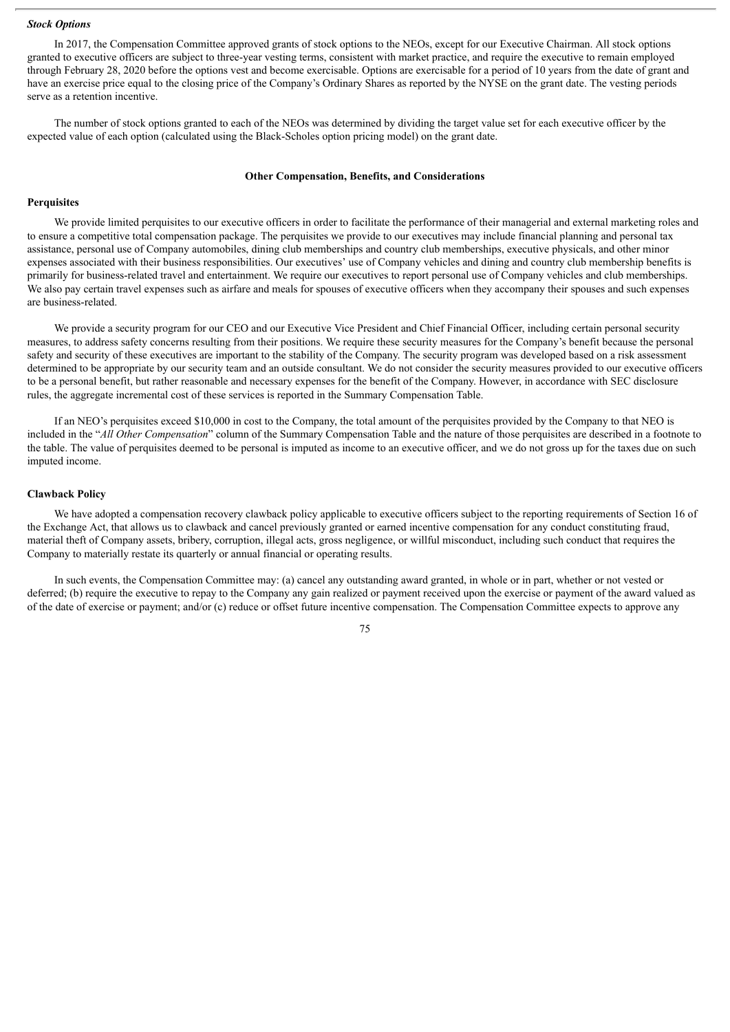# *Stock Options*

In 2017, the Compensation Committee approved grants of stock options to the NEOs, except for our Executive Chairman. All stock options granted to executive officers are subject to three-year vesting terms, consistent with market practice, and require the executive to remain employed through February 28, 2020 before the options vest and become exercisable. Options are exercisable for a period of 10 years from the date of grant and have an exercise price equal to the closing price of the Company's Ordinary Shares as reported by the NYSE on the grant date. The vesting periods serve as a retention incentive.

The number of stock options granted to each of the NEOs was determined by dividing the target value set for each executive officer by the expected value of each option (calculated using the Black-Scholes option pricing model) on the grant date.

### **Other Compensation, Benefits, and Considerations**

### **Perquisites**

We provide limited perquisites to our executive officers in order to facilitate the performance of their managerial and external marketing roles and to ensure a competitive total compensation package. The perquisites we provide to our executives may include financial planning and personal tax assistance, personal use of Company automobiles, dining club memberships and country club memberships, executive physicals, and other minor expenses associated with their business responsibilities. Our executives' use of Company vehicles and dining and country club membership benefits is primarily for business-related travel and entertainment. We require our executives to report personal use of Company vehicles and club memberships. We also pay certain travel expenses such as airfare and meals for spouses of executive officers when they accompany their spouses and such expenses are business-related.

We provide a security program for our CEO and our Executive Vice President and Chief Financial Officer, including certain personal security measures, to address safety concerns resulting from their positions. We require these security measures for the Company's benefit because the personal safety and security of these executives are important to the stability of the Company. The security program was developed based on a risk assessment determined to be appropriate by our security team and an outside consultant. We do not consider the security measures provided to our executive officers to be a personal benefit, but rather reasonable and necessary expenses for the benefit of the Company. However, in accordance with SEC disclosure rules, the aggregate incremental cost of these services is reported in the Summary Compensation Table.

If an NEO's perquisites exceed \$10,000 in cost to the Company, the total amount of the perquisites provided by the Company to that NEO is included in the "*All Other Compensation*" column of the Summary Compensation Table and the nature of those perquisites are described in a footnote to the table. The value of perquisites deemed to be personal is imputed as income to an executive officer, and we do not gross up for the taxes due on such imputed income.

### **Clawback Policy**

We have adopted a compensation recovery clawback policy applicable to executive officers subject to the reporting requirements of Section 16 of the Exchange Act, that allows us to clawback and cancel previously granted or earned incentive compensation for any conduct constituting fraud, material theft of Company assets, bribery, corruption, illegal acts, gross negligence, or willful misconduct, including such conduct that requires the Company to materially restate its quarterly or annual financial or operating results.

In such events, the Compensation Committee may: (a) cancel any outstanding award granted, in whole or in part, whether or not vested or deferred; (b) require the executive to repay to the Company any gain realized or payment received upon the exercise or payment of the award valued as of the date of exercise or payment; and/or (c) reduce or offset future incentive compensation. The Compensation Committee expects to approve any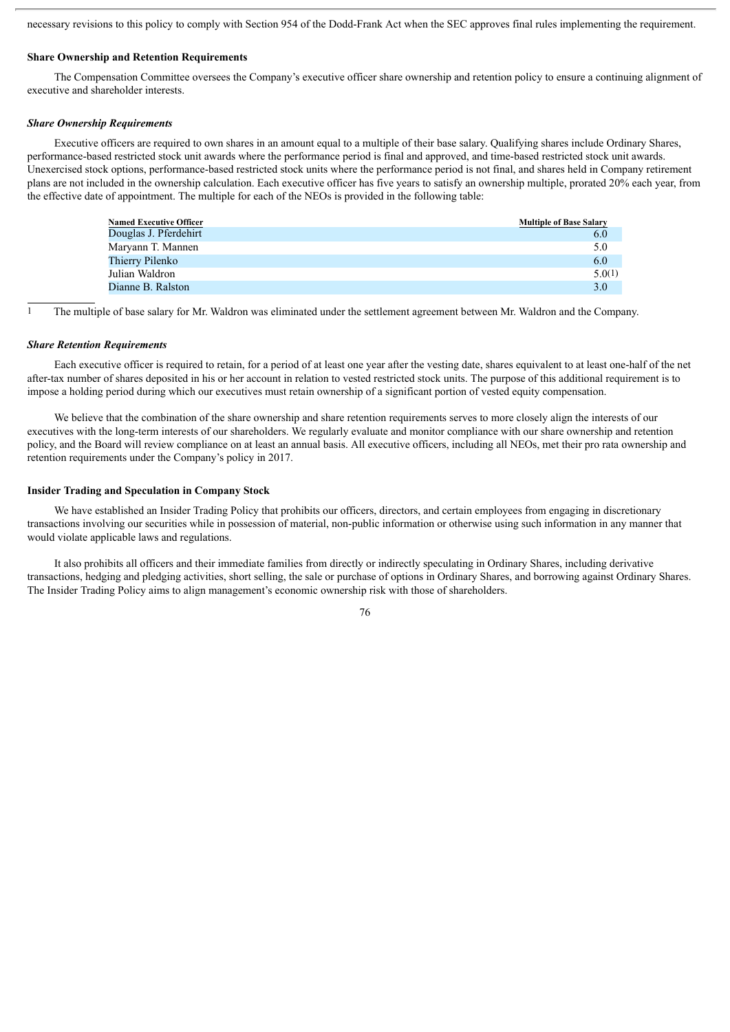necessary revisions to this policy to comply with Section 954 of the Dodd-Frank Act when the SEC approves final rules implementing the requirement.

#### **Share Ownership and Retention Requirements**

The Compensation Committee oversees the Company's executive officer share ownership and retention policy to ensure a continuing alignment of executive and shareholder interests.

#### *Share Ownership Requirements*

Executive officers are required to own shares in an amount equal to a multiple of their base salary. Qualifying shares include Ordinary Shares, performance-based restricted stock unit awards where the performance period is final and approved, and time-based restricted stock unit awards. Unexercised stock options, performance-based restricted stock units where the performance period is not final, and shares held in Company retirement plans are not included in the ownership calculation. Each executive officer has five years to satisfy an ownership multiple, prorated 20% each year, from the effective date of appointment. The multiple for each of the NEOs is provided in the following table:

| <b>Named Executive Officer</b> | <b>Multiple of Base Salary</b> |
|--------------------------------|--------------------------------|
| Douglas J. Pferdehirt          | 6.0                            |
| Maryann T. Mannen              | 5.0                            |
| Thierry Pilenko                | 6.0                            |
| Julian Waldron                 | 5.0(1)                         |
| Dianne B. Ralston              | 3.0                            |

1 The multiple of base salary for Mr. Waldron was eliminated under the settlement agreement between Mr. Waldron and the Company.

#### *Share Retention Requirements*

Each executive officer is required to retain, for a period of at least one year after the vesting date, shares equivalent to at least one-half of the net after-tax number of shares deposited in his or her account in relation to vested restricted stock units. The purpose of this additional requirement is to impose a holding period during which our executives must retain ownership of a significant portion of vested equity compensation.

We believe that the combination of the share ownership and share retention requirements serves to more closely align the interests of our executives with the long-term interests of our shareholders. We regularly evaluate and monitor compliance with our share ownership and retention policy, and the Board will review compliance on at least an annual basis. All executive officers, including all NEOs, met their pro rata ownership and retention requirements under the Company's policy in 2017.

# **Insider Trading and Speculation in Company Stock**

We have established an Insider Trading Policy that prohibits our officers, directors, and certain employees from engaging in discretionary transactions involving our securities while in possession of material, non-public information or otherwise using such information in any manner that would violate applicable laws and regulations.

It also prohibits all officers and their immediate families from directly or indirectly speculating in Ordinary Shares, including derivative transactions, hedging and pledging activities, short selling, the sale or purchase of options in Ordinary Shares, and borrowing against Ordinary Shares. The Insider Trading Policy aims to align management's economic ownership risk with those of shareholders.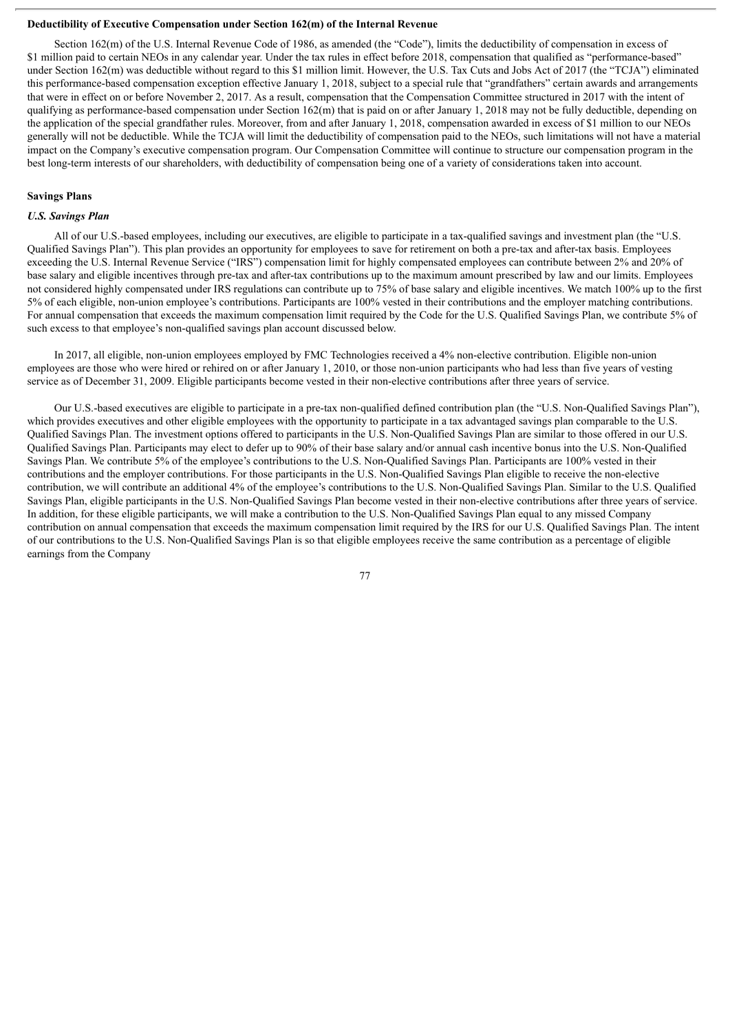# **Deductibility of Executive Compensation under Section 162(m) of the Internal Revenue**

Section 162(m) of the U.S. Internal Revenue Code of 1986, as amended (the "Code"), limits the deductibility of compensation in excess of \$1 million paid to certain NEOs in any calendar year. Under the tax rules in effect before 2018, compensation that qualified as "performance-based" under Section 162(m) was deductible without regard to this \$1 million limit. However, the U.S. Tax Cuts and Jobs Act of 2017 (the "TCJA") eliminated this performance-based compensation exception effective January 1, 2018, subject to a special rule that "grandfathers" certain awards and arrangements that were in effect on or before November 2, 2017. As a result, compensation that the Compensation Committee structured in 2017 with the intent of qualifying as performance-based compensation under Section  $162(m)$  that is paid on or after January 1, 2018 may not be fully deductible, depending on the application of the special grandfather rules. Moreover, from and after January 1, 2018, compensation awarded in excess of \$1 million to our NEOs generally will not be deductible. While the TCJA will limit the deductibility of compensation paid to the NEOs, such limitations will not have a material impact on the Company's executive compensation program. Our Compensation Committee will continue to structure our compensation program in the best long-term interests of our shareholders, with deductibility of compensation being one of a variety of considerations taken into account.

### **Savings Plans**

### *U.S. Savings Plan*

All of our U.S.-based employees, including our executives, are eligible to participate in a tax-qualified savings and investment plan (the "U.S. Qualified Savings Plan"). This plan provides an opportunity for employees to save for retirement on both a pre-tax and after-tax basis. Employees exceeding the U.S. Internal Revenue Service ("IRS") compensation limit for highly compensated employees can contribute between 2% and 20% of base salary and eligible incentives through pre-tax and after-tax contributions up to the maximum amount prescribed by law and our limits. Employees not considered highly compensated under IRS regulations can contribute up to 75% of base salary and eligible incentives. We match 100% up to the first 5% of each eligible, non-union employee's contributions. Participants are 100% vested in their contributions and the employer matching contributions. For annual compensation that exceeds the maximum compensation limit required by the Code for the U.S. Qualified Savings Plan, we contribute 5% of such excess to that employee's non-qualified savings plan account discussed below.

In 2017, all eligible, non-union employees employed by FMC Technologies received a 4% non-elective contribution. Eligible non-union employees are those who were hired or rehired on or after January 1, 2010, or those non-union participants who had less than five years of vesting service as of December 31, 2009. Eligible participants become vested in their non-elective contributions after three years of service.

Our U.S.-based executives are eligible to participate in a pre-tax non-qualified defined contribution plan (the "U.S. Non-Qualified Savings Plan"), which provides executives and other eligible employees with the opportunity to participate in a tax advantaged savings plan comparable to the U.S. Qualified Savings Plan. The investment options offered to participants in the U.S. Non-Qualified Savings Plan are similar to those offered in our U.S. Qualified Savings Plan. Participants may elect to defer up to 90% of their base salary and/or annual cash incentive bonus into the U.S. Non-Qualified Savings Plan. We contribute 5% of the employee's contributions to the U.S. Non-Qualified Savings Plan. Participants are 100% vested in their contributions and the employer contributions. For those participants in the U.S. Non-Qualified Savings Plan eligible to receive the non-elective contribution, we will contribute an additional 4% of the employee's contributions to the U.S. Non-Qualified Savings Plan. Similar to the U.S. Qualified Savings Plan, eligible participants in the U.S. Non-Qualified Savings Plan become vested in their non-elective contributions after three years of service. In addition, for these eligible participants, we will make a contribution to the U.S. Non-Qualified Savings Plan equal to any missed Company contribution on annual compensation that exceeds the maximum compensation limit required by the IRS for our U.S. Qualified Savings Plan. The intent of our contributions to the U.S. Non-Qualified Savings Plan is so that eligible employees receive the same contribution as a percentage of eligible earnings from the Company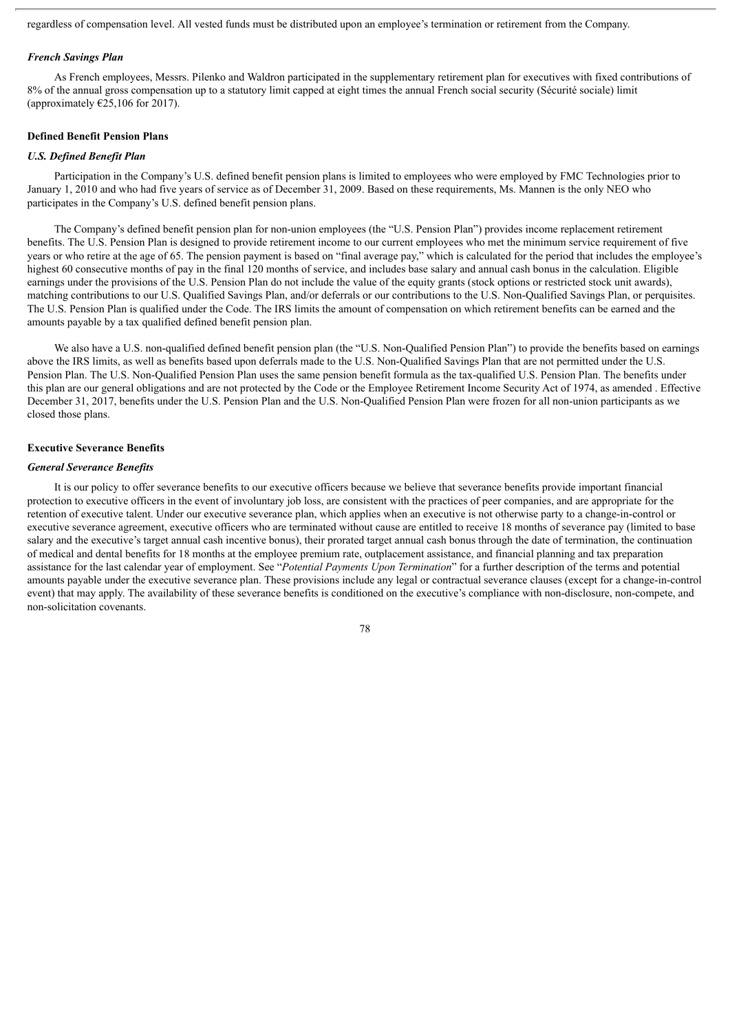regardless of compensation level. All vested funds must be distributed upon an employee's termination or retirement from the Company.

#### *French Savings Plan*

As French employees, Messrs. Pilenko and Waldron participated in the supplementary retirement plan for executives with fixed contributions of 8% of the annual gross compensation up to a statutory limit capped at eight times the annual French social security (Sécurité sociale) limit (approximately  $\epsilon$ 25,106 for 2017).

#### **Defined Benefit Pension Plans**

# *U.S. Defined Benefit Plan*

Participation in the Company's U.S. defined benefit pension plans is limited to employees who were employed by FMC Technologies prior to January 1, 2010 and who had five years of service as of December 31, 2009. Based on these requirements, Ms. Mannen is the only NEO who participates in the Company's U.S. defined benefit pension plans.

The Company's defined benefit pension plan for non-union employees (the "U.S. Pension Plan") provides income replacement retirement benefits. The U.S. Pension Plan is designed to provide retirement income to our current employees who met the minimum service requirement of five years or who retire at the age of 65. The pension payment is based on "final average pay," which is calculated for the period that includes the employee's highest 60 consecutive months of pay in the final 120 months of service, and includes base salary and annual cash bonus in the calculation. Eligible earnings under the provisions of the U.S. Pension Plan do not include the value of the equity grants (stock options or restricted stock unit awards), matching contributions to our U.S. Qualified Savings Plan, and/or deferrals or our contributions to the U.S. Non-Qualified Savings Plan, or perquisites. The U.S. Pension Plan is qualified under the Code. The IRS limits the amount of compensation on which retirement benefits can be earned and the amounts payable by a tax qualified defined benefit pension plan.

We also have a U.S. non-qualified defined benefit pension plan (the "U.S. Non-Qualified Pension Plan") to provide the benefits based on earnings above the IRS limits, as well as benefits based upon deferrals made to the U.S. Non-Qualified Savings Plan that are not permitted under the U.S. Pension Plan. The U.S. Non-Qualified Pension Plan uses the same pension benefit formula as the tax-qualified U.S. Pension Plan. The benefits under this plan are our general obligations and are not protected by the Code or the Employee Retirement Income Security Act of 1974, as amended . Effective December 31, 2017, benefits under the U.S. Pension Plan and the U.S. Non-Qualified Pension Plan were frozen for all non-union participants as we closed those plans.

### **Executive Severance Benefits**

# *General Severance Benefits*

It is our policy to offer severance benefits to our executive officers because we believe that severance benefits provide important financial protection to executive officers in the event of involuntary job loss, are consistent with the practices of peer companies, and are appropriate for the retention of executive talent. Under our executive severance plan, which applies when an executive is not otherwise party to a change-in-control or executive severance agreement, executive officers who are terminated without cause are entitled to receive 18 months of severance pay (limited to base salary and the executive's target annual cash incentive bonus), their prorated target annual cash bonus through the date of termination, the continuation of medical and dental benefits for 18 months at the employee premium rate, outplacement assistance, and financial planning and tax preparation assistance for the last calendar year of employment. See "*Potential Payments Upon Termination*" for a further description of the terms and potential amounts payable under the executive severance plan. These provisions include any legal or contractual severance clauses (except for a change-in-control event) that may apply. The availability of these severance benefits is conditioned on the executive's compliance with non-disclosure, non-compete, and non-solicitation covenants.

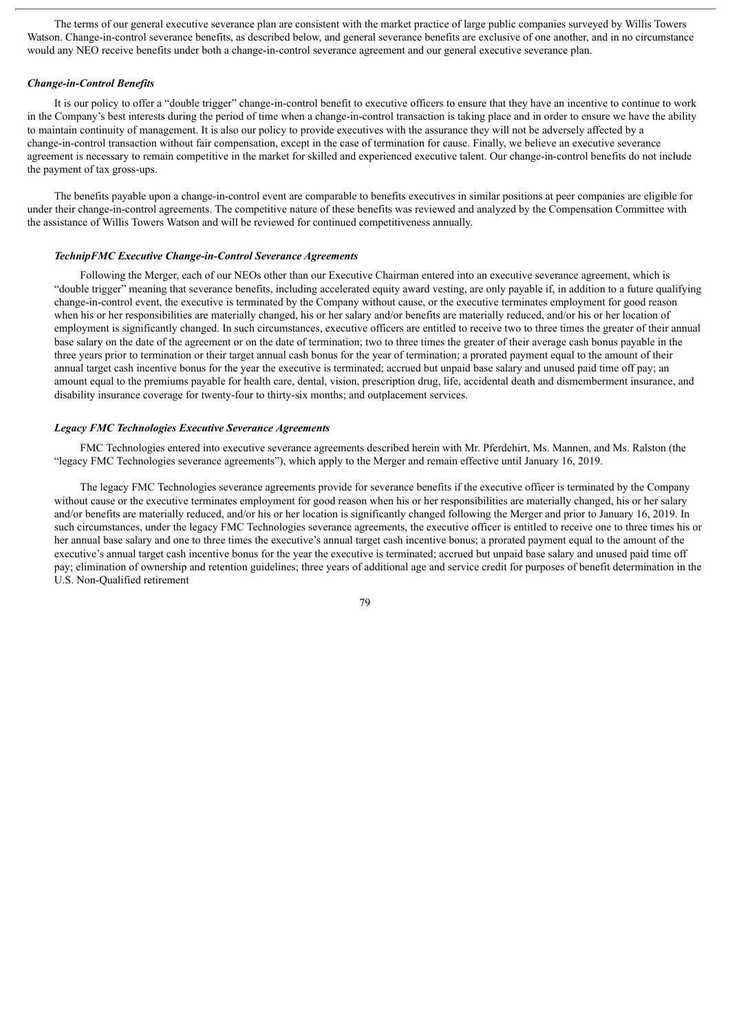The terms of our general executive severance plan are consistent with the market practice of large public companies surveyed by Willis Towers Watson. Change-in-control severance benefits, as described below, and general severance benefits are exclusive of one another, and in no circumstance would any NEO receive benefits under both a change-in-control severance agreement and our general executive severance plan.

#### *Change-in-Control Benefits*

It is our policy to offer a "double trigger" change-in-control benefit to executive officers to ensure that they have an incentive to continue to work in the Company's best interests during the period of time when a change-in-control transaction is taking place and in order to ensure we have the ability to maintain continuity of management. It is also our policy to provide executives with the assurance they will not be adversely affected by a change-in-control transaction without fair compensation, except in the case of termination for cause. Finally, we believe an executive severance agreement is necessary to remain competitive in the market for skilled and experienced executive talent. Our change-in-control benefits do not include the payment of tax gross-ups.

The benefits payable upon a change-in-control event are comparable to benefits executives in similar positions at peer companies are eligible for under their change-in-control agreements. The competitive nature of these benefits was reviewed and analyzed by the Compensation Committee with the assistance of Willis Towers Watson and will be reviewed for continued competitiveness annually.

### *TechnipFMC Executive Change-in-Control Severance Agreements*

Following the Merger, each of our NEOs other than our Executive Chairman entered into an executive severance agreement, which is "double trigger" meaning that severance benefits, including accelerated equity award vesting, are only payable if, in addition to a future qualifying change-in-control event, the executive is terminated by the Company without cause, or the executive terminates employment for good reason when his or her responsibilities are materially changed, his or her salary and/or benefits are materially reduced, and/or his or her location of employment is significantly changed. In such circumstances, executive officers are entitled to receive two to three times the greater of their annual base salary on the date of the agreement or on the date of termination; two to three times the greater of their average cash bonus payable in the three years prior to termination or their target annual cash bonus for the year of termination; a prorated payment equal to the amount of their annual target cash incentive bonus for the year the executive is terminated; accrued but unpaid base salary and unused paid time off pay; an amount equal to the premiums payable for health care, dental, vision, prescription drug, life, accidental death and dismemberment insurance, and disability insurance coverage for twenty-four to thirty-six months; and outplacement services.

#### *Legacy FMC Technologies Executive Severance Agreements*

FMC Technologies entered into executive severance agreements described herein with Mr. Pferdehirt, Ms. Mannen, and Ms. Ralston (the "legacy FMC Technologies severance agreements"), which apply to the Merger and remain effective until January 16, 2019.

The legacy FMC Technologies severance agreements provide for severance benefits if the executive officer is terminated by the Company without cause or the executive terminates employment for good reason when his or her responsibilities are materially changed, his or her salary and/or benefits are materially reduced, and/or his or her location is significantly changed following the Merger and prior to January 16, 2019. In such circumstances, under the legacy FMC Technologies severance agreements, the executive officer is entitled to receive one to three times his or her annual base salary and one to three times the executive's annual target cash incentive bonus; a prorated payment equal to the amount of the executive's annual target cash incentive bonus for the year the executive is terminated; accrued but unpaid base salary and unused paid time off pay; elimination of ownership and retention guidelines; three years of additional age and service credit for purposes of benefit determination in the U.S. Non-Qualified retirement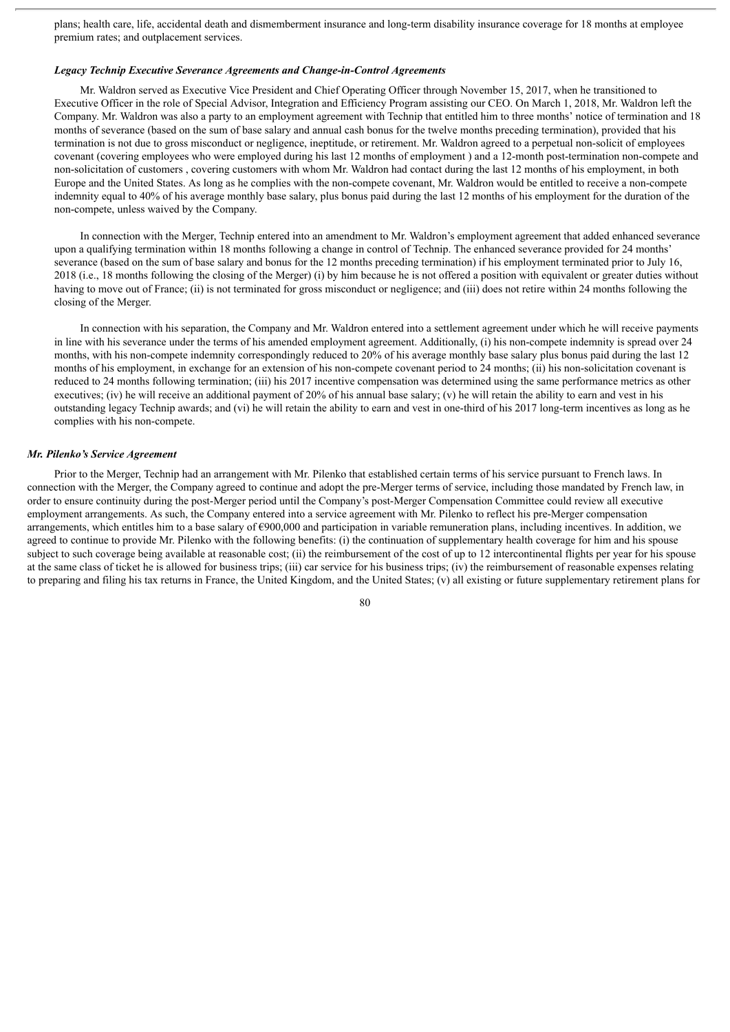plans; health care, life, accidental death and dismemberment insurance and long-term disability insurance coverage for 18 months at employee premium rates; and outplacement services.

# *Legacy Technip Executive Severance Agreements and Change-in-Control Agreements*

Mr. Waldron served as Executive Vice President and Chief Operating Officer through November 15, 2017, when he transitioned to Executive Officer in the role of Special Advisor, Integration and Efficiency Program assisting our CEO. On March 1, 2018, Mr. Waldron left the Company. Mr. Waldron was also a party to an employment agreement with Technip that entitled him to three months' notice of termination and 18 months of severance (based on the sum of base salary and annual cash bonus for the twelve months preceding termination), provided that his termination is not due to gross misconduct or negligence, ineptitude, or retirement. Mr. Waldron agreed to a perpetual non-solicit of employees covenant (covering employees who were employed during his last 12 months of employment ) and a 12-month post-termination non-compete and non-solicitation of customers , covering customers with whom Mr. Waldron had contact during the last 12 months of his employment, in both Europe and the United States. As long as he complies with the non-compete covenant, Mr. Waldron would be entitled to receive a non-compete indemnity equal to 40% of his average monthly base salary, plus bonus paid during the last 12 months of his employment for the duration of the non-compete, unless waived by the Company.

In connection with the Merger, Technip entered into an amendment to Mr. Waldron's employment agreement that added enhanced severance upon a qualifying termination within 18 months following a change in control of Technip. The enhanced severance provided for 24 months' severance (based on the sum of base salary and bonus for the 12 months preceding termination) if his employment terminated prior to July 16, 2018 (i.e., 18 months following the closing of the Merger) (i) by him because he is not offered a position with equivalent or greater duties without having to move out of France; (ii) is not terminated for gross misconduct or negligence; and (iii) does not retire within 24 months following the closing of the Merger.

In connection with his separation, the Company and Mr. Waldron entered into a settlement agreement under which he will receive payments in line with his severance under the terms of his amended employment agreement. Additionally, (i) his non-compete indemnity is spread over 24 months, with his non-compete indemnity correspondingly reduced to 20% of his average monthly base salary plus bonus paid during the last 12 months of his employment, in exchange for an extension of his non-compete covenant period to 24 months; (ii) his non-solicitation covenant is reduced to 24 months following termination; (iii) his 2017 incentive compensation was determined using the same performance metrics as other executives; (iv) he will receive an additional payment of 20% of his annual base salary; (v) he will retain the ability to earn and vest in his outstanding legacy Technip awards; and (vi) he will retain the ability to earn and vest in one-third of his 2017 long-term incentives as long as he complies with his non-compete.

### *Mr. Pilenko's Service Agreement*

Prior to the Merger, Technip had an arrangement with Mr. Pilenko that established certain terms of his service pursuant to French laws. In connection with the Merger, the Company agreed to continue and adopt the pre-Merger terms of service, including those mandated by French law, in order to ensure continuity during the post-Merger period until the Company's post-Merger Compensation Committee could review all executive employment arrangements. As such, the Company entered into a service agreement with Mr. Pilenko to reflect his pre-Merger compensation arrangements, which entitles him to a base salary of  $\epsilon$ 900,000 and participation in variable remuneration plans, including incentives. In addition, we agreed to continue to provide Mr. Pilenko with the following benefits: (i) the continuation of supplementary health coverage for him and his spouse subject to such coverage being available at reasonable cost; (ii) the reimbursement of the cost of up to 12 intercontinental flights per year for his spouse at the same class of ticket he is allowed for business trips; (iii) car service for his business trips; (iv) the reimbursement of reasonable expenses relating to preparing and filing his tax returns in France, the United Kingdom, and the United States; (v) all existing or future supplementary retirement plans for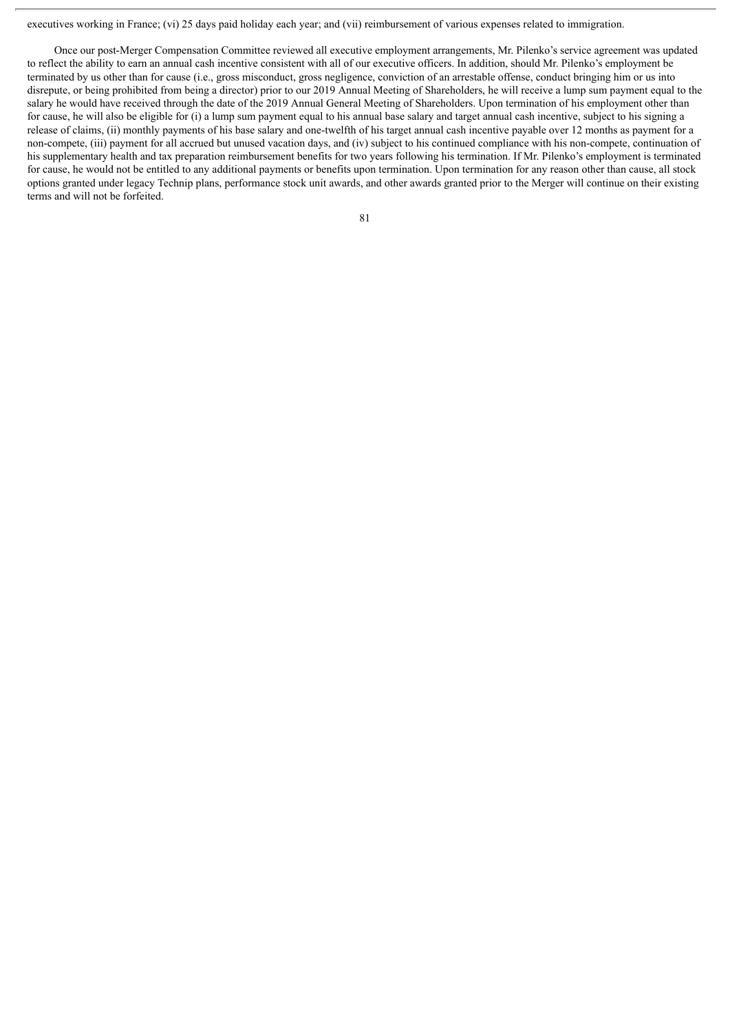executives working in France; (vi) 25 days paid holiday each year; and (vii) reimbursement of various expenses related to immigration.

Once our post-Merger Compensation Committee reviewed all executive employment arrangements, Mr. Pilenko's service agreement was updated to reflect the ability to earn an annual cash incentive consistent with all of our executive officers. In addition, should Mr. Pilenko's employment be terminated by us other than for cause (i.e., gross misconduct, gross negligence, conviction of an arrestable offense, conduct bringing him or us into disrepute, or being prohibited from being a director) prior to our 2019 Annual Meeting of Shareholders, he will receive a lump sum payment equal to the salary he would have received through the date of the 2019 Annual General Meeting of Shareholders. Upon termination of his employment other than for cause, he will also be eligible for (i) a lump sum payment equal to his annual base salary and target annual cash incentive, subject to his signing a release of claims, (ii) monthly payments of his base salary and one-twelfth of his target annual cash incentive payable over 12 months as payment for a non-compete, (iii) payment for all accrued but unused vacation days, and (iv) subject to his continued compliance with his non-compete, continuation of his supplementary health and tax preparation reimbursement benefits for two years following his termination. If Mr. Pilenko's employment is terminated for cause, he would not be entitled to any additional payments or benefits upon termination. Upon termination for any reason other than cause, all stock options granted under legacy Technip plans, performance stock unit awards, and other awards granted prior to the Merger will continue on their existing terms and will not be forfeited.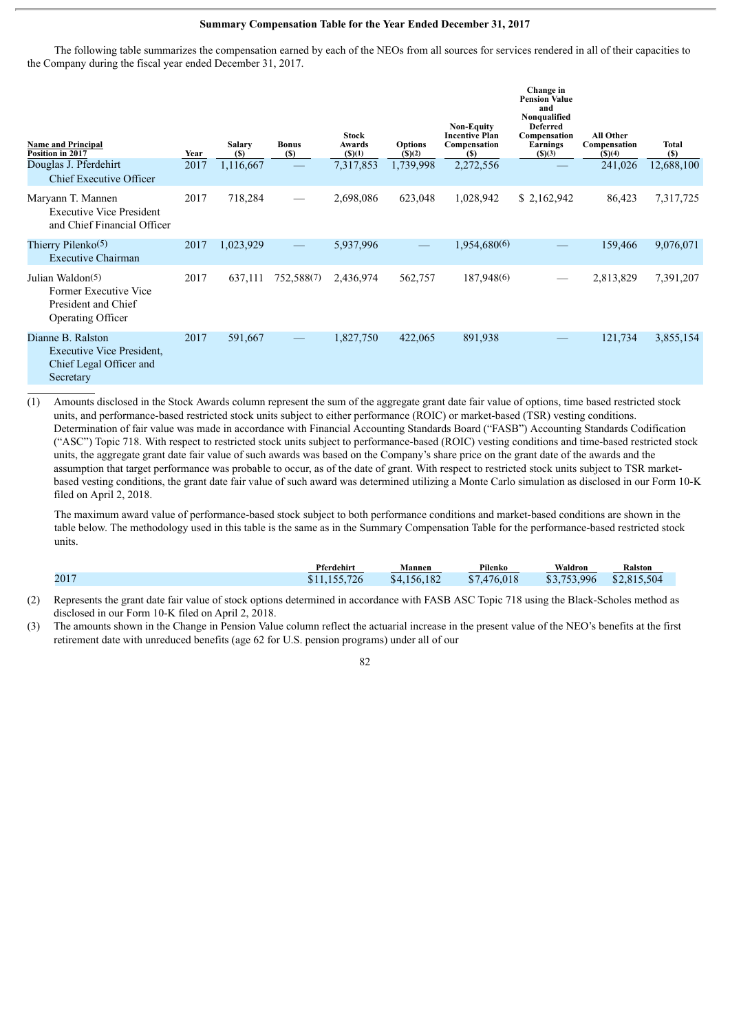### **Summary Compensation Table for the Year Ended December 31, 2017**

The following table summarizes the compensation earned by each of the NEOs from all sources for services rendered in all of their capacities to the Company during the fiscal year ended December 31, 2017.

| <b>Name and Principal</b><br>Position in 2017                                                 | Year | <b>Salary</b><br>(S) | <b>Bonus</b><br>(S) | <b>Stock</b><br>Awards<br>(S)(1) | <b>Options</b><br>(S)(2) | <b>Non-Equity</b><br><b>Incentive Plan</b><br>Compensation<br>(S) | Change in<br><b>Pension Value</b><br>and<br>Nonqualified<br><b>Deferred</b><br>Compensation<br>Earnings<br>(S)(3) | All Other<br>Compensation<br>\$)(4) | <b>Total</b><br>(S) |
|-----------------------------------------------------------------------------------------------|------|----------------------|---------------------|----------------------------------|--------------------------|-------------------------------------------------------------------|-------------------------------------------------------------------------------------------------------------------|-------------------------------------|---------------------|
| Douglas J. Pferdehirt<br><b>Chief Executive Officer</b>                                       | 2017 | 1,116,667            |                     | 7,317,853                        | 1,739,998                | 2,272,556                                                         |                                                                                                                   | 241,026                             | 12,688,100          |
| Maryann T. Mannen<br><b>Executive Vice President</b><br>and Chief Financial Officer           | 2017 | 718,284              |                     | 2,698,086                        | 623,048                  | 1,028,942                                                         | \$2,162,942                                                                                                       | 86,423                              | 7,317,725           |
| Thierry Pilenko $(5)$<br>Executive Chairman                                                   | 2017 | 1,023,929            |                     | 5,937,996                        |                          | 1,954,680(6)                                                      |                                                                                                                   | 159,466                             | 9,076,071           |
| Julian Waldon(5)<br>Former Executive Vice<br>President and Chief<br><b>Operating Officer</b>  | 2017 | 637,111              | 752,588(7)          | 2,436,974                        | 562,757                  | 187,948(6)                                                        |                                                                                                                   | 2,813,829                           | 7,391,207           |
| Dianne B. Ralston<br><b>Executive Vice President,</b><br>Chief Legal Officer and<br>Secretary | 2017 | 591,667              |                     | 1,827,750                        | 422,065                  | 891,938                                                           |                                                                                                                   | 121,734                             | 3,855,154           |

(1) Amounts disclosed in the Stock Awards column represent the sum of the aggregate grant date fair value of options, time based restricted stock units, and performance-based restricted stock units subject to either performance (ROIC) or market-based (TSR) vesting conditions. Determination of fair value was made in accordance with Financial Accounting Standards Board ("FASB") Accounting Standards Codification ("ASC") Topic 718. With respect to restricted stock units subject to performance-based (ROIC) vesting conditions and time-based restricted stock units, the aggregate grant date fair value of such awards was based on the Company's share price on the grant date of the awards and the assumption that target performance was probable to occur, as of the date of grant. With respect to restricted stock units subject to TSR marketbased vesting conditions, the grant date fair value of such award was determined utilizing a Monte Carlo simulation as disclosed in our Form 10-K filed on April 2, 2018.

The maximum award value of performance-based stock subject to both performance conditions and market-based conditions are shown in the table below. The methodology used in this table is the same as in the Summary Compensation Table for the performance-based restricted stock units.

|      | Pferdehirt                 | Mannen      | Pilenko         | Waldron              | Ralston     |
|------|----------------------------|-------------|-----------------|----------------------|-------------|
| 2017 | 55.726<br>155<br>\$11,155, | \$4,156,182 | .476.018<br>\$7 | 753.996<br>\$3,753,9 | \$2,815,504 |

(2) Represents the grant date fair value of stock options determined in accordance with FASB ASC Topic 718 using the Black-Scholes method as disclosed in our Form 10-K filed on April 2, 2018.

(3) The amounts shown in the Change in Pension Value column reflect the actuarial increase in the present value of the NEO's benefits at the first retirement date with unreduced benefits (age 62 for U.S. pension programs) under all of our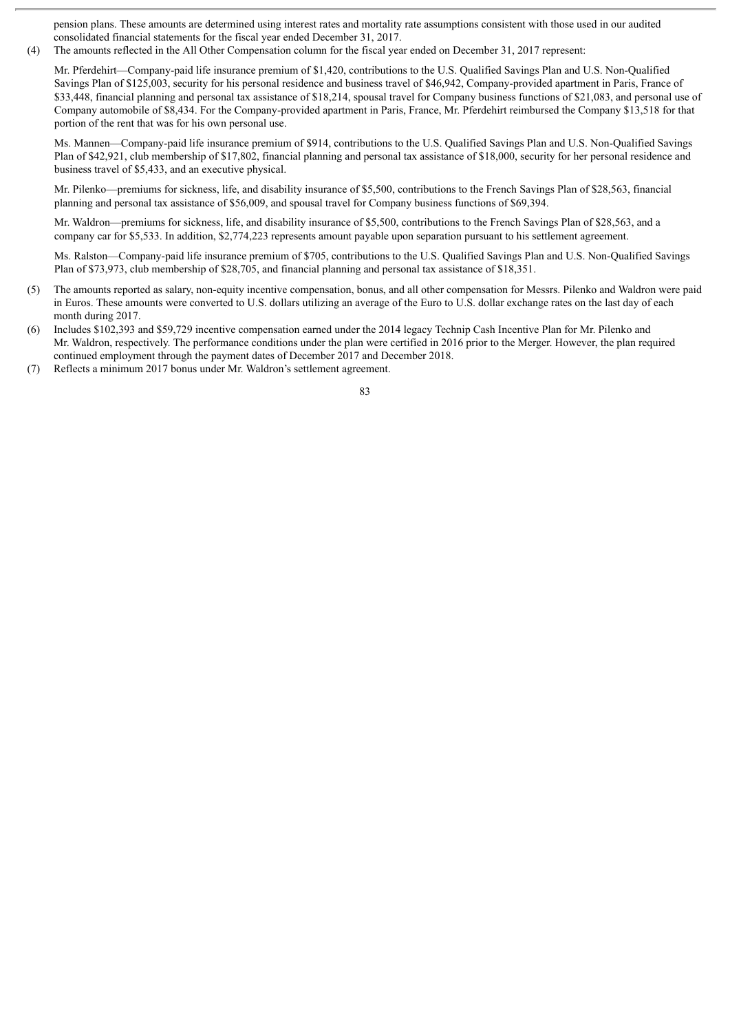pension plans. These amounts are determined using interest rates and mortality rate assumptions consistent with those used in our audited consolidated financial statements for the fiscal year ended December 31, 2017.

(4) The amounts reflected in the All Other Compensation column for the fiscal year ended on December 31, 2017 represent:

Mr. Pferdehirt—Company-paid life insurance premium of \$1,420, contributions to the U.S. Qualified Savings Plan and U.S. Non-Qualified Savings Plan of \$125,003, security for his personal residence and business travel of \$46,942, Company-provided apartment in Paris, France of \$33,448, financial planning and personal tax assistance of \$18,214, spousal travel for Company business functions of \$21,083, and personal use of Company automobile of \$8,434. For the Company-provided apartment in Paris, France, Mr. Pferdehirt reimbursed the Company \$13,518 for that portion of the rent that was for his own personal use.

Ms. Mannen—Company-paid life insurance premium of \$914, contributions to the U.S. Qualified Savings Plan and U.S. Non-Qualified Savings Plan of \$42,921, club membership of \$17,802, financial planning and personal tax assistance of \$18,000, security for her personal residence and business travel of \$5,433, and an executive physical.

Mr. Pilenko—premiums for sickness, life, and disability insurance of \$5,500, contributions to the French Savings Plan of \$28,563, financial planning and personal tax assistance of \$56,009, and spousal travel for Company business functions of \$69,394.

Mr. Waldron—premiums for sickness, life, and disability insurance of \$5,500, contributions to the French Savings Plan of \$28,563, and a company car for \$5,533. In addition, \$2,774,223 represents amount payable upon separation pursuant to his settlement agreement.

Ms. Ralston—Company-paid life insurance premium of \$705, contributions to the U.S. Qualified Savings Plan and U.S. Non-Qualified Savings Plan of \$73,973, club membership of \$28,705, and financial planning and personal tax assistance of \$18,351.

- (5) The amounts reported as salary, non-equity incentive compensation, bonus, and all other compensation for Messrs. Pilenko and Waldron were paid in Euros. These amounts were converted to U.S. dollars utilizing an average of the Euro to U.S. dollar exchange rates on the last day of each month during 2017.
- (6) Includes \$102,393 and \$59,729 incentive compensation earned under the 2014 legacy Technip Cash Incentive Plan for Mr. Pilenko and Mr. Waldron, respectively. The performance conditions under the plan were certified in 2016 prior to the Merger. However, the plan required continued employment through the payment dates of December 2017 and December 2018.
- (7) Reflects a minimum 2017 bonus under Mr. Waldron's settlement agreement.

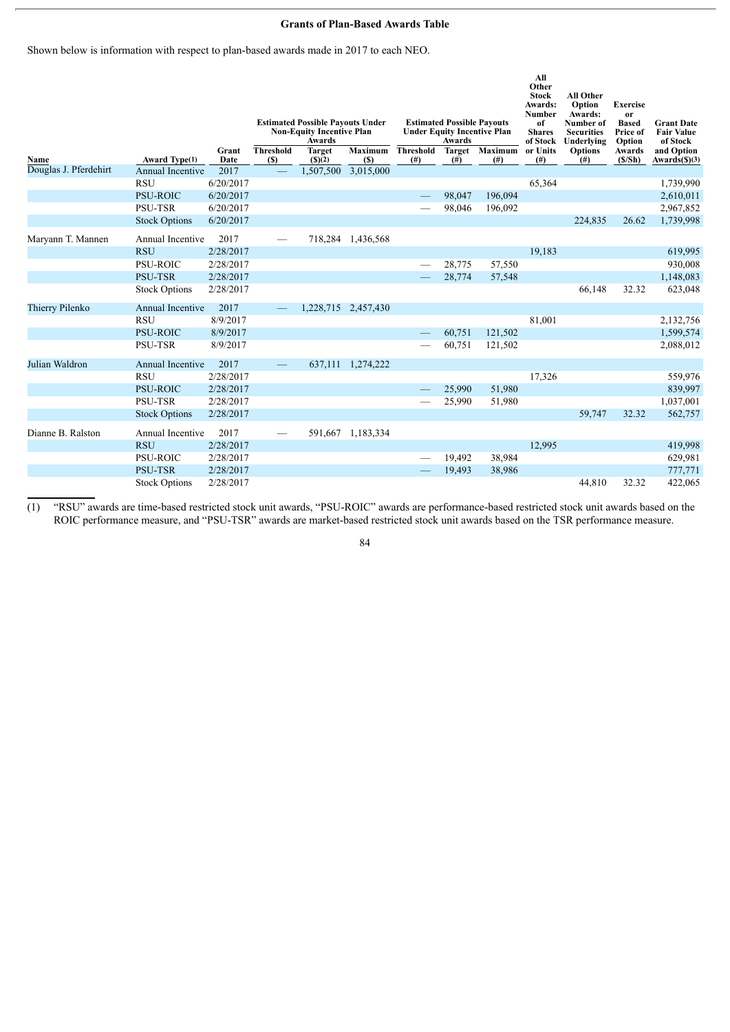# **Grants of Plan-Based Awards Table**

Shown below is information with respect to plan-based awards made in 2017 to each NEO.

|                       |                      |               |                         | <b>Estimated Possible Payouts Under</b><br><b>Non-Equity Incentive Plan</b><br>Awards |                       |                       | Awards | <b>Estimated Possible Payouts</b><br><b>Under Equity Incentive Plan</b> | All<br>Other<br><b>Stock</b><br>Awards:<br>Number<br>of<br><b>Shares</b><br>of Stock | All Other<br>Option<br>Awards:<br>Number of<br><b>Securities</b><br>Underlying | <b>Exercise</b><br>or<br><b>Based</b><br>Price of<br>Option | <b>Grant Date</b><br><b>Fair Value</b><br>of Stock |
|-----------------------|----------------------|---------------|-------------------------|---------------------------------------------------------------------------------------|-----------------------|-----------------------|--------|-------------------------------------------------------------------------|--------------------------------------------------------------------------------------|--------------------------------------------------------------------------------|-------------------------------------------------------------|----------------------------------------------------|
| Name                  | Award Type(1)        | Grant<br>Date | <b>Threshold</b><br>(S) | <b>Target</b><br>(S)(2)                                                               | <b>Maximum</b><br>(S) | Threshold<br>$^{(#)}$ | (# )   | Target Maximum<br>(#)                                                   | or Units<br>(#)                                                                      | <b>Options</b><br>(#)                                                          | Awards<br>(S/Sh)                                            | and Option<br>Awards $(S)(3)$                      |
| Douglas J. Pferdehirt | Annual Incentive     | 2017          |                         | 1,507,500                                                                             | 3,015,000             |                       |        |                                                                         |                                                                                      |                                                                                |                                                             |                                                    |
|                       | <b>RSU</b>           | 6/20/2017     |                         |                                                                                       |                       |                       |        |                                                                         | 65,364                                                                               |                                                                                |                                                             | 1,739,990                                          |
|                       | <b>PSU-ROIC</b>      | 6/20/2017     |                         |                                                                                       |                       |                       | 98,047 | 196,094                                                                 |                                                                                      |                                                                                |                                                             | 2,610,011                                          |
|                       | <b>PSU-TSR</b>       | 6/20/2017     |                         |                                                                                       |                       |                       | 98,046 | 196,092                                                                 |                                                                                      |                                                                                |                                                             | 2,967,852                                          |
|                       | <b>Stock Options</b> | 6/20/2017     |                         |                                                                                       |                       |                       |        |                                                                         |                                                                                      | 224,835                                                                        | 26.62                                                       | 1,739,998                                          |
| Maryann T. Mannen     | Annual Incentive     | 2017          |                         |                                                                                       | 718,284 1,436,568     |                       |        |                                                                         |                                                                                      |                                                                                |                                                             |                                                    |
|                       | <b>RSU</b>           | 2/28/2017     |                         |                                                                                       |                       |                       |        |                                                                         | 19,183                                                                               |                                                                                |                                                             | 619,995                                            |
|                       | <b>PSU-ROIC</b>      | 2/28/2017     |                         |                                                                                       |                       |                       | 28,775 | 57,550                                                                  |                                                                                      |                                                                                |                                                             | 930,008                                            |
|                       | <b>PSU-TSR</b>       | 2/28/2017     |                         |                                                                                       |                       |                       | 28,774 | 57,548                                                                  |                                                                                      |                                                                                |                                                             | 1,148,083                                          |
|                       | <b>Stock Options</b> | 2/28/2017     |                         |                                                                                       |                       |                       |        |                                                                         |                                                                                      | 66,148                                                                         | 32.32                                                       | 623,048                                            |
| Thierry Pilenko       | Annual Incentive     | 2017          |                         | 1,228,715                                                                             | 2,457,430             |                       |        |                                                                         |                                                                                      |                                                                                |                                                             |                                                    |
|                       | <b>RSU</b>           | 8/9/2017      |                         |                                                                                       |                       |                       |        |                                                                         | 81,001                                                                               |                                                                                |                                                             | 2,132,756                                          |
|                       | <b>PSU-ROIC</b>      | 8/9/2017      |                         |                                                                                       |                       |                       | 60,751 | 121,502                                                                 |                                                                                      |                                                                                |                                                             | 1,599,574                                          |
|                       | <b>PSU-TSR</b>       | 8/9/2017      |                         |                                                                                       |                       |                       | 60,751 | 121,502                                                                 |                                                                                      |                                                                                |                                                             | 2,088,012                                          |
| Julian Waldron        | Annual Incentive     | 2017          |                         | 637,111                                                                               | 1,274,222             |                       |        |                                                                         |                                                                                      |                                                                                |                                                             |                                                    |
|                       | <b>RSU</b>           | 2/28/2017     |                         |                                                                                       |                       |                       |        |                                                                         | 17,326                                                                               |                                                                                |                                                             | 559,976                                            |
|                       | <b>PSU-ROIC</b>      | 2/28/2017     |                         |                                                                                       |                       |                       | 25,990 | 51,980                                                                  |                                                                                      |                                                                                |                                                             | 839,997                                            |
|                       | <b>PSU-TSR</b>       | 2/28/2017     |                         |                                                                                       |                       |                       | 25,990 | 51,980                                                                  |                                                                                      |                                                                                |                                                             | 1,037,001                                          |
|                       | <b>Stock Options</b> | 2/28/2017     |                         |                                                                                       |                       |                       |        |                                                                         |                                                                                      | 59,747                                                                         | 32.32                                                       | 562,757                                            |
| Dianne B. Ralston     | Annual Incentive     | 2017          |                         |                                                                                       | 591,667 1,183,334     |                       |        |                                                                         |                                                                                      |                                                                                |                                                             |                                                    |
|                       | <b>RSU</b>           | 2/28/2017     |                         |                                                                                       |                       |                       |        |                                                                         | 12,995                                                                               |                                                                                |                                                             | 419,998                                            |
|                       | <b>PSU-ROIC</b>      | 2/28/2017     |                         |                                                                                       |                       |                       | 19,492 | 38,984                                                                  |                                                                                      |                                                                                |                                                             | 629,981                                            |
|                       | <b>PSU-TSR</b>       | 2/28/2017     |                         |                                                                                       |                       |                       | 19,493 | 38,986                                                                  |                                                                                      |                                                                                |                                                             | 777,771                                            |
|                       | <b>Stock Options</b> | 2/28/2017     |                         |                                                                                       |                       |                       |        |                                                                         |                                                                                      | 44.810                                                                         | 32.32                                                       | 422,065                                            |

(1) "RSU" awards are time-based restricted stock unit awards, "PSU-ROIC" awards are performance-based restricted stock unit awards based on the ROIC performance measure, and "PSU-TSR" awards are market-based restricted stock unit awards based on the TSR performance measure.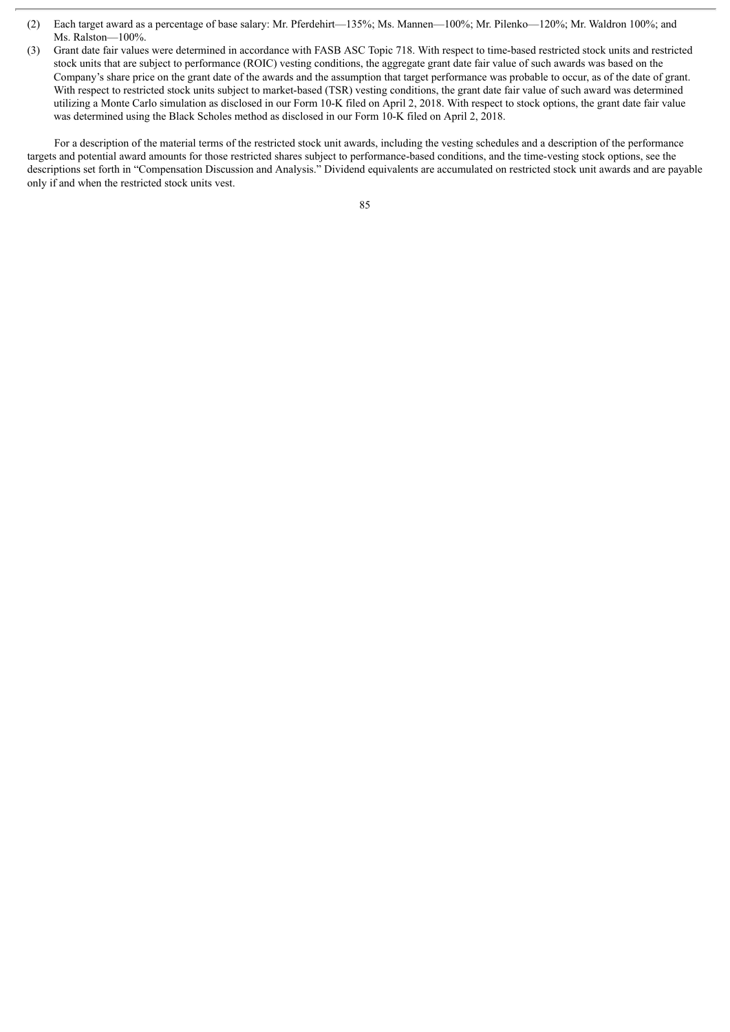(3) Grant date fair values were determined in accordance with FASB ASC Topic 718. With respect to time-based restricted stock units and restricted stock units that are subject to performance (ROIC) vesting conditions, the aggregate grant date fair value of such awards was based on the Company's share price on the grant date of the awards and the assumption that target performance was probable to occur, as of the date of grant. With respect to restricted stock units subject to market-based (TSR) vesting conditions, the grant date fair value of such award was determined utilizing a Monte Carlo simulation as disclosed in our Form 10-K filed on April 2, 2018. With respect to stock options, the grant date fair value was determined using the Black Scholes method as disclosed in our Form 10-K filed on April 2, 2018.

For a description of the material terms of the restricted stock unit awards, including the vesting schedules and a description of the performance targets and potential award amounts for those restricted shares subject to performance-based conditions, and the time-vesting stock options, see the descriptions set forth in "Compensation Discussion and Analysis." Dividend equivalents are accumulated on restricted stock unit awards and are payable only if and when the restricted stock units vest.

<sup>(2)</sup> Each target award as a percentage of base salary: Mr. Pferdehirt—135%; Ms. Mannen—100%; Mr. Pilenko—120%; Mr. Waldron 100%; and Ms. Ralston—100%.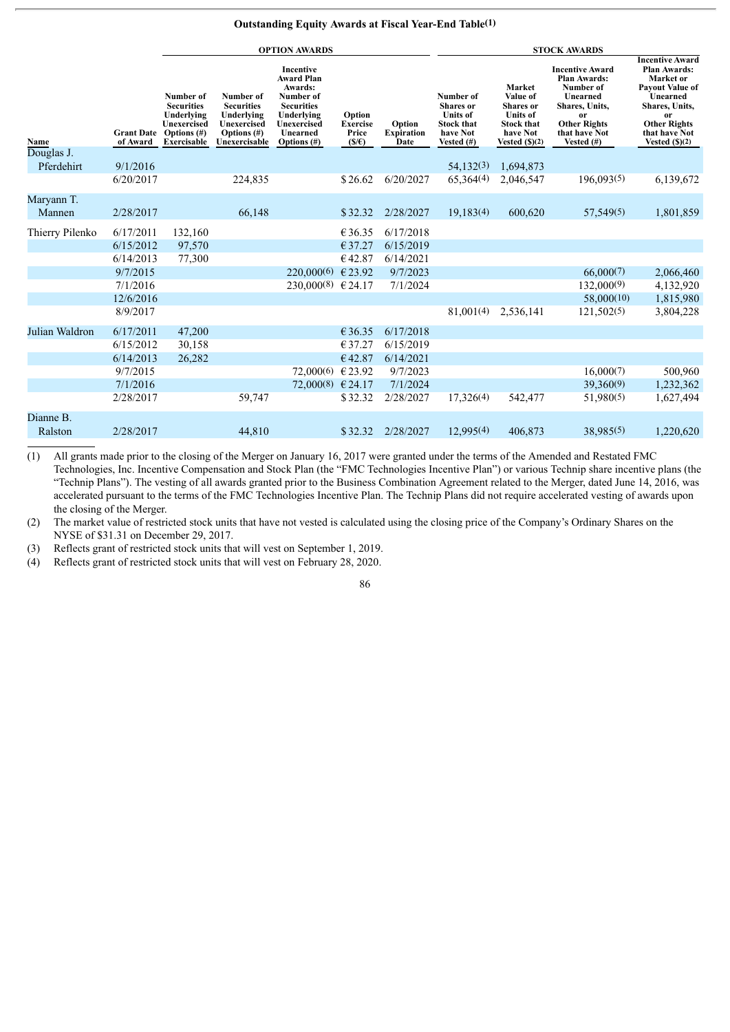### **Outstanding Equity Awards at Fiscal Year-End Table(1)**

|                 |                               |                                                                                              |                                                                                                | <b>OPTION AWARDS</b>                                                                                                                |                                             |                                     | <b>STOCK AWARDS</b>                                                                                |                                                                                                               |                                                                                                                                                         |                                                                                                                                                                                     |
|-----------------|-------------------------------|----------------------------------------------------------------------------------------------|------------------------------------------------------------------------------------------------|-------------------------------------------------------------------------------------------------------------------------------------|---------------------------------------------|-------------------------------------|----------------------------------------------------------------------------------------------------|---------------------------------------------------------------------------------------------------------------|---------------------------------------------------------------------------------------------------------------------------------------------------------|-------------------------------------------------------------------------------------------------------------------------------------------------------------------------------------|
| Name            | <b>Grant Date</b><br>of Award | Number of<br><b>Securities</b><br>Underlying<br>Unexercised<br>Options $(\#)$<br>Exercisable | Number of<br><b>Securities</b><br>Underlying<br>Unexercised<br>Options $(\#)$<br>Unexercisable | Incentive<br><b>Award Plan</b><br>Awards:<br>Number of<br><b>Securities</b><br>Underlying<br>Unexercised<br>Unearned<br>Options (#) | Option<br><b>Exercise</b><br>Price<br>(S/E) | Option<br><b>Expiration</b><br>Date | Number of<br><b>Shares</b> or<br><b>Units of</b><br><b>Stock that</b><br>have Not<br>Vested $(\#)$ | Market<br>Value of<br><b>Shares</b> or<br><b>Units of</b><br><b>Stock that</b><br>have Not<br>Vested $(S)(2)$ | <b>Incentive Award</b><br><b>Plan Awards:</b><br>Number of<br>Unearned<br>Shares, Units,<br>or<br><b>Other Rights</b><br>that have Not<br>Vested $(\#)$ | <b>Incentive Award</b><br><b>Plan Awards:</b><br>Market or<br><b>Payout Value of</b><br>Unearned<br>Shares, Units,<br>or<br><b>Other Rights</b><br>that have Not<br>Vested $(S)(2)$ |
| Douglas J.      |                               |                                                                                              |                                                                                                |                                                                                                                                     |                                             |                                     |                                                                                                    |                                                                                                               |                                                                                                                                                         |                                                                                                                                                                                     |
| Pferdehirt      | 9/1/2016                      |                                                                                              |                                                                                                |                                                                                                                                     |                                             |                                     | 54,132(3)                                                                                          | 1,694,873                                                                                                     |                                                                                                                                                         |                                                                                                                                                                                     |
|                 | 6/20/2017                     |                                                                                              | 224,835                                                                                        |                                                                                                                                     | \$26.62                                     | 6/20/2027                           | 65,364(4)                                                                                          | 2,046,547                                                                                                     | 196.093(5)                                                                                                                                              | 6,139,672                                                                                                                                                                           |
| Maryann T.      |                               |                                                                                              |                                                                                                |                                                                                                                                     |                                             |                                     |                                                                                                    |                                                                                                               |                                                                                                                                                         |                                                                                                                                                                                     |
| Mannen          | 2/28/2017                     |                                                                                              | 66,148                                                                                         |                                                                                                                                     | \$32.32                                     | 2/28/2027                           | 19,183(4)                                                                                          | 600,620                                                                                                       | 57,549(5)                                                                                                                                               | 1,801,859                                                                                                                                                                           |
| Thierry Pilenko | 6/17/2011                     | 132,160                                                                                      |                                                                                                |                                                                                                                                     | €36.35                                      | 6/17/2018                           |                                                                                                    |                                                                                                               |                                                                                                                                                         |                                                                                                                                                                                     |
|                 | 6/15/2012                     | 97,570                                                                                       |                                                                                                |                                                                                                                                     | € 37.27                                     | 6/15/2019                           |                                                                                                    |                                                                                                               |                                                                                                                                                         |                                                                                                                                                                                     |
|                 | 6/14/2013                     | 77,300                                                                                       |                                                                                                |                                                                                                                                     | €42.87                                      | 6/14/2021                           |                                                                                                    |                                                                                                               |                                                                                                                                                         |                                                                                                                                                                                     |
|                 | 9/7/2015                      |                                                                                              |                                                                                                | 220,000(6) € 23.92                                                                                                                  |                                             | 9/7/2023                            |                                                                                                    |                                                                                                               | 66,000(7)                                                                                                                                               | 2,066,460                                                                                                                                                                           |
|                 | 7/1/2016                      |                                                                                              |                                                                                                | 230,000(8) € 24.17                                                                                                                  |                                             | 7/1/2024                            |                                                                                                    |                                                                                                               | 132,000(9)                                                                                                                                              | 4,132,920                                                                                                                                                                           |
|                 | 12/6/2016                     |                                                                                              |                                                                                                |                                                                                                                                     |                                             |                                     |                                                                                                    |                                                                                                               | 58,000(10)                                                                                                                                              | 1,815,980                                                                                                                                                                           |
|                 | 8/9/2017                      |                                                                                              |                                                                                                |                                                                                                                                     |                                             |                                     | 81,001(4)                                                                                          | 2,536,141                                                                                                     | 121,502(5)                                                                                                                                              | 3,804,228                                                                                                                                                                           |
| Julian Waldron  | 6/17/2011                     | 47,200                                                                                       |                                                                                                |                                                                                                                                     | €36.35                                      | 6/17/2018                           |                                                                                                    |                                                                                                               |                                                                                                                                                         |                                                                                                                                                                                     |
|                 | 6/15/2012                     | 30,158                                                                                       |                                                                                                |                                                                                                                                     | € 37.27                                     | 6/15/2019                           |                                                                                                    |                                                                                                               |                                                                                                                                                         |                                                                                                                                                                                     |
|                 | 6/14/2013                     | 26,282                                                                                       |                                                                                                |                                                                                                                                     | €42.87                                      | 6/14/2021                           |                                                                                                    |                                                                                                               |                                                                                                                                                         |                                                                                                                                                                                     |
|                 | 9/7/2015                      |                                                                                              |                                                                                                | 72,000(6) €23.92                                                                                                                    |                                             | 9/7/2023                            |                                                                                                    |                                                                                                               | 16,000(7)                                                                                                                                               | 500,960                                                                                                                                                                             |
|                 | 7/1/2016                      |                                                                                              |                                                                                                | 72,000(8) $\in$ 24.17                                                                                                               |                                             | 7/1/2024                            |                                                                                                    |                                                                                                               | 39,360(9)                                                                                                                                               | 1,232,362                                                                                                                                                                           |
|                 | 2/28/2017                     |                                                                                              | 59,747                                                                                         |                                                                                                                                     | \$32.32                                     | 2/28/2027                           | 17,326(4)                                                                                          | 542,477                                                                                                       | 51,980(5)                                                                                                                                               | 1,627,494                                                                                                                                                                           |
| Dianne B.       |                               |                                                                                              |                                                                                                |                                                                                                                                     |                                             |                                     |                                                                                                    |                                                                                                               |                                                                                                                                                         |                                                                                                                                                                                     |
| Ralston         | 2/28/2017                     |                                                                                              | 44,810                                                                                         |                                                                                                                                     | \$32.32                                     | 2/28/2027                           | 12,995(4)                                                                                          | 406,873                                                                                                       | 38,985(5)                                                                                                                                               | 1,220,620                                                                                                                                                                           |

(1) All grants made prior to the closing of the Merger on January 16, 2017 were granted under the terms of the Amended and Restated FMC Technologies, Inc. Incentive Compensation and Stock Plan (the "FMC Technologies Incentive Plan") or various Technip share incentive plans (the "Technip Plans"). The vesting of all awards granted prior to the Business Combination Agreement related to the Merger, dated June 14, 2016, was accelerated pursuant to the terms of the FMC Technologies Incentive Plan. The Technip Plans did not require accelerated vesting of awards upon the closing of the Merger.

(2) The market value of restricted stock units that have not vested is calculated using the closing price of the Company's Ordinary Shares on the NYSE of \$31.31 on December 29, 2017.

(3) Reflects grant of restricted stock units that will vest on September 1, 2019.

(4) Reflects grant of restricted stock units that will vest on February 28, 2020.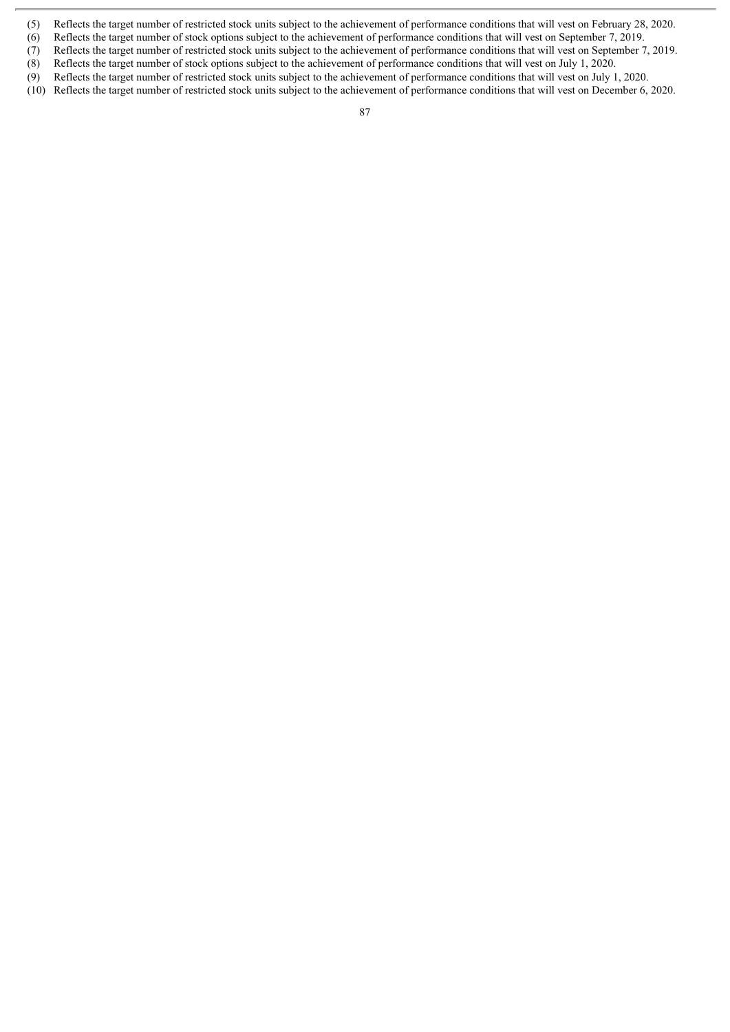- (5) Reflects the target number of restricted stock units subject to the achievement of performance conditions that will vest on February 28, 2020.
- (6) Reflects the target number of stock options subject to the achievement of performance conditions that will vest on September 7, 2019.
- (7) Reflects the target number of restricted stock units subject to the achievement of performance conditions that will vest on September 7, 2019.
- (8) Reflects the target number of stock options subject to the achievement of performance conditions that will vest on July 1, 2020.
- (9) Reflects the target number of restricted stock units subject to the achievement of performance conditions that will vest on July 1, 2020.
- (10) Reflects the target number of restricted stock units subject to the achievement of performance conditions that will vest on December 6, 2020.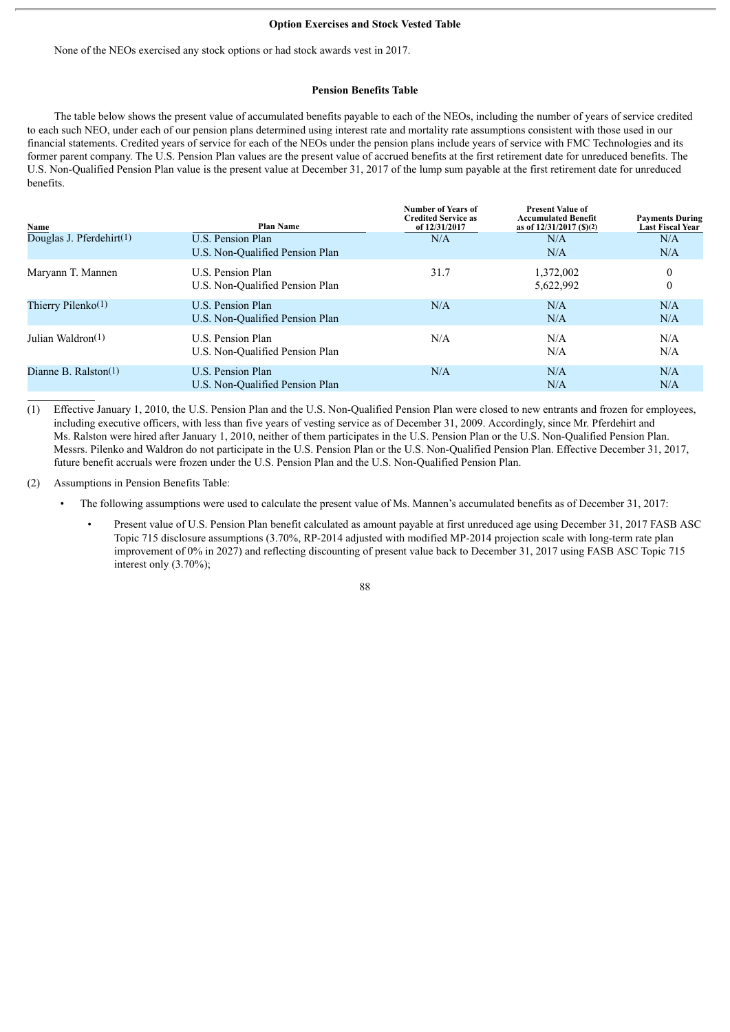# **Option Exercises and Stock Vested Table**

None of the NEOs exercised any stock options or had stock awards vest in 2017.

### **Pension Benefits Table**

The table below shows the present value of accumulated benefits payable to each of the NEOs, including the number of years of service credited to each such NEO, under each of our pension plans determined using interest rate and mortality rate assumptions consistent with those used in our financial statements. Credited years of service for each of the NEOs under the pension plans include years of service with FMC Technologies and its former parent company. The U.S. Pension Plan values are the present value of accrued benefits at the first retirement date for unreduced benefits. The U.S. Non-Qualified Pension Plan value is the present value at December 31, 2017 of the lump sum payable at the first retirement date for unreduced benefits.

| Name                        | <b>Plan Name</b>                                            | <b>Number of Years of</b><br><b>Credited Service as</b><br>of 12/31/2017 | <b>Present Value of</b><br><b>Accumulated Benefit</b><br>as of $12/31/2017$ (\$)(2) | <b>Payments During</b><br><b>Last Fiscal Year</b> |
|-----------------------------|-------------------------------------------------------------|--------------------------------------------------------------------------|-------------------------------------------------------------------------------------|---------------------------------------------------|
| Douglas J. Pferdehirt $(1)$ | U.S. Pension Plan<br>U.S. Non-Qualified Pension Plan        | N/A                                                                      | N/A<br>N/A                                                                          | N/A<br>N/A                                        |
| Maryann T. Mannen           | U.S. Pension Plan<br>U.S. Non-Qualified Pension Plan        | 31.7                                                                     | 1,372,002<br>5,622,992                                                              | $\theta$<br>$\theta$                              |
| Thierry Pilenko $(1)$       | <b>U.S. Pension Plan</b><br>U.S. Non-Oualified Pension Plan | N/A                                                                      | N/A<br>N/A                                                                          | N/A<br>N/A                                        |
| Julian Waldron(1)           | <b>U.S. Pension Plan</b><br>U.S. Non-Qualified Pension Plan | N/A                                                                      | N/A<br>N/A                                                                          | N/A<br>N/A                                        |
| Dianne B. Ralston $(1)$     | U.S. Pension Plan<br>U.S. Non-Qualified Pension Plan        | N/A                                                                      | N/A<br>N/A                                                                          | N/A<br>N/A                                        |

(1) Effective January 1, 2010, the U.S. Pension Plan and the U.S. Non-Qualified Pension Plan were closed to new entrants and frozen for employees, including executive officers, with less than five years of vesting service as of December 31, 2009. Accordingly, since Mr. Pferdehirt and Ms. Ralston were hired after January 1, 2010, neither of them participates in the U.S. Pension Plan or the U.S. Non-Qualified Pension Plan. Messrs. Pilenko and Waldron do not participate in the U.S. Pension Plan or the U.S. Non-Qualified Pension Plan. Effective December 31, 2017, future benefit accruals were frozen under the U.S. Pension Plan and the U.S. Non-Qualified Pension Plan.

- (2) Assumptions in Pension Benefits Table:
	- The following assumptions were used to calculate the present value of Ms. Mannen's accumulated benefits as of December 31, 2017:
		- Present value of U.S. Pension Plan benefit calculated as amount payable at first unreduced age using December 31, 2017 FASB ASC Topic 715 disclosure assumptions (3.70%, RP-2014 adjusted with modified MP-2014 projection scale with long-term rate plan improvement of 0% in 2027) and reflecting discounting of present value back to December 31, 2017 using FASB ASC Topic 715 interest only (3.70%);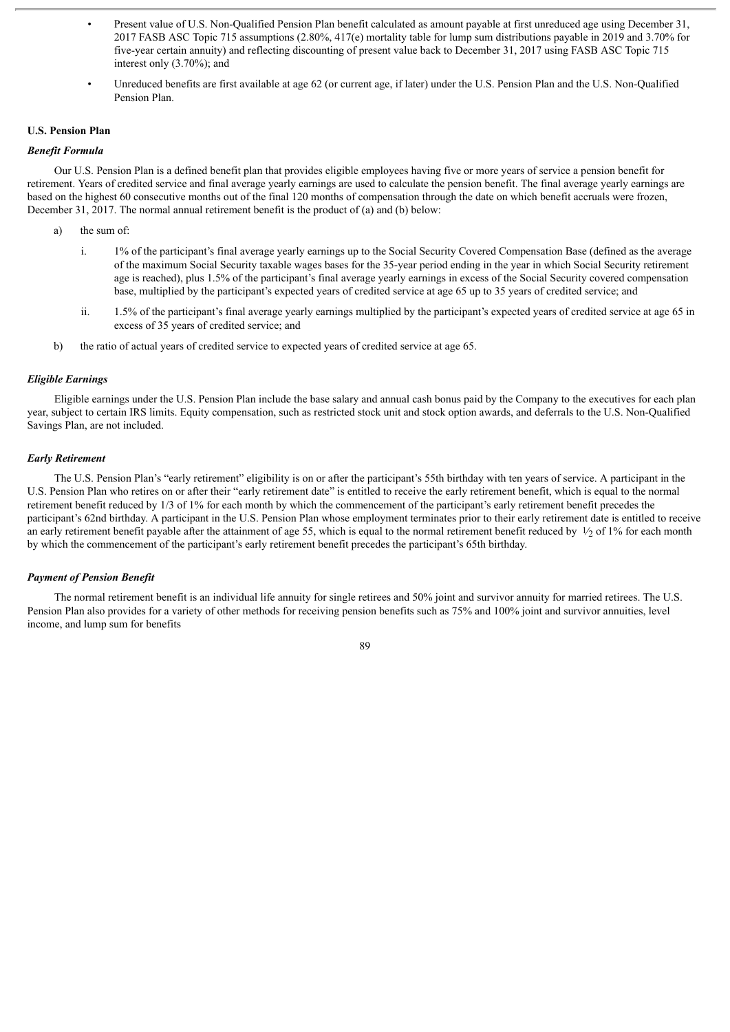- Present value of U.S. Non-Qualified Pension Plan benefit calculated as amount payable at first unreduced age using December 31, 2017 FASB ASC Topic 715 assumptions (2.80%, 417(e) mortality table for lump sum distributions payable in 2019 and 3.70% for five-year certain annuity) and reflecting discounting of present value back to December 31, 2017 using FASB ASC Topic 715 interest only (3.70%); and
- Unreduced benefits are first available at age 62 (or current age, if later) under the U.S. Pension Plan and the U.S. Non-Qualified Pension Plan.

### **U.S. Pension Plan**

#### *Benefit Formula*

Our U.S. Pension Plan is a defined benefit plan that provides eligible employees having five or more years of service a pension benefit for retirement. Years of credited service and final average yearly earnings are used to calculate the pension benefit. The final average yearly earnings are based on the highest 60 consecutive months out of the final 120 months of compensation through the date on which benefit accruals were frozen, December 31, 2017. The normal annual retirement benefit is the product of (a) and (b) below:

a) the sum of:

- i. 1% of the participant's final average yearly earnings up to the Social Security Covered Compensation Base (defined as the average of the maximum Social Security taxable wages bases for the 35-year period ending in the year in which Social Security retirement age is reached), plus 1.5% of the participant's final average yearly earnings in excess of the Social Security covered compensation base, multiplied by the participant's expected years of credited service at age 65 up to 35 years of credited service; and
- ii. 1.5% of the participant's final average yearly earnings multiplied by the participant's expected years of credited service at age 65 in excess of 35 years of credited service; and
- b) the ratio of actual years of credited service to expected years of credited service at age 65.

#### *Eligible Earnings*

Eligible earnings under the U.S. Pension Plan include the base salary and annual cash bonus paid by the Company to the executives for each plan year, subject to certain IRS limits. Equity compensation, such as restricted stock unit and stock option awards, and deferrals to the U.S. Non-Qualified Savings Plan, are not included.

#### *Early Retirement*

The U.S. Pension Plan's "early retirement" eligibility is on or after the participant's 55th birthday with ten years of service. A participant in the U.S. Pension Plan who retires on or after their "early retirement date" is entitled to receive the early retirement benefit, which is equal to the normal retirement benefit reduced by 1/3 of 1% for each month by which the commencement of the participant's early retirement benefit precedes the participant's 62nd birthday. A participant in the U.S. Pension Plan whose employment terminates prior to their early retirement date is entitled to receive an early retirement benefit payable after the attainment of age 55, which is equal to the normal retirement benefit reduced by  $\frac{1}{2}$  of 1% for each month by which the commencement of the participant's early retirement benefit precedes the participant's 65th birthday.

#### *Payment of Pension Benefit*

The normal retirement benefit is an individual life annuity for single retirees and 50% joint and survivor annuity for married retirees. The U.S. Pension Plan also provides for a variety of other methods for receiving pension benefits such as 75% and 100% joint and survivor annuities, level income, and lump sum for benefits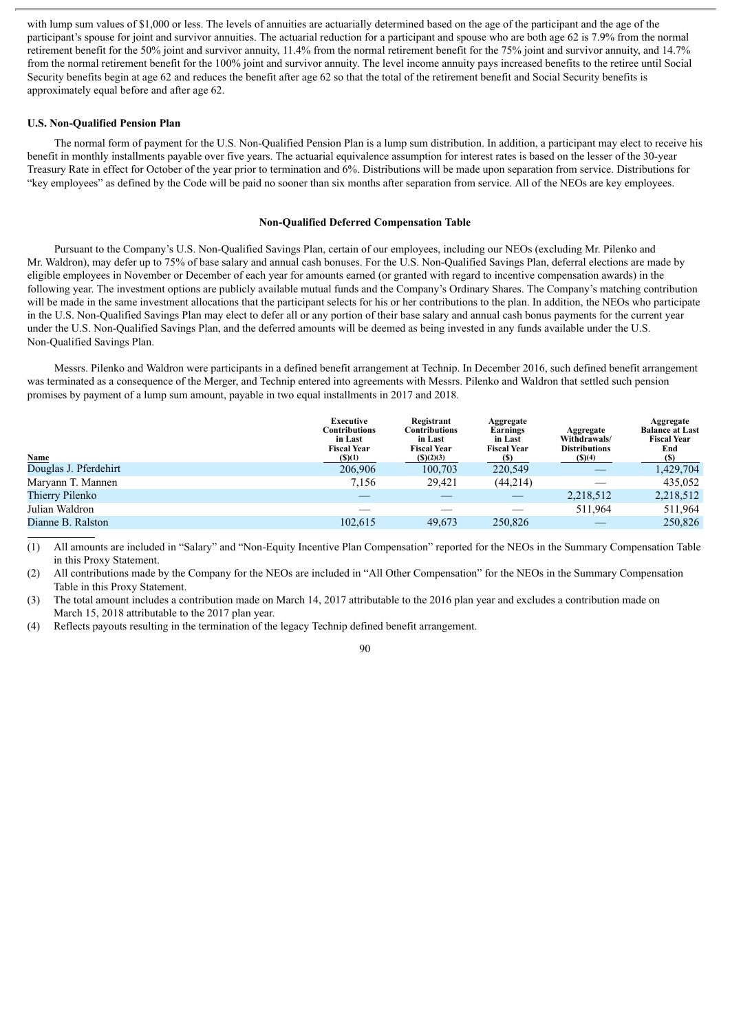with lump sum values of \$1,000 or less. The levels of annuities are actuarially determined based on the age of the participant and the age of the participant's spouse for joint and survivor annuities. The actuarial reduction for a participant and spouse who are both age 62 is 7.9% from the normal retirement benefit for the 50% joint and survivor annuity, 11.4% from the normal retirement benefit for the 75% joint and survivor annuity, and 14.7% from the normal retirement benefit for the 100% joint and survivor annuity. The level income annuity pays increased benefits to the retiree until Social Security benefits begin at age 62 and reduces the benefit after age 62 so that the total of the retirement benefit and Social Security benefits is approximately equal before and after age 62.

#### **U.S. Non-Qualified Pension Plan**

The normal form of payment for the U.S. Non-Qualified Pension Plan is a lump sum distribution. In addition, a participant may elect to receive his benefit in monthly installments payable over five years. The actuarial equivalence assumption for interest rates is based on the lesser of the 30-year Treasury Rate in effect for October of the year prior to termination and 6%. Distributions will be made upon separation from service. Distributions for "key employees" as defined by the Code will be paid no sooner than six months after separation from service. All of the NEOs are key employees.

### **Non-Qualified Deferred Compensation Table**

Pursuant to the Company's U.S. Non-Qualified Savings Plan, certain of our employees, including our NEOs (excluding Mr. Pilenko and Mr. Waldron), may defer up to 75% of base salary and annual cash bonuses. For the U.S. Non-Qualified Savings Plan, deferral elections are made by eligible employees in November or December of each year for amounts earned (or granted with regard to incentive compensation awards) in the following year. The investment options are publicly available mutual funds and the Company's Ordinary Shares. The Company's matching contribution will be made in the same investment allocations that the participant selects for his or her contributions to the plan. In addition, the NEOs who participate in the U.S. Non-Qualified Savings Plan may elect to defer all or any portion of their base salary and annual cash bonus payments for the current year under the U.S. Non-Qualified Savings Plan, and the deferred amounts will be deemed as being invested in any funds available under the U.S. Non-Qualified Savings Plan.

Messrs. Pilenko and Waldron were participants in a defined benefit arrangement at Technip. In December 2016, such defined benefit arrangement was terminated as a consequence of the Merger, and Technip entered into agreements with Messrs. Pilenko and Waldron that settled such pension promises by payment of a lump sum amount, payable in two equal installments in 2017 and 2018.

| Name                  | Executive<br>Contributions<br>in Last<br><b>Fiscal Year</b><br>(S)(1) | Registrant<br><b>Contributions</b><br>in Last<br><b>Fiscal Year</b><br>(S)(2)(3) | Aggregate<br>Earnings<br>in Last<br><b>Fiscal Year</b><br>(S) | Aggregate<br>Withdrawals/<br><b>Distributions</b><br>(S)(4) | Aggregate<br><b>Balance at Last</b><br><b>Fiscal Year</b><br>End |
|-----------------------|-----------------------------------------------------------------------|----------------------------------------------------------------------------------|---------------------------------------------------------------|-------------------------------------------------------------|------------------------------------------------------------------|
| Douglas J. Pferdehirt | 206,906                                                               | 100.703                                                                          | 220,549                                                       |                                                             | 1,429,704                                                        |
| Maryann T. Mannen     | 7,156                                                                 | 29,421                                                                           | (44,214)                                                      |                                                             | 435,052                                                          |
| Thierry Pilenko       |                                                                       |                                                                                  |                                                               | 2,218,512                                                   | 2,218,512                                                        |
| Julian Waldron        |                                                                       |                                                                                  |                                                               | 511.964                                                     | 511,964                                                          |
| Dianne B. Ralston     | 102,615                                                               | 49,673                                                                           | 250,826                                                       |                                                             | 250,826                                                          |
|                       |                                                                       |                                                                                  |                                                               |                                                             |                                                                  |

(1) All amounts are included in "Salary" and "Non-Equity Incentive Plan Compensation" reported for the NEOs in the Summary Compensation Table in this Proxy Statement.

(2) All contributions made by the Company for the NEOs are included in "All Other Compensation" for the NEOs in the Summary Compensation Table in this Proxy Statement.

- (3) The total amount includes a contribution made on March 14, 2017 attributable to the 2016 plan year and excludes a contribution made on March 15, 2018 attributable to the 2017 plan year.
- (4) Reflects payouts resulting in the termination of the legacy Technip defined benefit arrangement.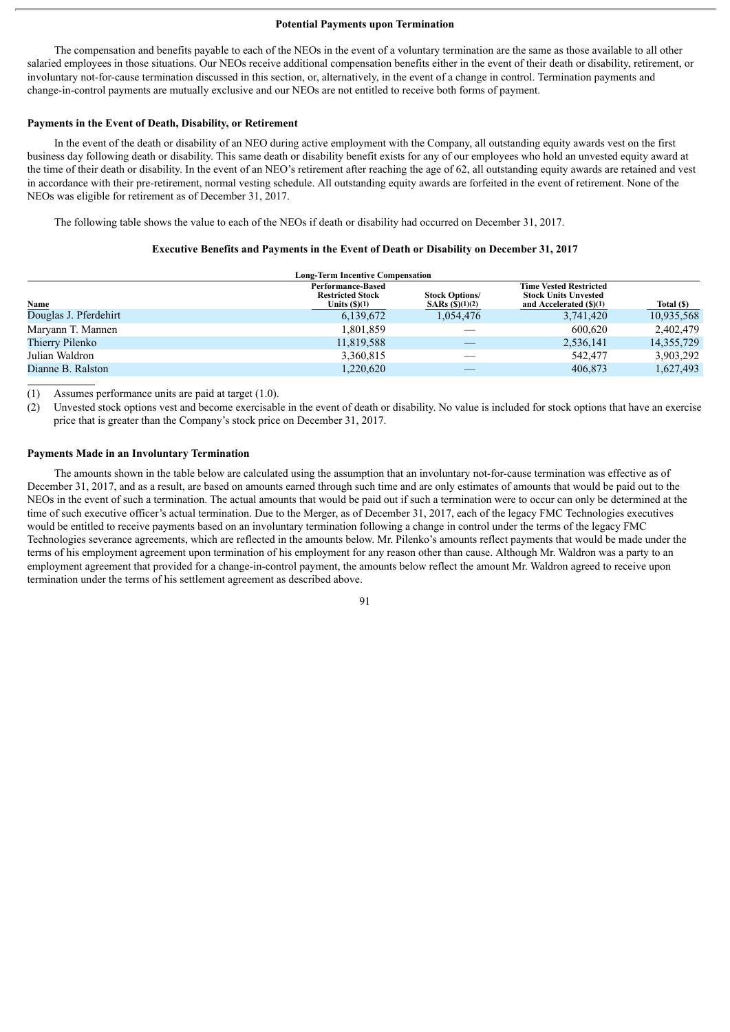#### **Potential Payments upon Termination**

The compensation and benefits payable to each of the NEOs in the event of a voluntary termination are the same as those available to all other salaried employees in those situations. Our NEOs receive additional compensation benefits either in the event of their death or disability, retirement, or involuntary not-for-cause termination discussed in this section, or, alternatively, in the event of a change in control. Termination payments and change-in-control payments are mutually exclusive and our NEOs are not entitled to receive both forms of payment.

#### **Payments in the Event of Death, Disability, or Retirement**

In the event of the death or disability of an NEO during active employment with the Company, all outstanding equity awards vest on the first business day following death or disability. This same death or disability benefit exists for any of our employees who hold an unvested equity award at the time of their death or disability. In the event of an NEO's retirement after reaching the age of 62, all outstanding equity awards are retained and vest in accordance with their pre-retirement, normal vesting schedule. All outstanding equity awards are forfeited in the event of retirement. None of the NEOs was eligible for retirement as of December 31, 2017.

The following table shows the value to each of the NEOs if death or disability had occurred on December 31, 2017.

### **Executive Benefits and Payments in the Event of Death or Disability on December 31, 2017**

| <b>Long-Term Incentive Compensation</b> |                                                                       |                                                         |                                                                                          |            |  |  |
|-----------------------------------------|-----------------------------------------------------------------------|---------------------------------------------------------|------------------------------------------------------------------------------------------|------------|--|--|
| Name                                    | <b>Performance-Based</b><br><b>Restricted Stock</b><br>Units $(S)(1)$ | <b>Stock Options/</b><br><b>SARs</b> $(\text{S})(1)(2)$ | <b>Time Vested Restricted</b><br><b>Stock Units Unvested</b><br>and Accelerated $(S)(1)$ | Total (\$) |  |  |
| Douglas J. Pferdehirt                   | 6,139,672                                                             | 1,054,476                                               | 3,741,420                                                                                | 10,935,568 |  |  |
| Maryann T. Mannen                       | 1,801,859                                                             |                                                         | 600,620                                                                                  | 2,402,479  |  |  |
| Thierry Pilenko                         | 11,819,588                                                            |                                                         | 2,536,141                                                                                | 14,355,729 |  |  |
| Julian Waldron                          | 3,360,815                                                             |                                                         | 542,477                                                                                  | 3,903,292  |  |  |
| Dianne B. Ralston                       | 1,220,620                                                             |                                                         | 406,873                                                                                  | 1,627,493  |  |  |

(1) Assumes performance units are paid at target (1.0).

(2) Unvested stock options vest and become exercisable in the event of death or disability. No value is included for stock options that have an exercise price that is greater than the Company's stock price on December 31, 2017.

# **Payments Made in an Involuntary Termination**

The amounts shown in the table below are calculated using the assumption that an involuntary not-for-cause termination was effective as of December 31, 2017, and as a result, are based on amounts earned through such time and are only estimates of amounts that would be paid out to the NEOs in the event of such a termination. The actual amounts that would be paid out if such a termination were to occur can only be determined at the time of such executive officer's actual termination. Due to the Merger, as of December 31, 2017, each of the legacy FMC Technologies executives would be entitled to receive payments based on an involuntary termination following a change in control under the terms of the legacy FMC Technologies severance agreements, which are reflected in the amounts below. Mr. Pilenko's amounts reflect payments that would be made under the terms of his employment agreement upon termination of his employment for any reason other than cause. Although Mr. Waldron was a party to an employment agreement that provided for a change-in-control payment, the amounts below reflect the amount Mr. Waldron agreed to receive upon termination under the terms of his settlement agreement as described above.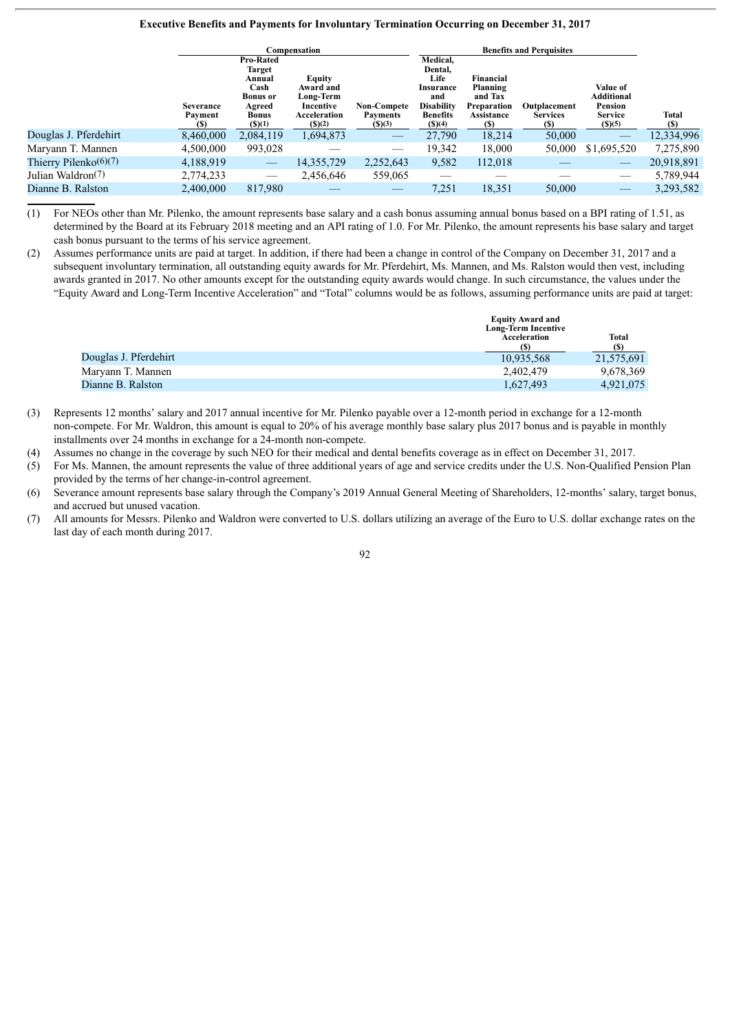# **Executive Benefits and Payments for Involuntary Termination Occurring on December 31, 2017**

|                          | Compensation                            |                                                                                                            |                                                                                | <b>Benefits and Perquisites</b>          |                                                                                                   |                                                                             |                                               |                                                                      |              |
|--------------------------|-----------------------------------------|------------------------------------------------------------------------------------------------------------|--------------------------------------------------------------------------------|------------------------------------------|---------------------------------------------------------------------------------------------------|-----------------------------------------------------------------------------|-----------------------------------------------|----------------------------------------------------------------------|--------------|
|                          | <b>Severance</b><br>Payment<br>$\omega$ | <b>Pro-Rated</b><br><b>Target</b><br>Annual<br>Cash<br><b>Bonus</b> or<br>Agreed<br><b>Bonus</b><br>(S)(1) | <b>Equity</b><br>Award and<br>Long-Term<br>Incentive<br>Acceleration<br>(S)(2) | <b>Non-Compete</b><br>Payments<br>(S)(3) | Medical,<br>Dental,<br>Life<br>Insurance<br>and<br><b>Disability</b><br><b>Benefits</b><br>(S)(4) | Financial<br>Planning<br>and Tax<br>Preparation<br><b>Assistance</b><br>(S) | Outplacement<br><b>Services</b><br><b>(S)</b> | Value of<br><b>Additional</b><br>Pension<br><b>Service</b><br>(S)(5) | Total<br>(S) |
| Douglas J. Pferdehirt    | 8,460,000                               | 2,084,119                                                                                                  | 1,694,873                                                                      |                                          | 27,790                                                                                            | 18,214                                                                      | 50,000                                        | —                                                                    | 12,334,996   |
| Maryann T. Mannen        | 4,500,000                               | 993,028                                                                                                    |                                                                                |                                          | 19,342                                                                                            | 18,000                                                                      | 50,000                                        | \$1,695,520                                                          | 7,275,890    |
| Thierry Pilenko $(6)(7)$ | 4,188,919                               |                                                                                                            | 14, 355, 729                                                                   | 2,252,643                                | 9.582                                                                                             | 112,018                                                                     |                                               |                                                                      | 20,918,891   |
| Julian Waldron(7)        | 2,774,233                               |                                                                                                            | 2,456,646                                                                      | 559,065                                  |                                                                                                   |                                                                             |                                               |                                                                      | 5,789,944    |
| Dianne B. Ralston        | 2,400,000                               | 817,980                                                                                                    |                                                                                |                                          | 7,251                                                                                             | 18,351                                                                      | 50,000                                        | $\qquad \qquad \overline{\qquad \qquad }$                            | 3,293,582    |

(1) For NEOs other than Mr. Pilenko, the amount represents base salary and a cash bonus assuming annual bonus based on a BPI rating of 1.51, as determined by the Board at its February 2018 meeting and an API rating of 1.0. For Mr. Pilenko, the amount represents his base salary and target cash bonus pursuant to the terms of his service agreement.

(2) Assumes performance units are paid at target. In addition, if there had been a change in control of the Company on December 31, 2017 and a subsequent involuntary termination, all outstanding equity awards for Mr. Pferdehirt, Ms. Mannen, and Ms. Ralston would then vest, including awards granted in 2017. No other amounts except for the outstanding equity awards would change. In such circumstance, the values under the "Equity Award and Long-Term Incentive Acceleration" and "Total" columns would be as follows, assuming performance units are paid at target:

|                       | <b>Equity Award and</b><br>Long-Term Incentive<br>Acceleration | Total      |
|-----------------------|----------------------------------------------------------------|------------|
| Douglas J. Pferdehirt | 10,935,568                                                     | 21,575,691 |
| Maryann T. Mannen     | 2,402,479                                                      | 9.678.369  |
| Dianne B. Ralston     | 1,627,493                                                      | 4.921.075  |

(3) Represents 12 months' salary and 2017 annual incentive for Mr. Pilenko payable over a 12-month period in exchange for a 12-month non-compete. For Mr. Waldron, this amount is equal to 20% of his average monthly base salary plus 2017 bonus and is payable in monthly installments over 24 months in exchange for a 24-month non-compete.

(4) Assumes no change in the coverage by such NEO for their medical and dental benefits coverage as in effect on December 31, 2017.

(5) For Ms. Mannen, the amount represents the value of three additional years of age and service credits under the U.S. Non-Qualified Pension Plan provided by the terms of her change-in-control agreement.

(6) Severance amount represents base salary through the Company's 2019 Annual General Meeting of Shareholders, 12-months' salary, target bonus, and accrued but unused vacation.

(7) All amounts for Messrs. Pilenko and Waldron were converted to U.S. dollars utilizing an average of the Euro to U.S. dollar exchange rates on the last day of each month during 2017.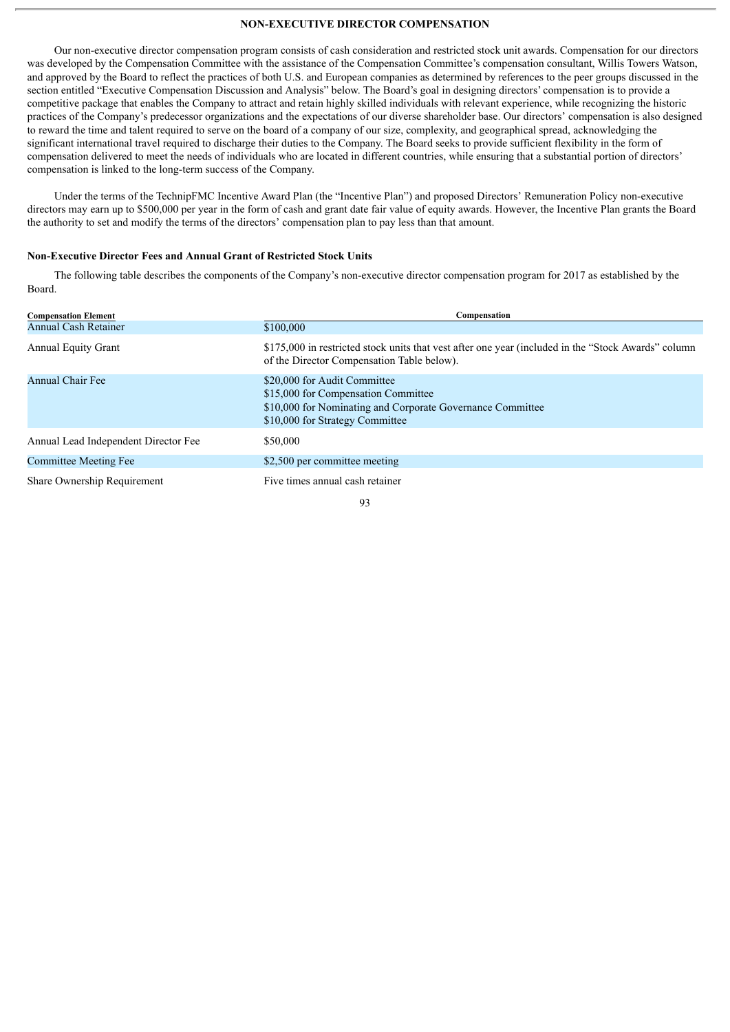### **NON-EXECUTIVE DIRECTOR COMPENSATION**

Our non-executive director compensation program consists of cash consideration and restricted stock unit awards. Compensation for our directors was developed by the Compensation Committee with the assistance of the Compensation Committee's compensation consultant, Willis Towers Watson, and approved by the Board to reflect the practices of both U.S. and European companies as determined by references to the peer groups discussed in the section entitled "Executive Compensation Discussion and Analysis" below. The Board's goal in designing directors' compensation is to provide a competitive package that enables the Company to attract and retain highly skilled individuals with relevant experience, while recognizing the historic practices of the Company's predecessor organizations and the expectations of our diverse shareholder base. Our directors' compensation is also designed to reward the time and talent required to serve on the board of a company of our size, complexity, and geographical spread, acknowledging the significant international travel required to discharge their duties to the Company. The Board seeks to provide sufficient flexibility in the form of compensation delivered to meet the needs of individuals who are located in different countries, while ensuring that a substantial portion of directors' compensation is linked to the long-term success of the Company.

Under the terms of the TechnipFMC Incentive Award Plan (the "Incentive Plan") and proposed Directors' Remuneration Policy non-executive directors may earn up to \$500,000 per year in the form of cash and grant date fair value of equity awards. However, the Incentive Plan grants the Board the authority to set and modify the terms of the directors' compensation plan to pay less than that amount.

## **Non-Executive Director Fees and Annual Grant of Restricted Stock Units**

The following table describes the components of the Company's non-executive director compensation program for 2017 as established by the Board.

| <b>Compensation Element</b>          | Compensation                                                                                                                                                         |
|--------------------------------------|----------------------------------------------------------------------------------------------------------------------------------------------------------------------|
| <b>Annual Cash Retainer</b>          | \$100,000                                                                                                                                                            |
| <b>Annual Equity Grant</b>           | \$175,000 in restricted stock units that vest after one year (included in the "Stock Awards" column<br>of the Director Compensation Table below).                    |
| Annual Chair Fee                     | \$20,000 for Audit Committee<br>\$15,000 for Compensation Committee<br>\$10,000 for Nominating and Corporate Governance Committee<br>\$10,000 for Strategy Committee |
| Annual Lead Independent Director Fee | \$50,000                                                                                                                                                             |
| <b>Committee Meeting Fee</b>         | \$2,500 per committee meeting                                                                                                                                        |
| Share Ownership Requirement          | Five times annual cash retainer                                                                                                                                      |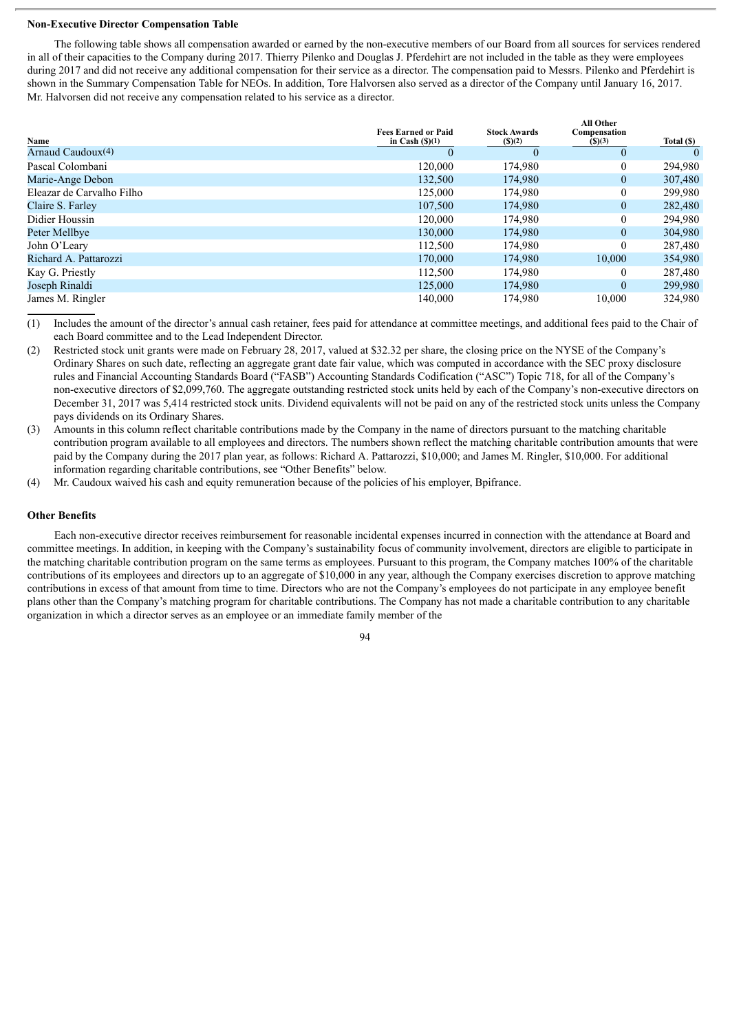#### **Non-Executive Director Compensation Table**

The following table shows all compensation awarded or earned by the non-executive members of our Board from all sources for services rendered in all of their capacities to the Company during 2017. Thierry Pilenko and Douglas J. Pferdehirt are not included in the table as they were employees during 2017 and did not receive any additional compensation for their service as a director. The compensation paid to Messrs. Pilenko and Pferdehirt is shown in the Summary Compensation Table for NEOs. In addition, Tore Halvorsen also served as a director of the Company until January 16, 2017. Mr. Halvorsen did not receive any compensation related to his service as a director.

|                           | <b>Fees Earned or Paid</b> | <b>Stock Awards</b> | <b>All Other</b><br>Compensation |            |
|---------------------------|----------------------------|---------------------|----------------------------------|------------|
| Name                      | in Cash $(S)(1)$           | (S)(2)              | (S)(3)                           | Total (\$) |
| Arnaud Caudoux(4)         |                            |                     | 0                                |            |
| Pascal Colombani          | 120.000                    | 174.980             | 0                                | 294,980    |
| Marie-Ange Debon          | 132.500                    | 174.980             | $\boldsymbol{0}$                 | 307,480    |
| Eleazar de Carvalho Filho | 125,000                    | 174.980             | 0                                | 299,980    |
| Claire S. Farley          | 107,500                    | 174,980             | $\mathbf{0}$                     | 282,480    |
| Didier Houssin            | 120.000                    | 174.980             | 0                                | 294,980    |
| Peter Mellbye             | 130,000                    | 174.980             | $\overline{0}$                   | 304,980    |
| John O'Leary              | 112.500                    | 174.980             | $\mathbf{0}$                     | 287,480    |
| Richard A. Pattarozzi     | 170,000                    | 174.980             | 10,000                           | 354,980    |
| Kay G. Priestly           | 112.500                    | 174,980             | 0                                | 287,480    |
| Joseph Rinaldi            | 125,000                    | 174.980             | $\overline{0}$                   | 299,980    |
| James M. Ringler          | 140.000                    | 174.980             | 10.000                           | 324,980    |

(1) Includes the amount of the director's annual cash retainer, fees paid for attendance at committee meetings, and additional fees paid to the Chair of each Board committee and to the Lead Independent Director.

(2) Restricted stock unit grants were made on February 28, 2017, valued at \$32.32 per share, the closing price on the NYSE of the Company's Ordinary Shares on such date, reflecting an aggregate grant date fair value, which was computed in accordance with the SEC proxy disclosure rules and Financial Accounting Standards Board ("FASB") Accounting Standards Codification ("ASC") Topic 718, for all of the Company's non-executive directors of \$2,099,760. The aggregate outstanding restricted stock units held by each of the Company's non-executive directors on December 31, 2017 was 5,414 restricted stock units. Dividend equivalents will not be paid on any of the restricted stock units unless the Company pays dividends on its Ordinary Shares.

(3) Amounts in this column reflect charitable contributions made by the Company in the name of directors pursuant to the matching charitable contribution program available to all employees and directors. The numbers shown reflect the matching charitable contribution amounts that were paid by the Company during the 2017 plan year, as follows: Richard A. Pattarozzi, \$10,000; and James M. Ringler, \$10,000. For additional information regarding charitable contributions, see "Other Benefits" below.

(4) Mr. Caudoux waived his cash and equity remuneration because of the policies of his employer, Bpifrance.

### **Other Benefits**

Each non-executive director receives reimbursement for reasonable incidental expenses incurred in connection with the attendance at Board and committee meetings. In addition, in keeping with the Company's sustainability focus of community involvement, directors are eligible to participate in the matching charitable contribution program on the same terms as employees. Pursuant to this program, the Company matches 100% of the charitable contributions of its employees and directors up to an aggregate of \$10,000 in any year, although the Company exercises discretion to approve matching contributions in excess of that amount from time to time. Directors who are not the Company's employees do not participate in any employee benefit plans other than the Company's matching program for charitable contributions. The Company has not made a charitable contribution to any charitable organization in which a director serves as an employee or an immediate family member of the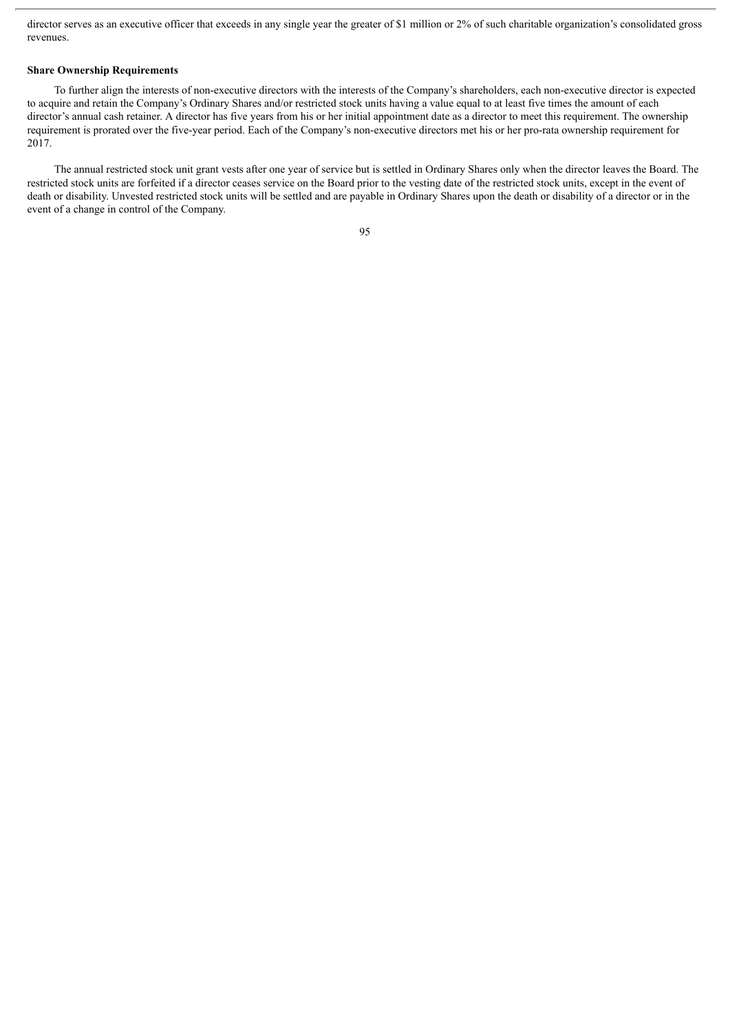director serves as an executive officer that exceeds in any single year the greater of \$1 million or 2% of such charitable organization's consolidated gross revenues.

### **Share Ownership Requirements**

To further align the interests of non-executive directors with the interests of the Company's shareholders, each non-executive director is expected to acquire and retain the Company's Ordinary Shares and/or restricted stock units having a value equal to at least five times the amount of each director's annual cash retainer. A director has five years from his or her initial appointment date as a director to meet this requirement. The ownership requirement is prorated over the five-year period. Each of the Company's non-executive directors met his or her pro-rata ownership requirement for 2017.

The annual restricted stock unit grant vests after one year of service but is settled in Ordinary Shares only when the director leaves the Board. The restricted stock units are forfeited if a director ceases service on the Board prior to the vesting date of the restricted stock units, except in the event of death or disability. Unvested restricted stock units will be settled and are payable in Ordinary Shares upon the death or disability of a director or in the event of a change in control of the Company.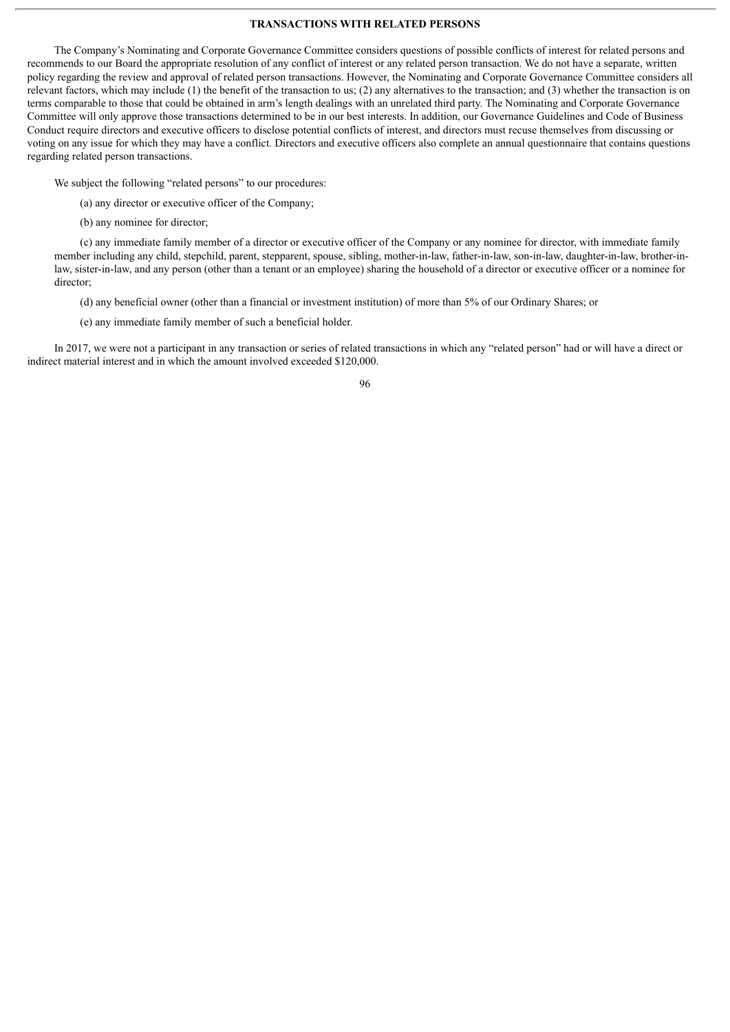# **TRANSACTIONS WITH RELATED PERSONS**

The Company's Nominating and Corporate Governance Committee considers questions of possible conflicts of interest for related persons and recommends to our Board the appropriate resolution of any conflict of interest or any related person transaction. We do not have a separate, written policy regarding the review and approval of related person transactions. However, the Nominating and Corporate Governance Committee considers all relevant factors, which may include (1) the benefit of the transaction to us; (2) any alternatives to the transaction; and (3) whether the transaction is on terms comparable to those that could be obtained in arm's length dealings with an unrelated third party. The Nominating and Corporate Governance Committee will only approve those transactions determined to be in our best interests. In addition, our Governance Guidelines and Code of Business Conduct require directors and executive officers to disclose potential conflicts of interest, and directors must recuse themselves from discussing or voting on any issue for which they may have a conflict. Directors and executive officers also complete an annual questionnaire that contains questions regarding related person transactions.

We subject the following "related persons" to our procedures:

- (a) any director or executive officer of the Company;
- (b) any nominee for director;

(c) any immediate family member of a director or executive officer of the Company or any nominee for director, with immediate family member including any child, stepchild, parent, stepparent, spouse, sibling, mother-in-law, father-in-law, son-in-law, daughter-in-law, brother-inlaw, sister-in-law, and any person (other than a tenant or an employee) sharing the household of a director or executive officer or a nominee for director;

- (d) any beneficial owner (other than a financial or investment institution) of more than 5% of our Ordinary Shares; or
- (e) any immediate family member of such a beneficial holder.

In 2017, we were not a participant in any transaction or series of related transactions in which any "related person" had or will have a direct or indirect material interest and in which the amount involved exceeded \$120,000.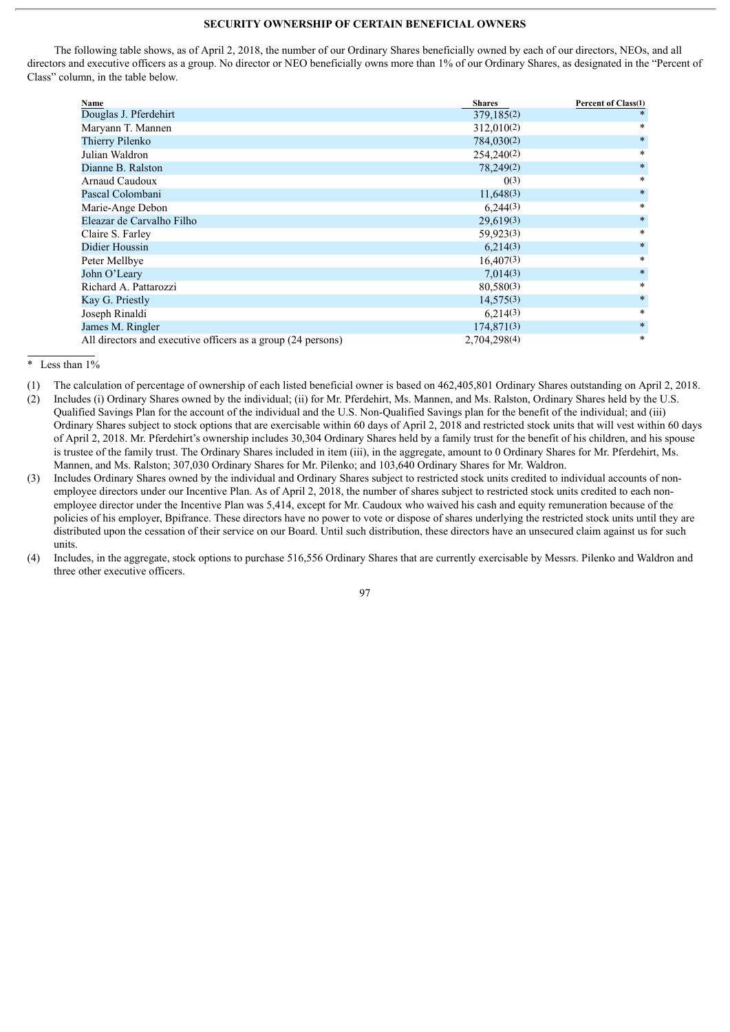# **SECURITY OWNERSHIP OF CERTAIN BENEFICIAL OWNERS**

The following table shows, as of April 2, 2018, the number of our Ordinary Shares beneficially owned by each of our directors, NEOs, and all directors and executive officers as a group. No director or NEO beneficially owns more than 1% of our Ordinary Shares, as designated in the "Percent of Class" column, in the table below.

| Name                                                         | <b>Shares</b> | Percent of Class(1) |
|--------------------------------------------------------------|---------------|---------------------|
| Douglas J. Pferdehirt                                        | 379,185(2)    |                     |
| Maryann T. Mannen                                            | 312,010(2)    | $\ast$              |
| Thierry Pilenko                                              | 784,030(2)    | $\ast$              |
| Julian Waldron                                               | 254,240(2)    | $\ast$              |
| Dianne B. Ralston                                            | 78,249(2)     | $\ast$              |
| Arnaud Caudoux                                               | 0(3)          | $\ast$              |
| Pascal Colombani                                             | 11,648(3)     | $\ast$              |
| Marie-Ange Debon                                             | 6,244(3)      | $\ast$              |
| Eleazar de Carvalho Filho                                    | 29,619(3)     | $\ast$              |
| Claire S. Farley                                             | 59,923(3)     | $\ast$              |
| Didier Houssin                                               | 6,214(3)      | $\ast$              |
| Peter Mellbye                                                | 16,407(3)     | $\ast$              |
| John O'Leary                                                 | 7,014(3)      | $\ast$              |
| Richard A. Pattarozzi                                        | 80,580(3)     | $\ast$              |
| Kay G. Priestly                                              | 14,575(3)     | $\ast$              |
| Joseph Rinaldi                                               | 6,214(3)      | $\ast$              |
| James M. Ringler                                             | 174,871(3)    | $\ast$              |
| All directors and executive officers as a group (24 persons) | 2,704,298(4)  | $\ast$              |
|                                                              |               |                     |

\* Less than 1%

- (1) The calculation of percentage of ownership of each listed beneficial owner is based on 462,405,801 Ordinary Shares outstanding on April 2, 2018.
- (2) Includes (i) Ordinary Shares owned by the individual; (ii) for Mr. Pferdehirt, Ms. Mannen, and Ms. Ralston, Ordinary Shares held by the U.S. Qualified Savings Plan for the account of the individual and the U.S. Non-Qualified Savings plan for the benefit of the individual; and (iii) Ordinary Shares subject to stock options that are exercisable within 60 days of April 2, 2018 and restricted stock units that will vest within 60 days of April 2, 2018. Mr. Pferdehirt's ownership includes 30,304 Ordinary Shares held by a family trust for the benefit of his children, and his spouse is trustee of the family trust. The Ordinary Shares included in item (iii), in the aggregate, amount to 0 Ordinary Shares for Mr. Pferdehirt, Ms. Mannen, and Ms. Ralston; 307,030 Ordinary Shares for Mr. Pilenko; and 103,640 Ordinary Shares for Mr. Waldron.
- (3) Includes Ordinary Shares owned by the individual and Ordinary Shares subject to restricted stock units credited to individual accounts of nonemployee directors under our Incentive Plan. As of April 2, 2018, the number of shares subject to restricted stock units credited to each nonemployee director under the Incentive Plan was 5,414, except for Mr. Caudoux who waived his cash and equity remuneration because of the policies of his employer, Bpifrance. These directors have no power to vote or dispose of shares underlying the restricted stock units until they are distributed upon the cessation of their service on our Board. Until such distribution, these directors have an unsecured claim against us for such units.
- (4) Includes, in the aggregate, stock options to purchase 516,556 Ordinary Shares that are currently exercisable by Messrs. Pilenko and Waldron and three other executive officers.

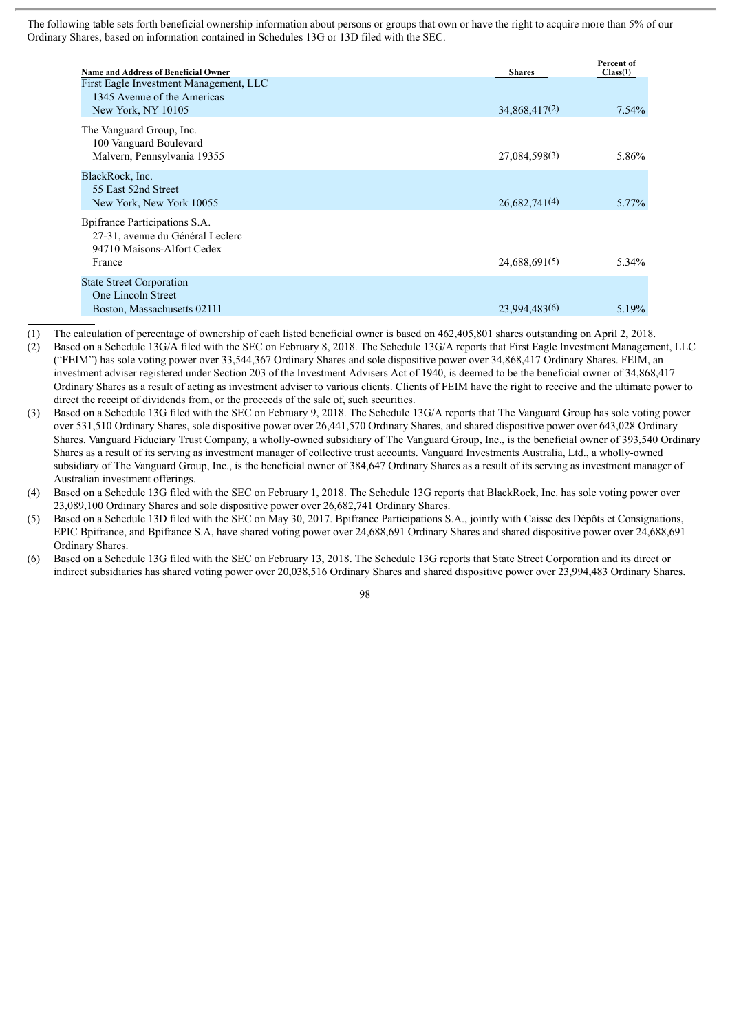The following table sets forth beneficial ownership information about persons or groups that own or have the right to acquire more than 5% of our Ordinary Shares, based on information contained in Schedules 13G or 13D filed with the SEC.

| Name and Address of Beneficial Owner                                                                      | <b>Shares</b> | Percent of<br>Class(1) |
|-----------------------------------------------------------------------------------------------------------|---------------|------------------------|
| First Eagle Investment Management, LLC<br>1345 Avenue of the Americas<br>New York, NY 10105               | 34,868,417(2) | $7.54\%$               |
| The Vanguard Group, Inc.<br>100 Vanguard Boulevard<br>Malvern, Pennsylvania 19355                         | 27,084,598(3) | 5.86%                  |
| BlackRock, Inc.<br>55 East 52nd Street<br>New York, New York 10055                                        | 26,682,741(4) | $5.77\%$               |
| Bpifrance Participations S.A.<br>27-31, avenue du Général Leclerc<br>94710 Maisons-Alfort Cedex<br>France | 24,688,691(5) | 5.34%                  |
| <b>State Street Corporation</b><br>One Lincoln Street<br>Boston, Massachusetts 02111                      | 23,994,483(6) | 5.19%                  |

- (1) The calculation of percentage of ownership of each listed beneficial owner is based on 462,405,801 shares outstanding on April 2, 2018.
- (2) Based on a Schedule 13G/A filed with the SEC on February 8, 2018. The Schedule 13G/A reports that First Eagle Investment Management, LLC ("FEIM") has sole voting power over 33,544,367 Ordinary Shares and sole dispositive power over 34,868,417 Ordinary Shares. FEIM, an investment adviser registered under Section 203 of the Investment Advisers Act of 1940, is deemed to be the beneficial owner of 34,868,417 Ordinary Shares as a result of acting as investment adviser to various clients. Clients of FEIM have the right to receive and the ultimate power to direct the receipt of dividends from, or the proceeds of the sale of, such securities.
- (3) Based on a Schedule 13G filed with the SEC on February 9, 2018. The Schedule 13G/A reports that The Vanguard Group has sole voting power over 531,510 Ordinary Shares, sole dispositive power over 26,441,570 Ordinary Shares, and shared dispositive power over 643,028 Ordinary Shares. Vanguard Fiduciary Trust Company, a wholly-owned subsidiary of The Vanguard Group, Inc., is the beneficial owner of 393,540 Ordinary Shares as a result of its serving as investment manager of collective trust accounts. Vanguard Investments Australia, Ltd., a wholly-owned subsidiary of The Vanguard Group, Inc., is the beneficial owner of 384,647 Ordinary Shares as a result of its serving as investment manager of Australian investment offerings.
- (4) Based on a Schedule 13G filed with the SEC on February 1, 2018. The Schedule 13G reports that BlackRock, Inc. has sole voting power over 23,089,100 Ordinary Shares and sole dispositive power over 26,682,741 Ordinary Shares.
- (5) Based on a Schedule 13D filed with the SEC on May 30, 2017. Bpifrance Participations S.A., jointly with Caisse des Dépôts et Consignations, EPIC Bpifrance, and Bpifrance S.A, have shared voting power over 24,688,691 Ordinary Shares and shared dispositive power over 24,688,691 Ordinary Shares.
- (6) Based on a Schedule 13G filed with the SEC on February 13, 2018. The Schedule 13G reports that State Street Corporation and its direct or indirect subsidiaries has shared voting power over 20,038,516 Ordinary Shares and shared dispositive power over 23,994,483 Ordinary Shares.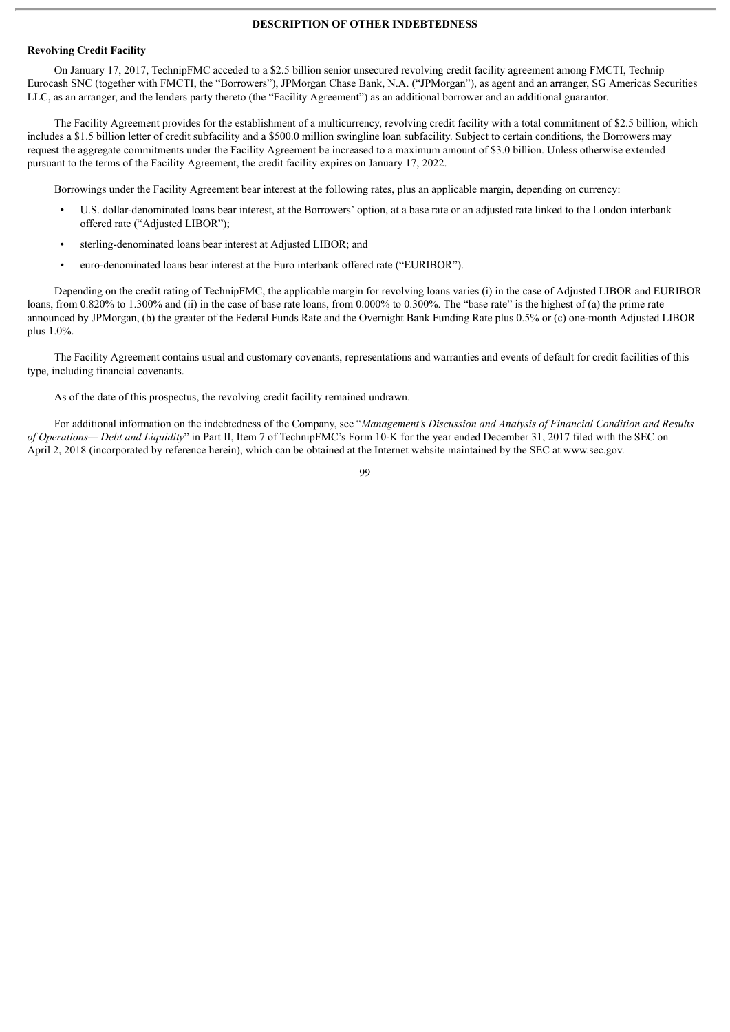### **DESCRIPTION OF OTHER INDEBTEDNESS**

#### **Revolving Credit Facility**

On January 17, 2017, TechnipFMC acceded to a \$2.5 billion senior unsecured revolving credit facility agreement among FMCTI, Technip Eurocash SNC (together with FMCTI, the "Borrowers"), JPMorgan Chase Bank, N.A. ("JPMorgan"), as agent and an arranger, SG Americas Securities LLC, as an arranger, and the lenders party thereto (the "Facility Agreement") as an additional borrower and an additional guarantor.

The Facility Agreement provides for the establishment of a multicurrency, revolving credit facility with a total commitment of \$2.5 billion, which includes a \$1.5 billion letter of credit subfacility and a \$500.0 million swingline loan subfacility. Subject to certain conditions, the Borrowers may request the aggregate commitments under the Facility Agreement be increased to a maximum amount of \$3.0 billion. Unless otherwise extended pursuant to the terms of the Facility Agreement, the credit facility expires on January 17, 2022.

Borrowings under the Facility Agreement bear interest at the following rates, plus an applicable margin, depending on currency:

- U.S. dollar-denominated loans bear interest, at the Borrowers' option, at a base rate or an adjusted rate linked to the London interbank offered rate ("Adjusted LIBOR");
- sterling-denominated loans bear interest at Adjusted LIBOR; and
- euro-denominated loans bear interest at the Euro interbank offered rate ("EURIBOR").

Depending on the credit rating of TechnipFMC, the applicable margin for revolving loans varies (i) in the case of Adjusted LIBOR and EURIBOR loans, from 0.820% to 1.300% and (ii) in the case of base rate loans, from 0.000% to 0.300%. The "base rate" is the highest of (a) the prime rate announced by JPMorgan, (b) the greater of the Federal Funds Rate and the Overnight Bank Funding Rate plus 0.5% or (c) one-month Adjusted LIBOR plus 1.0%.

The Facility Agreement contains usual and customary covenants, representations and warranties and events of default for credit facilities of this type, including financial covenants.

As of the date of this prospectus, the revolving credit facility remained undrawn.

For additional information on the indebtedness of the Company, see "*Management's Discussion and Analysis of Financial Condition and Results of Operations— Debt and Liquidity*" in Part II, Item 7 of TechnipFMC's Form 10-K for the year ended December 31, 2017 filed with the SEC on April 2, 2018 (incorporated by reference herein), which can be obtained at the Internet website maintained by the SEC at www.sec.gov.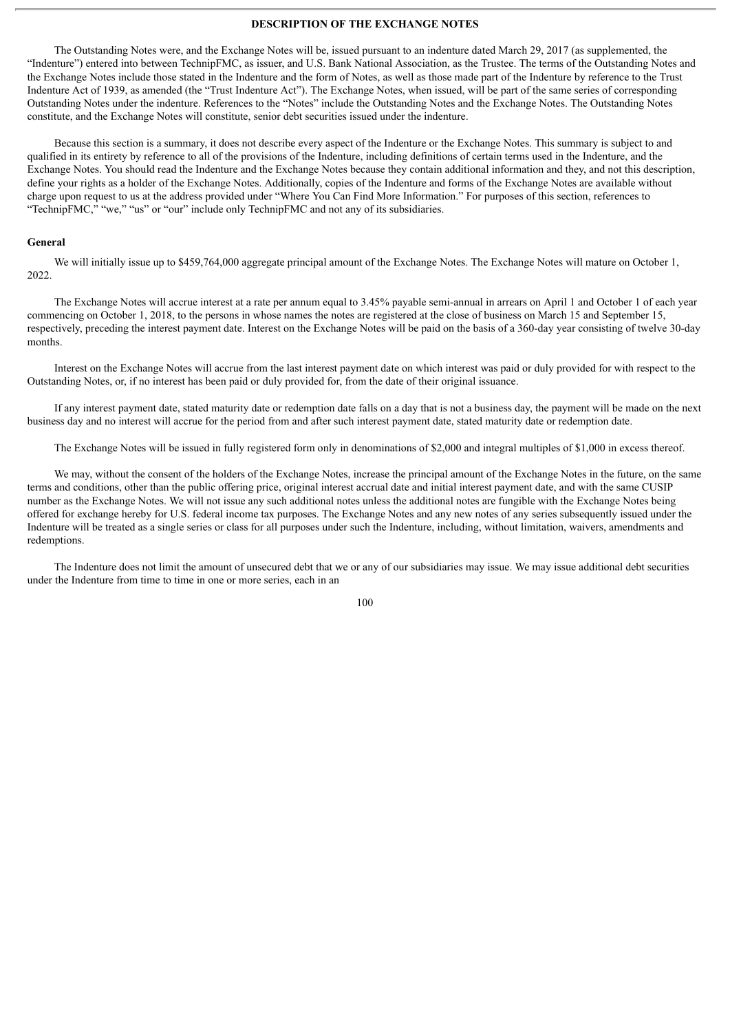### **DESCRIPTION OF THE EXCHANGE NOTES**

The Outstanding Notes were, and the Exchange Notes will be, issued pursuant to an indenture dated March 29, 2017 (as supplemented, the "Indenture") entered into between TechnipFMC, as issuer, and U.S. Bank National Association, as the Trustee. The terms of the Outstanding Notes and the Exchange Notes include those stated in the Indenture and the form of Notes, as well as those made part of the Indenture by reference to the Trust Indenture Act of 1939, as amended (the "Trust Indenture Act"). The Exchange Notes, when issued, will be part of the same series of corresponding Outstanding Notes under the indenture. References to the "Notes" include the Outstanding Notes and the Exchange Notes. The Outstanding Notes constitute, and the Exchange Notes will constitute, senior debt securities issued under the indenture.

Because this section is a summary, it does not describe every aspect of the Indenture or the Exchange Notes. This summary is subject to and qualified in its entirety by reference to all of the provisions of the Indenture, including definitions of certain terms used in the Indenture, and the Exchange Notes. You should read the Indenture and the Exchange Notes because they contain additional information and they, and not this description, define your rights as a holder of the Exchange Notes. Additionally, copies of the Indenture and forms of the Exchange Notes are available without charge upon request to us at the address provided under "Where You Can Find More Information." For purposes of this section, references to "TechnipFMC," "we," "us" or "our" include only TechnipFMC and not any of its subsidiaries.

#### **General**

We will initially issue up to \$459,764,000 aggregate principal amount of the Exchange Notes. The Exchange Notes will mature on October 1, 2022.

The Exchange Notes will accrue interest at a rate per annum equal to 3.45% payable semi-annual in arrears on April 1 and October 1 of each year commencing on October 1, 2018, to the persons in whose names the notes are registered at the close of business on March 15 and September 15, respectively, preceding the interest payment date. Interest on the Exchange Notes will be paid on the basis of a 360-day year consisting of twelve 30-day months.

Interest on the Exchange Notes will accrue from the last interest payment date on which interest was paid or duly provided for with respect to the Outstanding Notes, or, if no interest has been paid or duly provided for, from the date of their original issuance.

If any interest payment date, stated maturity date or redemption date falls on a day that is not a business day, the payment will be made on the next business day and no interest will accrue for the period from and after such interest payment date, stated maturity date or redemption date.

The Exchange Notes will be issued in fully registered form only in denominations of \$2,000 and integral multiples of \$1,000 in excess thereof.

We may, without the consent of the holders of the Exchange Notes, increase the principal amount of the Exchange Notes in the future, on the same terms and conditions, other than the public offering price, original interest accrual date and initial interest payment date, and with the same CUSIP number as the Exchange Notes. We will not issue any such additional notes unless the additional notes are fungible with the Exchange Notes being offered for exchange hereby for U.S. federal income tax purposes. The Exchange Notes and any new notes of any series subsequently issued under the Indenture will be treated as a single series or class for all purposes under such the Indenture, including, without limitation, waivers, amendments and redemptions.

The Indenture does not limit the amount of unsecured debt that we or any of our subsidiaries may issue. We may issue additional debt securities under the Indenture from time to time in one or more series, each in an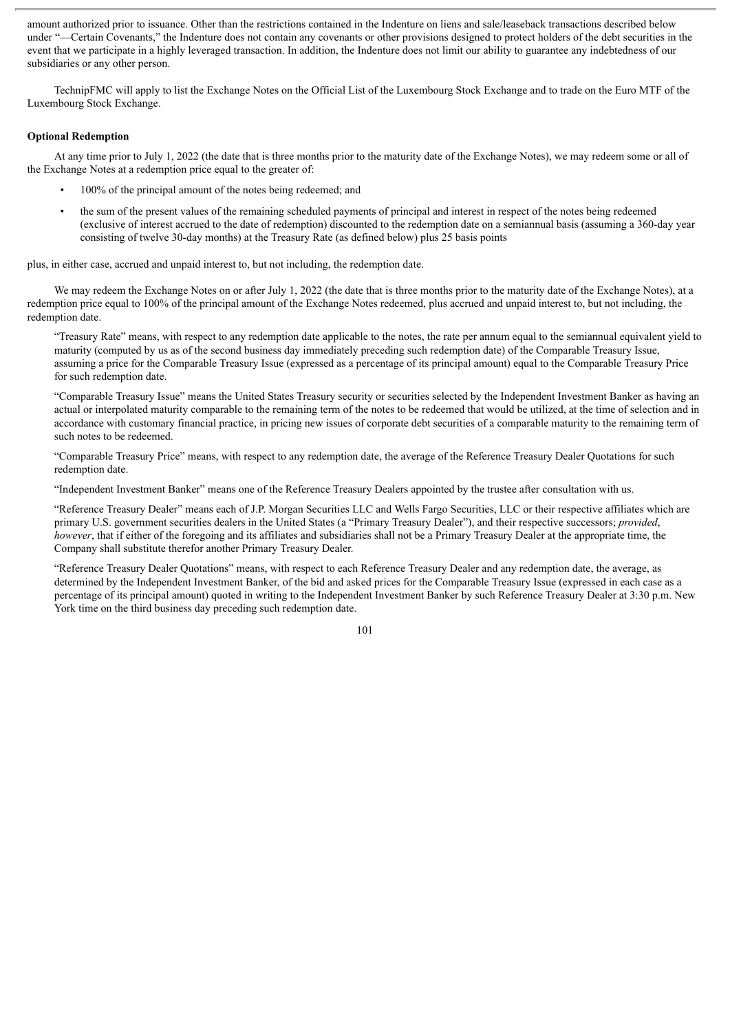amount authorized prior to issuance. Other than the restrictions contained in the Indenture on liens and sale/leaseback transactions described below under "—Certain Covenants," the Indenture does not contain any covenants or other provisions designed to protect holders of the debt securities in the event that we participate in a highly leveraged transaction. In addition, the Indenture does not limit our ability to guarantee any indebtedness of our subsidiaries or any other person.

TechnipFMC will apply to list the Exchange Notes on the Official List of the Luxembourg Stock Exchange and to trade on the Euro MTF of the Luxembourg Stock Exchange.

### **Optional Redemption**

At any time prior to July 1, 2022 (the date that is three months prior to the maturity date of the Exchange Notes), we may redeem some or all of the Exchange Notes at a redemption price equal to the greater of:

- 100% of the principal amount of the notes being redeemed; and
- the sum of the present values of the remaining scheduled payments of principal and interest in respect of the notes being redeemed (exclusive of interest accrued to the date of redemption) discounted to the redemption date on a semiannual basis (assuming a 360-day year consisting of twelve 30-day months) at the Treasury Rate (as defined below) plus 25 basis points

plus, in either case, accrued and unpaid interest to, but not including, the redemption date.

We may redeem the Exchange Notes on or after July 1, 2022 (the date that is three months prior to the maturity date of the Exchange Notes), at a redemption price equal to 100% of the principal amount of the Exchange Notes redeemed, plus accrued and unpaid interest to, but not including, the redemption date.

"Treasury Rate" means, with respect to any redemption date applicable to the notes, the rate per annum equal to the semiannual equivalent yield to maturity (computed by us as of the second business day immediately preceding such redemption date) of the Comparable Treasury Issue, assuming a price for the Comparable Treasury Issue (expressed as a percentage of its principal amount) equal to the Comparable Treasury Price for such redemption date.

"Comparable Treasury Issue" means the United States Treasury security or securities selected by the Independent Investment Banker as having an actual or interpolated maturity comparable to the remaining term of the notes to be redeemed that would be utilized, at the time of selection and in accordance with customary financial practice, in pricing new issues of corporate debt securities of a comparable maturity to the remaining term of such notes to be redeemed.

"Comparable Treasury Price" means, with respect to any redemption date, the average of the Reference Treasury Dealer Quotations for such redemption date.

"Independent Investment Banker" means one of the Reference Treasury Dealers appointed by the trustee after consultation with us.

"Reference Treasury Dealer" means each of J.P. Morgan Securities LLC and Wells Fargo Securities, LLC or their respective affiliates which are primary U.S. government securities dealers in the United States (a "Primary Treasury Dealer"), and their respective successors; *provided*, *however*, that if either of the foregoing and its affiliates and subsidiaries shall not be a Primary Treasury Dealer at the appropriate time, the Company shall substitute therefor another Primary Treasury Dealer.

"Reference Treasury Dealer Quotations" means, with respect to each Reference Treasury Dealer and any redemption date, the average, as determined by the Independent Investment Banker, of the bid and asked prices for the Comparable Treasury Issue (expressed in each case as a percentage of its principal amount) quoted in writing to the Independent Investment Banker by such Reference Treasury Dealer at 3:30 p.m. New York time on the third business day preceding such redemption date.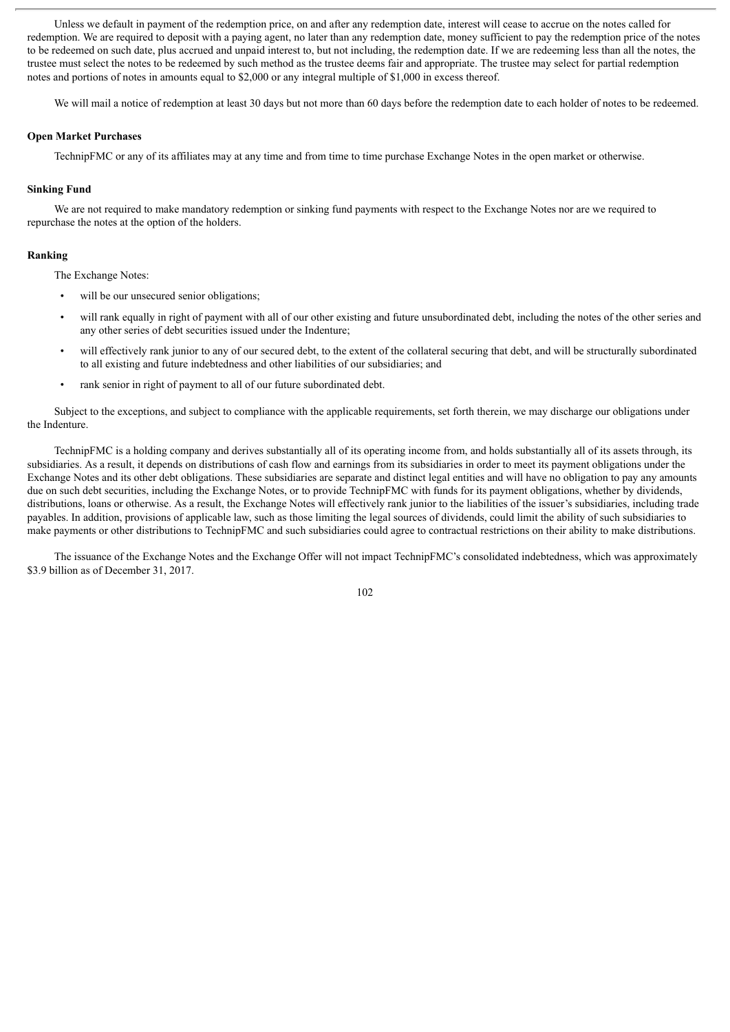Unless we default in payment of the redemption price, on and after any redemption date, interest will cease to accrue on the notes called for redemption. We are required to deposit with a paying agent, no later than any redemption date, money sufficient to pay the redemption price of the notes to be redeemed on such date, plus accrued and unpaid interest to, but not including, the redemption date. If we are redeeming less than all the notes, the trustee must select the notes to be redeemed by such method as the trustee deems fair and appropriate. The trustee may select for partial redemption notes and portions of notes in amounts equal to \$2,000 or any integral multiple of \$1,000 in excess thereof.

We will mail a notice of redemption at least 30 days but not more than 60 days before the redemption date to each holder of notes to be redeemed.

#### **Open Market Purchases**

TechnipFMC or any of its affiliates may at any time and from time to time purchase Exchange Notes in the open market or otherwise.

#### **Sinking Fund**

We are not required to make mandatory redemption or sinking fund payments with respect to the Exchange Notes nor are we required to repurchase the notes at the option of the holders.

### **Ranking**

The Exchange Notes:

- will be our unsecured senior obligations:
- will rank equally in right of payment with all of our other existing and future unsubordinated debt, including the notes of the other series and any other series of debt securities issued under the Indenture;
- will effectively rank junior to any of our secured debt, to the extent of the collateral securing that debt, and will be structurally subordinated to all existing and future indebtedness and other liabilities of our subsidiaries; and
- rank senior in right of payment to all of our future subordinated debt.

Subject to the exceptions, and subject to compliance with the applicable requirements, set forth therein, we may discharge our obligations under the Indenture.

TechnipFMC is a holding company and derives substantially all of its operating income from, and holds substantially all of its assets through, its subsidiaries. As a result, it depends on distributions of cash flow and earnings from its subsidiaries in order to meet its payment obligations under the Exchange Notes and its other debt obligations. These subsidiaries are separate and distinct legal entities and will have no obligation to pay any amounts due on such debt securities, including the Exchange Notes, or to provide TechnipFMC with funds for its payment obligations, whether by dividends, distributions, loans or otherwise. As a result, the Exchange Notes will effectively rank junior to the liabilities of the issuer's subsidiaries, including trade payables. In addition, provisions of applicable law, such as those limiting the legal sources of dividends, could limit the ability of such subsidiaries to make payments or other distributions to TechnipFMC and such subsidiaries could agree to contractual restrictions on their ability to make distributions.

The issuance of the Exchange Notes and the Exchange Offer will not impact TechnipFMC's consolidated indebtedness, which was approximately \$3.9 billion as of December 31, 2017.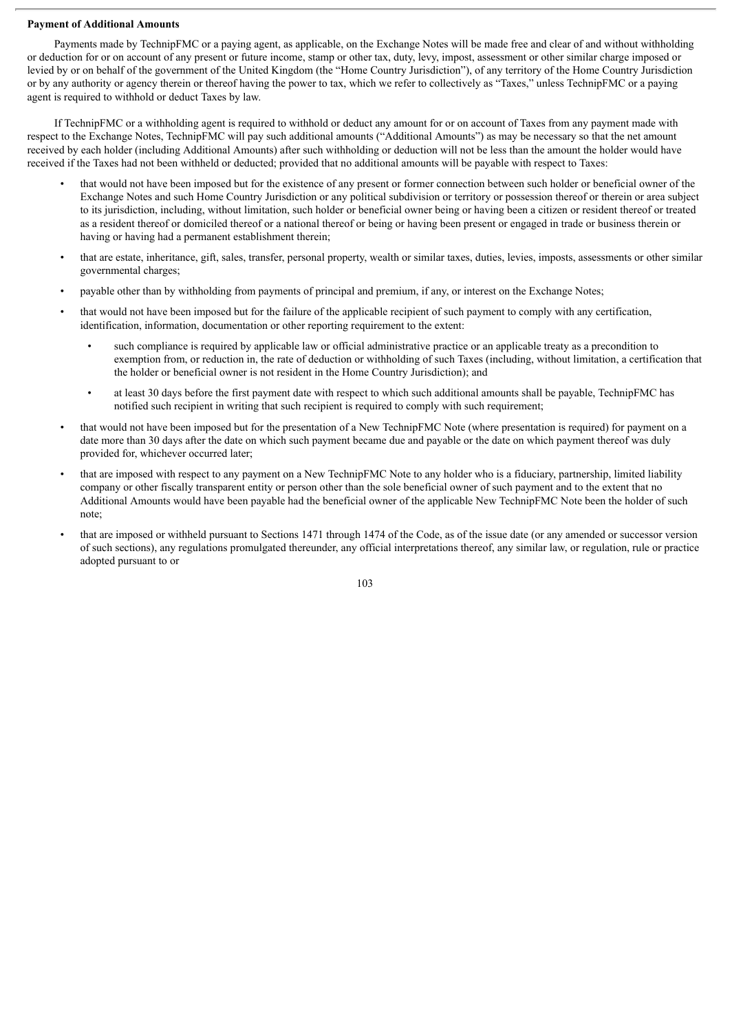# **Payment of Additional Amounts**

Payments made by TechnipFMC or a paying agent, as applicable, on the Exchange Notes will be made free and clear of and without withholding or deduction for or on account of any present or future income, stamp or other tax, duty, levy, impost, assessment or other similar charge imposed or levied by or on behalf of the government of the United Kingdom (the "Home Country Jurisdiction"), of any territory of the Home Country Jurisdiction or by any authority or agency therein or thereof having the power to tax, which we refer to collectively as "Taxes," unless TechnipFMC or a paying agent is required to withhold or deduct Taxes by law.

If TechnipFMC or a withholding agent is required to withhold or deduct any amount for or on account of Taxes from any payment made with respect to the Exchange Notes, TechnipFMC will pay such additional amounts ("Additional Amounts") as may be necessary so that the net amount received by each holder (including Additional Amounts) after such withholding or deduction will not be less than the amount the holder would have received if the Taxes had not been withheld or deducted; provided that no additional amounts will be payable with respect to Taxes:

- that would not have been imposed but for the existence of any present or former connection between such holder or beneficial owner of the Exchange Notes and such Home Country Jurisdiction or any political subdivision or territory or possession thereof or therein or area subject to its jurisdiction, including, without limitation, such holder or beneficial owner being or having been a citizen or resident thereof or treated as a resident thereof or domiciled thereof or a national thereof or being or having been present or engaged in trade or business therein or having or having had a permanent establishment therein;
- that are estate, inheritance, gift, sales, transfer, personal property, wealth or similar taxes, duties, levies, imposts, assessments or other similar governmental charges;
- payable other than by withholding from payments of principal and premium, if any, or interest on the Exchange Notes;
- that would not have been imposed but for the failure of the applicable recipient of such payment to comply with any certification, identification, information, documentation or other reporting requirement to the extent:
	- such compliance is required by applicable law or official administrative practice or an applicable treaty as a precondition to exemption from, or reduction in, the rate of deduction or withholding of such Taxes (including, without limitation, a certification that the holder or beneficial owner is not resident in the Home Country Jurisdiction); and
	- at least 30 days before the first payment date with respect to which such additional amounts shall be payable, TechnipFMC has notified such recipient in writing that such recipient is required to comply with such requirement;
- that would not have been imposed but for the presentation of a New TechnipFMC Note (where presentation is required) for payment on a date more than 30 days after the date on which such payment became due and payable or the date on which payment thereof was duly provided for, whichever occurred later;
- that are imposed with respect to any payment on a New TechnipFMC Note to any holder who is a fiduciary, partnership, limited liability company or other fiscally transparent entity or person other than the sole beneficial owner of such payment and to the extent that no Additional Amounts would have been payable had the beneficial owner of the applicable New TechnipFMC Note been the holder of such note;
- that are imposed or withheld pursuant to Sections 1471 through 1474 of the Code, as of the issue date (or any amended or successor version of such sections), any regulations promulgated thereunder, any official interpretations thereof, any similar law, or regulation, rule or practice adopted pursuant to or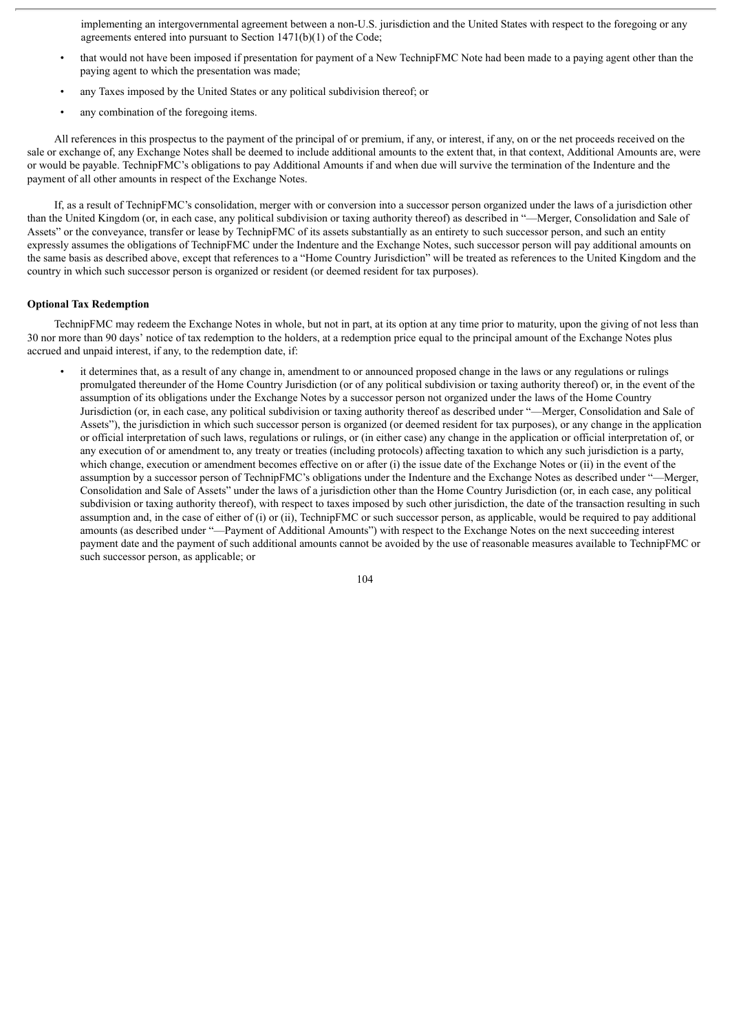implementing an intergovernmental agreement between a non-U.S. jurisdiction and the United States with respect to the foregoing or any agreements entered into pursuant to Section 1471(b)(1) of the Code;

- that would not have been imposed if presentation for payment of a New TechnipFMC Note had been made to a paying agent other than the paying agent to which the presentation was made;
- any Taxes imposed by the United States or any political subdivision thereof; or
- any combination of the foregoing items.

All references in this prospectus to the payment of the principal of or premium, if any, or interest, if any, on or the net proceeds received on the sale or exchange of, any Exchange Notes shall be deemed to include additional amounts to the extent that, in that context, Additional Amounts are, were or would be payable. TechnipFMC's obligations to pay Additional Amounts if and when due will survive the termination of the Indenture and the payment of all other amounts in respect of the Exchange Notes.

If, as a result of TechnipFMC's consolidation, merger with or conversion into a successor person organized under the laws of a jurisdiction other than the United Kingdom (or, in each case, any political subdivision or taxing authority thereof) as described in "—Merger, Consolidation and Sale of Assets" or the conveyance, transfer or lease by TechnipFMC of its assets substantially as an entirety to such successor person, and such an entity expressly assumes the obligations of TechnipFMC under the Indenture and the Exchange Notes, such successor person will pay additional amounts on the same basis as described above, except that references to a "Home Country Jurisdiction" will be treated as references to the United Kingdom and the country in which such successor person is organized or resident (or deemed resident for tax purposes).

### **Optional Tax Redemption**

TechnipFMC may redeem the Exchange Notes in whole, but not in part, at its option at any time prior to maturity, upon the giving of not less than 30 nor more than 90 days' notice of tax redemption to the holders, at a redemption price equal to the principal amount of the Exchange Notes plus accrued and unpaid interest, if any, to the redemption date, if:

• it determines that, as a result of any change in, amendment to or announced proposed change in the laws or any regulations or rulings promulgated thereunder of the Home Country Jurisdiction (or of any political subdivision or taxing authority thereof) or, in the event of the assumption of its obligations under the Exchange Notes by a successor person not organized under the laws of the Home Country Jurisdiction (or, in each case, any political subdivision or taxing authority thereof as described under "—Merger, Consolidation and Sale of Assets"), the jurisdiction in which such successor person is organized (or deemed resident for tax purposes), or any change in the application or official interpretation of such laws, regulations or rulings, or (in either case) any change in the application or official interpretation of, or any execution of or amendment to, any treaty or treaties (including protocols) affecting taxation to which any such jurisdiction is a party, which change, execution or amendment becomes effective on or after (i) the issue date of the Exchange Notes or (ii) in the event of the assumption by a successor person of TechnipFMC's obligations under the Indenture and the Exchange Notes as described under "—Merger, Consolidation and Sale of Assets" under the laws of a jurisdiction other than the Home Country Jurisdiction (or, in each case, any political subdivision or taxing authority thereof), with respect to taxes imposed by such other jurisdiction, the date of the transaction resulting in such assumption and, in the case of either of (i) or (ii), TechnipFMC or such successor person, as applicable, would be required to pay additional amounts (as described under "—Payment of Additional Amounts") with respect to the Exchange Notes on the next succeeding interest payment date and the payment of such additional amounts cannot be avoided by the use of reasonable measures available to TechnipFMC or such successor person, as applicable; or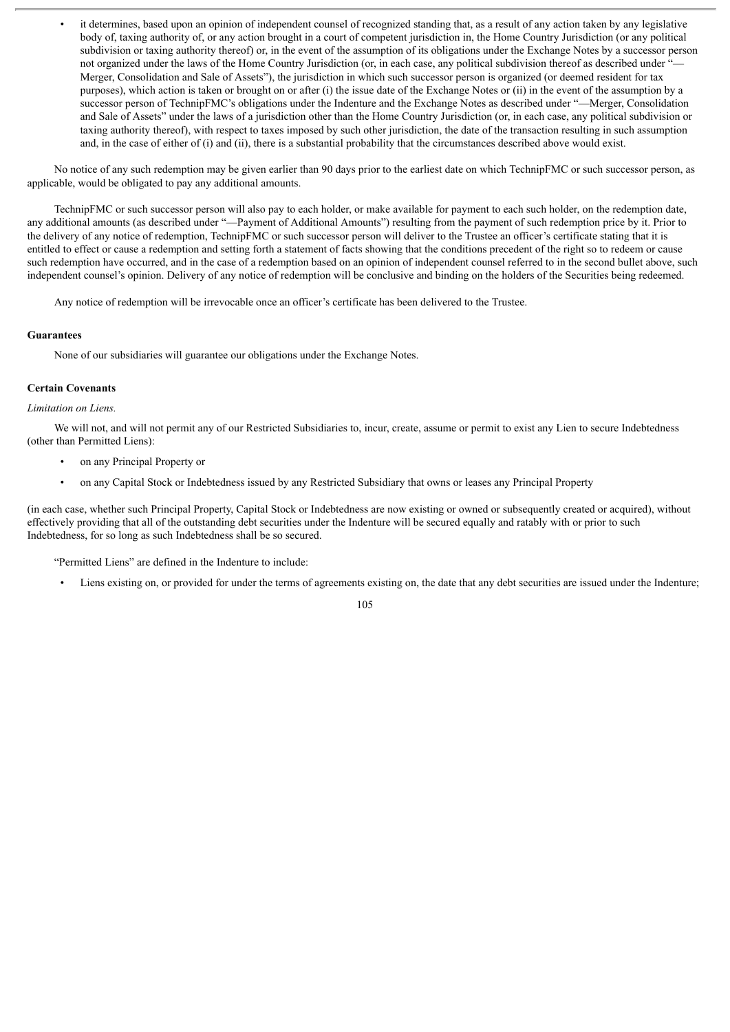• it determines, based upon an opinion of independent counsel of recognized standing that, as a result of any action taken by any legislative body of, taxing authority of, or any action brought in a court of competent jurisdiction in, the Home Country Jurisdiction (or any political subdivision or taxing authority thereof) or, in the event of the assumption of its obligations under the Exchange Notes by a successor person not organized under the laws of the Home Country Jurisdiction (or, in each case, any political subdivision thereof as described under  $\ddot{\,}$ Merger, Consolidation and Sale of Assets"), the jurisdiction in which such successor person is organized (or deemed resident for tax purposes), which action is taken or brought on or after (i) the issue date of the Exchange Notes or (ii) in the event of the assumption by a successor person of TechnipFMC's obligations under the Indenture and the Exchange Notes as described under "—Merger, Consolidation and Sale of Assets" under the laws of a jurisdiction other than the Home Country Jurisdiction (or, in each case, any political subdivision or taxing authority thereof), with respect to taxes imposed by such other jurisdiction, the date of the transaction resulting in such assumption and, in the case of either of (i) and (ii), there is a substantial probability that the circumstances described above would exist.

No notice of any such redemption may be given earlier than 90 days prior to the earliest date on which TechnipFMC or such successor person, as applicable, would be obligated to pay any additional amounts.

TechnipFMC or such successor person will also pay to each holder, or make available for payment to each such holder, on the redemption date, any additional amounts (as described under "—Payment of Additional Amounts") resulting from the payment of such redemption price by it. Prior to the delivery of any notice of redemption, TechnipFMC or such successor person will deliver to the Trustee an officer's certificate stating that it is entitled to effect or cause a redemption and setting forth a statement of facts showing that the conditions precedent of the right so to redeem or cause such redemption have occurred, and in the case of a redemption based on an opinion of independent counsel referred to in the second bullet above, such independent counsel's opinion. Delivery of any notice of redemption will be conclusive and binding on the holders of the Securities being redeemed.

Any notice of redemption will be irrevocable once an officer's certificate has been delivered to the Trustee.

# **Guarantees**

None of our subsidiaries will guarantee our obligations under the Exchange Notes.

# **Certain Covenants**

### *Limitation on Liens.*

We will not, and will not permit any of our Restricted Subsidiaries to, incur, create, assume or permit to exist any Lien to secure Indebtedness (other than Permitted Liens):

- on any Principal Property or
- on any Capital Stock or Indebtedness issued by any Restricted Subsidiary that owns or leases any Principal Property

(in each case, whether such Principal Property, Capital Stock or Indebtedness are now existing or owned or subsequently created or acquired), without effectively providing that all of the outstanding debt securities under the Indenture will be secured equally and ratably with or prior to such Indebtedness, for so long as such Indebtedness shall be so secured.

"Permitted Liens" are defined in the Indenture to include:

• Liens existing on, or provided for under the terms of agreements existing on, the date that any debt securities are issued under the Indenture;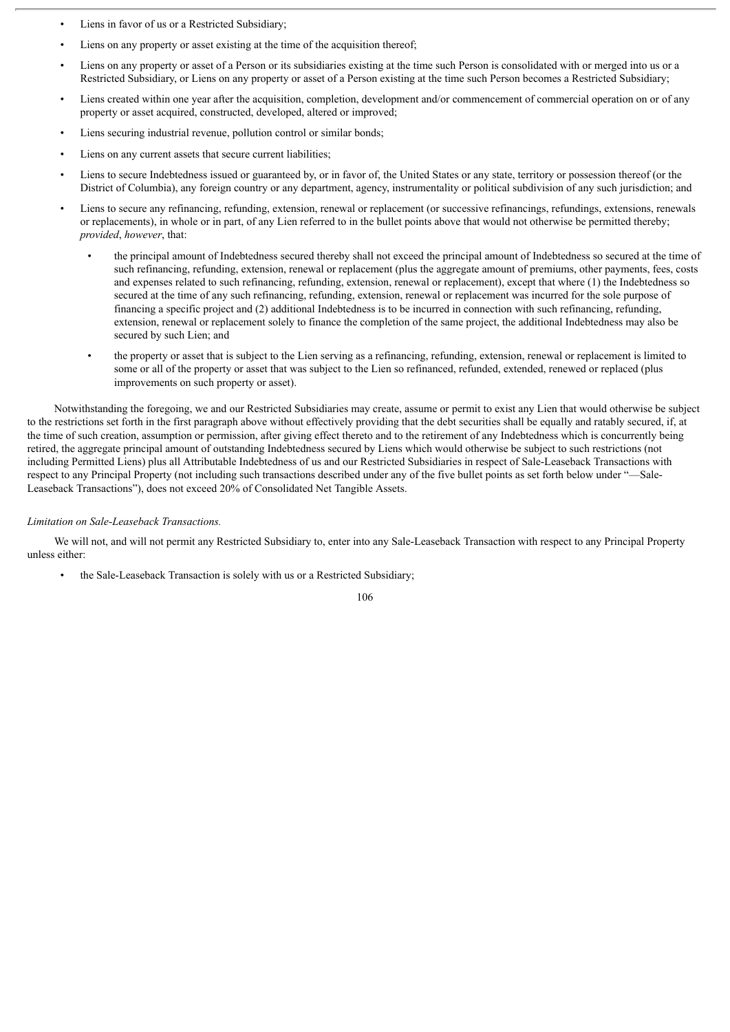- Liens in favor of us or a Restricted Subsidiary;
- Liens on any property or asset existing at the time of the acquisition thereof;
- Liens on any property or asset of a Person or its subsidiaries existing at the time such Person is consolidated with or merged into us or a Restricted Subsidiary, or Liens on any property or asset of a Person existing at the time such Person becomes a Restricted Subsidiary;
- Liens created within one year after the acquisition, completion, development and/or commencement of commercial operation on or of any property or asset acquired, constructed, developed, altered or improved;
- Liens securing industrial revenue, pollution control or similar bonds;
- Liens on any current assets that secure current liabilities;
- Liens to secure Indebtedness issued or guaranteed by, or in favor of, the United States or any state, territory or possession thereof (or the District of Columbia), any foreign country or any department, agency, instrumentality or political subdivision of any such jurisdiction; and
- Liens to secure any refinancing, refunding, extension, renewal or replacement (or successive refinancings, refundings, extensions, renewals or replacements), in whole or in part, of any Lien referred to in the bullet points above that would not otherwise be permitted thereby; *provided*, *however*, that:
	- the principal amount of Indebtedness secured thereby shall not exceed the principal amount of Indebtedness so secured at the time of such refinancing, refunding, extension, renewal or replacement (plus the aggregate amount of premiums, other payments, fees, costs and expenses related to such refinancing, refunding, extension, renewal or replacement), except that where (1) the Indebtedness so secured at the time of any such refinancing, refunding, extension, renewal or replacement was incurred for the sole purpose of financing a specific project and (2) additional Indebtedness is to be incurred in connection with such refinancing, refunding, extension, renewal or replacement solely to finance the completion of the same project, the additional Indebtedness may also be secured by such Lien; and
	- the property or asset that is subject to the Lien serving as a refinancing, refunding, extension, renewal or replacement is limited to some or all of the property or asset that was subject to the Lien so refinanced, refunded, extended, renewed or replaced (plus improvements on such property or asset).

Notwithstanding the foregoing, we and our Restricted Subsidiaries may create, assume or permit to exist any Lien that would otherwise be subject to the restrictions set forth in the first paragraph above without effectively providing that the debt securities shall be equally and ratably secured, if, at the time of such creation, assumption or permission, after giving effect thereto and to the retirement of any Indebtedness which is concurrently being retired, the aggregate principal amount of outstanding Indebtedness secured by Liens which would otherwise be subject to such restrictions (not including Permitted Liens) plus all Attributable Indebtedness of us and our Restricted Subsidiaries in respect of Sale-Leaseback Transactions with respect to any Principal Property (not including such transactions described under any of the five bullet points as set forth below under "—Sale-Leaseback Transactions"), does not exceed 20% of Consolidated Net Tangible Assets.

# *Limitation on Sale-Leaseback Transactions.*

We will not, and will not permit any Restricted Subsidiary to, enter into any Sale-Leaseback Transaction with respect to any Principal Property unless either:

• the Sale-Leaseback Transaction is solely with us or a Restricted Subsidiary;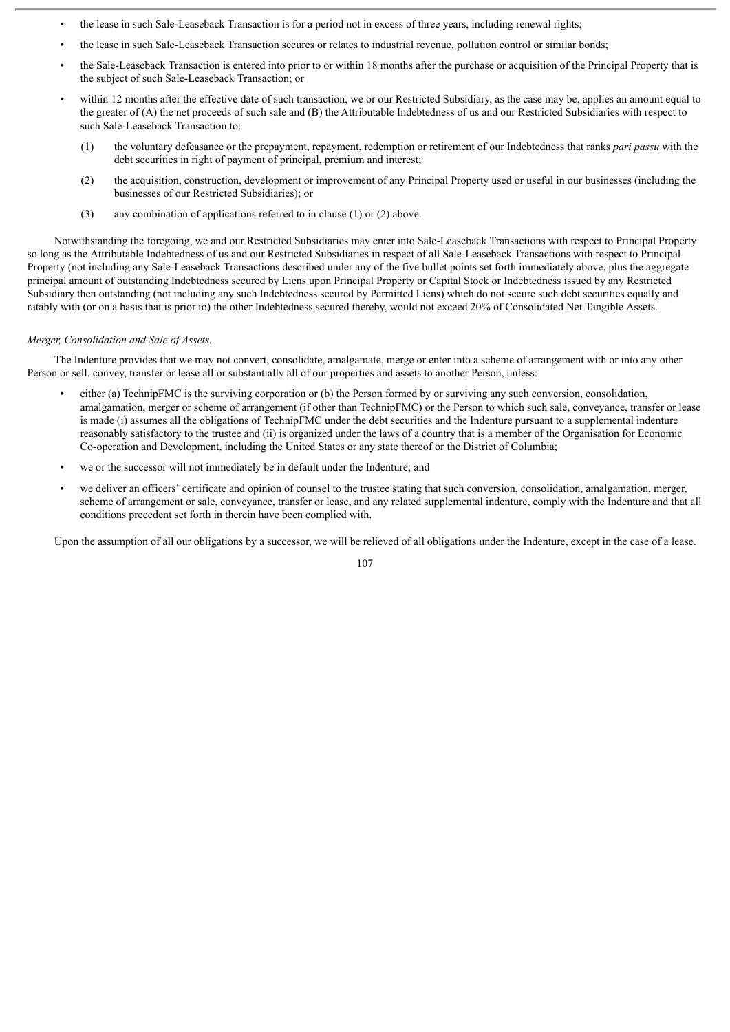- the lease in such Sale-Leaseback Transaction is for a period not in excess of three years, including renewal rights;
- the lease in such Sale-Leaseback Transaction secures or relates to industrial revenue, pollution control or similar bonds;
- the Sale-Leaseback Transaction is entered into prior to or within 18 months after the purchase or acquisition of the Principal Property that is the subject of such Sale-Leaseback Transaction; or
- within 12 months after the effective date of such transaction, we or our Restricted Subsidiary, as the case may be, applies an amount equal to the greater of (A) the net proceeds of such sale and (B) the Attributable Indebtedness of us and our Restricted Subsidiaries with respect to such Sale-Leaseback Transaction to:
	- (1) the voluntary defeasance or the prepayment, repayment, redemption or retirement of our Indebtedness that ranks *pari passu* with the debt securities in right of payment of principal, premium and interest;
	- (2) the acquisition, construction, development or improvement of any Principal Property used or useful in our businesses (including the businesses of our Restricted Subsidiaries); or
	- (3) any combination of applications referred to in clause (1) or (2) above.

Notwithstanding the foregoing, we and our Restricted Subsidiaries may enter into Sale-Leaseback Transactions with respect to Principal Property so long as the Attributable Indebtedness of us and our Restricted Subsidiaries in respect of all Sale-Leaseback Transactions with respect to Principal Property (not including any Sale-Leaseback Transactions described under any of the five bullet points set forth immediately above, plus the aggregate principal amount of outstanding Indebtedness secured by Liens upon Principal Property or Capital Stock or Indebtedness issued by any Restricted Subsidiary then outstanding (not including any such Indebtedness secured by Permitted Liens) which do not secure such debt securities equally and ratably with (or on a basis that is prior to) the other Indebtedness secured thereby, would not exceed 20% of Consolidated Net Tangible Assets.

## *Merger, Consolidation and Sale of Assets.*

The Indenture provides that we may not convert, consolidate, amalgamate, merge or enter into a scheme of arrangement with or into any other Person or sell, convey, transfer or lease all or substantially all of our properties and assets to another Person, unless:

- either (a) TechnipFMC is the surviving corporation or (b) the Person formed by or surviving any such conversion, consolidation, amalgamation, merger or scheme of arrangement (if other than TechnipFMC) or the Person to which such sale, conveyance, transfer or lease is made (i) assumes all the obligations of TechnipFMC under the debt securities and the Indenture pursuant to a supplemental indenture reasonably satisfactory to the trustee and (ii) is organized under the laws of a country that is a member of the Organisation for Economic Co-operation and Development, including the United States or any state thereof or the District of Columbia;
- we or the successor will not immediately be in default under the Indenture; and
- we deliver an officers' certificate and opinion of counsel to the trustee stating that such conversion, consolidation, amalgamation, merger, scheme of arrangement or sale, conveyance, transfer or lease, and any related supplemental indenture, comply with the Indenture and that all conditions precedent set forth in therein have been complied with.

Upon the assumption of all our obligations by a successor, we will be relieved of all obligations under the Indenture, except in the case of a lease.

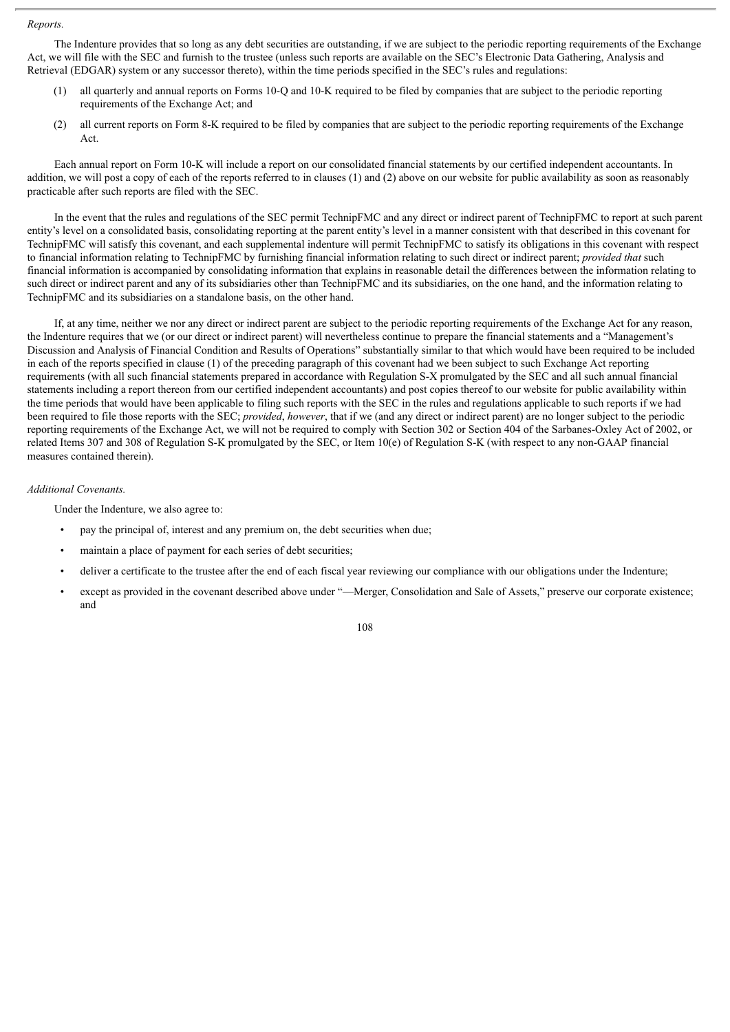#### *Reports.*

The Indenture provides that so long as any debt securities are outstanding, if we are subject to the periodic reporting requirements of the Exchange Act, we will file with the SEC and furnish to the trustee (unless such reports are available on the SEC's Electronic Data Gathering, Analysis and Retrieval (EDGAR) system or any successor thereto), within the time periods specified in the SEC's rules and regulations:

- (1) all quarterly and annual reports on Forms 10-Q and 10-K required to be filed by companies that are subject to the periodic reporting requirements of the Exchange Act; and
- (2) all current reports on Form 8-K required to be filed by companies that are subject to the periodic reporting requirements of the Exchange Act.

Each annual report on Form 10-K will include a report on our consolidated financial statements by our certified independent accountants. In addition, we will post a copy of each of the reports referred to in clauses (1) and (2) above on our website for public availability as soon as reasonably practicable after such reports are filed with the SEC.

In the event that the rules and regulations of the SEC permit TechnipFMC and any direct or indirect parent of TechnipFMC to report at such parent entity's level on a consolidated basis, consolidating reporting at the parent entity's level in a manner consistent with that described in this covenant for TechnipFMC will satisfy this covenant, and each supplemental indenture will permit TechnipFMC to satisfy its obligations in this covenant with respect to financial information relating to TechnipFMC by furnishing financial information relating to such direct or indirect parent; *provided that* such financial information is accompanied by consolidating information that explains in reasonable detail the differences between the information relating to such direct or indirect parent and any of its subsidiaries other than TechnipFMC and its subsidiaries, on the one hand, and the information relating to TechnipFMC and its subsidiaries on a standalone basis, on the other hand.

If, at any time, neither we nor any direct or indirect parent are subject to the periodic reporting requirements of the Exchange Act for any reason, the Indenture requires that we (or our direct or indirect parent) will nevertheless continue to prepare the financial statements and a "Management's Discussion and Analysis of Financial Condition and Results of Operations" substantially similar to that which would have been required to be included in each of the reports specified in clause (1) of the preceding paragraph of this covenant had we been subject to such Exchange Act reporting requirements (with all such financial statements prepared in accordance with Regulation S-X promulgated by the SEC and all such annual financial statements including a report thereon from our certified independent accountants) and post copies thereof to our website for public availability within the time periods that would have been applicable to filing such reports with the SEC in the rules and regulations applicable to such reports if we had been required to file those reports with the SEC; *provided*, *however*, that if we (and any direct or indirect parent) are no longer subject to the periodic reporting requirements of the Exchange Act, we will not be required to comply with Section 302 or Section 404 of the Sarbanes-Oxley Act of 2002, or related Items 307 and 308 of Regulation S-K promulgated by the SEC, or Item 10(e) of Regulation S-K (with respect to any non-GAAP financial measures contained therein).

## *Additional Covenants.*

Under the Indenture, we also agree to:

- pay the principal of, interest and any premium on, the debt securities when due;
- maintain a place of payment for each series of debt securities;
- deliver a certificate to the trustee after the end of each fiscal year reviewing our compliance with our obligations under the Indenture;
- except as provided in the covenant described above under "—Merger, Consolidation and Sale of Assets," preserve our corporate existence; and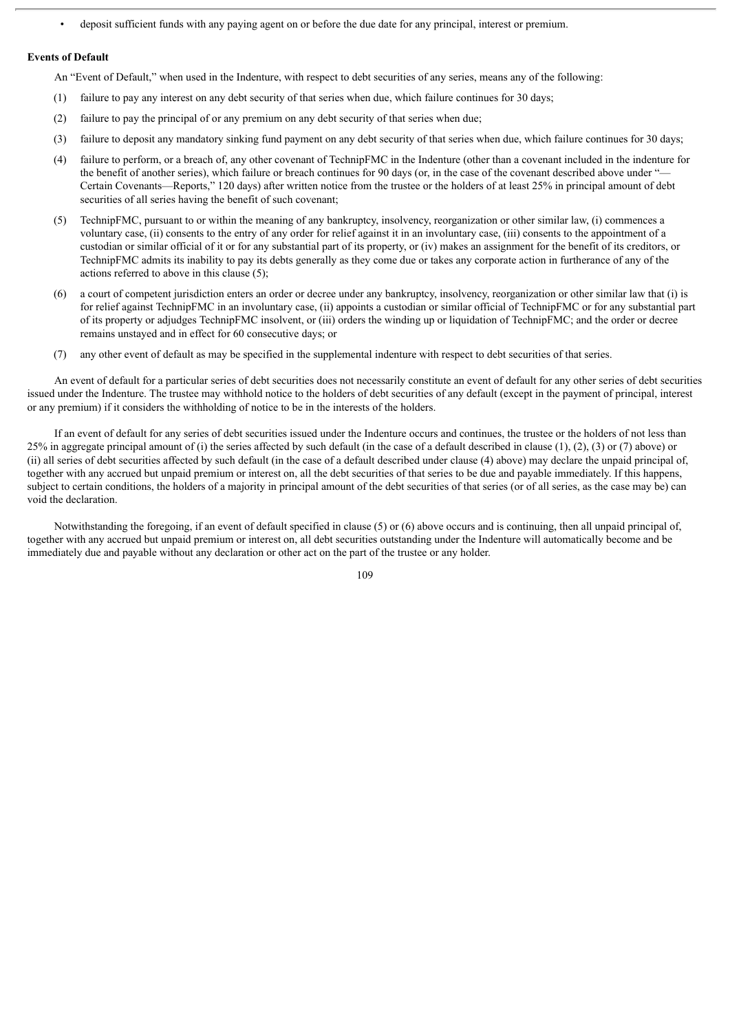• deposit sufficient funds with any paying agent on or before the due date for any principal, interest or premium.

#### **Events of Default**

An "Event of Default," when used in the Indenture, with respect to debt securities of any series, means any of the following:

- (1) failure to pay any interest on any debt security of that series when due, which failure continues for 30 days;
- (2) failure to pay the principal of or any premium on any debt security of that series when due;
- (3) failure to deposit any mandatory sinking fund payment on any debt security of that series when due, which failure continues for 30 days;
- (4) failure to perform, or a breach of, any other covenant of TechnipFMC in the Indenture (other than a covenant included in the indenture for the benefit of another series), which failure or breach continues for 90 days (or, in the case of the covenant described above under "-Certain Covenants—Reports," 120 days) after written notice from the trustee or the holders of at least 25% in principal amount of debt securities of all series having the benefit of such covenant;
- (5) TechnipFMC, pursuant to or within the meaning of any bankruptcy, insolvency, reorganization or other similar law, (i) commences a voluntary case, (ii) consents to the entry of any order for relief against it in an involuntary case, (iii) consents to the appointment of a custodian or similar official of it or for any substantial part of its property, or (iv) makes an assignment for the benefit of its creditors, or TechnipFMC admits its inability to pay its debts generally as they come due or takes any corporate action in furtherance of any of the actions referred to above in this clause (5);
- (6) a court of competent jurisdiction enters an order or decree under any bankruptcy, insolvency, reorganization or other similar law that (i) is for relief against TechnipFMC in an involuntary case, (ii) appoints a custodian or similar official of TechnipFMC or for any substantial part of its property or adjudges TechnipFMC insolvent, or (iii) orders the winding up or liquidation of TechnipFMC; and the order or decree remains unstayed and in effect for 60 consecutive days; or
- (7) any other event of default as may be specified in the supplemental indenture with respect to debt securities of that series.

An event of default for a particular series of debt securities does not necessarily constitute an event of default for any other series of debt securities issued under the Indenture. The trustee may withhold notice to the holders of debt securities of any default (except in the payment of principal, interest or any premium) if it considers the withholding of notice to be in the interests of the holders.

If an event of default for any series of debt securities issued under the Indenture occurs and continues, the trustee or the holders of not less than 25% in aggregate principal amount of (i) the series affected by such default (in the case of a default described in clause (1), (2), (3) or (7) above) or (ii) all series of debt securities affected by such default (in the case of a default described under clause (4) above) may declare the unpaid principal of, together with any accrued but unpaid premium or interest on, all the debt securities of that series to be due and payable immediately. If this happens, subject to certain conditions, the holders of a majority in principal amount of the debt securities of that series (or of all series, as the case may be) can void the declaration.

Notwithstanding the foregoing, if an event of default specified in clause (5) or (6) above occurs and is continuing, then all unpaid principal of, together with any accrued but unpaid premium or interest on, all debt securities outstanding under the Indenture will automatically become and be immediately due and payable without any declaration or other act on the part of the trustee or any holder.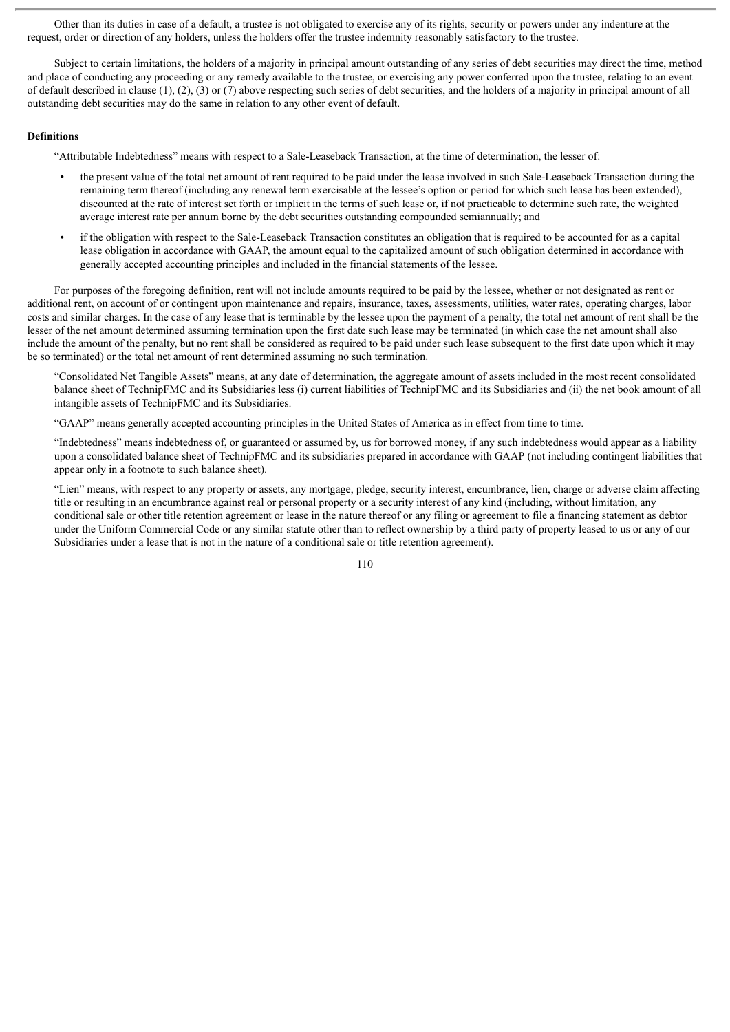Other than its duties in case of a default, a trustee is not obligated to exercise any of its rights, security or powers under any indenture at the request, order or direction of any holders, unless the holders offer the trustee indemnity reasonably satisfactory to the trustee.

Subject to certain limitations, the holders of a majority in principal amount outstanding of any series of debt securities may direct the time, method and place of conducting any proceeding or any remedy available to the trustee, or exercising any power conferred upon the trustee, relating to an event of default described in clause  $(1)$ ,  $(2)$ ,  $(3)$  or  $(7)$  above respecting such series of debt securities, and the holders of a majority in principal amount of all outstanding debt securities may do the same in relation to any other event of default.

# **Definitions**

"Attributable Indebtedness" means with respect to a Sale-Leaseback Transaction, at the time of determination, the lesser of:

- the present value of the total net amount of rent required to be paid under the lease involved in such Sale-Leaseback Transaction during the remaining term thereof (including any renewal term exercisable at the lessee's option or period for which such lease has been extended), discounted at the rate of interest set forth or implicit in the terms of such lease or, if not practicable to determine such rate, the weighted average interest rate per annum borne by the debt securities outstanding compounded semiannually; and
- if the obligation with respect to the Sale-Leaseback Transaction constitutes an obligation that is required to be accounted for as a capital lease obligation in accordance with GAAP, the amount equal to the capitalized amount of such obligation determined in accordance with generally accepted accounting principles and included in the financial statements of the lessee.

For purposes of the foregoing definition, rent will not include amounts required to be paid by the lessee, whether or not designated as rent or additional rent, on account of or contingent upon maintenance and repairs, insurance, taxes, assessments, utilities, water rates, operating charges, labor costs and similar charges. In the case of any lease that is terminable by the lessee upon the payment of a penalty, the total net amount of rent shall be the lesser of the net amount determined assuming termination upon the first date such lease may be terminated (in which case the net amount shall also include the amount of the penalty, but no rent shall be considered as required to be paid under such lease subsequent to the first date upon which it may be so terminated) or the total net amount of rent determined assuming no such termination.

"Consolidated Net Tangible Assets" means, at any date of determination, the aggregate amount of assets included in the most recent consolidated balance sheet of TechnipFMC and its Subsidiaries less (i) current liabilities of TechnipFMC and its Subsidiaries and (ii) the net book amount of all intangible assets of TechnipFMC and its Subsidiaries.

"GAAP" means generally accepted accounting principles in the United States of America as in effect from time to time.

"Indebtedness" means indebtedness of, or guaranteed or assumed by, us for borrowed money, if any such indebtedness would appear as a liability upon a consolidated balance sheet of TechnipFMC and its subsidiaries prepared in accordance with GAAP (not including contingent liabilities that appear only in a footnote to such balance sheet).

"Lien" means, with respect to any property or assets, any mortgage, pledge, security interest, encumbrance, lien, charge or adverse claim affecting title or resulting in an encumbrance against real or personal property or a security interest of any kind (including, without limitation, any conditional sale or other title retention agreement or lease in the nature thereof or any filing or agreement to file a financing statement as debtor under the Uniform Commercial Code or any similar statute other than to reflect ownership by a third party of property leased to us or any of our Subsidiaries under a lease that is not in the nature of a conditional sale or title retention agreement).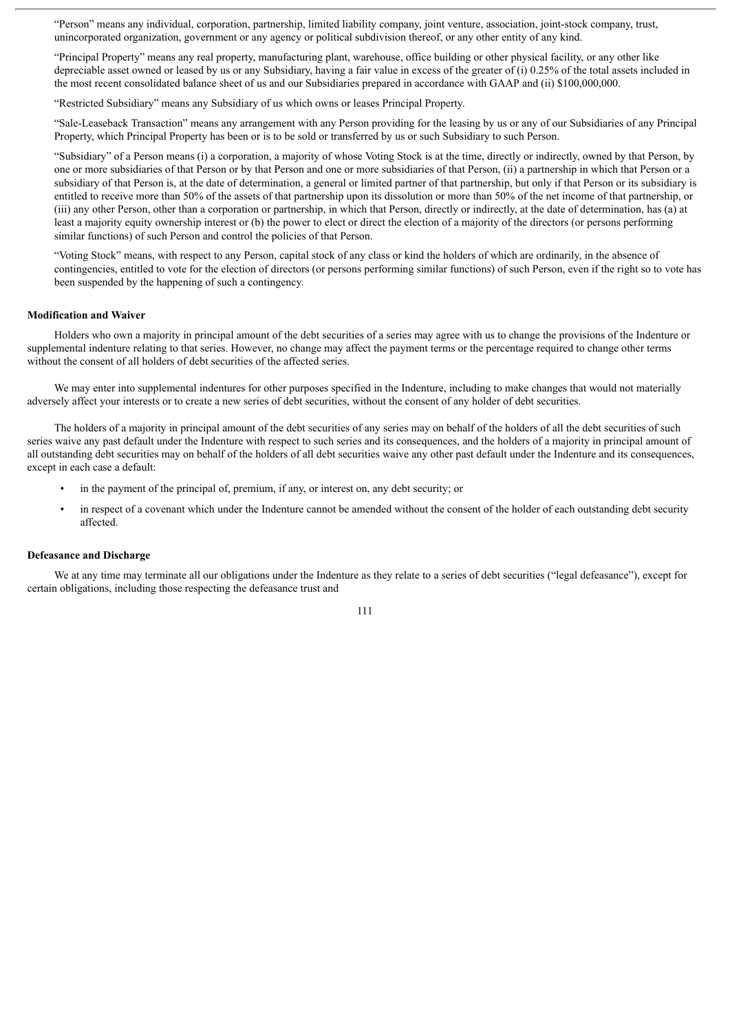"Person" means any individual, corporation, partnership, limited liability company, joint venture, association, joint-stock company, trust, unincorporated organization, government or any agency or political subdivision thereof, or any other entity of any kind.

"Principal Property" means any real property, manufacturing plant, warehouse, office building or other physical facility, or any other like depreciable asset owned or leased by us or any Subsidiary, having a fair value in excess of the greater of (i) 0.25% of the total assets included in the most recent consolidated balance sheet of us and our Subsidiaries prepared in accordance with GAAP and (ii) \$100,000,000.

"Restricted Subsidiary" means any Subsidiary of us which owns or leases Principal Property.

"Sale-Leaseback Transaction" means any arrangement with any Person providing for the leasing by us or any of our Subsidiaries of any Principal Property, which Principal Property has been or is to be sold or transferred by us or such Subsidiary to such Person.

"Subsidiary" of a Person means (i) a corporation, a majority of whose Voting Stock is at the time, directly or indirectly, owned by that Person, by one or more subsidiaries of that Person or by that Person and one or more subsidiaries of that Person, (ii) a partnership in which that Person or a subsidiary of that Person is, at the date of determination, a general or limited partner of that partnership, but only if that Person or its subsidiary is entitled to receive more than 50% of the assets of that partnership upon its dissolution or more than 50% of the net income of that partnership, or (iii) any other Person, other than a corporation or partnership, in which that Person, directly or indirectly, at the date of determination, has (a) at least a majority equity ownership interest or (b) the power to elect or direct the election of a majority of the directors (or persons performing similar functions) of such Person and control the policies of that Person.

"Voting Stock" means, with respect to any Person, capital stock of any class or kind the holders of which are ordinarily, in the absence of contingencies, entitled to vote for the election of directors (or persons performing similar functions) of such Person, even if the right so to vote has been suspended by the happening of such a contingency.

#### **Modification and Waiver**

Holders who own a majority in principal amount of the debt securities of a series may agree with us to change the provisions of the Indenture or supplemental indenture relating to that series. However, no change may affect the payment terms or the percentage required to change other terms without the consent of all holders of debt securities of the affected series.

We may enter into supplemental indentures for other purposes specified in the Indenture, including to make changes that would not materially adversely affect your interests or to create a new series of debt securities, without the consent of any holder of debt securities.

The holders of a majority in principal amount of the debt securities of any series may on behalf of the holders of all the debt securities of such series waive any past default under the Indenture with respect to such series and its consequences, and the holders of a majority in principal amount of all outstanding debt securities may on behalf of the holders of all debt securities waive any other past default under the Indenture and its consequences, except in each case a default:

- in the payment of the principal of, premium, if any, or interest on, any debt security; or
- in respect of a covenant which under the Indenture cannot be amended without the consent of the holder of each outstanding debt security affected.

# **Defeasance and Discharge**

We at any time may terminate all our obligations under the Indenture as they relate to a series of debt securities ("legal defeasance"), except for certain obligations, including those respecting the defeasance trust and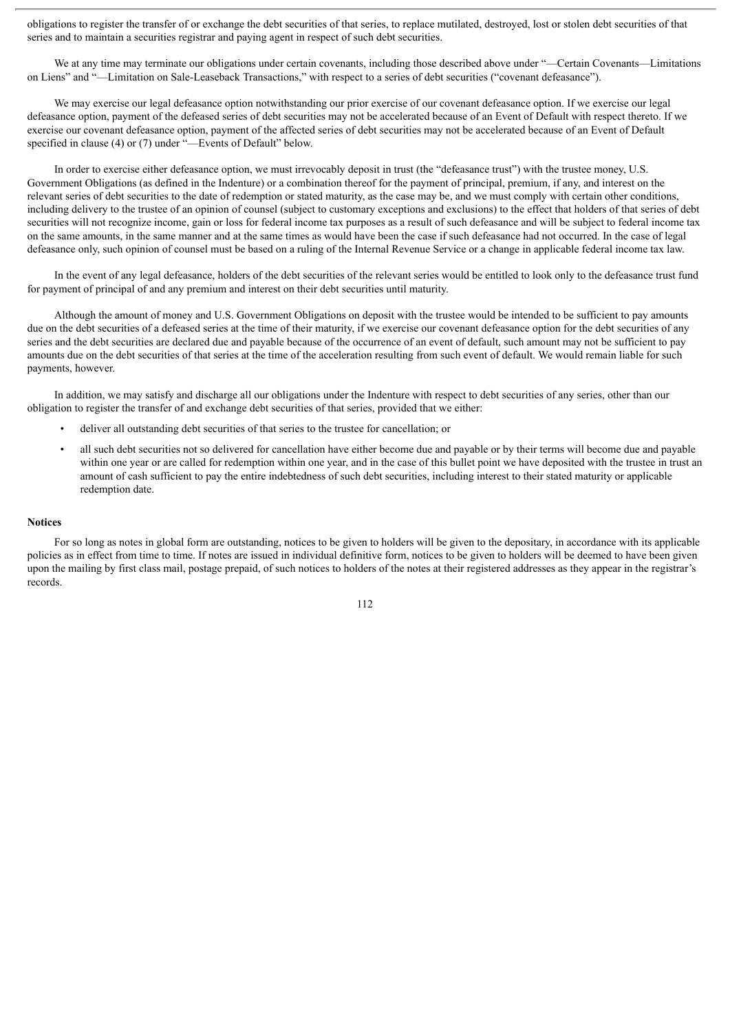obligations to register the transfer of or exchange the debt securities of that series, to replace mutilated, destroyed, lost or stolen debt securities of that series and to maintain a securities registrar and paying agent in respect of such debt securities.

We at any time may terminate our obligations under certain covenants, including those described above under "—Certain Covenants—Limitations on Liens" and "—Limitation on Sale-Leaseback Transactions," with respect to a series of debt securities ("covenant defeasance").

We may exercise our legal defeasance option notwithstanding our prior exercise of our covenant defeasance option. If we exercise our legal defeasance option, payment of the defeased series of debt securities may not be accelerated because of an Event of Default with respect thereto. If we exercise our covenant defeasance option, payment of the affected series of debt securities may not be accelerated because of an Event of Default specified in clause (4) or (7) under  $\sim$ -Events of Default" below.

In order to exercise either defeasance option, we must irrevocably deposit in trust (the "defeasance trust") with the trustee money, U.S. Government Obligations (as defined in the Indenture) or a combination thereof for the payment of principal, premium, if any, and interest on the relevant series of debt securities to the date of redemption or stated maturity, as the case may be, and we must comply with certain other conditions, including delivery to the trustee of an opinion of counsel (subject to customary exceptions and exclusions) to the effect that holders of that series of debt securities will not recognize income, gain or loss for federal income tax purposes as a result of such defeasance and will be subject to federal income tax on the same amounts, in the same manner and at the same times as would have been the case if such defeasance had not occurred. In the case of legal defeasance only, such opinion of counsel must be based on a ruling of the Internal Revenue Service or a change in applicable federal income tax law.

In the event of any legal defeasance, holders of the debt securities of the relevant series would be entitled to look only to the defeasance trust fund for payment of principal of and any premium and interest on their debt securities until maturity.

Although the amount of money and U.S. Government Obligations on deposit with the trustee would be intended to be sufficient to pay amounts due on the debt securities of a defeased series at the time of their maturity, if we exercise our covenant defeasance option for the debt securities of any series and the debt securities are declared due and payable because of the occurrence of an event of default, such amount may not be sufficient to pay amounts due on the debt securities of that series at the time of the acceleration resulting from such event of default. We would remain liable for such payments, however.

In addition, we may satisfy and discharge all our obligations under the Indenture with respect to debt securities of any series, other than our obligation to register the transfer of and exchange debt securities of that series, provided that we either:

- deliver all outstanding debt securities of that series to the trustee for cancellation; or
- all such debt securities not so delivered for cancellation have either become due and payable or by their terms will become due and payable within one year or are called for redemption within one year, and in the case of this bullet point we have deposited with the trustee in trust an amount of cash sufficient to pay the entire indebtedness of such debt securities, including interest to their stated maturity or applicable redemption date.

#### **Notices**

For so long as notes in global form are outstanding, notices to be given to holders will be given to the depositary, in accordance with its applicable policies as in effect from time to time. If notes are issued in individual definitive form, notices to be given to holders will be deemed to have been given upon the mailing by first class mail, postage prepaid, of such notices to holders of the notes at their registered addresses as they appear in the registrar's records.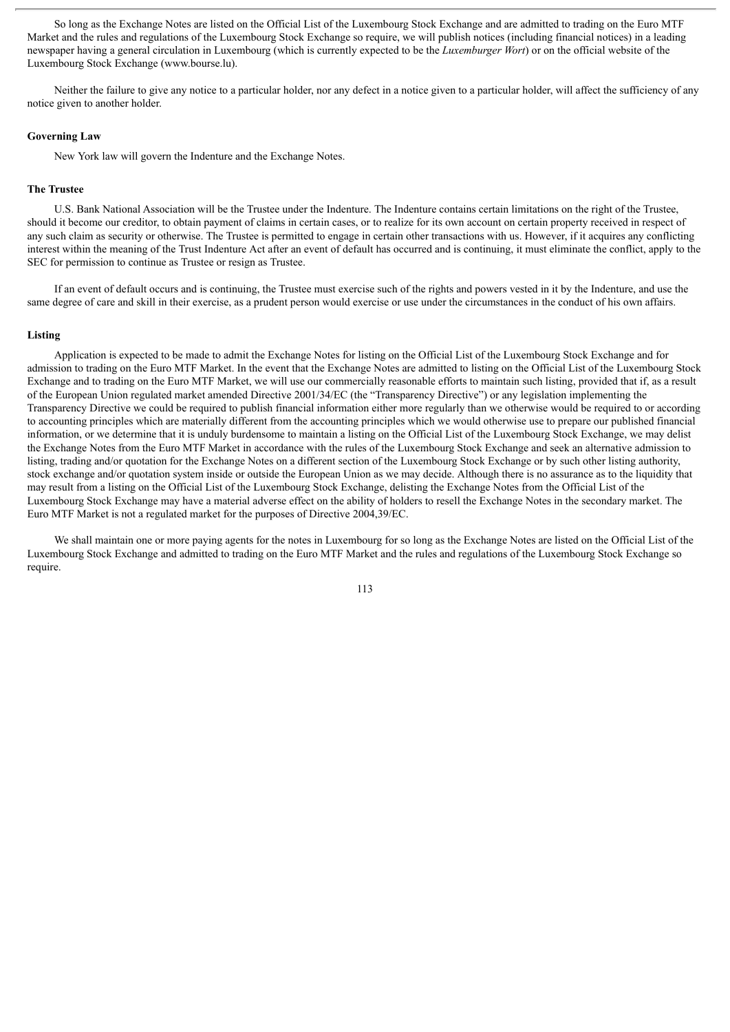So long as the Exchange Notes are listed on the Official List of the Luxembourg Stock Exchange and are admitted to trading on the Euro MTF Market and the rules and regulations of the Luxembourg Stock Exchange so require, we will publish notices (including financial notices) in a leading newspaper having a general circulation in Luxembourg (which is currently expected to be the *Luxemburger Wort*) or on the official website of the Luxembourg Stock Exchange (www.bourse.lu).

Neither the failure to give any notice to a particular holder, nor any defect in a notice given to a particular holder, will affect the sufficiency of any notice given to another holder.

#### **Governing Law**

New York law will govern the Indenture and the Exchange Notes.

#### **The Trustee**

U.S. Bank National Association will be the Trustee under the Indenture. The Indenture contains certain limitations on the right of the Trustee, should it become our creditor, to obtain payment of claims in certain cases, or to realize for its own account on certain property received in respect of any such claim as security or otherwise. The Trustee is permitted to engage in certain other transactions with us. However, if it acquires any conflicting interest within the meaning of the Trust Indenture Act after an event of default has occurred and is continuing, it must eliminate the conflict, apply to the SEC for permission to continue as Trustee or resign as Trustee.

If an event of default occurs and is continuing, the Trustee must exercise such of the rights and powers vested in it by the Indenture, and use the same degree of care and skill in their exercise, as a prudent person would exercise or use under the circumstances in the conduct of his own affairs.

#### **Listing**

Application is expected to be made to admit the Exchange Notes for listing on the Official List of the Luxembourg Stock Exchange and for admission to trading on the Euro MTF Market. In the event that the Exchange Notes are admitted to listing on the Official List of the Luxembourg Stock Exchange and to trading on the Euro MTF Market, we will use our commercially reasonable efforts to maintain such listing, provided that if, as a result of the European Union regulated market amended Directive 2001/34/EC (the "Transparency Directive") or any legislation implementing the Transparency Directive we could be required to publish financial information either more regularly than we otherwise would be required to or according to accounting principles which are materially different from the accounting principles which we would otherwise use to prepare our published financial information, or we determine that it is unduly burdensome to maintain a listing on the Official List of the Luxembourg Stock Exchange, we may delist the Exchange Notes from the Euro MTF Market in accordance with the rules of the Luxembourg Stock Exchange and seek an alternative admission to listing, trading and/or quotation for the Exchange Notes on a different section of the Luxembourg Stock Exchange or by such other listing authority, stock exchange and/or quotation system inside or outside the European Union as we may decide. Although there is no assurance as to the liquidity that may result from a listing on the Official List of the Luxembourg Stock Exchange, delisting the Exchange Notes from the Official List of the Luxembourg Stock Exchange may have a material adverse effect on the ability of holders to resell the Exchange Notes in the secondary market. The Euro MTF Market is not a regulated market for the purposes of Directive 2004,39/EC.

We shall maintain one or more paying agents for the notes in Luxembourg for so long as the Exchange Notes are listed on the Official List of the Luxembourg Stock Exchange and admitted to trading on the Euro MTF Market and the rules and regulations of the Luxembourg Stock Exchange so require.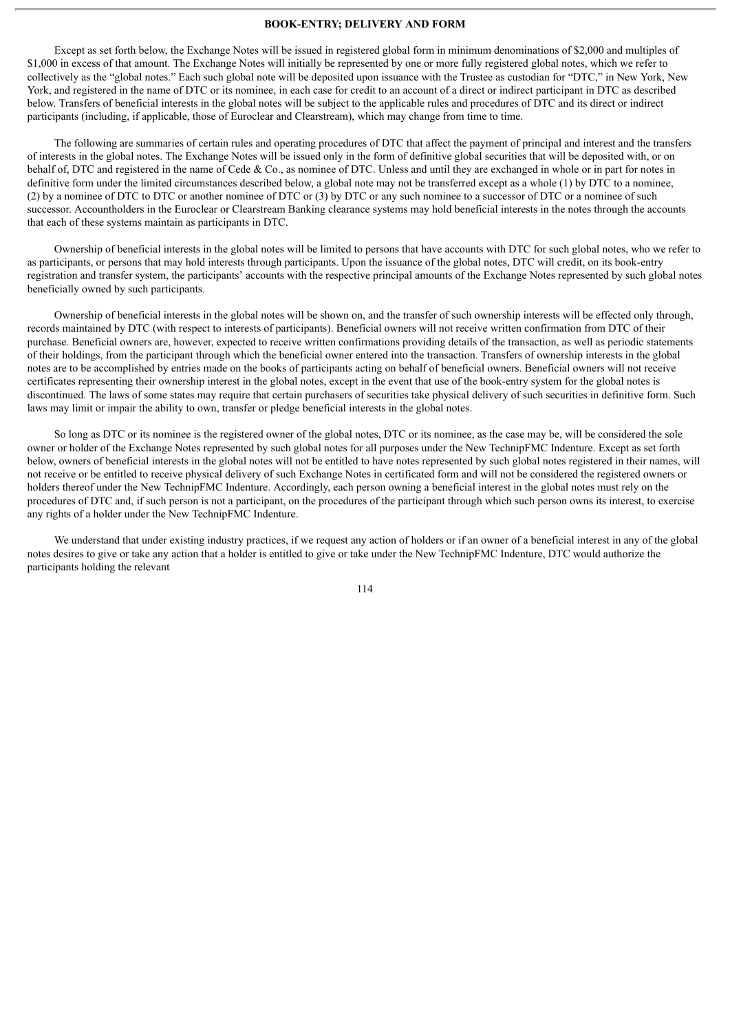# **BOOK-ENTRY; DELIVERY AND FORM**

Except as set forth below, the Exchange Notes will be issued in registered global form in minimum denominations of \$2,000 and multiples of \$1,000 in excess of that amount. The Exchange Notes will initially be represented by one or more fully registered global notes, which we refer to collectively as the "global notes." Each such global note will be deposited upon issuance with the Trustee as custodian for "DTC," in New York, New York, and registered in the name of DTC or its nominee, in each case for credit to an account of a direct or indirect participant in DTC as described below. Transfers of beneficial interests in the global notes will be subject to the applicable rules and procedures of DTC and its direct or indirect participants (including, if applicable, those of Euroclear and Clearstream), which may change from time to time.

The following are summaries of certain rules and operating procedures of DTC that affect the payment of principal and interest and the transfers of interests in the global notes. The Exchange Notes will be issued only in the form of definitive global securities that will be deposited with, or on behalf of, DTC and registered in the name of Cede & Co., as nominee of DTC. Unless and until they are exchanged in whole or in part for notes in definitive form under the limited circumstances described below, a global note may not be transferred except as a whole (1) by DTC to a nominee, (2) by a nominee of DTC to DTC or another nominee of DTC or (3) by DTC or any such nominee to a successor of DTC or a nominee of such successor. Accountholders in the Euroclear or Clearstream Banking clearance systems may hold beneficial interests in the notes through the accounts that each of these systems maintain as participants in DTC.

Ownership of beneficial interests in the global notes will be limited to persons that have accounts with DTC for such global notes, who we refer to as participants, or persons that may hold interests through participants. Upon the issuance of the global notes, DTC will credit, on its book-entry registration and transfer system, the participants' accounts with the respective principal amounts of the Exchange Notes represented by such global notes beneficially owned by such participants.

Ownership of beneficial interests in the global notes will be shown on, and the transfer of such ownership interests will be effected only through, records maintained by DTC (with respect to interests of participants). Beneficial owners will not receive written confirmation from DTC of their purchase. Beneficial owners are, however, expected to receive written confirmations providing details of the transaction, as well as periodic statements of their holdings, from the participant through which the beneficial owner entered into the transaction. Transfers of ownership interests in the global notes are to be accomplished by entries made on the books of participants acting on behalf of beneficial owners. Beneficial owners will not receive certificates representing their ownership interest in the global notes, except in the event that use of the book-entry system for the global notes is discontinued. The laws of some states may require that certain purchasers of securities take physical delivery of such securities in definitive form. Such laws may limit or impair the ability to own, transfer or pledge beneficial interests in the global notes.

So long as DTC or its nominee is the registered owner of the global notes, DTC or its nominee, as the case may be, will be considered the sole owner or holder of the Exchange Notes represented by such global notes for all purposes under the New TechnipFMC Indenture. Except as set forth below, owners of beneficial interests in the global notes will not be entitled to have notes represented by such global notes registered in their names, will not receive or be entitled to receive physical delivery of such Exchange Notes in certificated form and will not be considered the registered owners or holders thereof under the New TechnipFMC Indenture. Accordingly, each person owning a beneficial interest in the global notes must rely on the procedures of DTC and, if such person is not a participant, on the procedures of the participant through which such person owns its interest, to exercise any rights of a holder under the New TechnipFMC Indenture.

We understand that under existing industry practices, if we request any action of holders or if an owner of a beneficial interest in any of the global notes desires to give or take any action that a holder is entitled to give or take under the New TechnipFMC Indenture, DTC would authorize the participants holding the relevant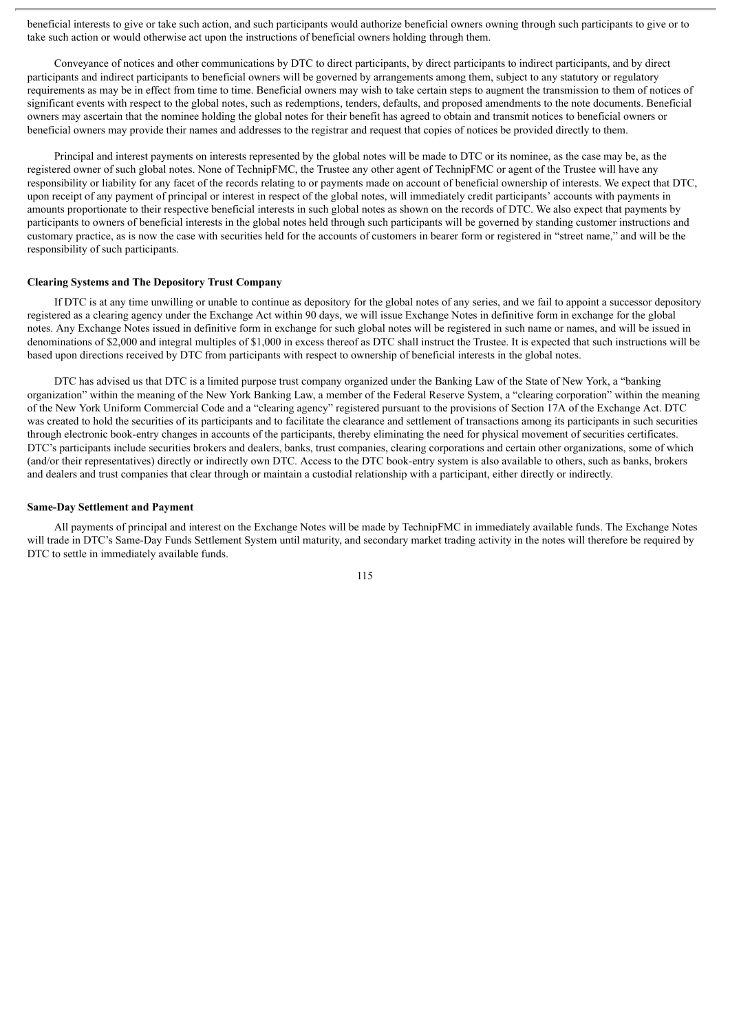beneficial interests to give or take such action, and such participants would authorize beneficial owners owning through such participants to give or to take such action or would otherwise act upon the instructions of beneficial owners holding through them.

Conveyance of notices and other communications by DTC to direct participants, by direct participants to indirect participants, and by direct participants and indirect participants to beneficial owners will be governed by arrangements among them, subject to any statutory or regulatory requirements as may be in effect from time to time. Beneficial owners may wish to take certain steps to augment the transmission to them of notices of significant events with respect to the global notes, such as redemptions, tenders, defaults, and proposed amendments to the note documents. Beneficial owners may ascertain that the nominee holding the global notes for their benefit has agreed to obtain and transmit notices to beneficial owners or beneficial owners may provide their names and addresses to the registrar and request that copies of notices be provided directly to them.

Principal and interest payments on interests represented by the global notes will be made to DTC or its nominee, as the case may be, as the registered owner of such global notes. None of TechnipFMC, the Trustee any other agent of TechnipFMC or agent of the Trustee will have any responsibility or liability for any facet of the records relating to or payments made on account of beneficial ownership of interests. We expect that DTC, upon receipt of any payment of principal or interest in respect of the global notes, will immediately credit participants' accounts with payments in amounts proportionate to their respective beneficial interests in such global notes as shown on the records of DTC. We also expect that payments by participants to owners of beneficial interests in the global notes held through such participants will be governed by standing customer instructions and customary practice, as is now the case with securities held for the accounts of customers in bearer form or registered in "street name," and will be the responsibility of such participants.

# **Clearing Systems and The Depository Trust Company**

If DTC is at any time unwilling or unable to continue as depository for the global notes of any series, and we fail to appoint a successor depository registered as a clearing agency under the Exchange Act within 90 days, we will issue Exchange Notes in definitive form in exchange for the global notes. Any Exchange Notes issued in definitive form in exchange for such global notes will be registered in such name or names, and will be issued in denominations of \$2,000 and integral multiples of \$1,000 in excess thereof as DTC shall instruct the Trustee. It is expected that such instructions will be based upon directions received by DTC from participants with respect to ownership of beneficial interests in the global notes.

DTC has advised us that DTC is a limited purpose trust company organized under the Banking Law of the State of New York, a "banking organization" within the meaning of the New York Banking Law, a member of the Federal Reserve System, a "clearing corporation" within the meaning of the New York Uniform Commercial Code and a "clearing agency" registered pursuant to the provisions of Section 17A of the Exchange Act. DTC was created to hold the securities of its participants and to facilitate the clearance and settlement of transactions among its participants in such securities through electronic book-entry changes in accounts of the participants, thereby eliminating the need for physical movement of securities certificates. DTC's participants include securities brokers and dealers, banks, trust companies, clearing corporations and certain other organizations, some of which (and/or their representatives) directly or indirectly own DTC. Access to the DTC book-entry system is also available to others, such as banks, brokers and dealers and trust companies that clear through or maintain a custodial relationship with a participant, either directly or indirectly.

## **Same-Day Settlement and Payment**

All payments of principal and interest on the Exchange Notes will be made by TechnipFMC in immediately available funds. The Exchange Notes will trade in DTC's Same-Day Funds Settlement System until maturity, and secondary market trading activity in the notes will therefore be required by DTC to settle in immediately available funds.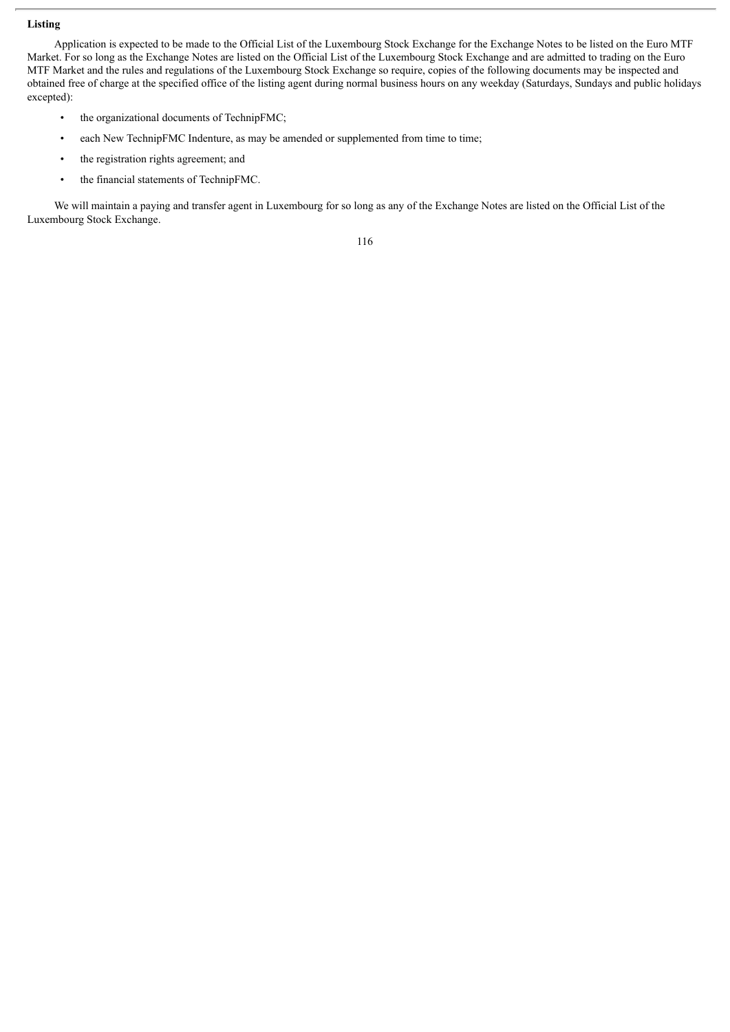# **Listing**

Application is expected to be made to the Official List of the Luxembourg Stock Exchange for the Exchange Notes to be listed on the Euro MTF Market. For so long as the Exchange Notes are listed on the Official List of the Luxembourg Stock Exchange and are admitted to trading on the Euro MTF Market and the rules and regulations of the Luxembourg Stock Exchange so require, copies of the following documents may be inspected and obtained free of charge at the specified office of the listing agent during normal business hours on any weekday (Saturdays, Sundays and public holidays excepted):

- the organizational documents of TechnipFMC;
- each New TechnipFMC Indenture, as may be amended or supplemented from time to time;
- the registration rights agreement; and
- the financial statements of TechnipFMC.

We will maintain a paying and transfer agent in Luxembourg for so long as any of the Exchange Notes are listed on the Official List of the Luxembourg Stock Exchange.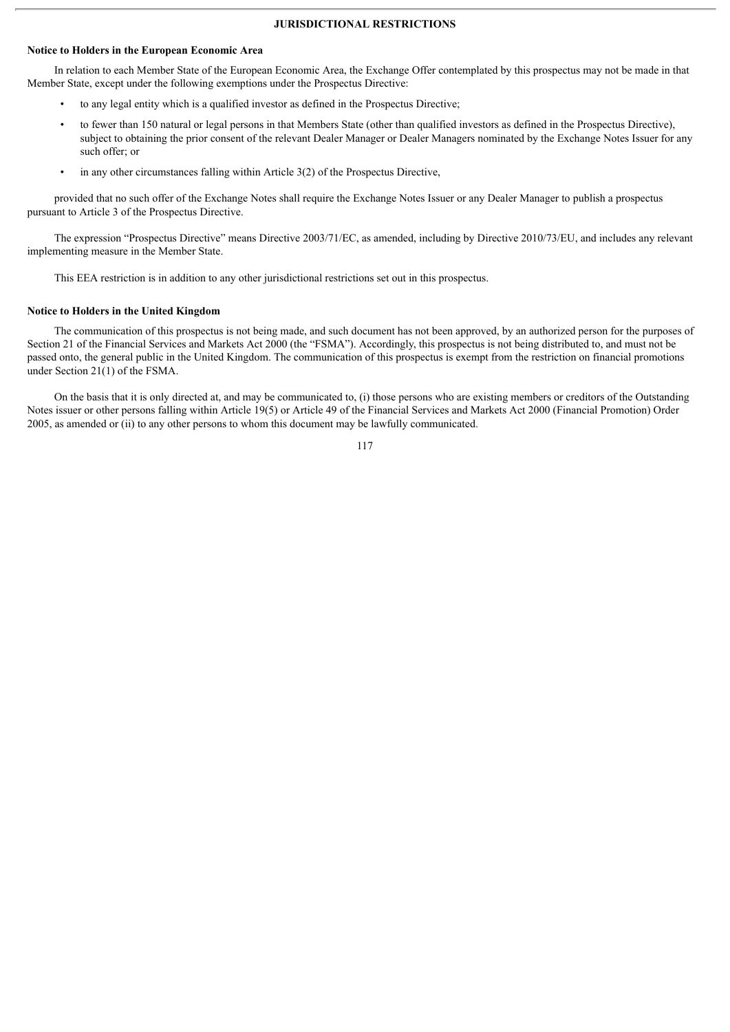# **JURISDICTIONAL RESTRICTIONS**

#### **Notice to Holders in the European Economic Area**

In relation to each Member State of the European Economic Area, the Exchange Offer contemplated by this prospectus may not be made in that Member State, except under the following exemptions under the Prospectus Directive:

- to any legal entity which is a qualified investor as defined in the Prospectus Directive;
- to fewer than 150 natural or legal persons in that Members State (other than qualified investors as defined in the Prospectus Directive), subject to obtaining the prior consent of the relevant Dealer Manager or Dealer Managers nominated by the Exchange Notes Issuer for any such offer; or
- in any other circumstances falling within Article  $3(2)$  of the Prospectus Directive,

provided that no such offer of the Exchange Notes shall require the Exchange Notes Issuer or any Dealer Manager to publish a prospectus pursuant to Article 3 of the Prospectus Directive.

The expression "Prospectus Directive" means Directive 2003/71/EC, as amended, including by Directive 2010/73/EU, and includes any relevant implementing measure in the Member State.

This EEA restriction is in addition to any other jurisdictional restrictions set out in this prospectus.

#### **Notice to Holders in the United Kingdom**

The communication of this prospectus is not being made, and such document has not been approved, by an authorized person for the purposes of Section 21 of the Financial Services and Markets Act 2000 (the "FSMA"). Accordingly, this prospectus is not being distributed to, and must not be passed onto, the general public in the United Kingdom. The communication of this prospectus is exempt from the restriction on financial promotions under Section 21(1) of the FSMA.

On the basis that it is only directed at, and may be communicated to, (i) those persons who are existing members or creditors of the Outstanding Notes issuer or other persons falling within Article 19(5) or Article 49 of the Financial Services and Markets Act 2000 (Financial Promotion) Order 2005, as amended or (ii) to any other persons to whom this document may be lawfully communicated.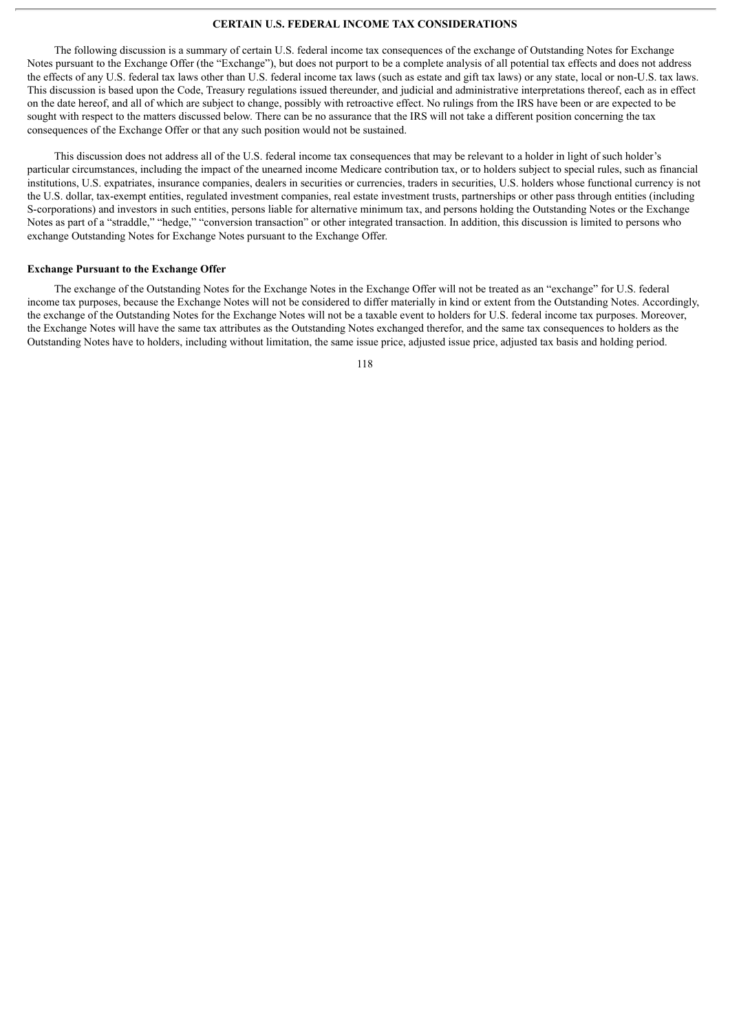# **CERTAIN U.S. FEDERAL INCOME TAX CONSIDERATIONS**

The following discussion is a summary of certain U.S. federal income tax consequences of the exchange of Outstanding Notes for Exchange Notes pursuant to the Exchange Offer (the "Exchange"), but does not purport to be a complete analysis of all potential tax effects and does not address the effects of any U.S. federal tax laws other than U.S. federal income tax laws (such as estate and gift tax laws) or any state, local or non-U.S. tax laws. This discussion is based upon the Code, Treasury regulations issued thereunder, and judicial and administrative interpretations thereof, each as in effect on the date hereof, and all of which are subject to change, possibly with retroactive effect. No rulings from the IRS have been or are expected to be sought with respect to the matters discussed below. There can be no assurance that the IRS will not take a different position concerning the tax consequences of the Exchange Offer or that any such position would not be sustained.

This discussion does not address all of the U.S. federal income tax consequences that may be relevant to a holder in light of such holder's particular circumstances, including the impact of the unearned income Medicare contribution tax, or to holders subject to special rules, such as financial institutions, U.S. expatriates, insurance companies, dealers in securities or currencies, traders in securities, U.S. holders whose functional currency is not the U.S. dollar, tax-exempt entities, regulated investment companies, real estate investment trusts, partnerships or other pass through entities (including S-corporations) and investors in such entities, persons liable for alternative minimum tax, and persons holding the Outstanding Notes or the Exchange Notes as part of a "straddle," "hedge," "conversion transaction" or other integrated transaction. In addition, this discussion is limited to persons who exchange Outstanding Notes for Exchange Notes pursuant to the Exchange Offer.

## **Exchange Pursuant to the Exchange Offer**

The exchange of the Outstanding Notes for the Exchange Notes in the Exchange Offer will not be treated as an "exchange" for U.S. federal income tax purposes, because the Exchange Notes will not be considered to differ materially in kind or extent from the Outstanding Notes. Accordingly, the exchange of the Outstanding Notes for the Exchange Notes will not be a taxable event to holders for U.S. federal income tax purposes. Moreover, the Exchange Notes will have the same tax attributes as the Outstanding Notes exchanged therefor, and the same tax consequences to holders as the Outstanding Notes have to holders, including without limitation, the same issue price, adjusted issue price, adjusted tax basis and holding period.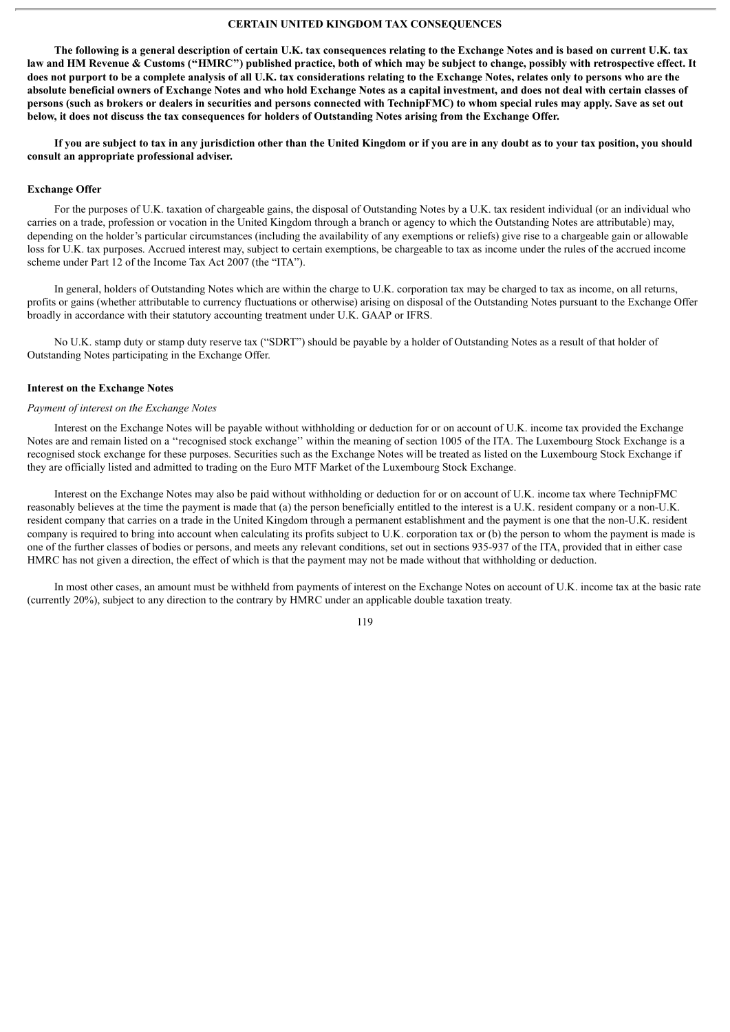# **CERTAIN UNITED KINGDOM TAX CONSEQUENCES**

The following is a general description of certain U.K. tax consequences relating to the Exchange Notes and is based on current U.K. tax law and HM Revenue & Customs ("HMRC") published practice, both of which may be subject to change, possibly with retrospective effect. It does not purport to be a complete analysis of all U.K. tax considerations relating to the Exchange Notes, relates only to persons who are the absolute beneficial owners of Exchange Notes and who hold Exchange Notes as a capital investment, and does not deal with certain classes of persons (such as brokers or dealers in securities and persons connected with TechnipFMC) to whom special rules may apply. Save as set out below, it does not discuss the tax consequences for holders of Outstanding Notes arising from the Exchange Offer.

If you are subject to tax in any jurisdiction other than the United Kingdom or if you are in any doubt as to your tax position, you should **consult an appropriate professional adviser.**

## **Exchange Offer**

For the purposes of U.K. taxation of chargeable gains, the disposal of Outstanding Notes by a U.K. tax resident individual (or an individual who carries on a trade, profession or vocation in the United Kingdom through a branch or agency to which the Outstanding Notes are attributable) may, depending on the holder's particular circumstances (including the availability of any exemptions or reliefs) give rise to a chargeable gain or allowable loss for U.K. tax purposes. Accrued interest may, subject to certain exemptions, be chargeable to tax as income under the rules of the accrued income scheme under Part 12 of the Income Tax Act 2007 (the "ITA").

In general, holders of Outstanding Notes which are within the charge to U.K. corporation tax may be charged to tax as income, on all returns, profits or gains (whether attributable to currency fluctuations or otherwise) arising on disposal of the Outstanding Notes pursuant to the Exchange Offer broadly in accordance with their statutory accounting treatment under U.K. GAAP or IFRS.

No U.K. stamp duty or stamp duty reserve tax ("SDRT") should be payable by a holder of Outstanding Notes as a result of that holder of Outstanding Notes participating in the Exchange Offer.

### **Interest on the Exchange Notes**

#### *Payment of interest on the Exchange Notes*

Interest on the Exchange Notes will be payable without withholding or deduction for or on account of U.K. income tax provided the Exchange Notes are and remain listed on a ''recognised stock exchange'' within the meaning of section 1005 of the ITA. The Luxembourg Stock Exchange is a recognised stock exchange for these purposes. Securities such as the Exchange Notes will be treated as listed on the Luxembourg Stock Exchange if they are officially listed and admitted to trading on the Euro MTF Market of the Luxembourg Stock Exchange.

Interest on the Exchange Notes may also be paid without withholding or deduction for or on account of U.K. income tax where TechnipFMC reasonably believes at the time the payment is made that (a) the person beneficially entitled to the interest is a U.K. resident company or a non-U.K. resident company that carries on a trade in the United Kingdom through a permanent establishment and the payment is one that the non-U.K. resident company is required to bring into account when calculating its profits subject to U.K. corporation tax or (b) the person to whom the payment is made is one of the further classes of bodies or persons, and meets any relevant conditions, set out in sections 935-937 of the ITA, provided that in either case HMRC has not given a direction, the effect of which is that the payment may not be made without that withholding or deduction.

In most other cases, an amount must be withheld from payments of interest on the Exchange Notes on account of U.K. income tax at the basic rate (currently 20%), subject to any direction to the contrary by HMRC under an applicable double taxation treaty.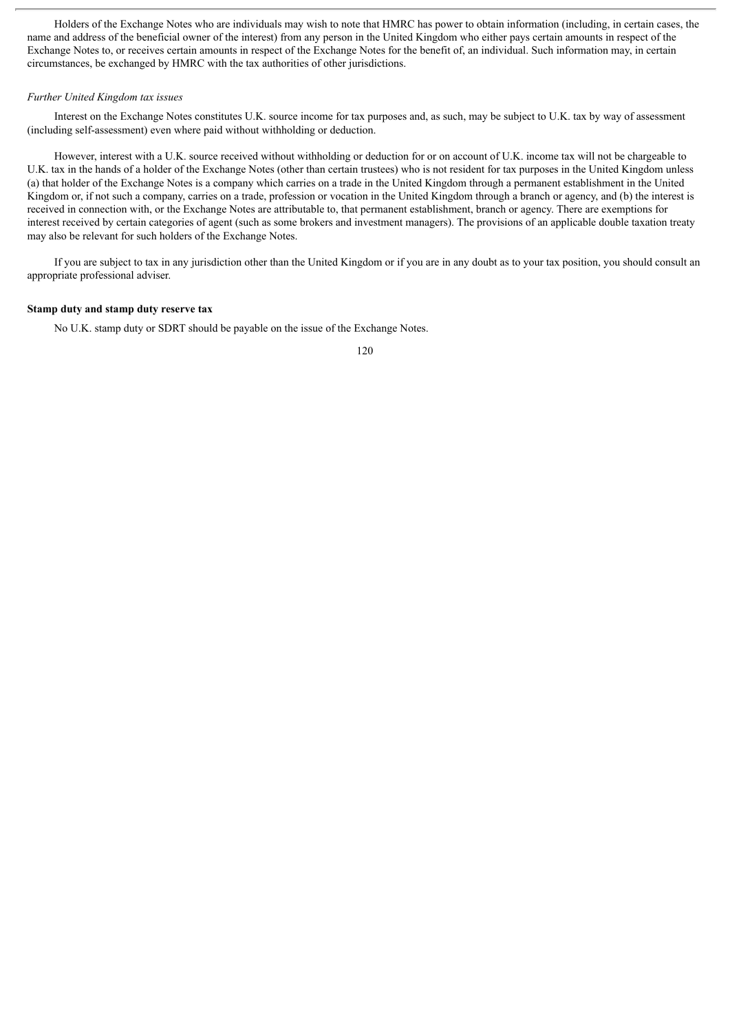Holders of the Exchange Notes who are individuals may wish to note that HMRC has power to obtain information (including, in certain cases, the name and address of the beneficial owner of the interest) from any person in the United Kingdom who either pays certain amounts in respect of the Exchange Notes to, or receives certain amounts in respect of the Exchange Notes for the benefit of, an individual. Such information may, in certain circumstances, be exchanged by HMRC with the tax authorities of other jurisdictions.

## *Further United Kingdom tax issues*

Interest on the Exchange Notes constitutes U.K. source income for tax purposes and, as such, may be subject to U.K. tax by way of assessment (including self-assessment) even where paid without withholding or deduction.

However, interest with a U.K. source received without withholding or deduction for or on account of U.K. income tax will not be chargeable to U.K. tax in the hands of a holder of the Exchange Notes (other than certain trustees) who is not resident for tax purposes in the United Kingdom unless (a) that holder of the Exchange Notes is a company which carries on a trade in the United Kingdom through a permanent establishment in the United Kingdom or, if not such a company, carries on a trade, profession or vocation in the United Kingdom through a branch or agency, and (b) the interest is received in connection with, or the Exchange Notes are attributable to, that permanent establishment, branch or agency. There are exemptions for interest received by certain categories of agent (such as some brokers and investment managers). The provisions of an applicable double taxation treaty may also be relevant for such holders of the Exchange Notes.

If you are subject to tax in any jurisdiction other than the United Kingdom or if you are in any doubt as to your tax position, you should consult an appropriate professional adviser.

#### **Stamp duty and stamp duty reserve tax**

No U.K. stamp duty or SDRT should be payable on the issue of the Exchange Notes.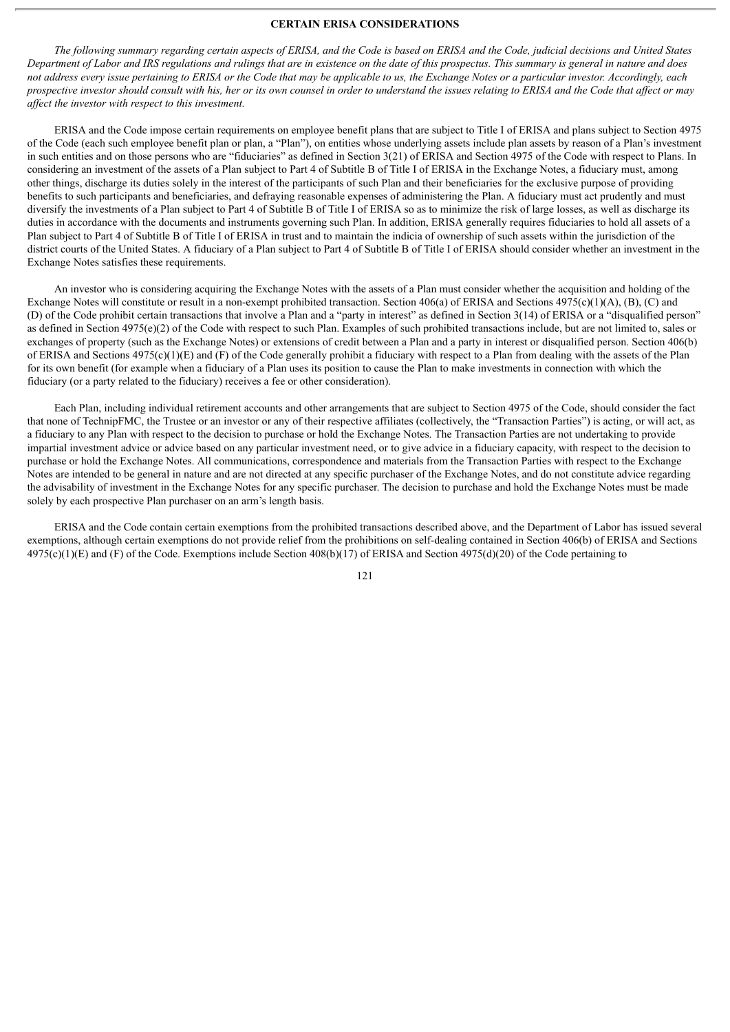# **CERTAIN ERISA CONSIDERATIONS**

The following summary regarding certain aspects of ERISA, and the Code is based on ERISA and the Code, judicial decisions and United States Department of Labor and IRS regulations and rulings that are in existence on the date of this prospectus. This summary is general in nature and does not address every issue pertaining to ERISA or the Code that may be applicable to us, the Exchange Notes or a particular investor. Accordingly, each prospective investor should consult with his, her or its own counsel in order to understand the issues relating to ERISA and the Code that affect or may *af ect the investor with respect to this investment.*

ERISA and the Code impose certain requirements on employee benefit plans that are subject to Title I of ERISA and plans subject to Section 4975 of the Code (each such employee benefit plan or plan, a "Plan"), on entities whose underlying assets include plan assets by reason of a Plan's investment in such entities and on those persons who are "fiduciaries" as defined in Section 3(21) of ERISA and Section 4975 of the Code with respect to Plans. In considering an investment of the assets of a Plan subject to Part 4 of Subtitle B of Title I of ERISA in the Exchange Notes, a fiduciary must, among other things, discharge its duties solely in the interest of the participants of such Plan and their beneficiaries for the exclusive purpose of providing benefits to such participants and beneficiaries, and defraying reasonable expenses of administering the Plan. A fiduciary must act prudently and must diversify the investments of a Plan subject to Part 4 of Subtitle B of Title I of ERISA so as to minimize the risk of large losses, as well as discharge its duties in accordance with the documents and instruments governing such Plan. In addition, ERISA generally requires fiduciaries to hold all assets of a Plan subject to Part 4 of Subtitle B of Title I of ERISA in trust and to maintain the indicia of ownership of such assets within the jurisdiction of the district courts of the United States. A fiduciary of a Plan subject to Part 4 of Subtitle B of Title I of ERISA should consider whether an investment in the Exchange Notes satisfies these requirements.

An investor who is considering acquiring the Exchange Notes with the assets of a Plan must consider whether the acquisition and holding of the Exchange Notes will constitute or result in a non-exempt prohibited transaction. Section 406(a) of ERISA and Sections 4975(c)(1)(A), (B), (C) and (D) of the Code prohibit certain transactions that involve a Plan and a "party in interest" as defined in Section 3(14) of ERISA or a "disqualified person" as defined in Section 4975(e)(2) of the Code with respect to such Plan. Examples of such prohibited transactions include, but are not limited to, sales or exchanges of property (such as the Exchange Notes) or extensions of credit between a Plan and a party in interest or disqualified person. Section 406(b) of ERISA and Sections 4975(c)(1)(E) and (F) of the Code generally prohibit a fiduciary with respect to a Plan from dealing with the assets of the Plan for its own benefit (for example when a fiduciary of a Plan uses its position to cause the Plan to make investments in connection with which the fiduciary (or a party related to the fiduciary) receives a fee or other consideration).

Each Plan, including individual retirement accounts and other arrangements that are subject to Section 4975 of the Code, should consider the fact that none of TechnipFMC, the Trustee or an investor or any of their respective affiliates (collectively, the "Transaction Parties") is acting, or will act, as a fiduciary to any Plan with respect to the decision to purchase or hold the Exchange Notes. The Transaction Parties are not undertaking to provide impartial investment advice or advice based on any particular investment need, or to give advice in a fiduciary capacity, with respect to the decision to purchase or hold the Exchange Notes. All communications, correspondence and materials from the Transaction Parties with respect to the Exchange Notes are intended to be general in nature and are not directed at any specific purchaser of the Exchange Notes, and do not constitute advice regarding the advisability of investment in the Exchange Notes for any specific purchaser. The decision to purchase and hold the Exchange Notes must be made solely by each prospective Plan purchaser on an arm's length basis.

ERISA and the Code contain certain exemptions from the prohibited transactions described above, and the Department of Labor has issued several exemptions, although certain exemptions do not provide relief from the prohibitions on self-dealing contained in Section 406(b) of ERISA and Sections  $4975(c)(1)(E)$  and (F) of the Code. Exemptions include Section  $408(b)(17)$  of ERISA and Section  $4975(d)(20)$  of the Code pertaining to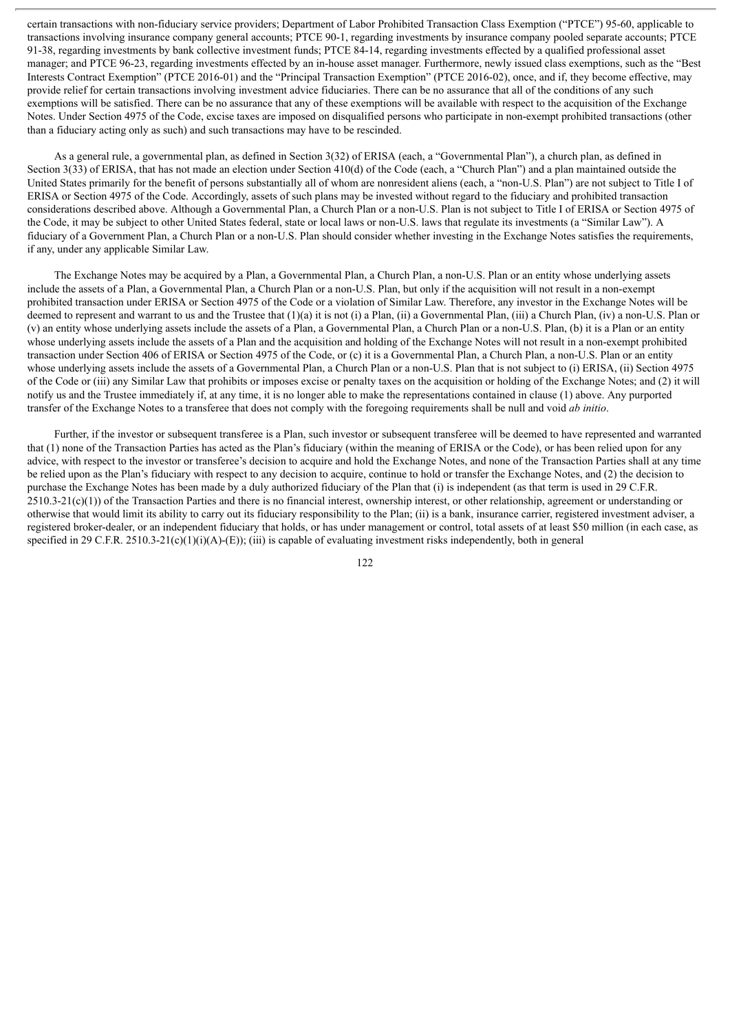certain transactions with non-fiduciary service providers; Department of Labor Prohibited Transaction Class Exemption ("PTCE") 95-60, applicable to transactions involving insurance company general accounts; PTCE 90-1, regarding investments by insurance company pooled separate accounts; PTCE 91-38, regarding investments by bank collective investment funds; PTCE 84-14, regarding investments effected by a qualified professional asset manager; and PTCE 96-23, regarding investments effected by an in-house asset manager. Furthermore, newly issued class exemptions, such as the "Best Interests Contract Exemption" (PTCE 2016-01) and the "Principal Transaction Exemption" (PTCE 2016-02), once, and if, they become effective, may provide relief for certain transactions involving investment advice fiduciaries. There can be no assurance that all of the conditions of any such exemptions will be satisfied. There can be no assurance that any of these exemptions will be available with respect to the acquisition of the Exchange Notes. Under Section 4975 of the Code, excise taxes are imposed on disqualified persons who participate in non-exempt prohibited transactions (other than a fiduciary acting only as such) and such transactions may have to be rescinded.

As a general rule, a governmental plan, as defined in Section 3(32) of ERISA (each, a "Governmental Plan"), a church plan, as defined in Section 3(33) of ERISA, that has not made an election under Section 410(d) of the Code (each, a "Church Plan") and a plan maintained outside the United States primarily for the benefit of persons substantially all of whom are nonresident aliens (each, a "non-U.S. Plan") are not subject to Title I of ERISA or Section 4975 of the Code. Accordingly, assets of such plans may be invested without regard to the fiduciary and prohibited transaction considerations described above. Although a Governmental Plan, a Church Plan or a non-U.S. Plan is not subject to Title I of ERISA or Section 4975 of the Code, it may be subject to other United States federal, state or local laws or non-U.S. laws that regulate its investments (a "Similar Law"). A fiduciary of a Government Plan, a Church Plan or a non-U.S. Plan should consider whether investing in the Exchange Notes satisfies the requirements, if any, under any applicable Similar Law.

The Exchange Notes may be acquired by a Plan, a Governmental Plan, a Church Plan, a non-U.S. Plan or an entity whose underlying assets include the assets of a Plan, a Governmental Plan, a Church Plan or a non-U.S. Plan, but only if the acquisition will not result in a non-exempt prohibited transaction under ERISA or Section 4975 of the Code or a violation of Similar Law. Therefore, any investor in the Exchange Notes will be deemed to represent and warrant to us and the Trustee that (1)(a) it is not (i) a Plan, (ii) a Governmental Plan, (iii) a Church Plan, (iv) a non-U.S. Plan or (v) an entity whose underlying assets include the assets of a Plan, a Governmental Plan, a Church Plan or a non-U.S. Plan, (b) it is a Plan or an entity whose underlying assets include the assets of a Plan and the acquisition and holding of the Exchange Notes will not result in a non-exempt prohibited transaction under Section 406 of ERISA or Section 4975 of the Code, or (c) it is a Governmental Plan, a Church Plan, a non-U.S. Plan or an entity whose underlying assets include the assets of a Governmental Plan, a Church Plan or a non-U.S. Plan that is not subject to (i) ERISA, (ii) Section 4975 of the Code or (iii) any Similar Law that prohibits or imposes excise or penalty taxes on the acquisition or holding of the Exchange Notes; and (2) it will notify us and the Trustee immediately if, at any time, it is no longer able to make the representations contained in clause (1) above. Any purported transfer of the Exchange Notes to a transferee that does not comply with the foregoing requirements shall be null and void *ab initio*.

Further, if the investor or subsequent transferee is a Plan, such investor or subsequent transferee will be deemed to have represented and warranted that (1) none of the Transaction Parties has acted as the Plan's fiduciary (within the meaning of ERISA or the Code), or has been relied upon for any advice, with respect to the investor or transferee's decision to acquire and hold the Exchange Notes, and none of the Transaction Parties shall at any time be relied upon as the Plan's fiduciary with respect to any decision to acquire, continue to hold or transfer the Exchange Notes, and (2) the decision to purchase the Exchange Notes has been made by a duly authorized fiduciary of the Plan that (i) is independent (as that term is used in 29 C.F.R.  $2510.3-21(c)(1)$ ) of the Transaction Parties and there is no financial interest, ownership interest, or other relationship, agreement or understanding or otherwise that would limit its ability to carry out its fiduciary responsibility to the Plan; (ii) is a bank, insurance carrier, registered investment adviser, a registered broker-dealer, or an independent fiduciary that holds, or has under management or control, total assets of at least \$50 million (in each case, as specified in 29 C.F.R. 2510.3-21(c)(1)(i)(A)-(E)); (iii) is capable of evaluating investment risks independently, both in general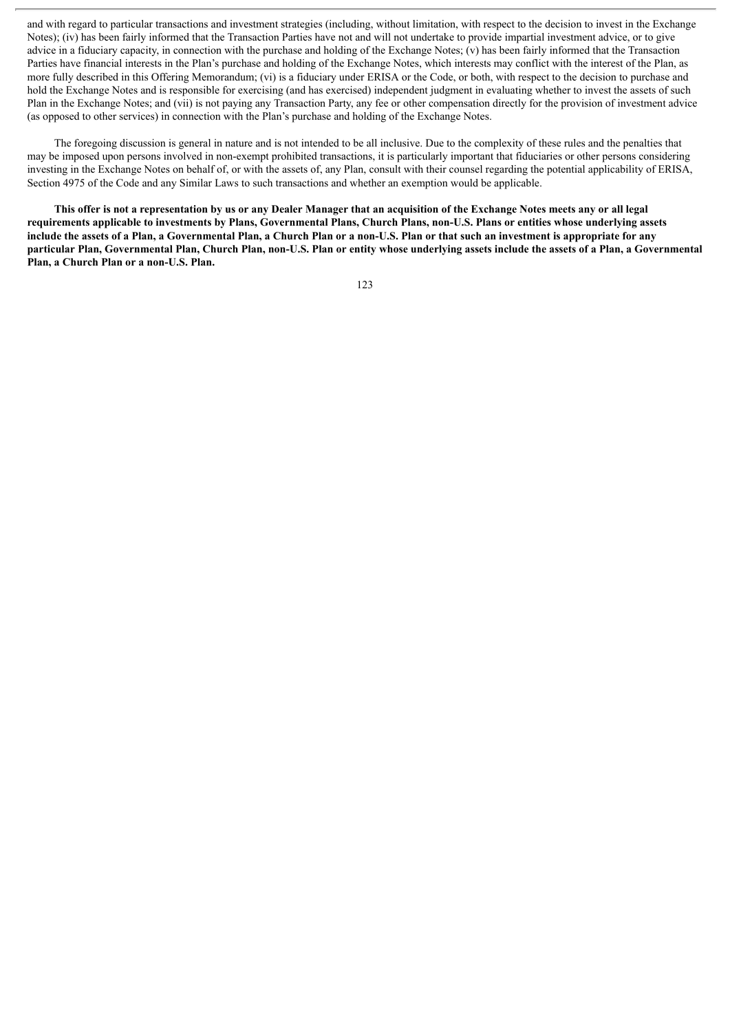and with regard to particular transactions and investment strategies (including, without limitation, with respect to the decision to invest in the Exchange Notes); (iv) has been fairly informed that the Transaction Parties have not and will not undertake to provide impartial investment advice, or to give advice in a fiduciary capacity, in connection with the purchase and holding of the Exchange Notes;  $(v)$  has been fairly informed that the Transaction Parties have financial interests in the Plan's purchase and holding of the Exchange Notes, which interests may conflict with the interest of the Plan, as more fully described in this Offering Memorandum; (vi) is a fiduciary under ERISA or the Code, or both, with respect to the decision to purchase and hold the Exchange Notes and is responsible for exercising (and has exercised) independent judgment in evaluating whether to invest the assets of such Plan in the Exchange Notes; and (vii) is not paying any Transaction Party, any fee or other compensation directly for the provision of investment advice (as opposed to other services) in connection with the Plan's purchase and holding of the Exchange Notes.

The foregoing discussion is general in nature and is not intended to be all inclusive. Due to the complexity of these rules and the penalties that may be imposed upon persons involved in non-exempt prohibited transactions, it is particularly important that fiduciaries or other persons considering investing in the Exchange Notes on behalf of, or with the assets of, any Plan, consult with their counsel regarding the potential applicability of ERISA, Section 4975 of the Code and any Similar Laws to such transactions and whether an exemption would be applicable.

This offer is not a representation by us or any Dealer Manager that an acquisition of the Exchange Notes meets any or all legal requirements applicable to investments by Plans, Governmental Plans, Church Plans, non-U.S. Plans or entities whose underlying assets include the assets of a Plan, a Governmental Plan, a Church Plan or a non-U.S. Plan or that such an investment is appropriate for any particular Plan, Governmental Plan, Church Plan, non-U.S. Plan or entity whose underlying assets include the assets of a Plan, a Governmental **Plan, a Church Plan or a non-U.S. Plan.**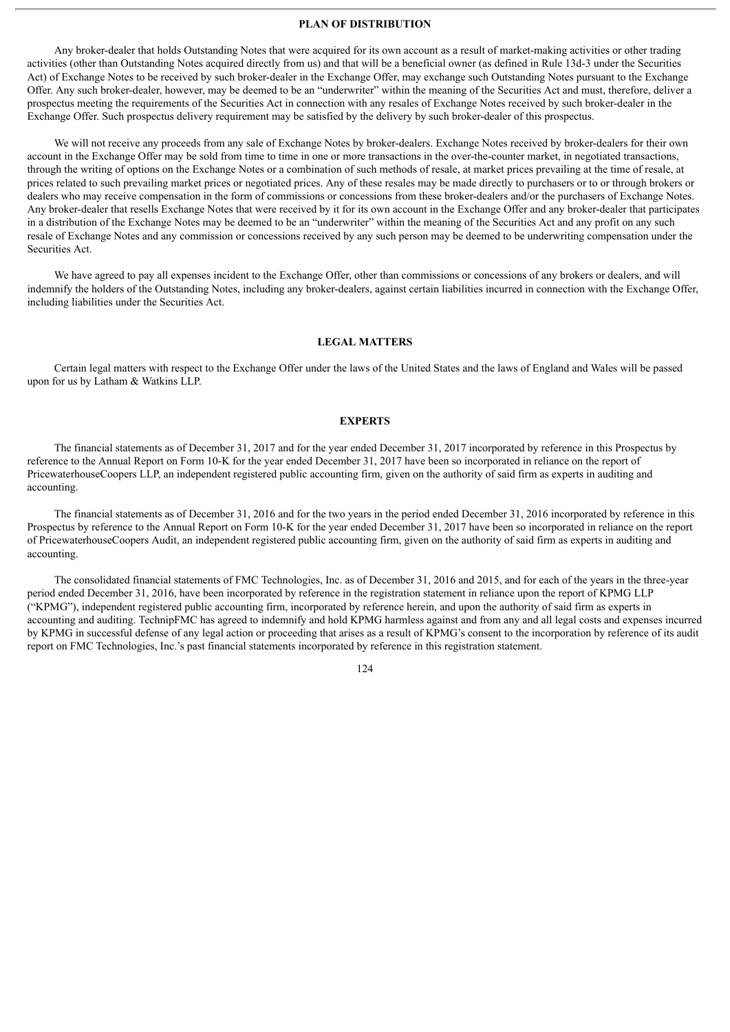# **PLAN OF DISTRIBUTION**

Any broker-dealer that holds Outstanding Notes that were acquired for its own account as a result of market-making activities or other trading activities (other than Outstanding Notes acquired directly from us) and that will be a beneficial owner (as defined in Rule 13d-3 under the Securities Act) of Exchange Notes to be received by such broker-dealer in the Exchange Offer, may exchange such Outstanding Notes pursuant to the Exchange Offer. Any such broker-dealer, however, may be deemed to be an "underwriter" within the meaning of the Securities Act and must, therefore, deliver a prospectus meeting the requirements of the Securities Act in connection with any resales of Exchange Notes received by such broker-dealer in the Exchange Offer. Such prospectus delivery requirement may be satisfied by the delivery by such broker-dealer of this prospectus.

We will not receive any proceeds from any sale of Exchange Notes by broker-dealers. Exchange Notes received by broker-dealers for their own account in the Exchange Offer may be sold from time to time in one or more transactions in the over-the-counter market, in negotiated transactions, through the writing of options on the Exchange Notes or a combination of such methods of resale, at market prices prevailing at the time of resale, at prices related to such prevailing market prices or negotiated prices. Any of these resales may be made directly to purchasers or to or through brokers or dealers who may receive compensation in the form of commissions or concessions from these broker-dealers and/or the purchasers of Exchange Notes. Any broker-dealer that resells Exchange Notes that were received by it for its own account in the Exchange Offer and any broker-dealer that participates in a distribution of the Exchange Notes may be deemed to be an "underwriter" within the meaning of the Securities Act and any profit on any such resale of Exchange Notes and any commission or concessions received by any such person may be deemed to be underwriting compensation under the Securities Act.

We have agreed to pay all expenses incident to the Exchange Offer, other than commissions or concessions of any brokers or dealers, and will indemnify the holders of the Outstanding Notes, including any broker-dealers, against certain liabilities incurred in connection with the Exchange Offer, including liabilities under the Securities Act.

# **LEGAL MATTERS**

Certain legal matters with respect to the Exchange Offer under the laws of the United States and the laws of England and Wales will be passed upon for us by Latham & Watkins LLP.

#### **EXPERTS**

The financial statements as of December 31, 2017 and for the year ended December 31, 2017 incorporated by reference in this Prospectus by reference to the Annual Report on Form 10-K for the year ended December 31, 2017 have been so incorporated in reliance on the report of PricewaterhouseCoopers LLP, an independent registered public accounting firm, given on the authority of said firm as experts in auditing and accounting.

The financial statements as of December 31, 2016 and for the two years in the period ended December 31, 2016 incorporated by reference in this Prospectus by reference to the Annual Report on Form 10-K for the year ended December 31, 2017 have been so incorporated in reliance on the report of PricewaterhouseCoopers Audit, an independent registered public accounting firm, given on the authority of said firm as experts in auditing and accounting.

The consolidated financial statements of FMC Technologies, Inc. as of December 31, 2016 and 2015, and for each of the years in the three-year period ended December 31, 2016, have been incorporated by reference in the registration statement in reliance upon the report of KPMG LLP ("KPMG"), independent registered public accounting firm, incorporated by reference herein, and upon the authority of said firm as experts in accounting and auditing. TechnipFMC has agreed to indemnify and hold KPMG harmless against and from any and all legal costs and expenses incurred by KPMG in successful defense of any legal action or proceeding that arises as a result of KPMG's consent to the incorporation by reference of its audit report on FMC Technologies, Inc.'s past financial statements incorporated by reference in this registration statement.